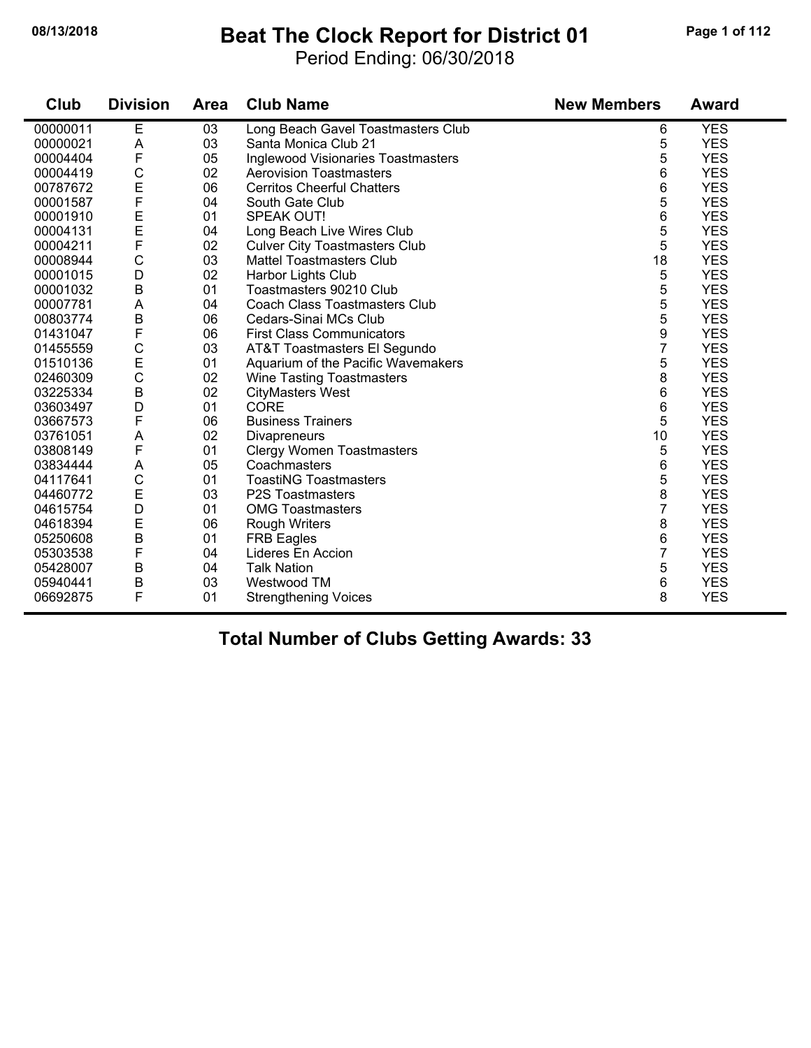#### **08/13/2018 Beat The Clock Report for District 01 Page 1 of 112**

Period Ending: 06/30/2018

| Club     | <b>Division</b> | <b>Area</b> | <b>Club Name</b>                     | <b>New Members</b> | <b>Award</b> |
|----------|-----------------|-------------|--------------------------------------|--------------------|--------------|
| 00000011 | Е               | 03          | Long Beach Gavel Toastmasters Club   | 6                  | <b>YES</b>   |
| 00000021 | A               | 03          | Santa Monica Club 21                 | 5                  | <b>YES</b>   |
| 00004404 | F               | 05          | Inglewood Visionaries Toastmasters   | 5                  | <b>YES</b>   |
| 00004419 | C               | 02          | <b>Aerovision Toastmasters</b>       | 6                  | <b>YES</b>   |
| 00787672 | E               | 06          | <b>Cerritos Cheerful Chatters</b>    | 6                  | <b>YES</b>   |
| 00001587 | $\mathsf F$     | 04          | South Gate Club                      | 5                  | <b>YES</b>   |
| 00001910 | E               | 01          | SPEAK OUT!                           | 6                  | <b>YES</b>   |
| 00004131 | E               | 04          | Long Beach Live Wires Club           | 5                  | <b>YES</b>   |
| 00004211 | F               | 02          | <b>Culver City Toastmasters Club</b> | 5                  | <b>YES</b>   |
| 00008944 | $\mathsf{C}$    | 03          | <b>Mattel Toastmasters Club</b>      | 18                 | <b>YES</b>   |
| 00001015 | D               | 02          | Harbor Lights Club                   | 5                  | <b>YES</b>   |
| 00001032 | $\sf B$         | 01          | Toastmasters 90210 Club              | 5                  | <b>YES</b>   |
| 00007781 | A               | 04          | <b>Coach Class Toastmasters Club</b> | 5                  | <b>YES</b>   |
| 00803774 | B               | 06          | Cedars-Sinai MCs Club                | 5                  | <b>YES</b>   |
| 01431047 | $\mathsf F$     | 06          | <b>First Class Communicators</b>     | 9                  | <b>YES</b>   |
| 01455559 | $\mathsf C$     | 03          | AT&T Toastmasters El Segundo         | 7                  | <b>YES</b>   |
| 01510136 | E               | 01          | Aquarium of the Pacific Wavemakers   | 5                  | <b>YES</b>   |
| 02460309 | $\mathbf C$     | 02          | Wine Tasting Toastmasters            | 8                  | <b>YES</b>   |
| 03225334 | $\sf B$         | 02          | <b>CityMasters West</b>              | 6                  | <b>YES</b>   |
| 03603497 | D               | 01          | <b>CORE</b>                          | 6                  | <b>YES</b>   |
| 03667573 | F               | 06          | <b>Business Trainers</b>             | 5                  | <b>YES</b>   |
| 03761051 | A               | 02          | <b>Divapreneurs</b>                  | 10                 | <b>YES</b>   |
| 03808149 | F               | 01          | <b>Clergy Women Toastmasters</b>     | 5                  | <b>YES</b>   |
| 03834444 | A               | 05          | Coachmasters                         | 6                  | <b>YES</b>   |
| 04117641 | C               | 01          | <b>ToastiNG Toastmasters</b>         | 5                  | <b>YES</b>   |
| 04460772 | E               | 03          | P2S Toastmasters                     | 8                  | <b>YES</b>   |
| 04615754 | D               | 01          | <b>OMG Toastmasters</b>              | $\overline{7}$     | <b>YES</b>   |
| 04618394 | E               | 06          | <b>Rough Writers</b>                 | 8                  | <b>YES</b>   |
| 05250608 | B               | 01          | FRB Eagles                           | 6                  | <b>YES</b>   |
| 05303538 | $\mathsf F$     | 04          | Lideres En Accion                    | 7                  | <b>YES</b>   |
| 05428007 | B               | 04          | <b>Talk Nation</b>                   | 5                  | <b>YES</b>   |
| 05940441 | B               | 03          | Westwood TM                          | 6                  | <b>YES</b>   |
| 06692875 | F               | 01          | <b>Strengthening Voices</b>          | 8                  | <b>YES</b>   |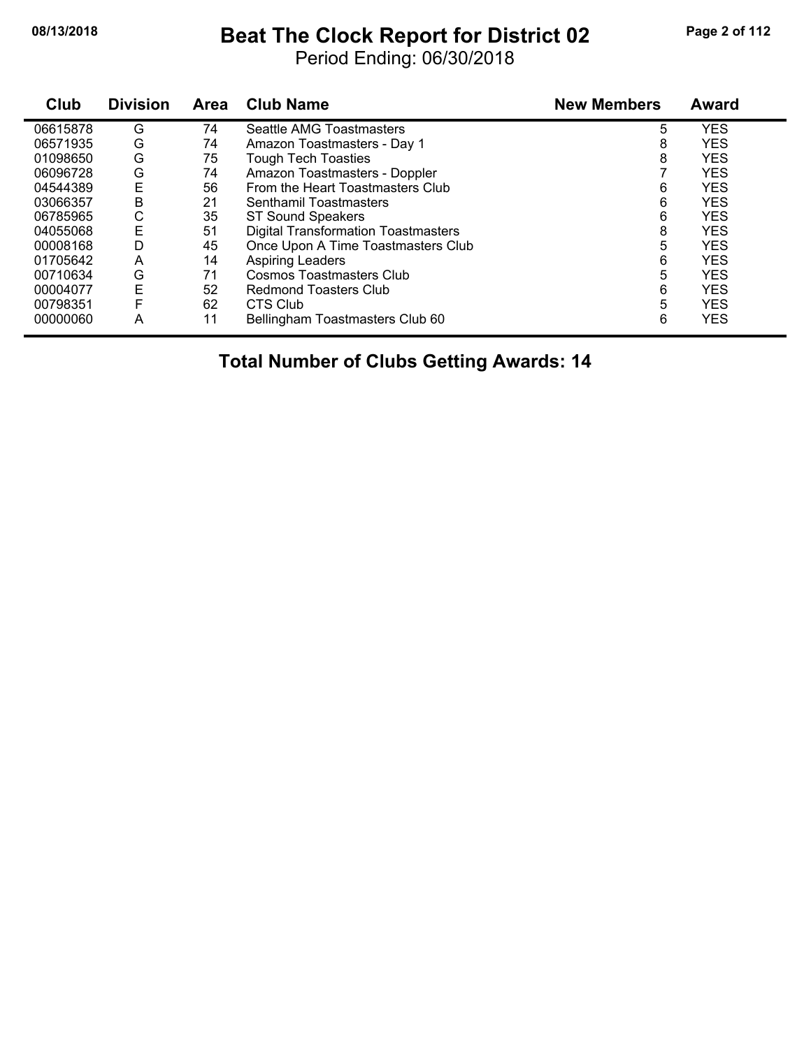#### **08/13/2018 Beat The Clock Report for District 02 Page 2 of 112**

Period Ending: 06/30/2018

| Club     | <b>Division</b> | <b>Area</b> | <b>Club Name</b>                    | <b>New Members</b> | <b>Award</b> |  |
|----------|-----------------|-------------|-------------------------------------|--------------------|--------------|--|
| 06615878 | G               | 74          | Seattle AMG Toastmasters            | 5                  | <b>YES</b>   |  |
| 06571935 | G               | 74          | Amazon Toastmasters - Day 1         | 8                  | <b>YES</b>   |  |
| 01098650 | G               | 75          | <b>Tough Tech Toasties</b>          | 8                  | <b>YES</b>   |  |
| 06096728 | G               | 74          | Amazon Toastmasters - Doppler       |                    | <b>YES</b>   |  |
| 04544389 | E               | 56          | From the Heart Toastmasters Club    | 6                  | <b>YES</b>   |  |
| 03066357 | B               | 21          | Senthamil Toastmasters              | 6                  | <b>YES</b>   |  |
| 06785965 | С               | 35          | <b>ST Sound Speakers</b>            | 6                  | <b>YES</b>   |  |
| 04055068 | E               | 51          | Digital Transformation Toastmasters | 8                  | <b>YES</b>   |  |
| 00008168 | D               | 45          | Once Upon A Time Toastmasters Club  | 5                  | <b>YES</b>   |  |
| 01705642 | А               | 14          | <b>Aspiring Leaders</b>             | 6                  | <b>YES</b>   |  |
| 00710634 | G               | 71          | <b>Cosmos Toastmasters Club</b>     | 5                  | <b>YES</b>   |  |
| 00004077 | Е               | 52          | <b>Redmond Toasters Club</b>        | 6                  | <b>YES</b>   |  |
| 00798351 | F               | 62          | CTS Club                            | 5                  | <b>YES</b>   |  |
| 00000060 | Α               | 11          | Bellingham Toastmasters Club 60     | 6                  | <b>YES</b>   |  |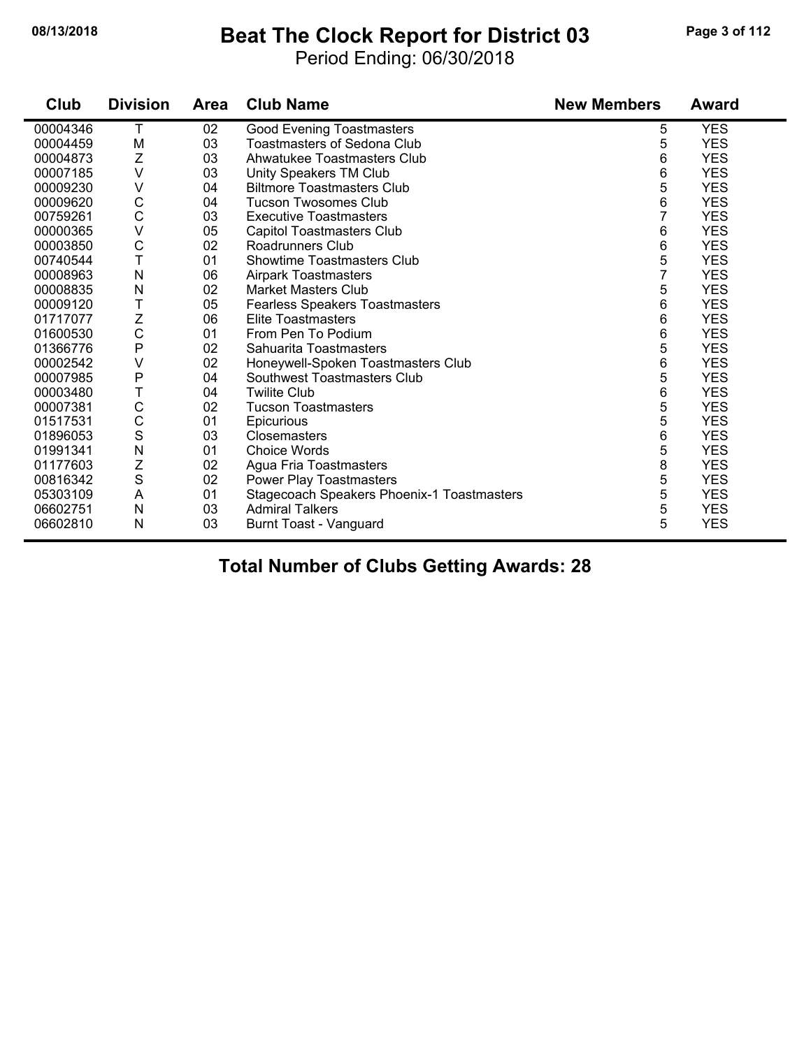### **08/13/2018 Beat The Clock Report for District 03 Page 3 of 112**

Period Ending: 06/30/2018

| Club     | <b>Division</b> | <b>Area</b> | <b>Club Name</b>                           | <b>New Members</b> | Award      |
|----------|-----------------|-------------|--------------------------------------------|--------------------|------------|
| 00004346 | Т               | 02          | <b>Good Evening Toastmasters</b>           | 5                  | <b>YES</b> |
| 00004459 | M               | 03          | <b>Toastmasters of Sedona Club</b>         | 5                  | <b>YES</b> |
| 00004873 | Z               | 03          | Ahwatukee Toastmasters Club                | 6                  | <b>YES</b> |
| 00007185 | $\vee$          | 03          | Unity Speakers TM Club                     | 6                  | <b>YES</b> |
| 00009230 | V               | 04          | <b>Biltmore Toastmasters Club</b>          | 5                  | <b>YES</b> |
| 00009620 | $\mathsf{C}$    | 04          | <b>Tucson Twosomes Club</b>                | 6                  | <b>YES</b> |
| 00759261 | C               | 03          | <b>Executive Toastmasters</b>              | 7                  | <b>YES</b> |
| 00000365 | $\vee$          | 05          | Capitol Toastmasters Club                  | 6                  | <b>YES</b> |
| 00003850 | $\mathsf C$     | 02          | Roadrunners Club                           | 6                  | <b>YES</b> |
| 00740544 | T               | 01          | <b>Showtime Toastmasters Club</b>          | 5                  | <b>YES</b> |
| 00008963 | N               | 06          | <b>Airpark Toastmasters</b>                | 7                  | <b>YES</b> |
| 00008835 | N               | 02          | <b>Market Masters Club</b>                 | 5                  | <b>YES</b> |
| 00009120 | T               | 05          | <b>Fearless Speakers Toastmasters</b>      | 6                  | <b>YES</b> |
| 01717077 | $\frac{Z}{C}$   | 06          | <b>Elite Toastmasters</b>                  | 6                  | <b>YES</b> |
| 01600530 |                 | 01          | From Pen To Podium                         | 6                  | <b>YES</b> |
| 01366776 | $\mathsf{P}$    | 02          | Sahuarita Toastmasters                     | 5                  | <b>YES</b> |
| 00002542 | V               | 02          | Honeywell-Spoken Toastmasters Club         | 6                  | <b>YES</b> |
| 00007985 | $\mathsf{P}$    | 04          | Southwest Toastmasters Club                | 5                  | <b>YES</b> |
| 00003480 | Τ               | 04          | <b>Twilite Club</b>                        | 6                  | <b>YES</b> |
| 00007381 | $\mathsf{C}$    | 02          | <b>Tucson Toastmasters</b>                 | 5                  | <b>YES</b> |
| 01517531 | C               | 01          | Epicurious                                 | 5                  | <b>YES</b> |
| 01896053 | S               | 03          | Closemasters                               | 6                  | <b>YES</b> |
| 01991341 | N               | 01          | <b>Choice Words</b>                        | 5                  | <b>YES</b> |
| 01177603 | Z               | 02          | Agua Fria Toastmasters                     | 8                  | <b>YES</b> |
| 00816342 | S               | 02          | <b>Power Play Toastmasters</b>             | 5                  | <b>YES</b> |
| 05303109 | A               | 01          | Stagecoach Speakers Phoenix-1 Toastmasters | 5                  | <b>YES</b> |
| 06602751 | N               | 03          | <b>Admiral Talkers</b>                     | 5                  | <b>YES</b> |
| 06602810 | N               | 03          | Burnt Toast - Vanguard                     | 5                  | <b>YES</b> |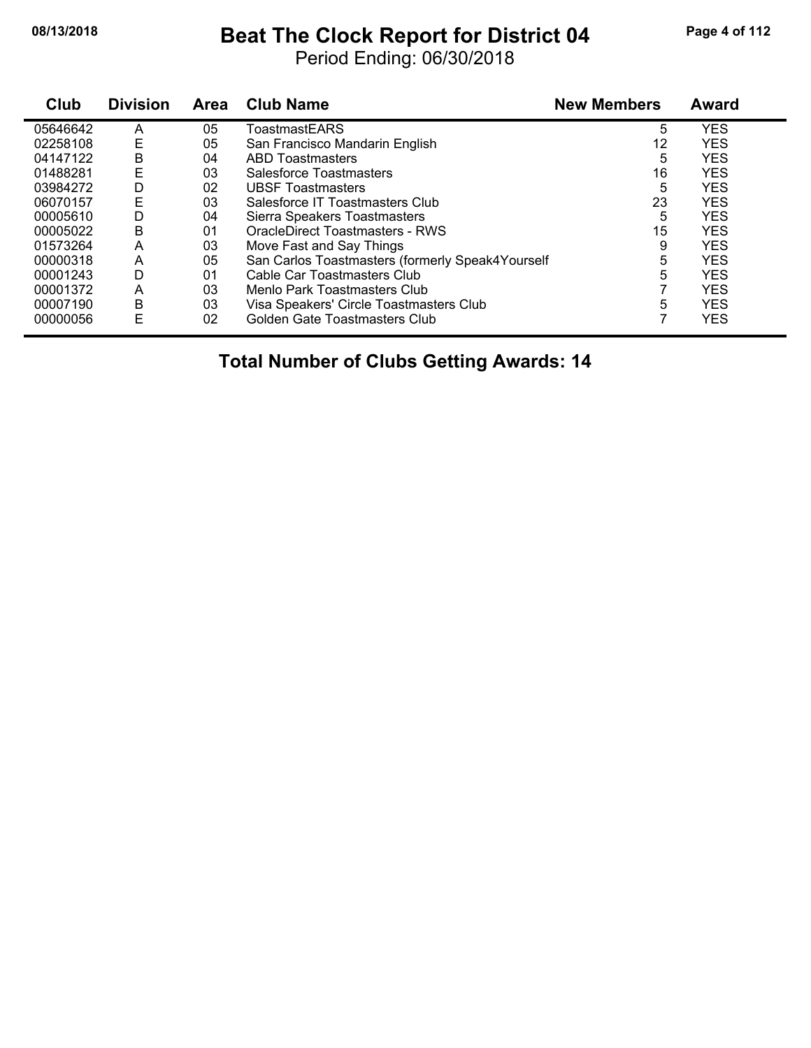#### **08/13/2018 Beat The Clock Report for District 04 Page 4 of 112**

Period Ending: 06/30/2018

| Club     | <b>Division</b> | <b>Area</b> | <b>Club Name</b>                                 | <b>New Members</b> | <b>Award</b> |
|----------|-----------------|-------------|--------------------------------------------------|--------------------|--------------|
| 05646642 | A               | 05          | ToastmastEARS                                    | 5                  | <b>YES</b>   |
| 02258108 | Ε               | 05          | San Francisco Mandarin English                   | 12                 | <b>YES</b>   |
| 04147122 | В               | 04          | <b>ABD Toastmasters</b>                          | 5                  | <b>YES</b>   |
| 01488281 | E               | 03          | Salesforce Toastmasters                          | 16                 | <b>YES</b>   |
| 03984272 | D               | 02          | <b>UBSF Toastmasters</b>                         | 5                  | <b>YES</b>   |
| 06070157 | E               | 03          | Salesforce IT Toastmasters Club                  | 23                 | <b>YES</b>   |
| 00005610 | D               | 04          | Sierra Speakers Toastmasters                     | 5                  | <b>YES</b>   |
| 00005022 | B               | 01          | OracleDirect Toastmasters - RWS                  | 15                 | <b>YES</b>   |
| 01573264 | A               | 03          | Move Fast and Say Things                         | 9                  | <b>YES</b>   |
| 00000318 | A               | 05          | San Carlos Toastmasters (formerly Speak4Yourself | 5                  | <b>YES</b>   |
| 00001243 | D               | 01          | Cable Car Toastmasters Club                      | 5                  | <b>YES</b>   |
| 00001372 | A               | 03          | Menlo Park Toastmasters Club                     |                    | <b>YES</b>   |
| 00007190 | B               | 03          | Visa Speakers' Circle Toastmasters Club          | 5                  | <b>YES</b>   |
| 00000056 | E               | 02          | Golden Gate Toastmasters Club                    |                    | <b>YES</b>   |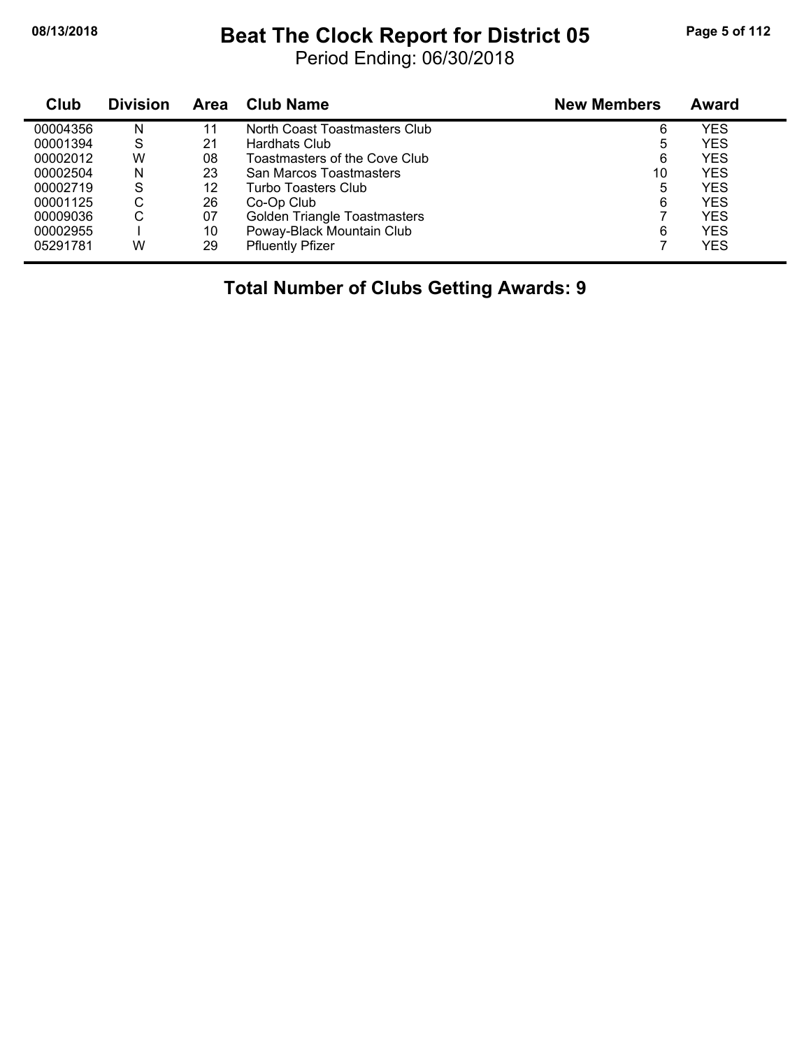#### **08/13/2018 Beat The Clock Report for District 05 Page 5 of 112**

Period Ending: 06/30/2018

| Club     | <b>Division</b> | Area | <b>Club Name</b>              | <b>New Members</b> | <b>Award</b> |
|----------|-----------------|------|-------------------------------|--------------------|--------------|
| 00004356 | N               | 11   | North Coast Toastmasters Club | 6                  | YES          |
| 00001394 | S               | 21   | Hardhats Club                 | 5                  | YES          |
| 00002012 | w               | 08   | Toastmasters of the Cove Club | 6                  | YES          |
| 00002504 | N               | 23   | San Marcos Toastmasters       | 10                 | YES          |
| 00002719 | S               | 12   | Turbo Toasters Club           | 5                  | YES          |
| 00001125 | С               | 26   | Co-Op Club                    | 6                  | <b>YES</b>   |
| 00009036 | C               | 07   | Golden Triangle Toastmasters  |                    | YES          |
| 00002955 |                 | 10   | Poway-Black Mountain Club     | 6                  | YES          |
| 05291781 | W               | 29   | <b>Pfluently Pfizer</b>       |                    | <b>YES</b>   |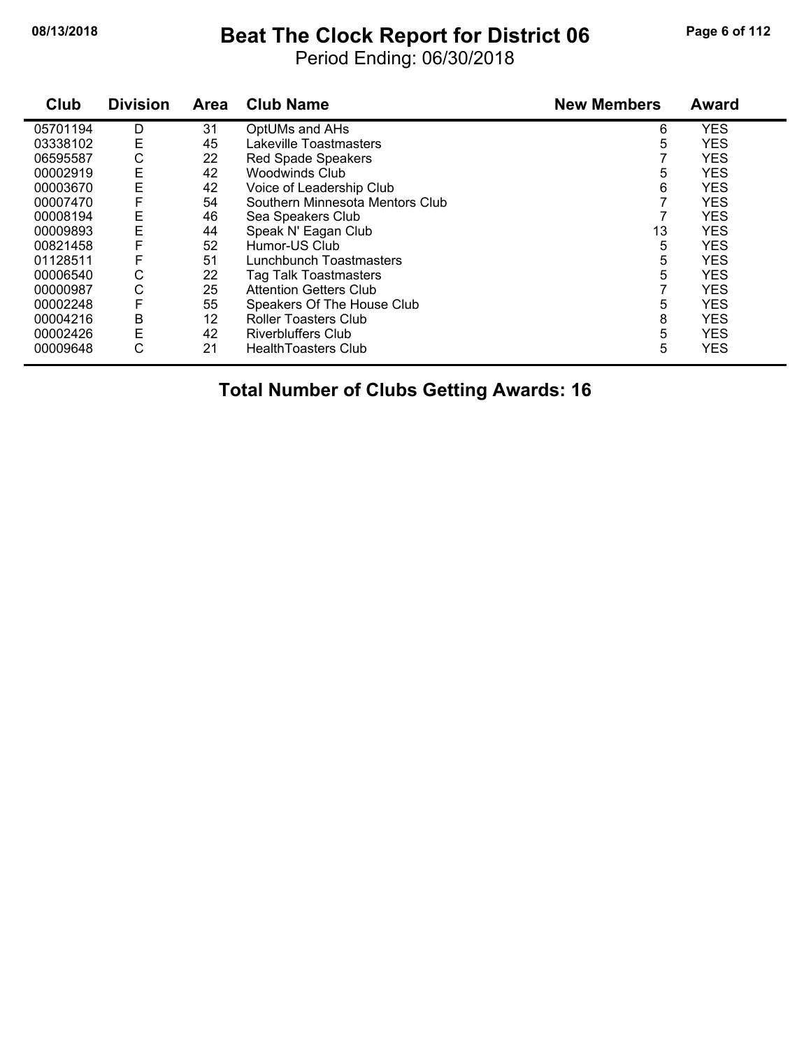#### **08/13/2018 Beat The Clock Report for District 06 Page 6 of 112**

Period Ending: 06/30/2018

| Club     | <b>Division</b> | <b>Area</b> | <b>Club Name</b>                | <b>New Members</b> | <b>Award</b> |
|----------|-----------------|-------------|---------------------------------|--------------------|--------------|
| 05701194 | D               | 31          | OptUMs and AHs                  | 6                  | <b>YES</b>   |
| 03338102 | Ε               | 45          | Lakeville Toastmasters          | 5                  | <b>YES</b>   |
| 06595587 | C               | 22          | <b>Red Spade Speakers</b>       |                    | <b>YES</b>   |
| 00002919 | E               | 42          | <b>Woodwinds Club</b>           | 5                  | <b>YES</b>   |
| 00003670 | E               | 42          | Voice of Leadership Club        | 6                  | <b>YES</b>   |
| 00007470 |                 | 54          | Southern Minnesota Mentors Club |                    | <b>YES</b>   |
| 00008194 | E               | 46          | Sea Speakers Club               |                    | <b>YES</b>   |
| 00009893 | Ε               | 44          | Speak N' Eagan Club             | 13                 | <b>YES</b>   |
| 00821458 |                 | 52          | Humor-US Club                   | 5                  | <b>YES</b>   |
| 01128511 | F               | 51          | Lunchbunch Toastmasters         | 5                  | <b>YES</b>   |
| 00006540 | С               | 22          | <b>Tag Talk Toastmasters</b>    | 5                  | <b>YES</b>   |
| 00000987 | С               | 25          | <b>Attention Getters Club</b>   |                    | <b>YES</b>   |
| 00002248 | F               | 55          | Speakers Of The House Club      | 5                  | <b>YES</b>   |
| 00004216 | Β               | 12          | <b>Roller Toasters Club</b>     | 8                  | <b>YES</b>   |
| 00002426 | E               | 42          | <b>Riverbluffers Club</b>       | 5                  | <b>YES</b>   |
| 00009648 | С               | 21          | <b>HealthToasters Club</b>      | 5                  | <b>YES</b>   |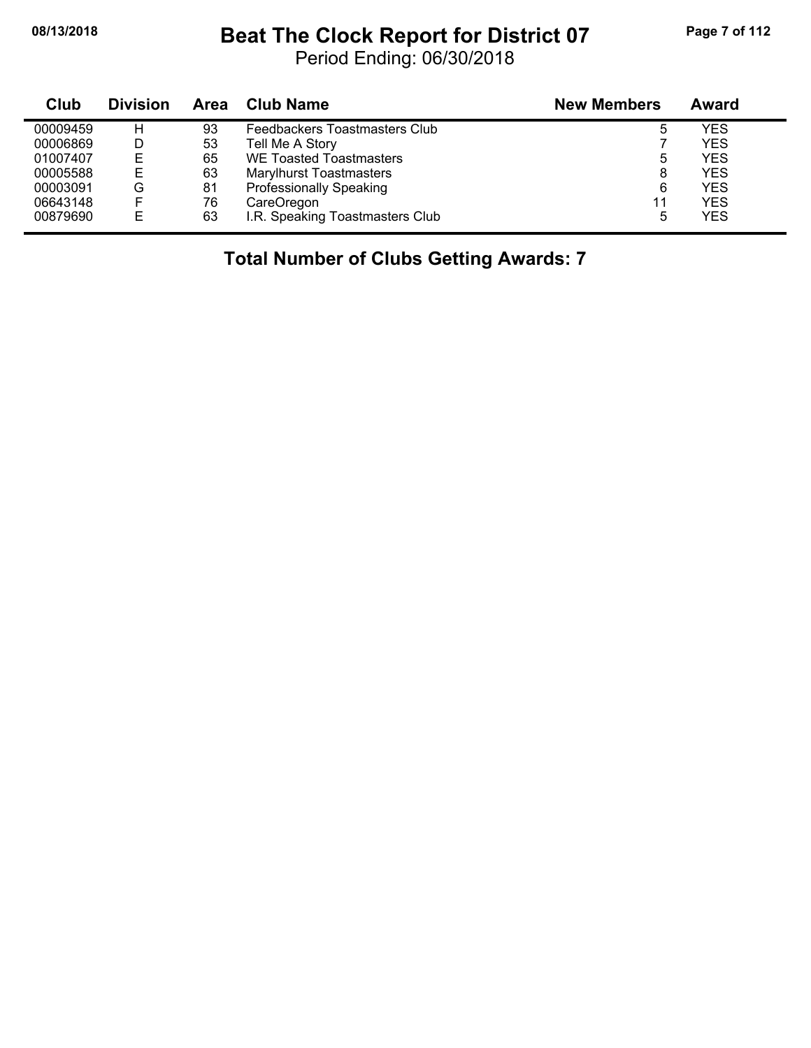$\blacksquare$ 

#### **08/13/2018 Beat The Clock Report for District 07 Page 7 of 112**

Period Ending: 06/30/2018

| Club     | <b>Division</b> | <b>Area</b> | <b>Club Name</b>                | <b>New Members</b> | Award      |
|----------|-----------------|-------------|---------------------------------|--------------------|------------|
| 00009459 | н               | 93          | Feedbackers Toastmasters Club   | ხ                  | YES        |
| 00006869 | D               | 53          | Tell Me A Story                 |                    | YES        |
| 01007407 | Е               | 65          | <b>WE Toasted Toastmasters</b>  | 5                  | YES        |
| 00005588 | Е               | 63          | <b>Marylhurst Toastmasters</b>  | 8                  | YES        |
| 00003091 | G               | 81          | <b>Professionally Speaking</b>  | 6                  | YES        |
| 06643148 | F.              | 76          | CareOregon                      | 11                 | <b>YES</b> |
| 00879690 | Е               | 63          | I.R. Speaking Toastmasters Club | 5                  | YES        |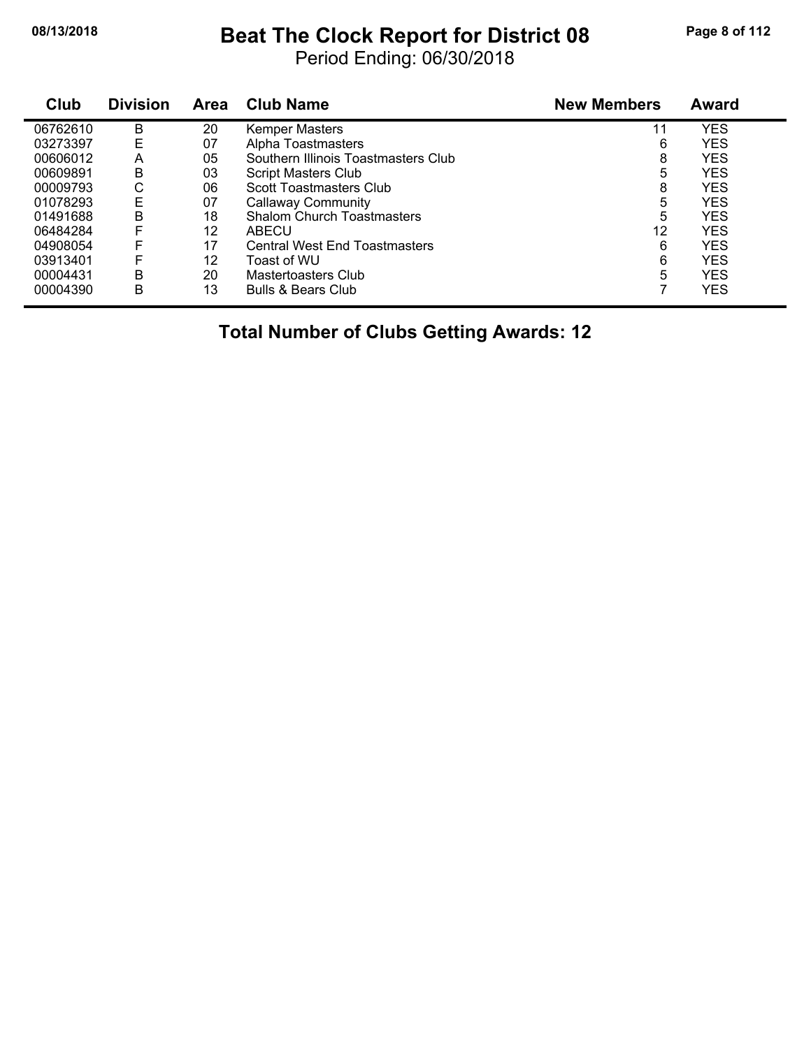#### **08/13/2018 Beat The Clock Report for District 08 Page 8 of 112**

Period Ending: 06/30/2018

| Club     | <b>Division</b> | Area | <b>Club Name</b>                     | <b>New Members</b> | Award      |
|----------|-----------------|------|--------------------------------------|--------------------|------------|
| 06762610 | B               | 20   | <b>Kemper Masters</b>                | 11                 | <b>YES</b> |
| 03273397 | E               | 07   | Alpha Toastmasters                   | 6                  | <b>YES</b> |
| 00606012 | A               | 05   | Southern Illinois Toastmasters Club  | 8                  | <b>YES</b> |
| 00609891 | B               | 03   | <b>Script Masters Club</b>           | 5                  | <b>YES</b> |
| 00009793 | С               | 06   | Scott Toastmasters Club              | 8                  | <b>YES</b> |
| 01078293 | Е               | 07   | Callaway Community                   | 5                  | <b>YES</b> |
| 01491688 | B               | 18   | <b>Shalom Church Toastmasters</b>    | 5                  | <b>YES</b> |
| 06484284 | F               | 12   | ABECU                                | 12                 | <b>YES</b> |
| 04908054 | F               | 17   | <b>Central West End Toastmasters</b> | 6                  | <b>YES</b> |
| 03913401 | F               | 12   | Toast of WU                          | 6                  | <b>YES</b> |
| 00004431 | B               | 20   | Mastertoasters Club                  | 5                  | <b>YES</b> |
| 00004390 | в               | 13   | <b>Bulls &amp; Bears Club</b>        |                    | <b>YES</b> |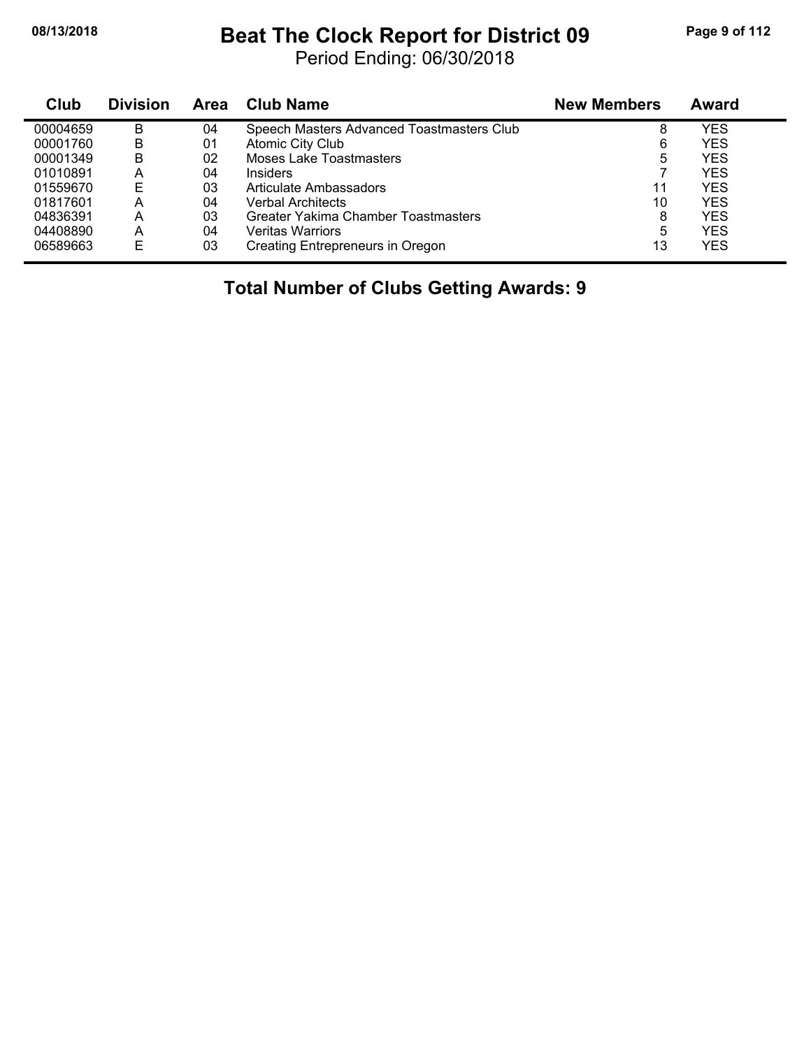### **08/13/2018 Beat The Clock Report for District 09 Page 9 of 112**

Period Ending: 06/30/2018

| Club     | <b>Division</b> | <b>Area</b> | <b>Club Name</b>                          | <b>New Members</b> | Award      |
|----------|-----------------|-------------|-------------------------------------------|--------------------|------------|
| 00004659 | B               | 04          | Speech Masters Advanced Toastmasters Club | 8                  | YES        |
| 00001760 | В               | 01          | <b>Atomic City Club</b>                   | 6                  | <b>YES</b> |
| 00001349 | B               | 02          | Moses Lake Toastmasters                   | 5                  | YES        |
| 01010891 | Α               | 04          | <b>Insiders</b>                           |                    | <b>YES</b> |
| 01559670 | E               | 03          | Articulate Ambassadors                    | 11                 | <b>YES</b> |
| 01817601 | А               | 04          | <b>Verbal Architects</b>                  | 10                 | <b>YES</b> |
| 04836391 | Α               | 03          | Greater Yakima Chamber Toastmasters       | 8                  | YES        |
| 04408890 | Α               | 04          | <b>Veritas Warriors</b>                   | 5                  | <b>YES</b> |
| 06589663 | Е               | 03          | Creating Entrepreneurs in Oregon          | 13                 | <b>YES</b> |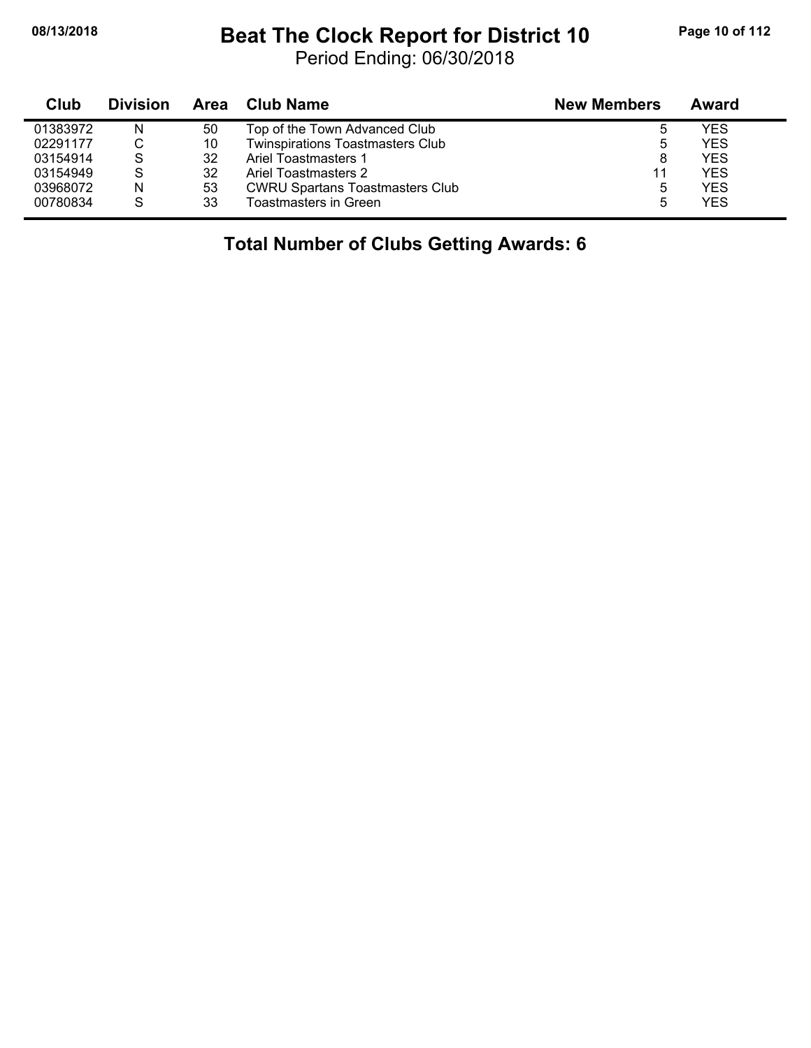$\blacksquare$ 

### **08/13/2018 Beat The Clock Report for District 10 Page 10 of 112**

Period Ending: 06/30/2018

| Club     | <b>Division</b> |    | Area Club Name                          | <b>New Members</b> | Award      |  |
|----------|-----------------|----|-----------------------------------------|--------------------|------------|--|
| 01383972 | N               | 50 | Top of the Town Advanced Club           | G                  | YES        |  |
| 02291177 |                 | 10 | <b>Twinspirations Toastmasters Club</b> | ა                  | YES        |  |
| 03154914 | S               | 32 | Ariel Toastmasters 1                    | 8                  | YES        |  |
| 03154949 | S               | 32 | Ariel Toastmasters 2                    | 11                 | YES        |  |
| 03968072 | N               | 53 | <b>CWRU Spartans Toastmasters Club</b>  | ა                  | YES        |  |
| 00780834 | S               | 33 | Toastmasters in Green                   | 5                  | <b>YES</b> |  |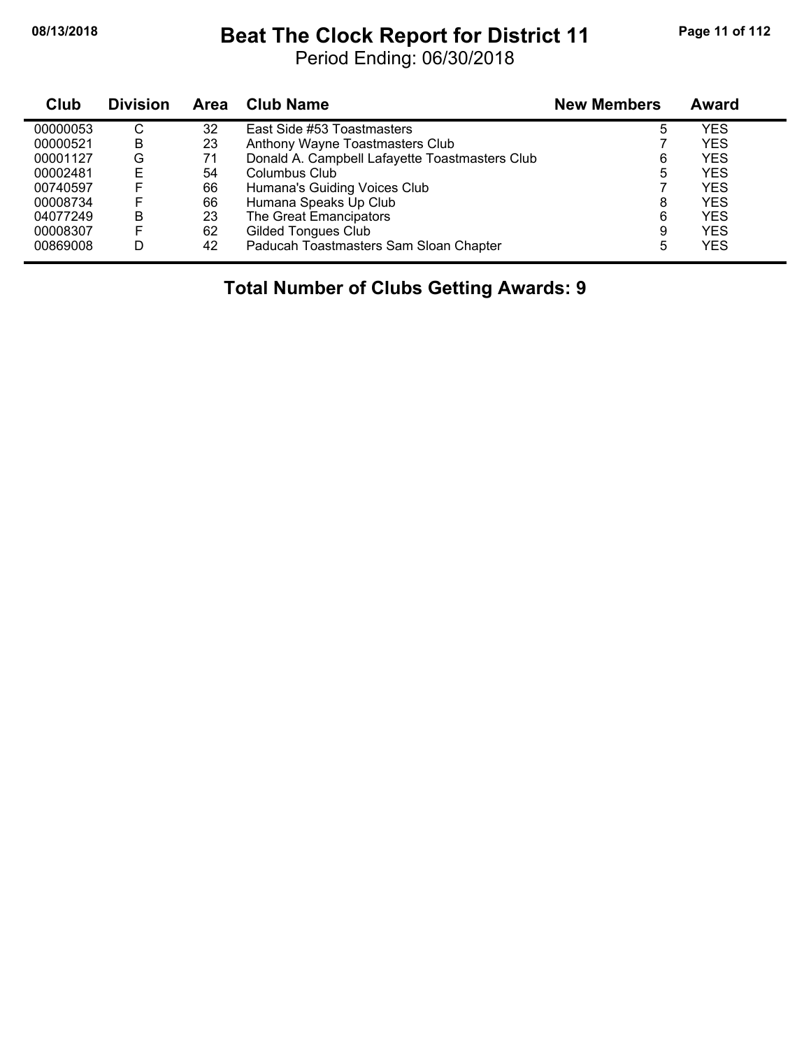#### **08/13/2018 Beat The Clock Report for District 11 Page 11 of 112**

Period Ending: 06/30/2018

| <b>Club</b> | <b>Division</b> | <b>Area</b> | <b>Club Name</b>                               | <b>New Members</b> | Award      |
|-------------|-----------------|-------------|------------------------------------------------|--------------------|------------|
| 00000053    | С               | 32          | East Side #53 Toastmasters                     | 5                  | YES        |
| 00000521    | B               | 23          | Anthony Wayne Toastmasters Club                |                    | <b>YES</b> |
| 00001127    | G               | 71          | Donald A. Campbell Lafayette Toastmasters Club | 6                  | <b>YES</b> |
| 00002481    | Е               | 54          | Columbus Club                                  | 5                  | <b>YES</b> |
| 00740597    |                 | 66          | Humana's Guiding Voices Club                   |                    | <b>YES</b> |
| 00008734    |                 | 66          | Humana Speaks Up Club                          | 8                  | <b>YES</b> |
| 04077249    | B               | 23          | The Great Emancipators                         | 6                  | <b>YES</b> |
| 00008307    |                 | 62          | Gilded Tongues Club                            | 9                  | <b>YES</b> |
| 00869008    | D               | 42          | Paducah Toastmasters Sam Sloan Chapter         | 5                  | <b>YES</b> |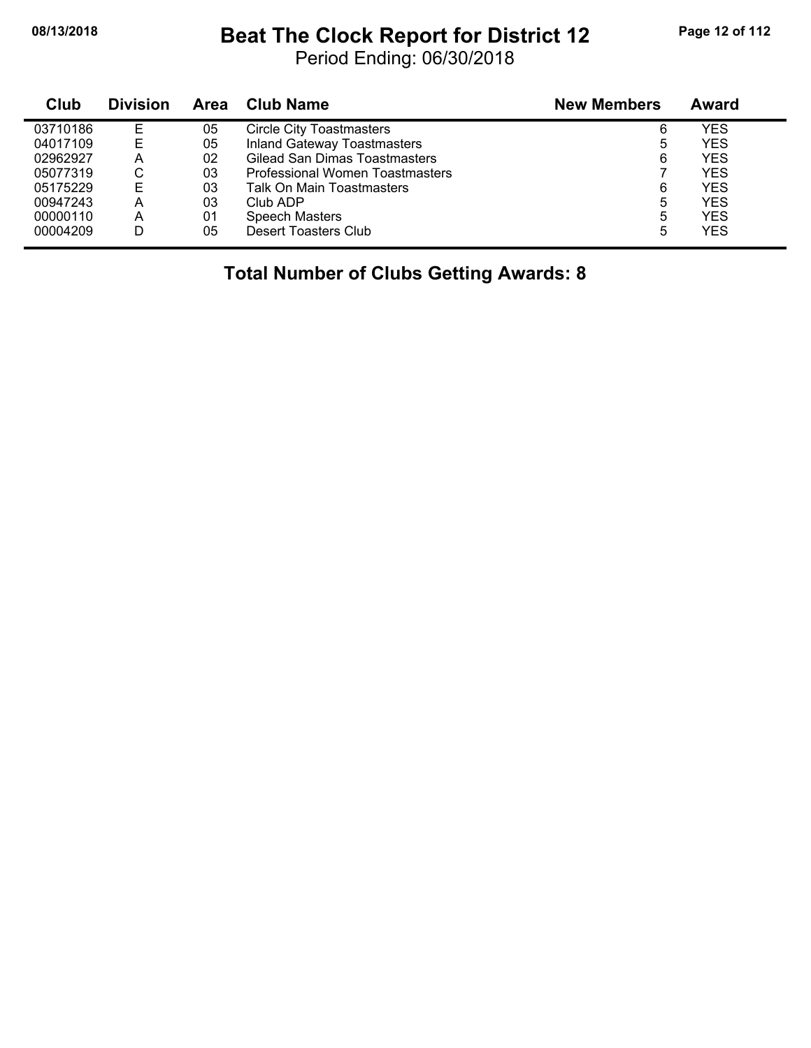#### **08/13/2018 Beat The Clock Report for District 12 Page 12 of 112**

Period Ending: 06/30/2018

| Club     | <b>Division</b> | Area | <b>Club Name</b>                   | <b>New Members</b> | <b>Award</b> |  |
|----------|-----------------|------|------------------------------------|--------------------|--------------|--|
| 03710186 | Е               | 05   | <b>Circle City Toastmasters</b>    | 6                  | YES          |  |
| 04017109 | E               | 05   | <b>Inland Gateway Toastmasters</b> | 5                  | <b>YES</b>   |  |
| 02962927 | А               | 02   | Gilead San Dimas Toastmasters      | 6                  | <b>YES</b>   |  |
| 05077319 |                 | 03   | Professional Women Toastmasters    |                    | <b>YES</b>   |  |
| 05175229 | Е               | 03   | <b>Talk On Main Toastmasters</b>   | 6                  | <b>YES</b>   |  |
| 00947243 | А               | 03   | Club ADP                           | 5                  | YES          |  |
| 00000110 | A               | 01   | <b>Speech Masters</b>              | 5                  | YES          |  |
| 00004209 |                 | 05   | Desert Toasters Club               | 5                  | <b>YES</b>   |  |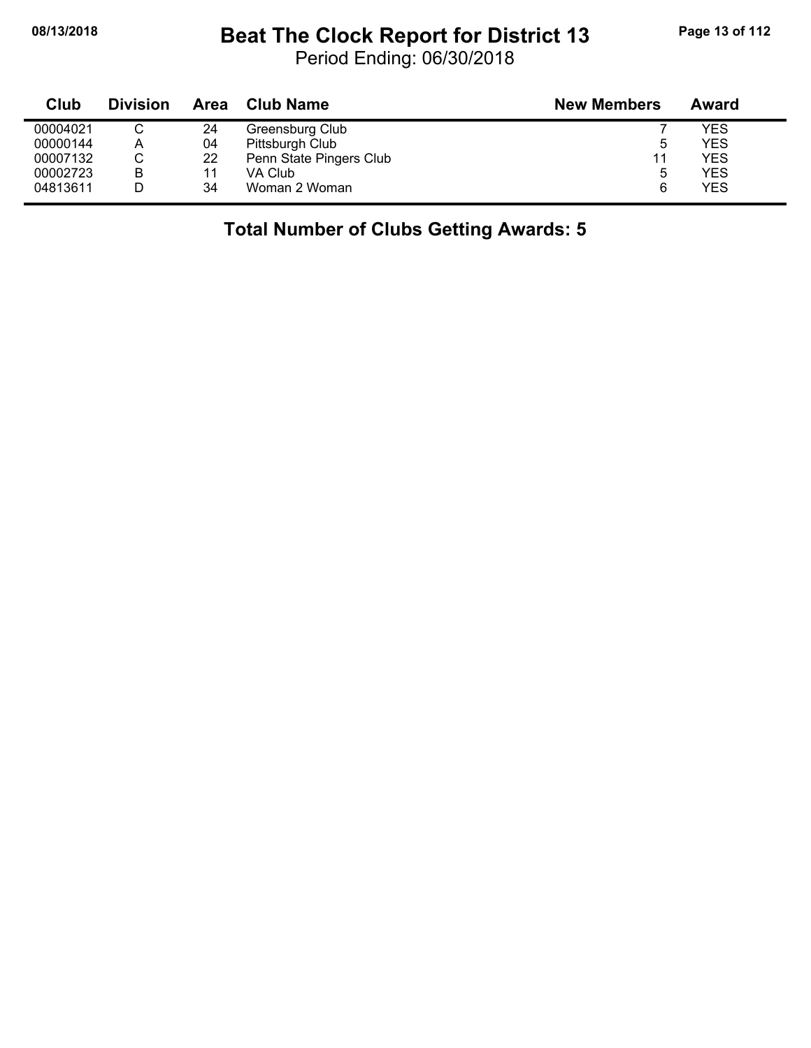### **08/13/2018 Beat The Clock Report for District 13 Page 13 of 112**

Period Ending: 06/30/2018

| Club     | <b>Division</b> | <b>Area</b> | Club Name               | <b>New Members</b> | Award      |
|----------|-----------------|-------------|-------------------------|--------------------|------------|
| 00004021 |                 | 24          | Greensburg Club         |                    | YES        |
| 00000144 | Α               | 04          | Pittsburgh Club         | ა                  | <b>YES</b> |
| 00007132 | С               | 22          | Penn State Pingers Club | 11                 | <b>YES</b> |
| 00002723 | в               | 11          | VA Club                 | 5                  | YES        |
| 04813611 |                 | 34          | Woman 2 Woman           | 6                  | <b>YES</b> |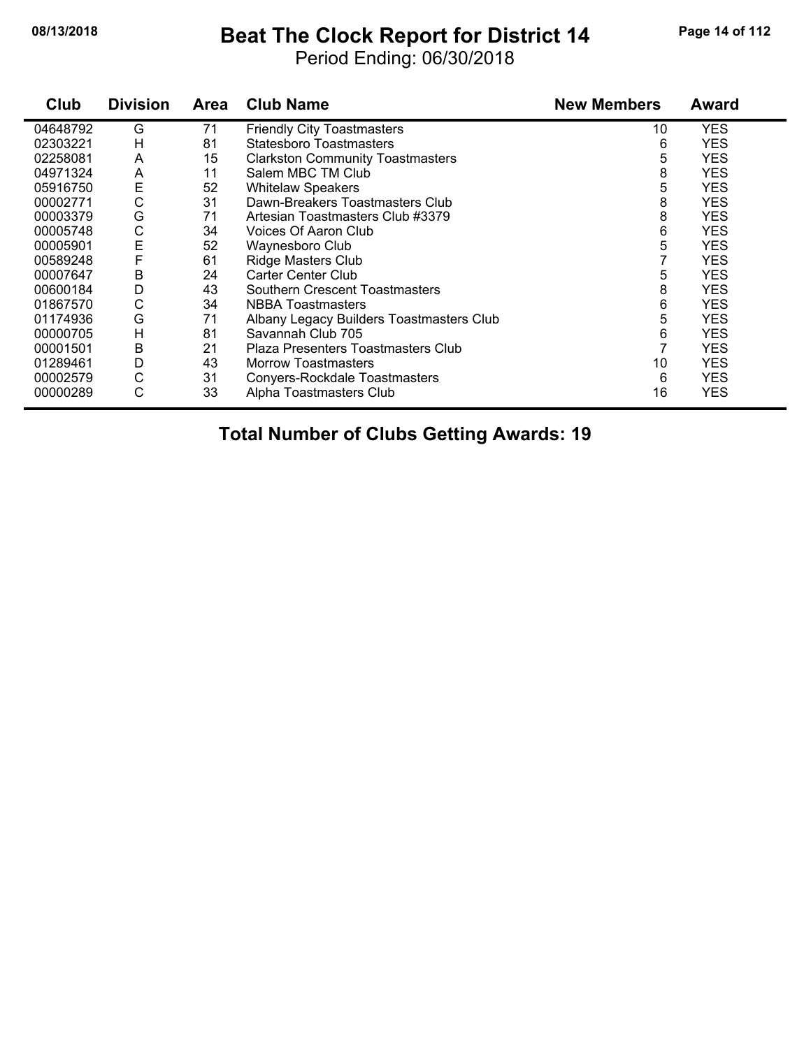#### **08/13/2018 Beat The Clock Report for District 14 Page 14 of 112**

Period Ending: 06/30/2018

| Club     | <b>Division</b> | <b>Area</b> | <b>Club Name</b>                         | <b>New Members</b> | <b>Award</b> |
|----------|-----------------|-------------|------------------------------------------|--------------------|--------------|
| 04648792 | G               | 71          | <b>Friendly City Toastmasters</b>        | 10                 | <b>YES</b>   |
| 02303221 | H               | 81          | Statesboro Toastmasters                  | 6                  | <b>YES</b>   |
| 02258081 | A               | 15          | <b>Clarkston Community Toastmasters</b>  | 5                  | <b>YES</b>   |
| 04971324 | A               | 11          | Salem MBC TM Club                        | 8                  | <b>YES</b>   |
| 05916750 | E               | 52          | <b>Whitelaw Speakers</b>                 | 5                  | <b>YES</b>   |
| 00002771 | C               | 31          | Dawn-Breakers Toastmasters Club          | 8                  | <b>YES</b>   |
| 00003379 | G               | 71          | Artesian Toastmasters Club #3379         | 8                  | <b>YES</b>   |
| 00005748 | C               | 34          | Voices Of Aaron Club                     | 6                  | <b>YES</b>   |
| 00005901 | E               | 52          | Waynesboro Club                          | 5                  | <b>YES</b>   |
| 00589248 | F               | 61          | <b>Ridge Masters Club</b>                |                    | <b>YES</b>   |
| 00007647 | B               | 24          | <b>Carter Center Club</b>                | 5                  | <b>YES</b>   |
| 00600184 | D               | 43          | Southern Crescent Toastmasters           | 8                  | <b>YES</b>   |
| 01867570 | C               | 34          | <b>NBBA Toastmasters</b>                 | 6                  | <b>YES</b>   |
| 01174936 | G               | 71          | Albany Legacy Builders Toastmasters Club | 5                  | <b>YES</b>   |
| 00000705 | H               | 81          | Savannah Club 705                        | 6                  | <b>YES</b>   |
| 00001501 | B               | 21          | Plaza Presenters Toastmasters Club       |                    | <b>YES</b>   |
| 01289461 | D               | 43          | <b>Morrow Toastmasters</b>               | 10                 | <b>YES</b>   |
| 00002579 | C               | 31          | Conyers-Rockdale Toastmasters            | 6                  | <b>YES</b>   |
| 00000289 | C               | 33          | Alpha Toastmasters Club                  | 16                 | <b>YES</b>   |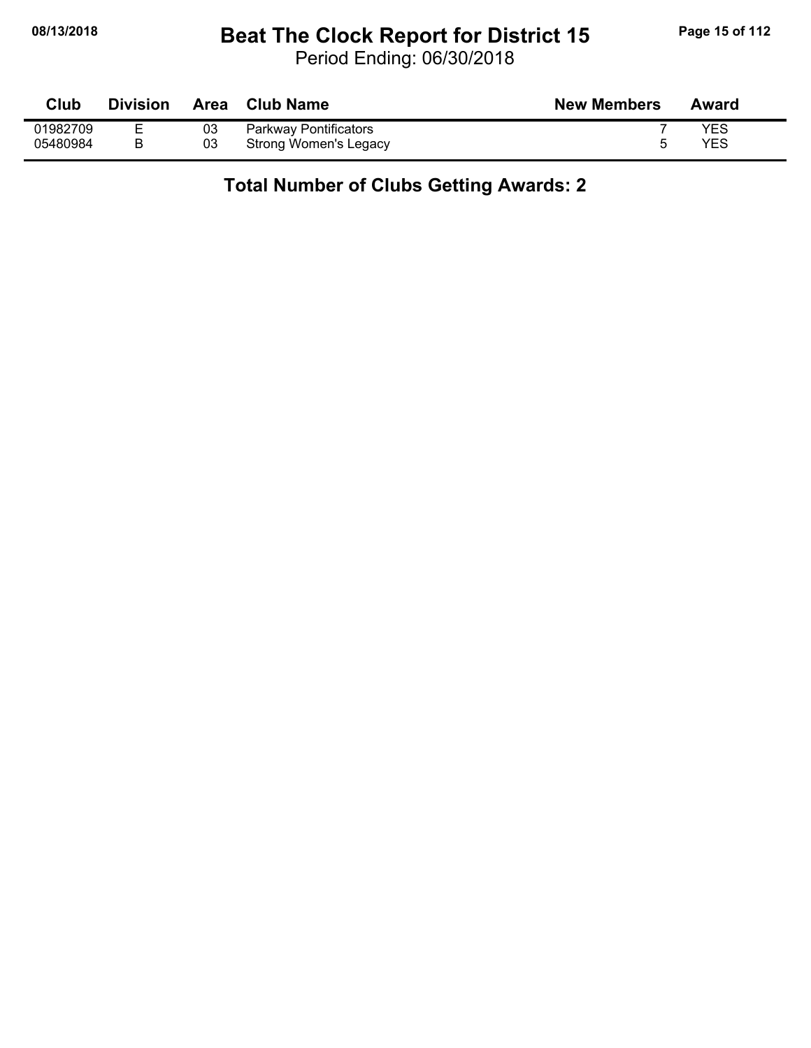# **08/13/2018 Beat The Clock Report for District 15 Page 15 of 112**

Period Ending: 06/30/2018

| Club     | <b>Division</b> | <b>Area</b> | <b>Club Name</b>             | <b>New Members</b> | Award |
|----------|-----------------|-------------|------------------------------|--------------------|-------|
| 01982709 | ▃               | 03          | <b>Parkway Pontificators</b> |                    | YES   |
| 05480984 | в               | 03          | Strong Women's Legacy        |                    | YES   |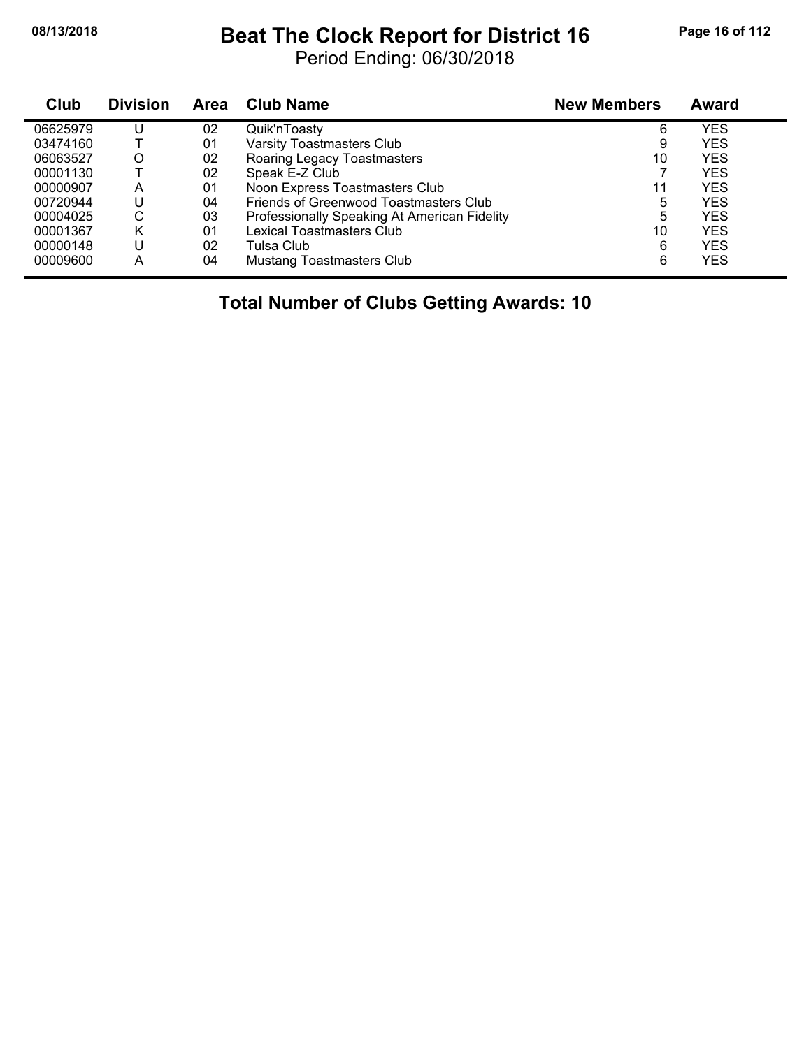#### **08/13/2018 Beat The Clock Report for District 16 Page 16 of 112**

Period Ending: 06/30/2018

| Club     | <b>Division</b> | Area | Club Name                                    | <b>New Members</b> | <b>Award</b> |
|----------|-----------------|------|----------------------------------------------|--------------------|--------------|
| 06625979 |                 | 02   | Quik'nToasty                                 | 6                  | YES          |
| 03474160 |                 | 01   | <b>Varsity Toastmasters Club</b>             | 9                  | YES          |
| 06063527 | O               | 02   | Roaring Legacy Toastmasters                  | 10                 | YES          |
| 00001130 |                 | 02   | Speak E-Z Club                               |                    | YES          |
| 00000907 | A               | 01   | Noon Express Toastmasters Club               | 11                 | YES          |
| 00720944 | U               | 04   | Friends of Greenwood Toastmasters Club       | 5                  | <b>YES</b>   |
| 00004025 | С               | 03   | Professionally Speaking At American Fidelity | 5                  | YES          |
| 00001367 |                 | 01   | Lexical Toastmasters Club                    | 10                 | YES          |
| 00000148 | U               | 02   | Tulsa Club                                   | 6                  | YES          |
| 00009600 | А               | 04   | <b>Mustang Toastmasters Club</b>             | 6                  | <b>YES</b>   |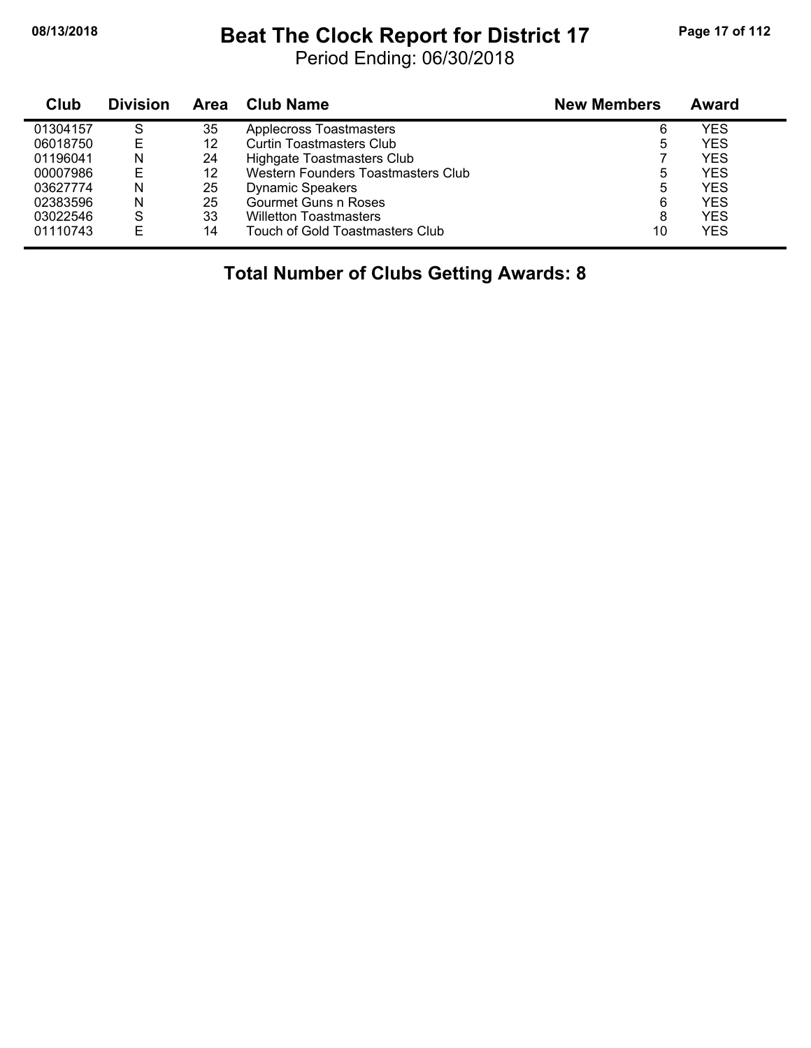#### **08/13/2018 Beat The Clock Report for District 17 Page 17 of 112**

Period Ending: 06/30/2018

| Club     | <b>Division</b> | Area | <b>Club Name</b>                   | <b>New Members</b> | Award      |  |
|----------|-----------------|------|------------------------------------|--------------------|------------|--|
| 01304157 | S               | 35   | <b>Applecross Toastmasters</b>     | 6                  | YES        |  |
| 06018750 | E               | 12   | Curtin Toastmasters Club           | 5                  | <b>YES</b> |  |
| 01196041 | N               | 24   | Highgate Toastmasters Club         |                    | <b>YES</b> |  |
| 00007986 | Е               | 12   | Western Founders Toastmasters Club | 5                  | YES        |  |
| 03627774 | N               | 25   | <b>Dynamic Speakers</b>            | 5                  | <b>YES</b> |  |
| 02383596 | N               | 25   | Gourmet Guns n Roses               | 6                  | YES        |  |
| 03022546 | S               | 33   | <b>Willetton Toastmasters</b>      | 8                  | <b>YES</b> |  |
| 01110743 | E               | 14   | Touch of Gold Toastmasters Club    | 10                 | <b>YES</b> |  |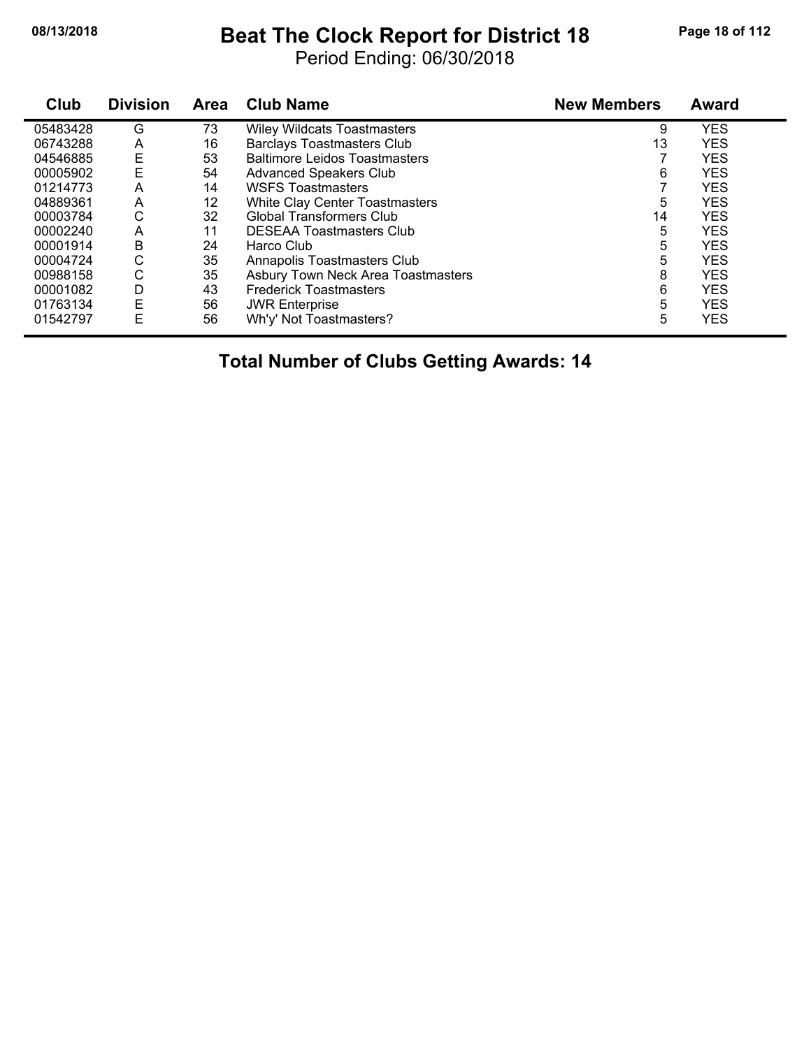#### **08/13/2018 Beat The Clock Report for District 18 Page 18 of 112**

Period Ending: 06/30/2018

| Club     | <b>Division</b> | <b>Area</b> | <b>Club Name</b>                      | <b>New Members</b> | Award      |  |
|----------|-----------------|-------------|---------------------------------------|--------------------|------------|--|
| 05483428 | G               | 73          | <b>Wiley Wildcats Toastmasters</b>    | 9                  | <b>YES</b> |  |
| 06743288 | A               | 16          | <b>Barclays Toastmasters Club</b>     | 13                 | <b>YES</b> |  |
| 04546885 | Ε               | 53          | <b>Baltimore Leidos Toastmasters</b>  |                    | <b>YES</b> |  |
| 00005902 | E               | 54          | <b>Advanced Speakers Club</b>         | 6                  | <b>YES</b> |  |
| 01214773 | A               | 14          | <b>WSFS Toastmasters</b>              |                    | <b>YES</b> |  |
| 04889361 | A               | 12          | <b>White Clay Center Toastmasters</b> | 5                  | <b>YES</b> |  |
| 00003784 | С               | 32          | <b>Global Transformers Club</b>       | 14                 | <b>YES</b> |  |
| 00002240 | Α               | 11          | <b>DESEAA Toastmasters Club</b>       | 5                  | <b>YES</b> |  |
| 00001914 | B               | 24          | Harco Club                            | 5                  | <b>YES</b> |  |
| 00004724 | С               | 35          | Annapolis Toastmasters Club           | 5                  | <b>YES</b> |  |
| 00988158 | С               | 35          | Asbury Town Neck Area Toastmasters    | 8                  | <b>YES</b> |  |
| 00001082 | D               | 43          | <b>Frederick Toastmasters</b>         | 6                  | <b>YES</b> |  |
| 01763134 | E               | 56          | <b>JWR Enterprise</b>                 | 5                  | <b>YES</b> |  |
| 01542797 | E               | 56          | Wh'y' Not Toastmasters?               | 5                  | <b>YES</b> |  |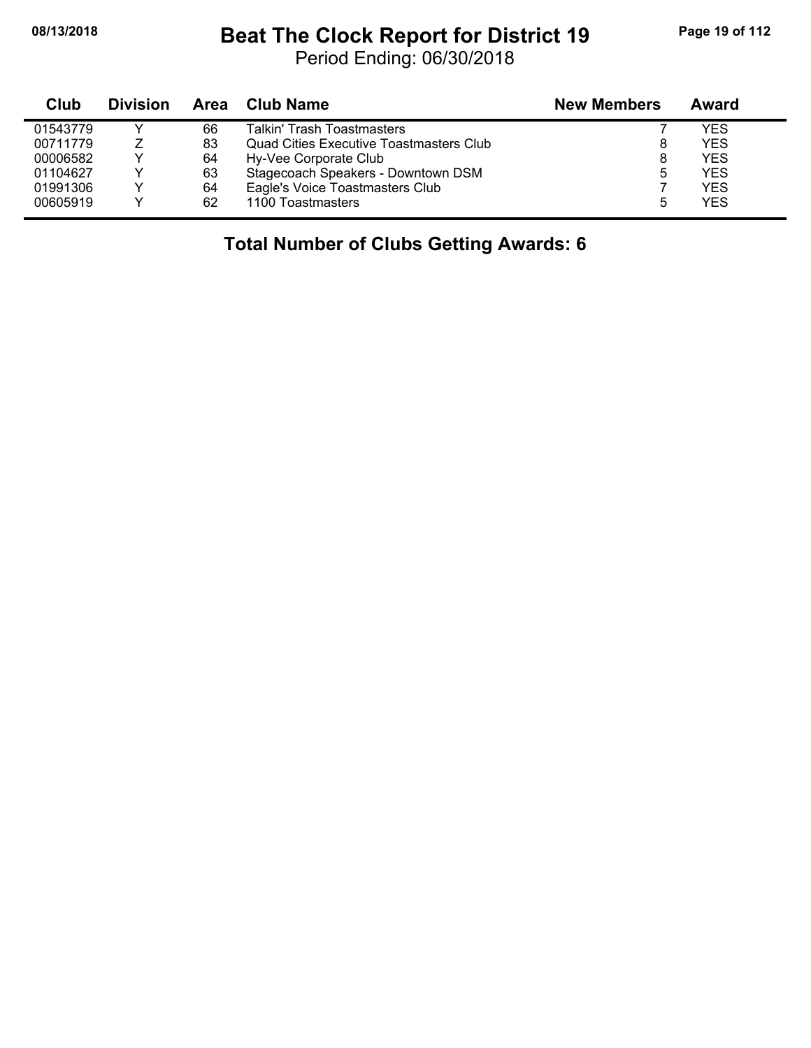$\blacksquare$ 

#### **08/13/2018 Beat The Clock Report for District 19 Page 19 of 112**

Period Ending: 06/30/2018

| Club     | <b>Division</b> |    | Area Club Name                          | <b>New Members</b> | Award |
|----------|-----------------|----|-----------------------------------------|--------------------|-------|
| 01543779 |                 | 66 | Talkin' Trash Toastmasters              |                    | YES   |
| 00711779 |                 | 83 | Quad Cities Executive Toastmasters Club | 8                  | YES   |
| 00006582 |                 | 64 | Hy-Vee Corporate Club                   | 8                  | YES   |
| 01104627 |                 | 63 | Stagecoach Speakers - Downtown DSM      | 5                  | YES   |
| 01991306 |                 | 64 | Eagle's Voice Toastmasters Club         |                    | YES   |
| 00605919 |                 | 62 | 1100 Toastmasters                       | 5                  | YES   |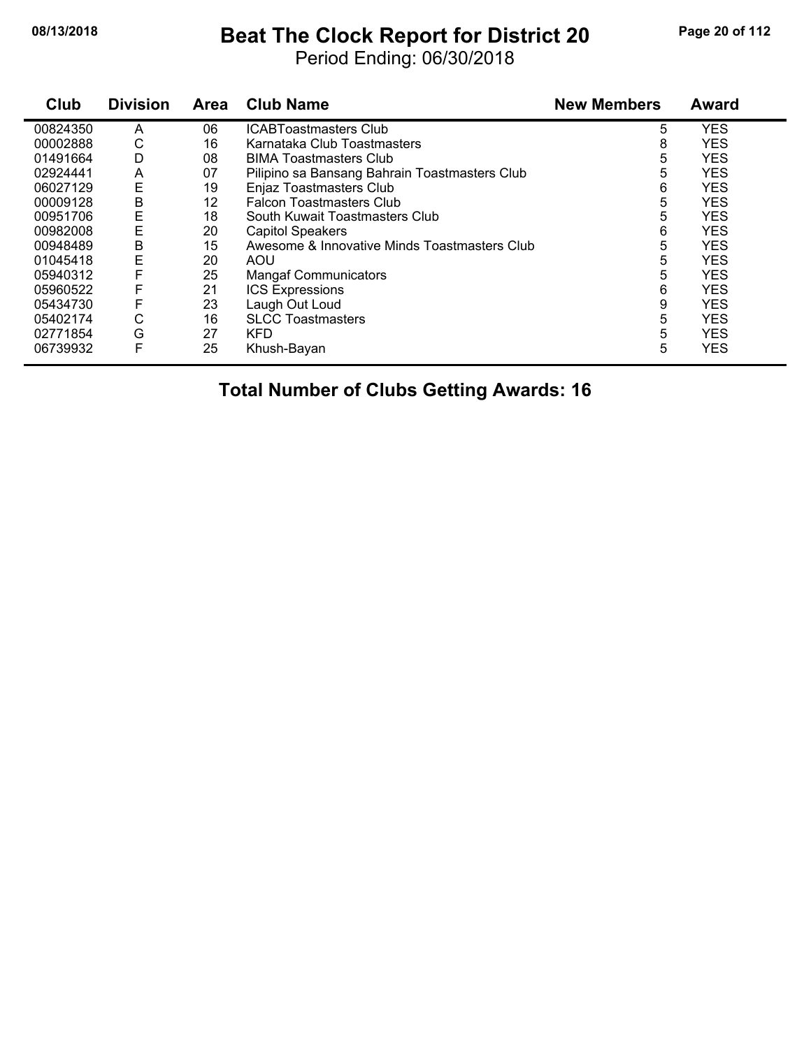#### **08/13/2018 Beat The Clock Report for District 20 Page 20 of 112**

Period Ending: 06/30/2018

| Club     | <b>Division</b> | <b>Area</b> | <b>Club Name</b>                              | <b>New Members</b> | <b>Award</b> |
|----------|-----------------|-------------|-----------------------------------------------|--------------------|--------------|
| 00824350 | A               | 06          | <b>ICABToastmasters Club</b>                  | 5                  | <b>YES</b>   |
| 00002888 | С               | 16          | Karnataka Club Toastmasters                   | 8                  | <b>YES</b>   |
| 01491664 | D               | 08          | <b>BIMA Toastmasters Club</b>                 | 5                  | <b>YES</b>   |
| 02924441 | A               | 07          | Pilipino sa Bansang Bahrain Toastmasters Club | 5                  | <b>YES</b>   |
| 06027129 | E               | 19          | Enjaz Toastmasters Club                       | 6                  | <b>YES</b>   |
| 00009128 | В               | 12          | <b>Falcon Toastmasters Club</b>               | 5                  | <b>YES</b>   |
| 00951706 | E               | 18          | South Kuwait Toastmasters Club                | 5                  | <b>YES</b>   |
| 00982008 | E               | 20          | <b>Capitol Speakers</b>                       | 6                  | <b>YES</b>   |
| 00948489 | В               | 15          | Awesome & Innovative Minds Toastmasters Club  | 5                  | <b>YES</b>   |
| 01045418 | E               | 20          | AOU                                           | 5                  | <b>YES</b>   |
| 05940312 |                 | 25          | <b>Mangaf Communicators</b>                   | 5                  | <b>YES</b>   |
| 05960522 | F               | 21          | <b>ICS Expressions</b>                        | 6                  | <b>YES</b>   |
| 05434730 | F               | 23          | Laugh Out Loud                                | 9                  | <b>YES</b>   |
| 05402174 | С               | 16          | <b>SLCC Toastmasters</b>                      | 5                  | <b>YES</b>   |
| 02771854 | G               | 27          | <b>KFD</b>                                    | 5                  | <b>YES</b>   |
| 06739932 | F               | 25          | Khush-Bayan                                   | 5                  | <b>YES</b>   |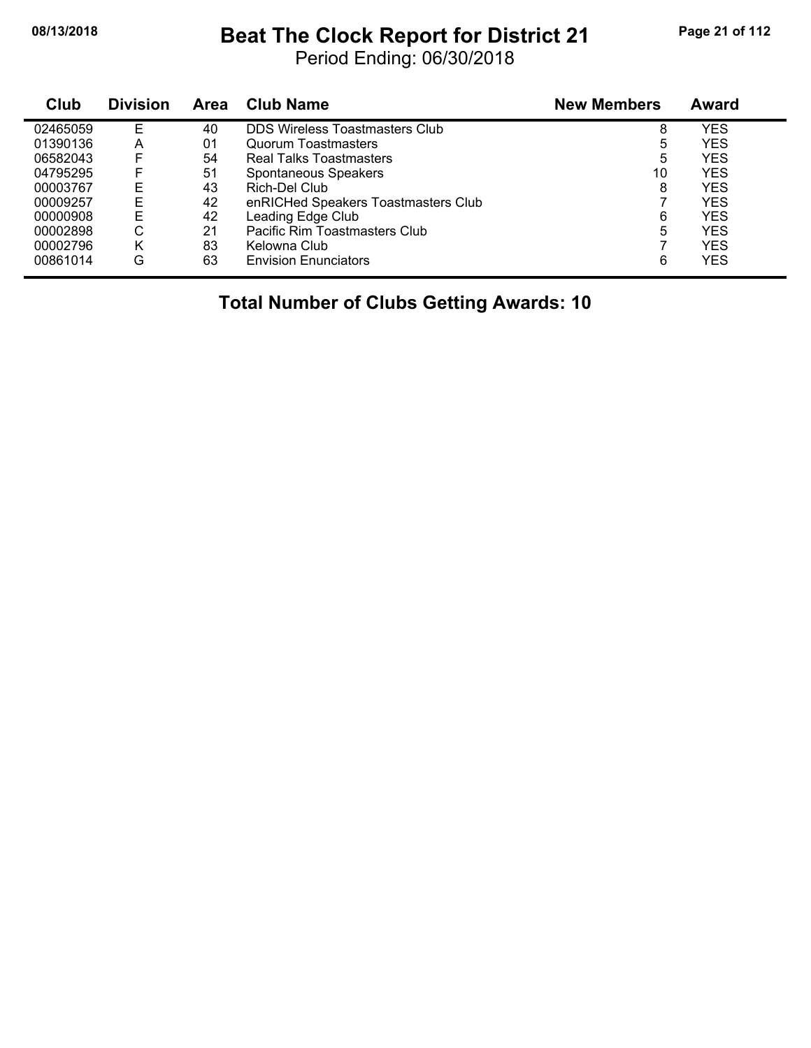#### **08/13/2018 Beat The Clock Report for District 21 Page 21 of 112**

Period Ending: 06/30/2018

| Club     | <b>Division</b> | <b>Area</b> | <b>Club Name</b>                      | <b>New Members</b> | <b>Award</b> |
|----------|-----------------|-------------|---------------------------------------|--------------------|--------------|
| 02465059 | E               | 40          | <b>DDS Wireless Toastmasters Club</b> | 8                  | YES          |
| 01390136 | Α               | 01          | <b>Quorum Toastmasters</b>            | 5                  | <b>YES</b>   |
| 06582043 | F               | 54          | Real Talks Toastmasters               | 5                  | <b>YES</b>   |
| 04795295 | F               | 51          | Spontaneous Speakers                  | 10                 | <b>YES</b>   |
| 00003767 | E               | 43          | Rich-Del Club                         | 8                  | <b>YES</b>   |
| 00009257 | E               | 42          | enRICHed Speakers Toastmasters Club   |                    | YES          |
| 00000908 | E               | 42          | Leading Edge Club                     | 6                  | <b>YES</b>   |
| 00002898 | С               | 21          | Pacific Rim Toastmasters Club         | 5                  | YES          |
| 00002796 | κ               | 83          | Kelowna Club                          |                    | YES          |
| 00861014 | G               | 63          | <b>Envision Enunciators</b>           | 6                  | <b>YES</b>   |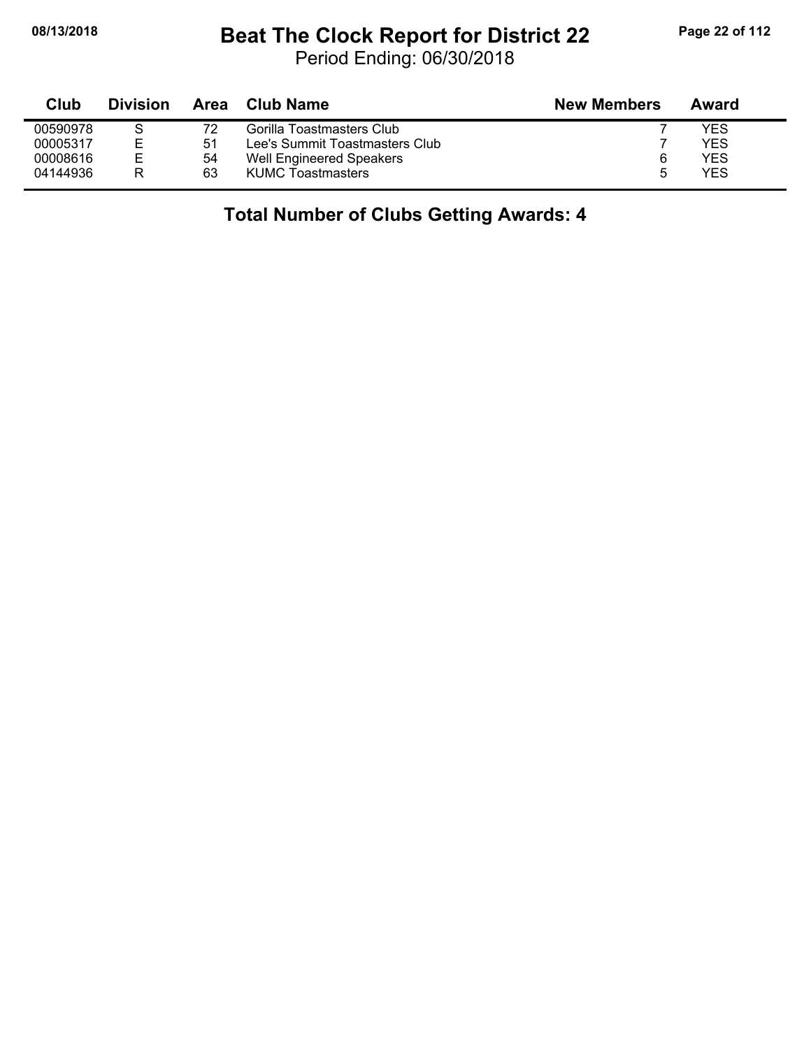### **08/13/2018 Beat The Clock Report for District 22 Page 22 of 112**

Period Ending: 06/30/2018

| Club     | <b>Division</b> | Area | Club Name                      | <b>New Members</b> | Award |
|----------|-----------------|------|--------------------------------|--------------------|-------|
| 00590978 |                 | 72   | Gorilla Toastmasters Club      |                    | YES   |
| 00005317 | E.              | 51   | Lee's Summit Toastmasters Club |                    | YES   |
| 00008616 | Е               | 54   | Well Engineered Speakers       | 6                  | YES   |
| 04144936 | R               | 63   | <b>KUMC Toastmasters</b>       | 5                  | YES   |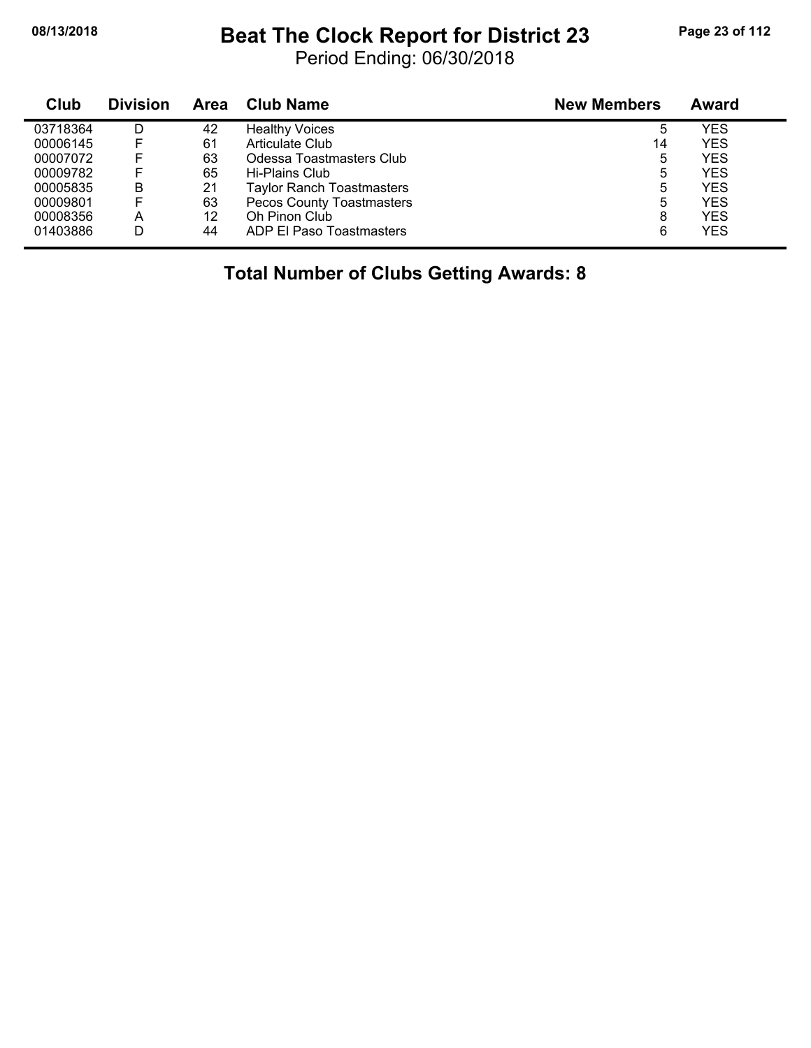#### **08/13/2018 Beat The Clock Report for District 23 Page 23 of 112**

Period Ending: 06/30/2018

| Club     | <b>Division</b> | Area | Club Name                        | <b>New Members</b> | Award      |
|----------|-----------------|------|----------------------------------|--------------------|------------|
| 03718364 | D               | 42   | <b>Healthy Voices</b>            | 5                  | YES        |
| 00006145 |                 | 61   | <b>Articulate Club</b>           | 14                 | <b>YES</b> |
| 00007072 |                 | 63   | Odessa Toastmasters Club         | 5                  | YES        |
| 00009782 |                 | 65   | Hi-Plains Club                   | 5                  | <b>YES</b> |
| 00005835 | В               | 21   | <b>Taylor Ranch Toastmasters</b> | 5                  | <b>YES</b> |
| 00009801 |                 | 63   | <b>Pecos County Toastmasters</b> | 5                  | YES        |
| 00008356 | А               | 12   | Oh Pinon Club                    | 8                  | <b>YES</b> |
| 01403886 | D               | 44   | ADP EI Paso Toastmasters         | 6                  | <b>YES</b> |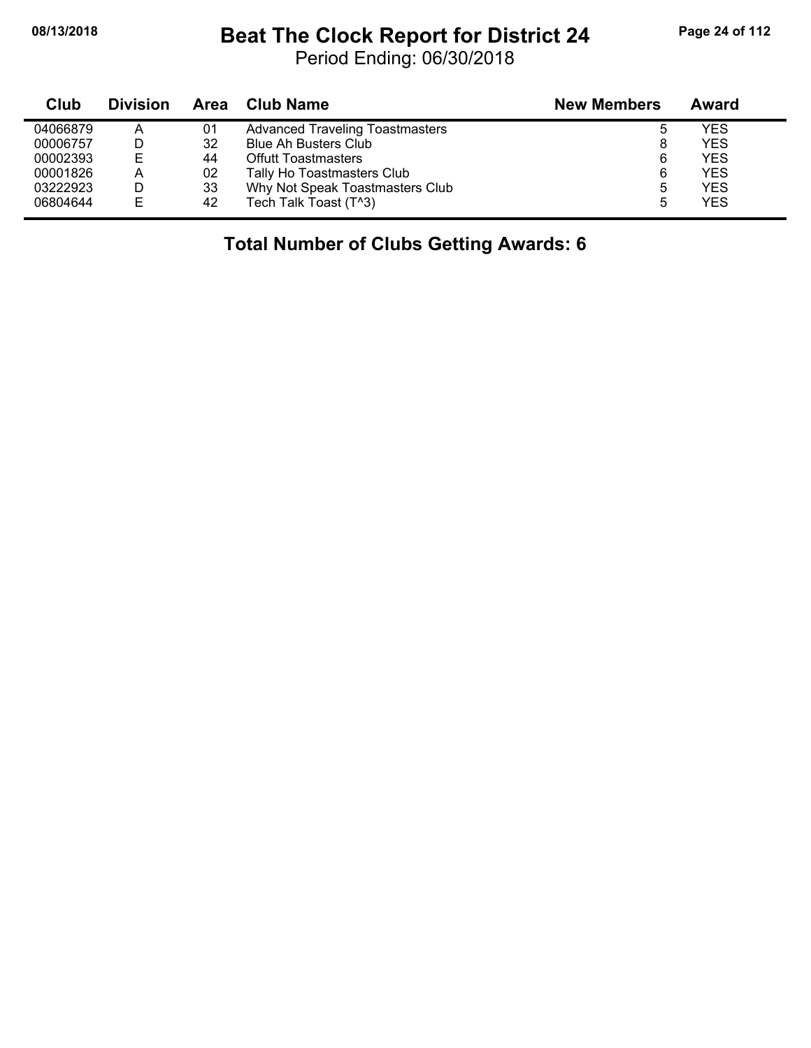j,

#### **08/13/2018 Beat The Clock Report for District 24 Page 24 of 112**

Period Ending: 06/30/2018

| Club     | <b>Division</b> | Area | Club Name                              | <b>New Members</b> | Award |
|----------|-----------------|------|----------------------------------------|--------------------|-------|
| 04066879 | А               | 01   | <b>Advanced Traveling Toastmasters</b> | ა                  | YES   |
| 00006757 | D               | 32   | <b>Blue Ah Busters Club</b>            | 8                  | YES   |
| 00002393 | Е               | 44   | <b>Offutt Toastmasters</b>             | 6                  | YES   |
| 00001826 | А               | 02   | Tally Ho Toastmasters Club             | 6                  | YES   |
| 03222923 | D               | 33   | Why Not Speak Toastmasters Club        | 5                  | YES   |
| 06804644 | Е               | 42   | Tech Talk Toast (T^3)                  | 5                  | YES   |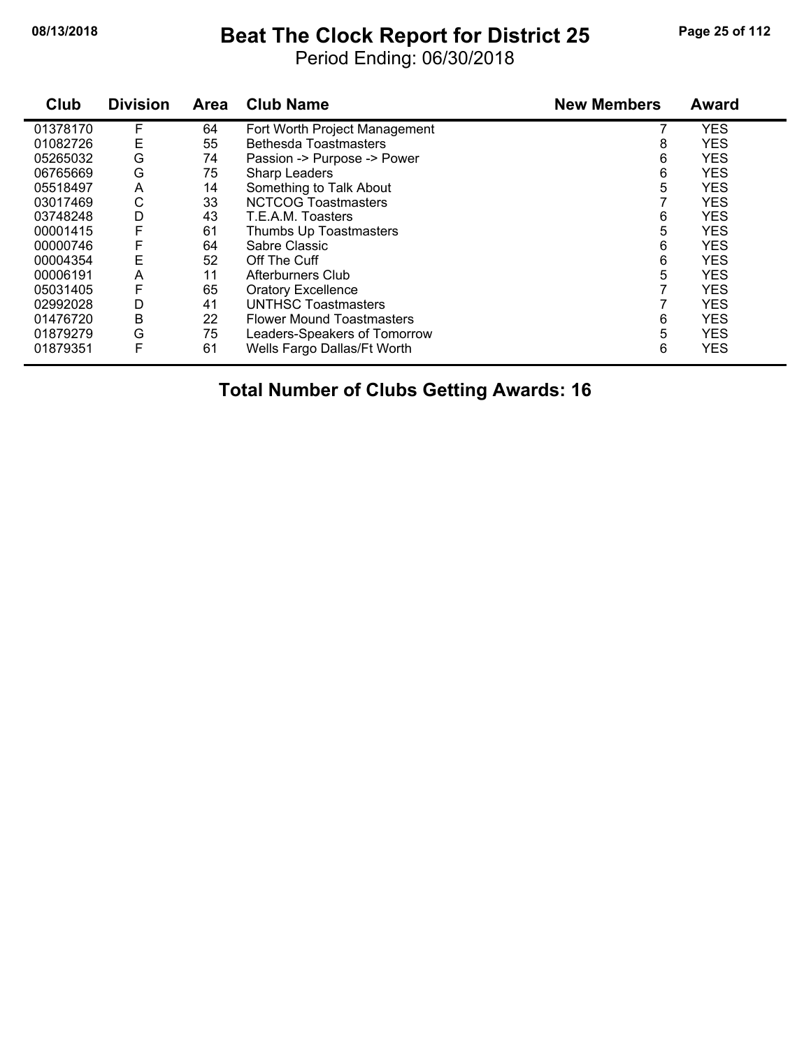# **08/13/2018 Beat The Clock Report for District 25 Page 25 of 112**

Period Ending: 06/30/2018

| Club     | <b>Division</b> | Area | <b>Club Name</b>                 | <b>New Members</b> | <b>Award</b> |
|----------|-----------------|------|----------------------------------|--------------------|--------------|
| 01378170 | F               | 64   | Fort Worth Project Management    |                    | <b>YES</b>   |
| 01082726 | Ε               | 55   | <b>Bethesda Toastmasters</b>     | 8                  | <b>YES</b>   |
| 05265032 | G               | 74   | Passion -> Purpose -> Power      | 6                  | <b>YES</b>   |
| 06765669 | G               | 75   | Sharp Leaders                    | 6                  | <b>YES</b>   |
| 05518497 | A               | 14   | Something to Talk About          | 5                  | <b>YES</b>   |
| 03017469 | С               | 33   | <b>NCTCOG Toastmasters</b>       |                    | <b>YES</b>   |
| 03748248 | D               | 43   | T.E.A.M. Toasters                | 6                  | <b>YES</b>   |
| 00001415 | F               | 61   | Thumbs Up Toastmasters           | 5                  | <b>YES</b>   |
| 00000746 | F               | 64   | Sabre Classic                    | 6                  | <b>YES</b>   |
| 00004354 | Ε               | 52   | Off The Cuff                     | 6                  | <b>YES</b>   |
| 00006191 | A               | 11   | Afterburners Club                | 5                  | <b>YES</b>   |
| 05031405 | F               | 65   | <b>Oratory Excellence</b>        |                    | <b>YES</b>   |
| 02992028 | D               | 41   | <b>UNTHSC Toastmasters</b>       |                    | <b>YES</b>   |
| 01476720 | B               | 22   | <b>Flower Mound Toastmasters</b> | 6                  | <b>YES</b>   |
| 01879279 | G               | 75   | Leaders-Speakers of Tomorrow     | 5                  | <b>YES</b>   |
| 01879351 | F               | 61   | Wells Fargo Dallas/Ft Worth      | 6                  | <b>YES</b>   |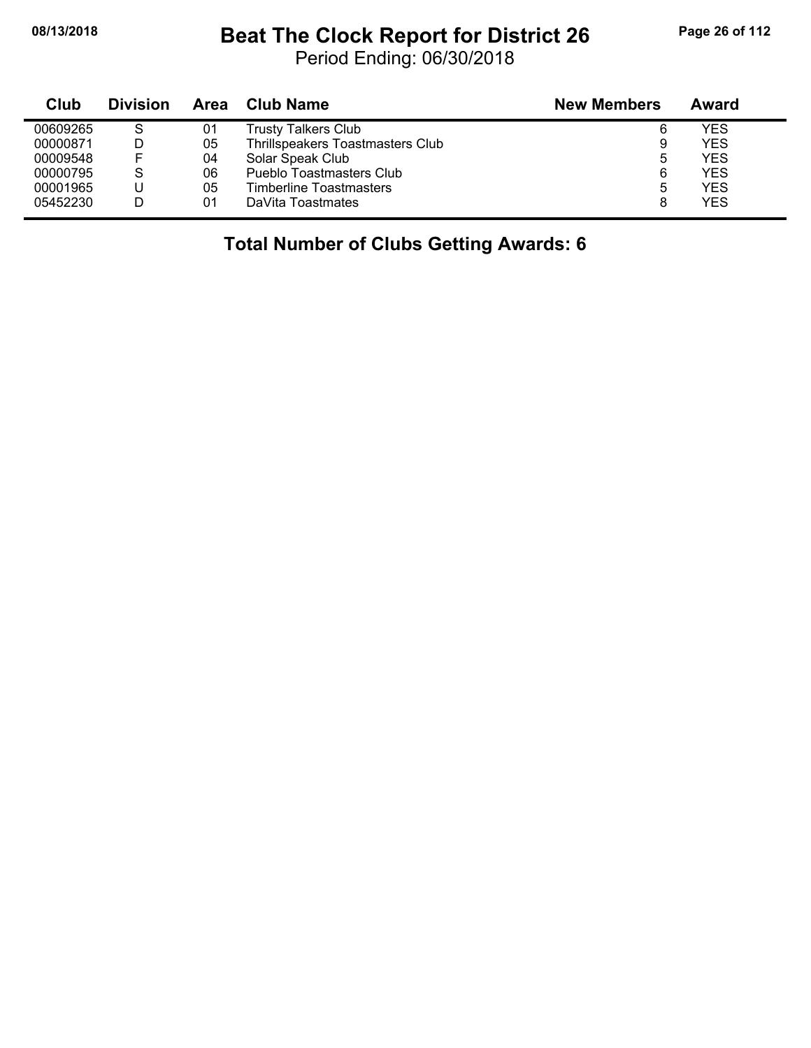$\blacksquare$ 

#### **08/13/2018 Beat The Clock Report for District 26 Page 26 of 112**

Period Ending: 06/30/2018

| Club     | <b>Division</b> | Area | Club Name                        | <b>New Members</b> | Award |
|----------|-----------------|------|----------------------------------|--------------------|-------|
| 00609265 | S               | 01   | Trusty Talkers Club              | 6                  | YES   |
| 00000871 |                 | 05   | Thrillspeakers Toastmasters Club | 9                  | YES   |
| 00009548 | F.              | 04   | Solar Speak Club                 | ა                  | YES   |
| 00000795 | S               | 06   | Pueblo Toastmasters Club         | 6                  | YES   |
| 00001965 |                 | 05   | Timberline Toastmasters          | 5                  | YES   |
| 05452230 |                 | 01   | DaVita Toastmates                | 8                  | YES   |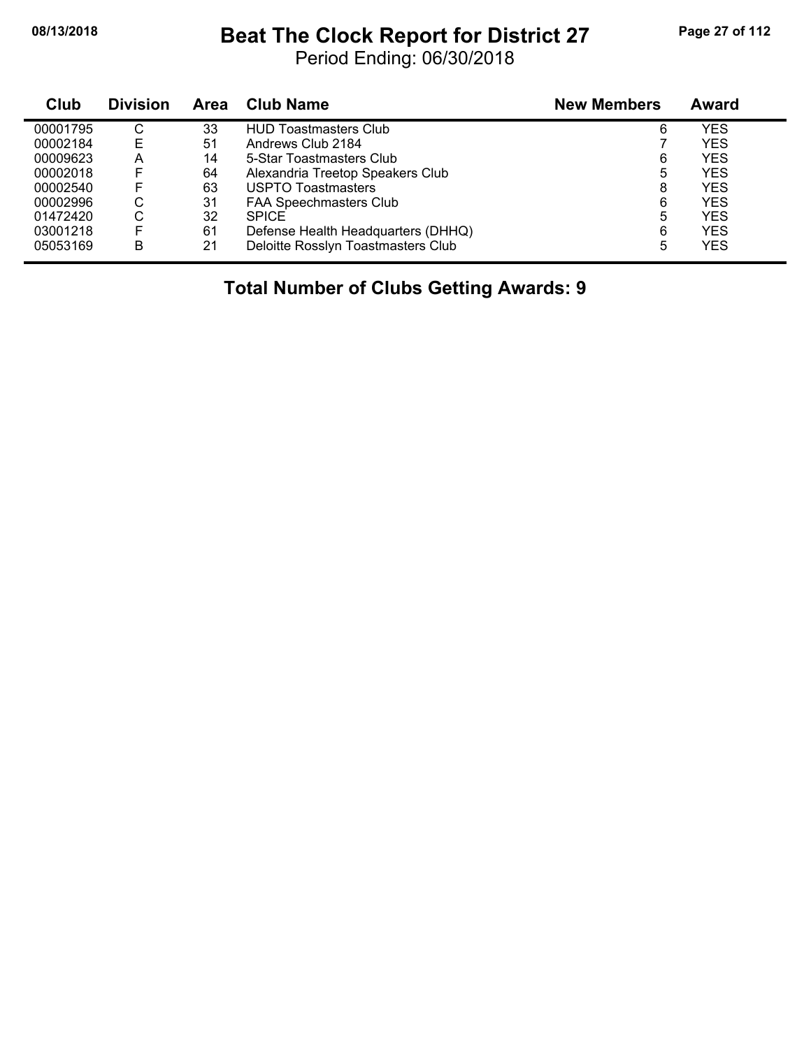#### **08/13/2018 Beat The Clock Report for District 27 Page 27 of 112**

Period Ending: 06/30/2018

| Club     | <b>Division</b> | Area | <b>Club Name</b>                   | <b>New Members</b> | <b>Award</b> |  |
|----------|-----------------|------|------------------------------------|--------------------|--------------|--|
| 00001795 | C               | 33   | <b>HUD Toastmasters Club</b>       | 6                  | YES          |  |
| 00002184 | Е               | 51   | Andrews Club 2184                  |                    | <b>YES</b>   |  |
| 00009623 | А               | 14   | 5-Star Toastmasters Club           | 6                  | <b>YES</b>   |  |
| 00002018 |                 | 64   | Alexandria Treetop Speakers Club   | 5                  | <b>YES</b>   |  |
| 00002540 |                 | 63   | <b>USPTO Toastmasters</b>          | 8                  | <b>YES</b>   |  |
| 00002996 | C               | 31   | <b>FAA Speechmasters Club</b>      | 6                  | <b>YES</b>   |  |
| 01472420 | ⌒<br>U          | 32   | <b>SPICE</b>                       | 5                  | <b>YES</b>   |  |
| 03001218 |                 | 61   | Defense Health Headquarters (DHHQ) | 6                  | <b>YES</b>   |  |
| 05053169 | В               | 21   | Deloitte Rosslyn Toastmasters Club | 5                  | <b>YES</b>   |  |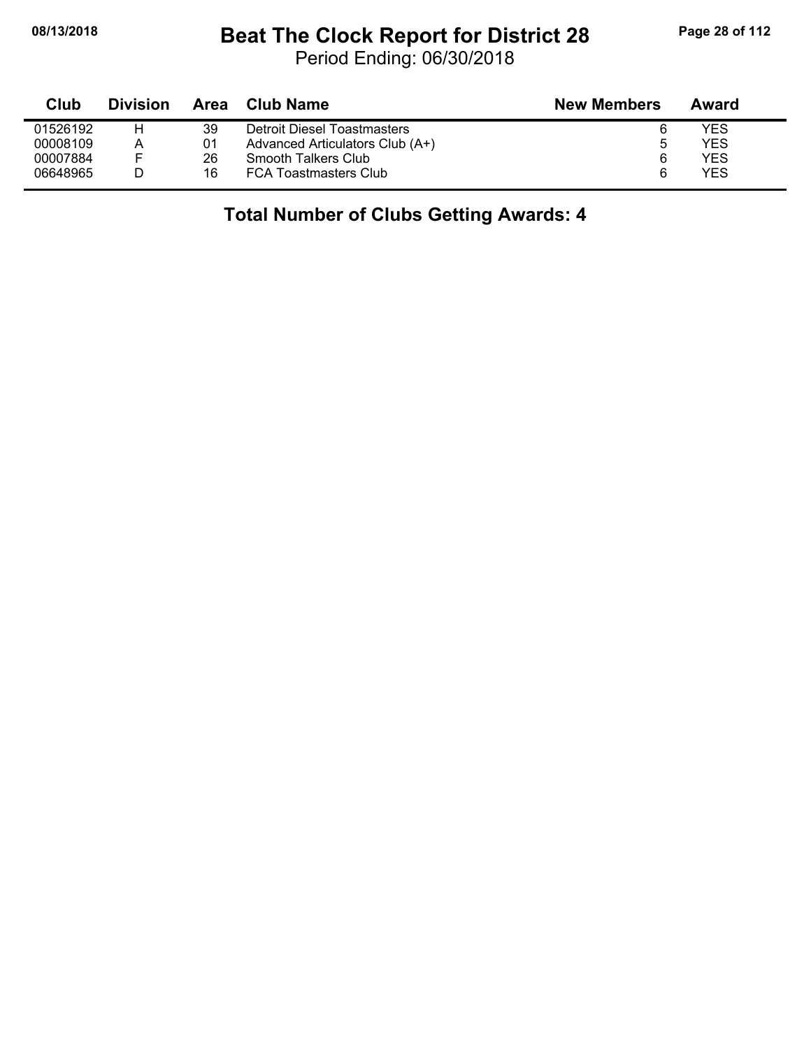# **08/13/2018 Beat The Clock Report for District 28 Page 28 of 112**

Period Ending: 06/30/2018

| Club     | <b>Division</b> | Area | <b>Club Name</b>                | <b>New Members</b> | Award |
|----------|-----------------|------|---------------------------------|--------------------|-------|
| 01526192 | н               | 39   | Detroit Diesel Toastmasters     | 6                  | YES   |
| 00008109 | A               | 01   | Advanced Articulators Club (A+) | ა                  | YES   |
| 00007884 | ⊏               | 26   | Smooth Talkers Club             | 6                  | YES   |
| 06648965 |                 | 16   | <b>FCA Toastmasters Club</b>    | 6                  | YES   |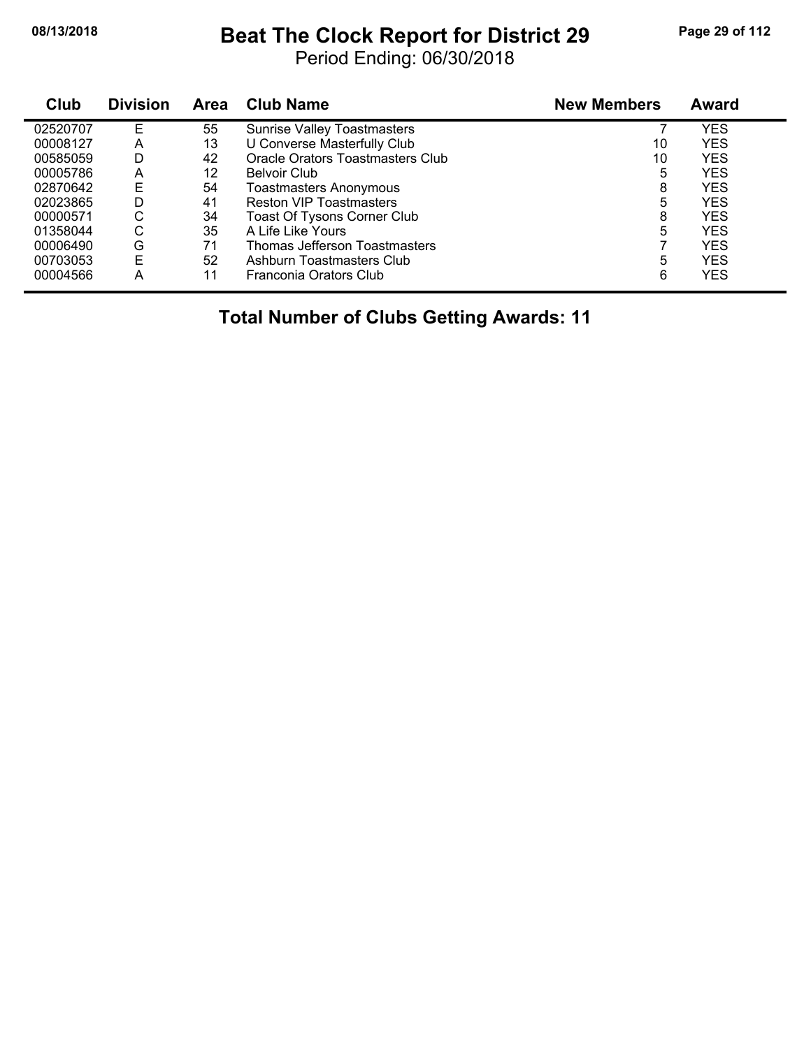# **08/13/2018 Beat The Clock Report for District 29 Page 29 of 112**

Period Ending: 06/30/2018

| Club     | <b>Division</b> | <b>Area</b> | <b>Club Name</b>                   | <b>New Members</b> | <b>Award</b> |
|----------|-----------------|-------------|------------------------------------|--------------------|--------------|
| 02520707 | F               | 55          | <b>Sunrise Valley Toastmasters</b> |                    | <b>YES</b>   |
| 00008127 | А               | 13          | U Converse Masterfully Club        | 10                 | <b>YES</b>   |
| 00585059 | D               | 42          | Oracle Orators Toastmasters Club   | 10                 | YES          |
| 00005786 | Α               | 12          | <b>Belvoir Club</b>                | 5                  | <b>YES</b>   |
| 02870642 | E               | 54          | <b>Toastmasters Anonymous</b>      | 8                  | <b>YES</b>   |
| 02023865 | D               | 41          | <b>Reston VIP Toastmasters</b>     | 5                  | <b>YES</b>   |
| 00000571 | С               | 34          | <b>Toast Of Tysons Corner Club</b> | 8                  | <b>YES</b>   |
| 01358044 | С               | 35          | A Life Like Yours                  | 5                  | <b>YES</b>   |
| 00006490 | G               | 71          | Thomas Jefferson Toastmasters      |                    | <b>YES</b>   |
| 00703053 | E               | 52          | Ashburn Toastmasters Club          | 5                  | <b>YES</b>   |
| 00004566 | А               | 11          | Franconia Orators Club             | 6                  | <b>YES</b>   |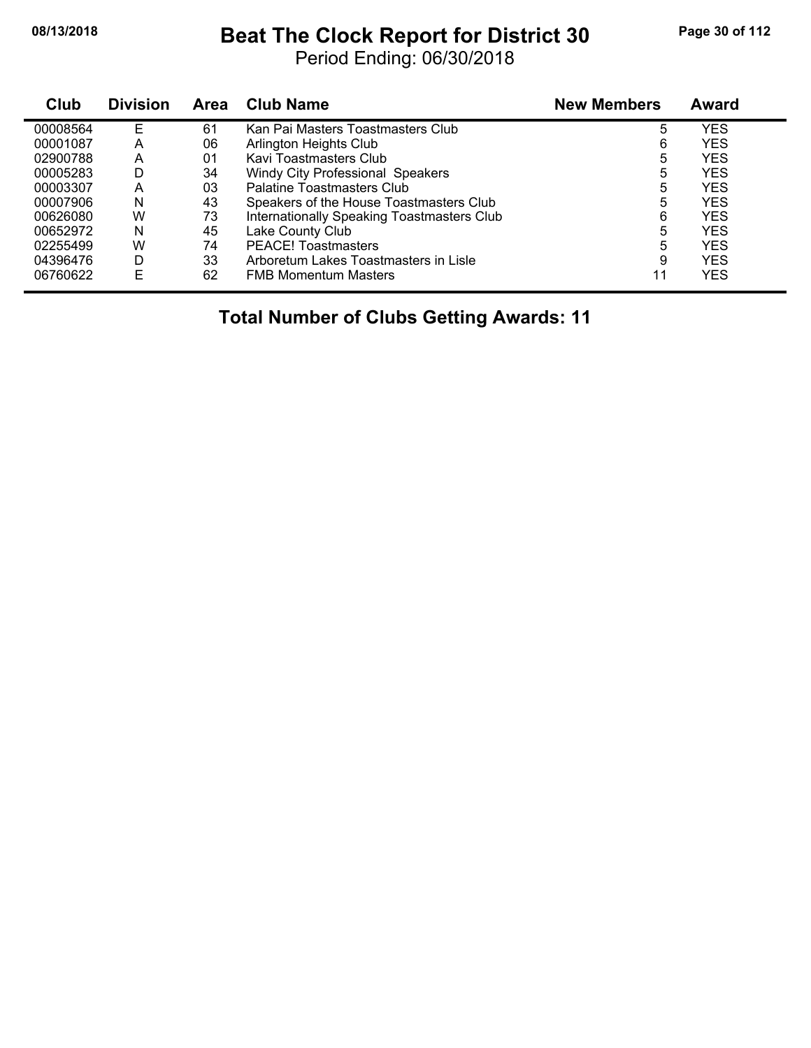#### **08/13/2018 Beat The Clock Report for District 30 Page 30 of 112**

Period Ending: 06/30/2018

| Club     | <b>Division</b> | <b>Area</b> | <b>Club Name</b>                           | <b>New Members</b> | Award      |
|----------|-----------------|-------------|--------------------------------------------|--------------------|------------|
| 00008564 | E               | 61          | Kan Pai Masters Toastmasters Club          | 5                  | <b>YES</b> |
| 00001087 | Α               | 06          | Arlington Heights Club                     | 6                  | <b>YES</b> |
| 02900788 | А               | 01          | Kavi Toastmasters Club                     | 5                  | <b>YES</b> |
| 00005283 | D               | 34          | <b>Windy City Professional Speakers</b>    | 5                  | <b>YES</b> |
| 00003307 | А               | 03          | <b>Palatine Toastmasters Club</b>          | 5                  | <b>YES</b> |
| 00007906 | N               | 43          | Speakers of the House Toastmasters Club    | 5                  | <b>YES</b> |
| 00626080 | W               | 73          | Internationally Speaking Toastmasters Club | 6                  | <b>YES</b> |
| 00652972 | N               | 45          | Lake County Club                           | 5                  | <b>YES</b> |
| 02255499 | W               | 74          | <b>PEACE!</b> Toastmasters                 | 5                  | <b>YES</b> |
| 04396476 | D               | 33          | Arboretum Lakes Toastmasters in Lisle      | 9                  | <b>YES</b> |
| 06760622 | F               | 62          | <b>FMB Momentum Masters</b>                | 11                 | <b>YES</b> |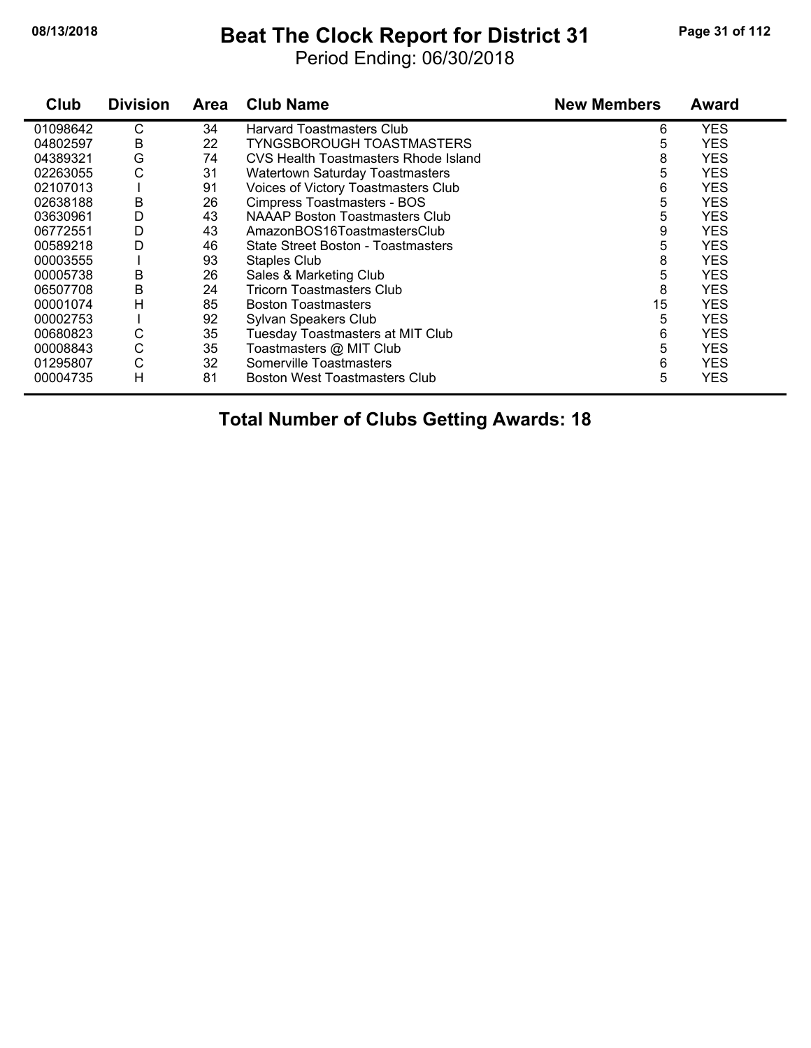#### **08/13/2018 Beat The Clock Report for District 31 Page 31 of 112**

Period Ending: 06/30/2018

| Club     | <b>Division</b> | <b>Area</b> | <b>Club Name</b>                            | <b>New Members</b> | <b>Award</b> |
|----------|-----------------|-------------|---------------------------------------------|--------------------|--------------|
| 01098642 | С               | 34          | <b>Harvard Toastmasters Club</b>            | 6                  | <b>YES</b>   |
| 04802597 | B               | 22          | TYNGSBOROUGH TOASTMASTERS                   | 5                  | YES          |
| 04389321 | G               | 74          | <b>CVS Health Toastmasters Rhode Island</b> | 8                  | <b>YES</b>   |
| 02263055 | С               | 31          | <b>Watertown Saturday Toastmasters</b>      | 5                  | <b>YES</b>   |
| 02107013 |                 | 91          | Voices of Victory Toastmasters Club         | 6                  | <b>YES</b>   |
| 02638188 | B               | 26          | Cimpress Toastmasters - BOS                 | 5                  | <b>YES</b>   |
| 03630961 | D               | 43          | <b>NAAAP Boston Toastmasters Club</b>       | 5                  | <b>YES</b>   |
| 06772551 | D               | 43          | AmazonBOS16ToastmastersClub                 | 9                  | <b>YES</b>   |
| 00589218 | D               | 46          | State Street Boston - Toastmasters          | 5                  | <b>YES</b>   |
| 00003555 |                 | 93          | <b>Staples Club</b>                         | 8                  | <b>YES</b>   |
| 00005738 | В               | 26          | Sales & Marketing Club                      | 5                  | <b>YES</b>   |
| 06507708 | В               | 24          | Tricorn Toastmasters Club                   | 8                  | YES          |
| 00001074 | Н               | 85          | <b>Boston Toastmasters</b>                  | 15                 | <b>YES</b>   |
| 00002753 |                 | 92          | Sylvan Speakers Club                        | 5                  | <b>YES</b>   |
| 00680823 | C               | 35          | Tuesday Toastmasters at MIT Club            | 6                  | <b>YES</b>   |
| 00008843 | C               | 35          | Toastmasters @ MIT Club                     | 5                  | <b>YES</b>   |
| 01295807 | C               | 32          | Somerville Toastmasters                     | 6                  | <b>YES</b>   |
| 00004735 | Н               | 81          | <b>Boston West Toastmasters Club</b>        | 5                  | <b>YES</b>   |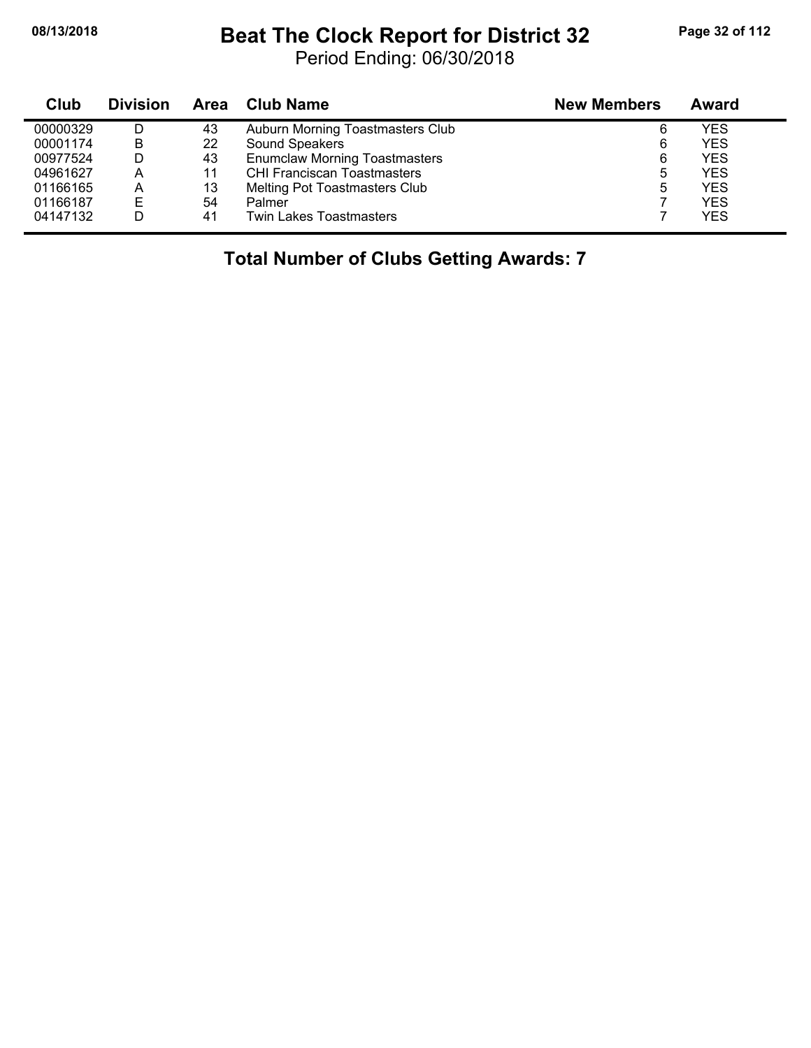Ĭ.

#### **08/13/2018 Beat The Clock Report for District 32 Page 32 of 112**

Period Ending: 06/30/2018

| Club     | <b>Division</b> | <b>Area</b> | Club Name                            | <b>New Members</b> | Award      |
|----------|-----------------|-------------|--------------------------------------|--------------------|------------|
| 00000329 | D               | 43          | Auburn Morning Toastmasters Club     | 6                  | YES        |
| 00001174 | B               | 22          | Sound Speakers                       | 6                  | <b>YES</b> |
| 00977524 |                 | 43          | <b>Enumclaw Morning Toastmasters</b> | 6                  | <b>YES</b> |
| 04961627 | А               | 11          | <b>CHI Franciscan Toastmasters</b>   | 5                  | <b>YES</b> |
| 01166165 | А               | 13          | Melting Pot Toastmasters Club        | 5                  | <b>YES</b> |
| 01166187 | Е               | 54          | Palmer                               |                    | <b>YES</b> |
| 04147132 | D               | 41          | <b>Twin Lakes Toastmasters</b>       |                    | <b>YES</b> |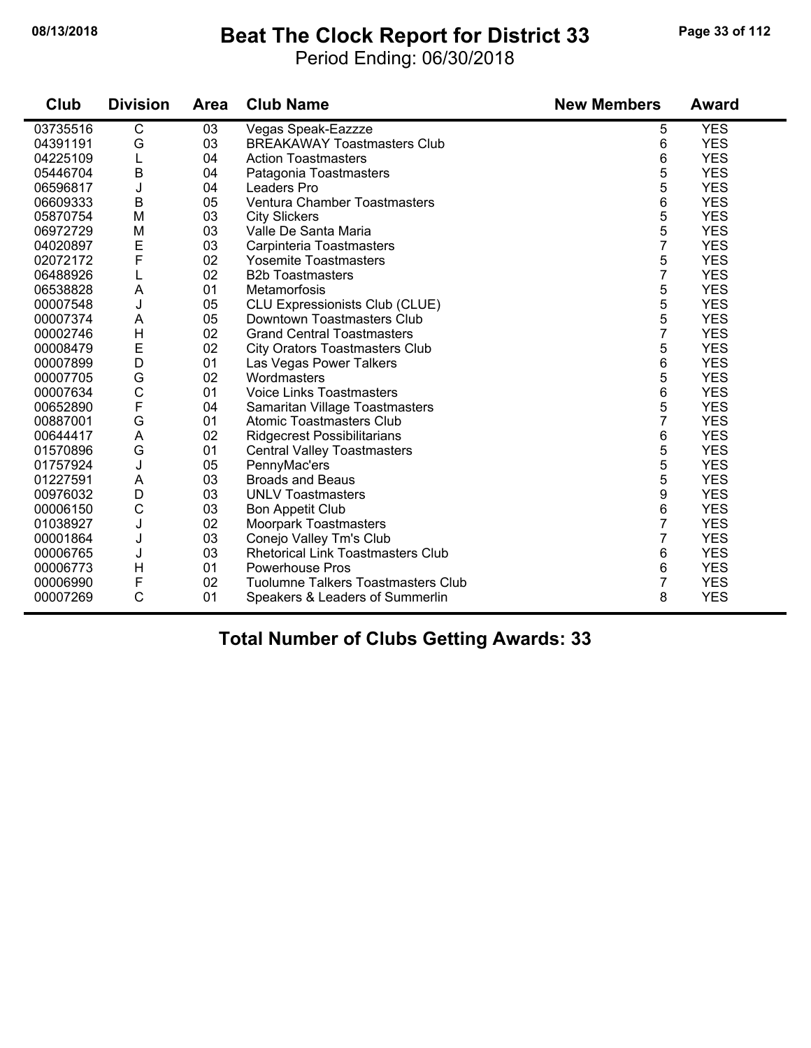#### **08/13/2018 Beat The Clock Report for District 33 Page 33 of 112**

Period Ending: 06/30/2018

| Club     | <b>Division</b> | <b>Area</b> | <b>Club Name</b>                          | <b>New Members</b> | <b>Award</b> |
|----------|-----------------|-------------|-------------------------------------------|--------------------|--------------|
| 03735516 | $\mathsf C$     | 03          | Vegas Speak-Eazzze                        | 5                  | <b>YES</b>   |
| 04391191 | G               | 03          | <b>BREAKAWAY Toastmasters Club</b>        | 6                  | <b>YES</b>   |
| 04225109 | L               | 04          | <b>Action Toastmasters</b>                | 6                  | <b>YES</b>   |
| 05446704 | B               | 04          | Patagonia Toastmasters                    | 5                  | <b>YES</b>   |
| 06596817 | J               | 04          | Leaders Pro                               | 5                  | <b>YES</b>   |
| 06609333 | $\sf B$         | 05          | Ventura Chamber Toastmasters              | 6                  | <b>YES</b>   |
| 05870754 | M               | 03          | <b>City Slickers</b>                      | 5                  | <b>YES</b>   |
| 06972729 | M               | 03          | Valle De Santa Maria                      | 5                  | <b>YES</b>   |
| 04020897 | $\mathsf E$     | 03          | Carpinteria Toastmasters                  | $\overline{7}$     | <b>YES</b>   |
| 02072172 | F               | 02          | <b>Yosemite Toastmasters</b>              | 5                  | <b>YES</b>   |
| 06488926 | L               | 02          | <b>B2b Toastmasters</b>                   | 7                  | <b>YES</b>   |
| 06538828 | A               | 01          | Metamorfosis                              | 5                  | <b>YES</b>   |
| 00007548 | J               | 05          | <b>CLU Expressionists Club (CLUE)</b>     | 5                  | <b>YES</b>   |
| 00007374 | A               | 05          | Downtown Toastmasters Club                | 5                  | <b>YES</b>   |
| 00002746 | H               | 02          | <b>Grand Central Toastmasters</b>         | $\overline{7}$     | <b>YES</b>   |
| 00008479 | $\mathsf E$     | 02          | <b>City Orators Toastmasters Club</b>     | 5                  | <b>YES</b>   |
| 00007899 | D               | 01          | Las Vegas Power Talkers                   | 6                  | <b>YES</b>   |
| 00007705 | G               | 02          | Wordmasters                               | 5                  | <b>YES</b>   |
| 00007634 | $\mathsf C$     | 01          | <b>Voice Links Toastmasters</b>           | 6                  | <b>YES</b>   |
| 00652890 | F               | 04          | Samaritan Village Toastmasters            | 5                  | <b>YES</b>   |
| 00887001 | G               | 01          | <b>Atomic Toastmasters Club</b>           | 7                  | <b>YES</b>   |
| 00644417 | A               | 02          | <b>Ridgecrest Possibilitarians</b>        | 6                  | <b>YES</b>   |
| 01570896 | G               | 01          | <b>Central Valley Toastmasters</b>        | 5                  | <b>YES</b>   |
| 01757924 | J               | 05          | PennyMac'ers                              | 5                  | <b>YES</b>   |
| 01227591 | A               | 03          | <b>Broads and Beaus</b>                   | 5                  | <b>YES</b>   |
| 00976032 | D               | 03          | <b>UNLV Toastmasters</b>                  | 9                  | <b>YES</b>   |
| 00006150 | $\mathsf{C}$    | 03          | <b>Bon Appetit Club</b>                   | 6                  | <b>YES</b>   |
| 01038927 | J               | 02          | Moorpark Toastmasters                     | 7                  | <b>YES</b>   |
| 00001864 | J               | 03          | Conejo Valley Tm's Club                   | 7                  | <b>YES</b>   |
| 00006765 | J               | 03          | <b>Rhetorical Link Toastmasters Club</b>  | 6                  | <b>YES</b>   |
| 00006773 | H               | 01          | <b>Powerhouse Pros</b>                    | 6                  | <b>YES</b>   |
| 00006990 | F               | 02          | <b>Tuolumne Talkers Toastmasters Club</b> | 7                  | <b>YES</b>   |
| 00007269 | $\mathsf{C}$    | 01          | Speakers & Leaders of Summerlin           | 8                  | <b>YES</b>   |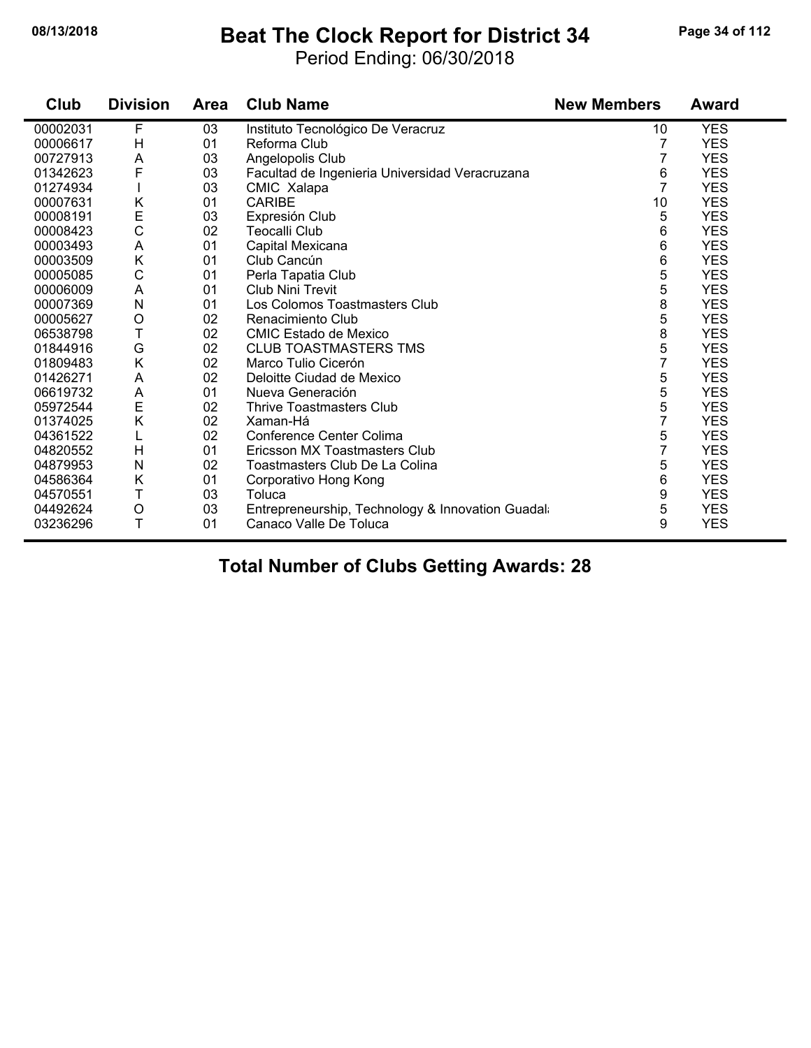#### **08/13/2018 Beat The Clock Report for District 34 Page 34 of 112**

Period Ending: 06/30/2018

| Club     | <b>Division</b> | <b>Area</b> | <b>Club Name</b>                                 | <b>New Members</b> | <b>Award</b> |
|----------|-----------------|-------------|--------------------------------------------------|--------------------|--------------|
| 00002031 | F               | 03          | Instituto Tecnológico De Veracruz                | 10                 | <b>YES</b>   |
| 00006617 | Н               | 01          | Reforma Club                                     | 7                  | <b>YES</b>   |
| 00727913 | Α               | 03          | Angelopolis Club                                 | 7                  | <b>YES</b>   |
| 01342623 | F               | 03          | Facultad de Ingenieria Universidad Veracruzana   | 6                  | <b>YES</b>   |
| 01274934 |                 | 03          | CMIC Xalapa                                      | 7                  | <b>YES</b>   |
| 00007631 | Κ               | 01          | <b>CARIBE</b>                                    | 10                 | <b>YES</b>   |
| 00008191 | E               | 03          | Expresión Club                                   | 5                  | <b>YES</b>   |
| 00008423 | $\mathsf{C}$    | 02          | <b>Teocalli Club</b>                             | 6                  | <b>YES</b>   |
| 00003493 | A               | 01          | Capital Mexicana                                 | 6                  | <b>YES</b>   |
| 00003509 | Κ               | 01          | Club Cancún                                      | 6                  | <b>YES</b>   |
| 00005085 | $\mathsf C$     | 01          | Perla Tapatia Club                               | 5                  | <b>YES</b>   |
| 00006009 | A               | 01          | <b>Club Nini Trevit</b>                          | 5                  | <b>YES</b>   |
| 00007369 | N               | 01          | Los Colomos Toastmasters Club                    | 8                  | <b>YES</b>   |
| 00005627 | O               | 02          | Renacimiento Club                                | 5                  | <b>YES</b>   |
| 06538798 | T               | 02          | <b>CMIC Estado de Mexico</b>                     | 8                  | <b>YES</b>   |
| 01844916 | G               | 02          | <b>CLUB TOASTMASTERS TMS</b>                     | 5                  | <b>YES</b>   |
| 01809483 | Κ               | 02          | Marco Tulio Cicerón                              | 7                  | <b>YES</b>   |
| 01426271 | A               | 02          | Deloitte Ciudad de Mexico                        | 5                  | <b>YES</b>   |
| 06619732 | A               | 01          | Nueva Generación                                 | 5                  | <b>YES</b>   |
| 05972544 | E               | 02          | <b>Thrive Toastmasters Club</b>                  | 5                  | <b>YES</b>   |
| 01374025 | K               | 02          | Xaman-Há                                         | 7                  | <b>YES</b>   |
| 04361522 | L               | 02          | Conference Center Colima                         | 5                  | <b>YES</b>   |
| 04820552 | Н               | 01          | Ericsson MX Toastmasters Club                    | $\overline{7}$     | <b>YES</b>   |
| 04879953 | N               | 02          | Toastmasters Club De La Colina                   | 5                  | <b>YES</b>   |
| 04586364 | Κ               | 01          | Corporativo Hong Kong                            | 6                  | <b>YES</b>   |
| 04570551 | Τ               | 03          | Toluca                                           | 9                  | <b>YES</b>   |
| 04492624 | O               | 03          | Entrepreneurship, Technology & Innovation Guadal | 5                  | <b>YES</b>   |
| 03236296 | T               | 01          | Canaco Valle De Toluca                           | 9                  | <b>YES</b>   |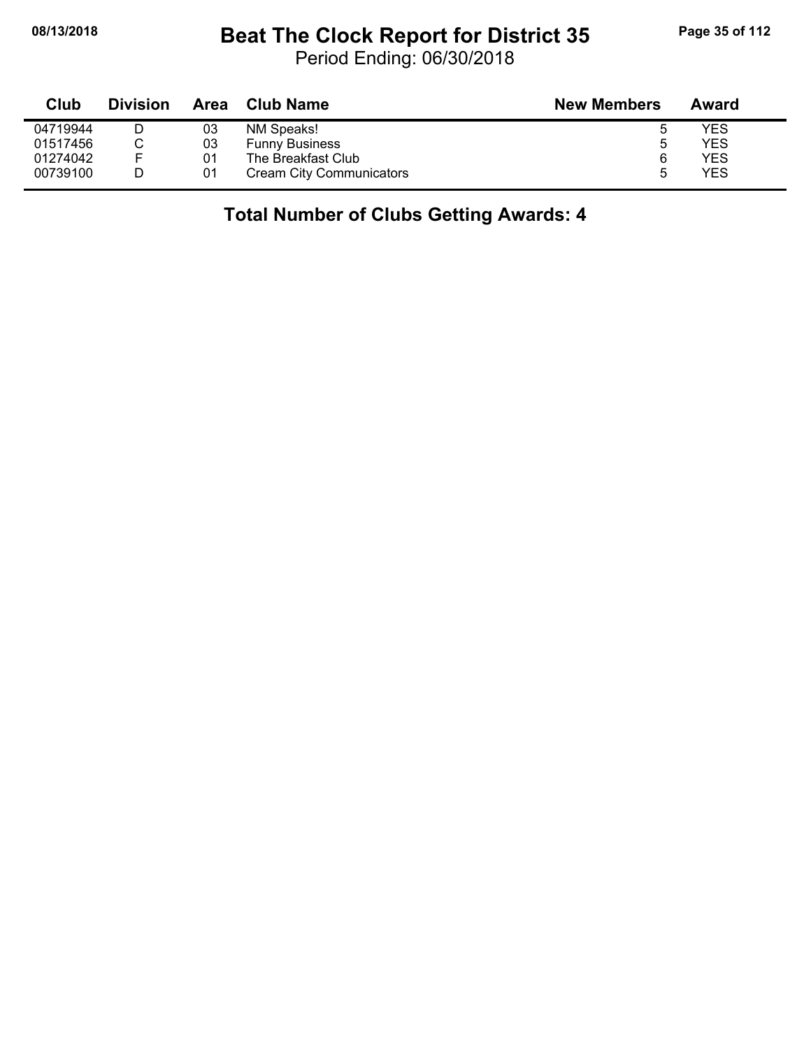### **08/13/2018 Beat The Clock Report for District 35 Page 35 of 112**

Period Ending: 06/30/2018

| Club     | <b>Division</b> | Area | <b>Club Name</b>                | <b>New Members</b> | Award |
|----------|-----------------|------|---------------------------------|--------------------|-------|
| 04719944 |                 | 03   | NM Speaks!                      |                    | YES   |
| 01517456 |                 | 03   | <b>Funny Business</b>           | 5                  | YES   |
| 01274042 |                 | 01   | The Breakfast Club              | 6                  | YES   |
| 00739100 |                 | 01   | <b>Cream City Communicators</b> |                    | YES   |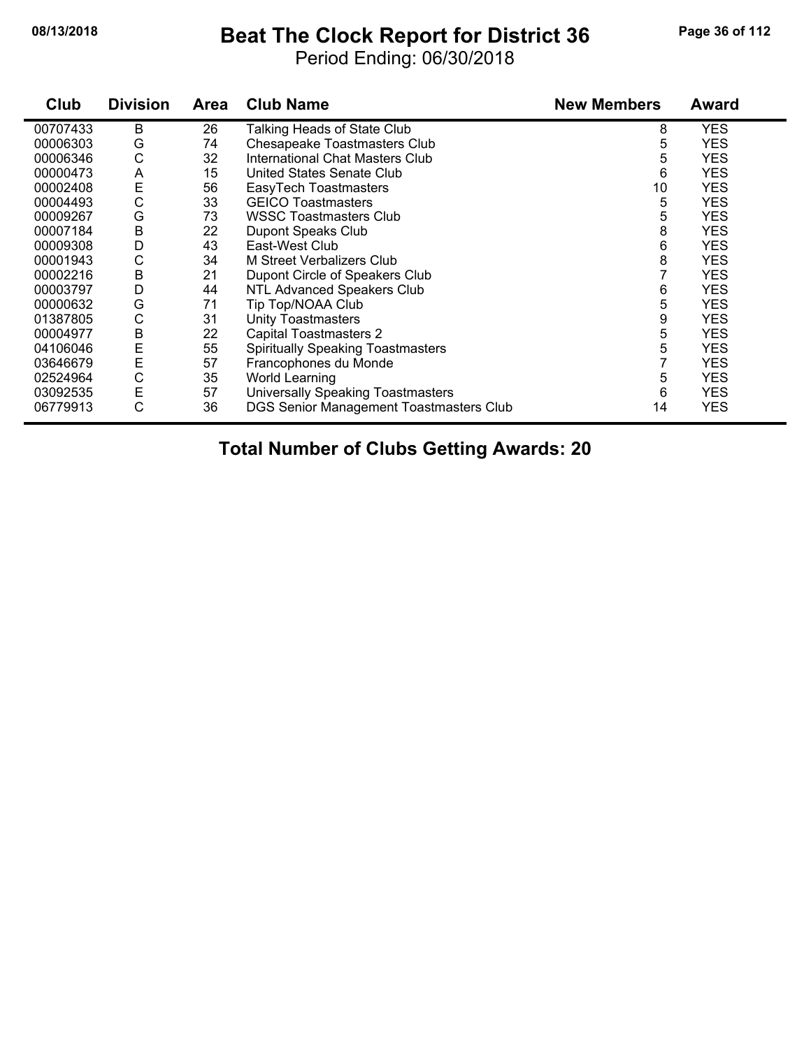### **08/13/2018 Beat The Clock Report for District 36 Page 36 of 112**

Period Ending: 06/30/2018

| Club     | <b>Division</b> | Area | <b>Club Name</b>                         | <b>New Members</b> | <b>Award</b> |
|----------|-----------------|------|------------------------------------------|--------------------|--------------|
| 00707433 | B               | 26   | Talking Heads of State Club              | 8                  | <b>YES</b>   |
| 00006303 | G               | 74   | <b>Chesapeake Toastmasters Club</b>      | 5                  | <b>YES</b>   |
| 00006346 | С               | 32   | <b>International Chat Masters Club</b>   | 5                  | <b>YES</b>   |
| 00000473 | A               | 15   | United States Senate Club                | 6                  | <b>YES</b>   |
| 00002408 | E               | 56   | EasyTech Toastmasters                    | 10                 | <b>YES</b>   |
| 00004493 | С               | 33   | <b>GEICO Toastmasters</b>                | 5                  | <b>YES</b>   |
| 00009267 | G               | 73   | WSSC Toastmasters Club                   | 5                  | <b>YES</b>   |
| 00007184 | B               | 22   | Dupont Speaks Club                       | 8                  | <b>YES</b>   |
| 00009308 | D               | 43   | East-West Club                           | 6                  | YES          |
| 00001943 | C               | 34   | M Street Verbalizers Club                | 8                  | <b>YES</b>   |
| 00002216 | B               | 21   | Dupont Circle of Speakers Club           |                    | <b>YES</b>   |
| 00003797 | D               | 44   | NTL Advanced Speakers Club               | 6                  | <b>YES</b>   |
| 00000632 | G               | 71   | Tip Top/NOAA Club                        | 5                  | <b>YES</b>   |
| 01387805 | С               | 31   | <b>Unity Toastmasters</b>                | 9                  | <b>YES</b>   |
| 00004977 | B               | 22   | <b>Capital Toastmasters 2</b>            | 5                  | <b>YES</b>   |
| 04106046 | E               | 55   | <b>Spiritually Speaking Toastmasters</b> | 5                  | <b>YES</b>   |
| 03646679 | E               | 57   | Francophones du Monde                    |                    | <b>YES</b>   |
| 02524964 | C               | 35   | World Learning                           | 5                  | <b>YES</b>   |
| 03092535 | E               | 57   | Universally Speaking Toastmasters        | 6                  | <b>YES</b>   |
| 06779913 | C               | 36   | DGS Senior Management Toastmasters Club  | 14                 | <b>YES</b>   |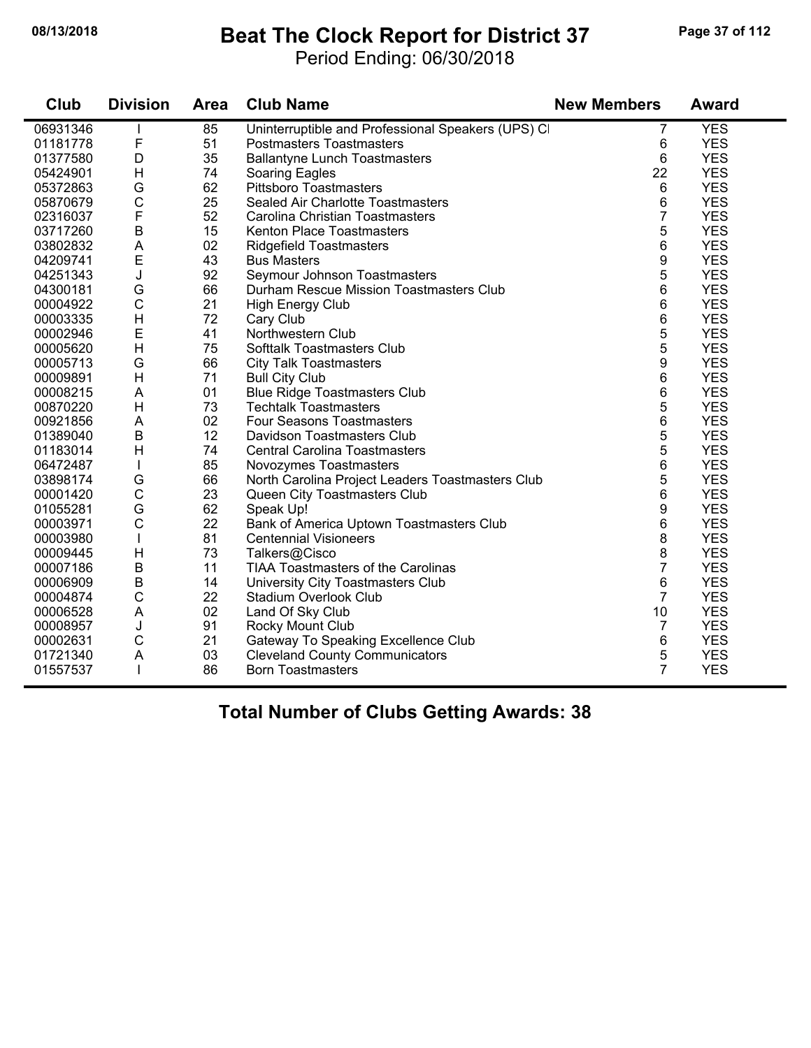#### **08/13/2018 Beat The Clock Report for District 37 Page 37 of 112**

Period Ending: 06/30/2018

| Club     | <b>Division</b>          | <b>Area</b> | <b>Club Name</b>                                  | <b>New Members</b> | <b>Award</b> |
|----------|--------------------------|-------------|---------------------------------------------------|--------------------|--------------|
| 06931346 |                          | 85          | Uninterruptible and Professional Speakers (UPS) C | $\overline{7}$     | <b>YES</b>   |
| 01181778 | F                        | 51          | <b>Postmasters Toastmasters</b>                   | 6                  | <b>YES</b>   |
| 01377580 | D                        | 35          | <b>Ballantyne Lunch Toastmasters</b>              | 6                  | <b>YES</b>   |
| 05424901 | H                        | 74          | Soaring Eagles                                    | 22                 | <b>YES</b>   |
| 05372863 | G                        | 62          | <b>Pittsboro Toastmasters</b>                     | 6                  | <b>YES</b>   |
| 05870679 | $\mathbf C$              | 25          | Sealed Air Charlotte Toastmasters                 | 6                  | <b>YES</b>   |
| 02316037 | F                        | 52          | Carolina Christian Toastmasters                   | $\overline{7}$     | <b>YES</b>   |
| 03717260 | B                        | 15          | Kenton Place Toastmasters                         | 5                  | <b>YES</b>   |
| 03802832 | A                        | 02          | <b>Ridgefield Toastmasters</b>                    | 6                  | <b>YES</b>   |
| 04209741 | E                        | 43          | <b>Bus Masters</b>                                | 9                  | <b>YES</b>   |
| 04251343 | J                        | 92          | Seymour Johnson Toastmasters                      | 5                  | <b>YES</b>   |
| 04300181 | G                        | 66          | Durham Rescue Mission Toastmasters Club           | 6                  | <b>YES</b>   |
| 00004922 | $\mathsf C$              | 21          | <b>High Energy Club</b>                           | 6                  | <b>YES</b>   |
| 00003335 | H                        | 72          | Cary Club                                         | 6                  | <b>YES</b>   |
| 00002946 | E                        | 41          | Northwestern Club                                 | 5                  | <b>YES</b>   |
| 00005620 | H                        | 75          | <b>Softtalk Toastmasters Club</b>                 | 5                  | <b>YES</b>   |
| 00005713 | G                        | 66          | <b>City Talk Toastmasters</b>                     | 9                  | <b>YES</b>   |
| 00009891 | H                        | 71          | <b>Bull City Club</b>                             | 6                  | <b>YES</b>   |
| 00008215 | A                        | 01          | <b>Blue Ridge Toastmasters Club</b>               | 6                  | <b>YES</b>   |
| 00870220 | Н                        | 73          | <b>Techtalk Toastmasters</b>                      | 5                  | <b>YES</b>   |
| 00921856 | A                        | 02          | <b>Four Seasons Toastmasters</b>                  | 6                  | <b>YES</b>   |
| 01389040 | $\sf B$                  | 12          | Davidson Toastmasters Club                        | 5                  | <b>YES</b>   |
| 01183014 | H                        | 74          | <b>Central Carolina Toastmasters</b>              | 5                  | <b>YES</b>   |
| 06472487 | $\overline{\phantom{a}}$ | 85          | Novozymes Toastmasters                            | 6                  | <b>YES</b>   |
| 03898174 | G                        | 66          | North Carolina Project Leaders Toastmasters Club  | 5                  | <b>YES</b>   |
| 00001420 | $\mathsf C$              | 23          | Queen City Toastmasters Club                      | 6                  | <b>YES</b>   |
| 01055281 | G                        | 62          | Speak Up!                                         | 9                  | <b>YES</b>   |
| 00003971 | $\mathsf C$              | 22          | Bank of America Uptown Toastmasters Club          | 6                  | <b>YES</b>   |
| 00003980 |                          | 81          | <b>Centennial Visioneers</b>                      | 8                  | <b>YES</b>   |
| 00009445 | H                        | 73          | Talkers@Cisco                                     | 8                  | <b>YES</b>   |
| 00007186 | $\sf B$                  | 11          | <b>TIAA Toastmasters of the Carolinas</b>         | $\overline{7}$     | <b>YES</b>   |
| 00006909 | $\sf B$                  | 14          | University City Toastmasters Club                 | 6                  | <b>YES</b>   |
| 00004874 | $\mathsf C$              | 22          | <b>Stadium Overlook Club</b>                      | $\overline{7}$     | <b>YES</b>   |
| 00006528 | A                        | 02          | Land Of Sky Club                                  | 10                 | <b>YES</b>   |
| 00008957 | J                        | 91          | Rocky Mount Club                                  | $\overline{7}$     | <b>YES</b>   |
| 00002631 | $\mathsf C$              | 21          | Gateway To Speaking Excellence Club               | 6                  | <b>YES</b>   |
| 01721340 | A                        | 03          | <b>Cleveland County Communicators</b>             | 5                  | <b>YES</b>   |
| 01557537 |                          | 86          | <b>Born Toastmasters</b>                          | $\overline{7}$     | <b>YES</b>   |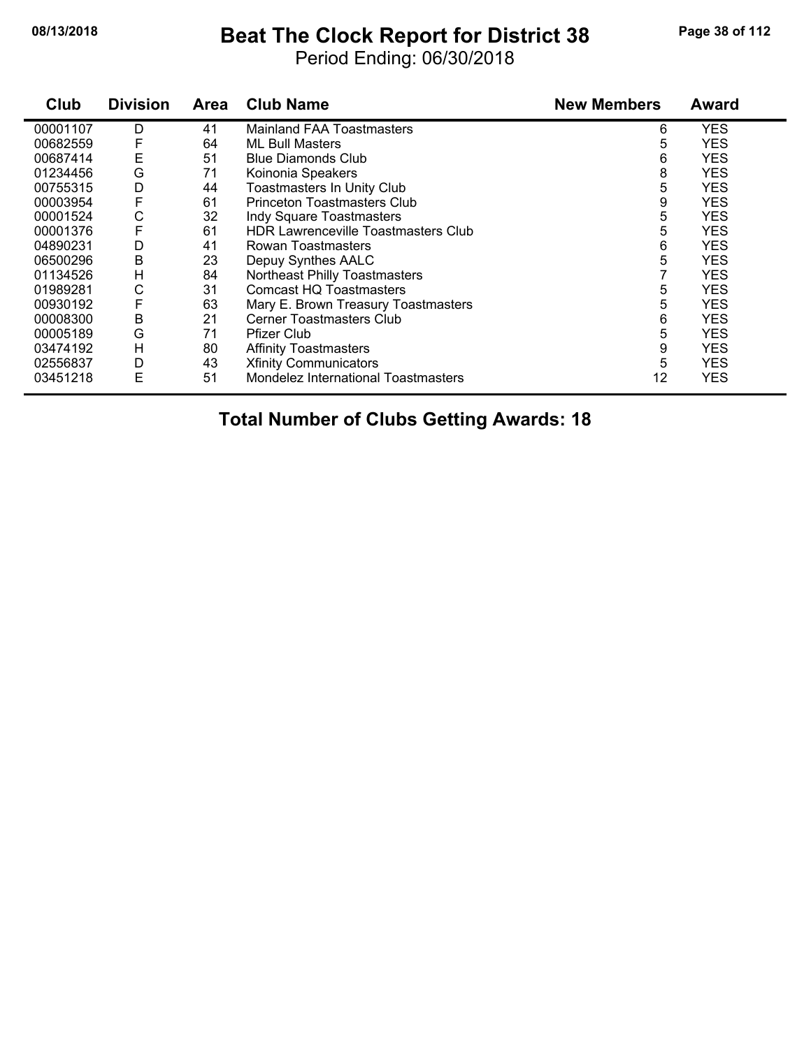#### **08/13/2018 Beat The Clock Report for District 38 Page 38 of 112**

Period Ending: 06/30/2018

| Club     | <b>Division</b> | Area | <b>Club Name</b>                           | <b>New Members</b> | Award      |
|----------|-----------------|------|--------------------------------------------|--------------------|------------|
| 00001107 | D               | 41   | <b>Mainland FAA Toastmasters</b>           | 6                  | <b>YES</b> |
| 00682559 | F               | 64   | <b>ML Bull Masters</b>                     | 5                  | <b>YES</b> |
| 00687414 | E               | 51   | <b>Blue Diamonds Club</b>                  | 6                  | <b>YES</b> |
| 01234456 | G               | 71   | Koinonia Speakers                          | 8                  | <b>YES</b> |
| 00755315 | D               | 44   | <b>Toastmasters In Unity Club</b>          | 5                  | <b>YES</b> |
| 00003954 | F               | 61   | <b>Princeton Toastmasters Club</b>         | 9                  | <b>YES</b> |
| 00001524 | C               | 32   | Indy Square Toastmasters                   | 5                  | <b>YES</b> |
| 00001376 | F               | 61   | <b>HDR Lawrenceville Toastmasters Club</b> | 5                  | <b>YES</b> |
| 04890231 | D               | 41   | Rowan Toastmasters                         | 6                  | <b>YES</b> |
| 06500296 | Β               | 23   | Depuy Synthes AALC                         | 5                  | <b>YES</b> |
| 01134526 | Н               | 84   | <b>Northeast Philly Toastmasters</b>       |                    | <b>YES</b> |
| 01989281 | С               | 31   | Comcast HQ Toastmasters                    | 5                  | <b>YES</b> |
| 00930192 | F               | 63   | Mary E. Brown Treasury Toastmasters        | 5                  | <b>YES</b> |
| 00008300 | $\sf B$         | 21   | <b>Cerner Toastmasters Club</b>            | 6                  | <b>YES</b> |
| 00005189 | G               | 71   | <b>Pfizer Club</b>                         | 5                  | <b>YES</b> |
| 03474192 | H               | 80   | <b>Affinity Toastmasters</b>               | 9                  | <b>YES</b> |
| 02556837 | D               | 43   | <b>Xfinity Communicators</b>               | 5                  | <b>YES</b> |
| 03451218 | E               | 51   | Mondelez International Toastmasters        | 12                 | <b>YES</b> |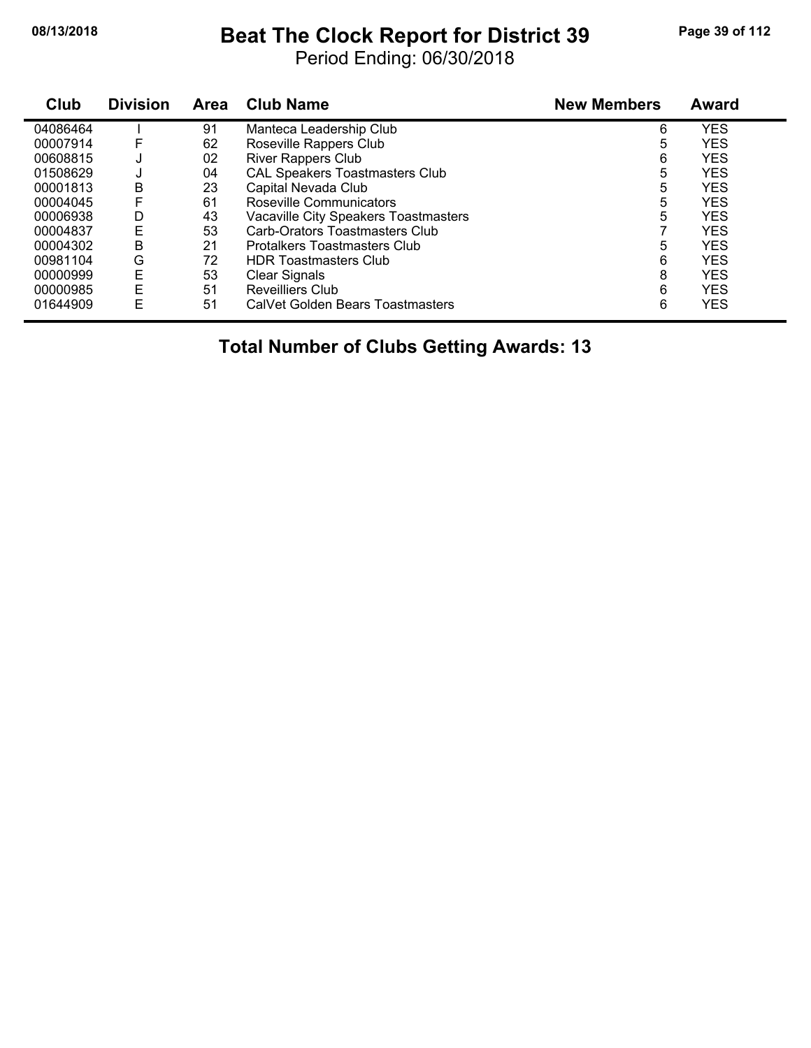# **08/13/2018 Beat The Clock Report for District 39 Page 39 of 112**

Period Ending: 06/30/2018

| Club     | <b>Division</b> | Area | <b>Club Name</b>                      | <b>New Members</b> | <b>Award</b> |
|----------|-----------------|------|---------------------------------------|--------------------|--------------|
| 04086464 |                 | 91   | Manteca Leadership Club               | 6                  | <b>YES</b>   |
| 00007914 | F               | 62   | Roseville Rappers Club                | 5                  | <b>YES</b>   |
| 00608815 | J               | 02   | <b>River Rappers Club</b>             | 6                  | <b>YES</b>   |
| 01508629 | J               | 04   | <b>CAL Speakers Toastmasters Club</b> | 5                  | <b>YES</b>   |
| 00001813 | B               | 23   | Capital Nevada Club                   | 5                  | <b>YES</b>   |
| 00004045 | F               | 61   | Roseville Communicators               | 5                  | <b>YES</b>   |
| 00006938 | D               | 43   | Vacaville City Speakers Toastmasters  | 5                  | YES          |
| 00004837 | Ε               | 53   | Carb-Orators Toastmasters Club        |                    | YES          |
| 00004302 | в               | 21   | <b>Protalkers Toastmasters Club</b>   | 5                  | <b>YES</b>   |
| 00981104 | G               | 72   | <b>HDR Toastmasters Club</b>          | 6                  | <b>YES</b>   |
| 00000999 | Ε               | 53   | <b>Clear Signals</b>                  | 8                  | <b>YES</b>   |
| 00000985 | E               | 51   | <b>Reveilliers Club</b>               | 6                  | <b>YES</b>   |
| 01644909 | E               | 51   | CalVet Golden Bears Toastmasters      | 6                  | YES          |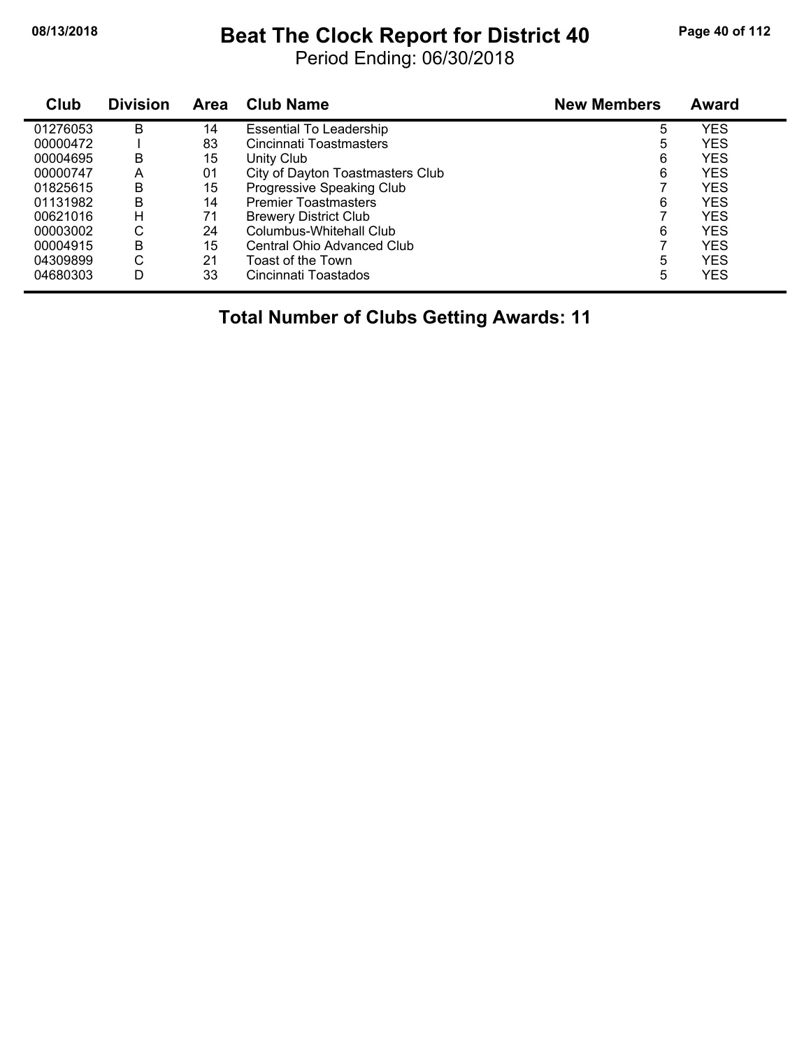#### **08/13/2018 Beat The Clock Report for District 40 Page 40 of 112**

Period Ending: 06/30/2018

| Club     | <b>Division</b> | Area | <b>Club Name</b>                 | <b>New Members</b> | <b>Award</b> |
|----------|-----------------|------|----------------------------------|--------------------|--------------|
| 01276053 | B               | 14   | <b>Essential To Leadership</b>   | 5                  | <b>YES</b>   |
| 00000472 |                 | 83   | Cincinnati Toastmasters          | 5                  | <b>YES</b>   |
| 00004695 | B               | 15   | Unity Club                       | 6                  | <b>YES</b>   |
| 00000747 | A               | 01   | City of Dayton Toastmasters Club | 6                  | <b>YES</b>   |
| 01825615 | В               | 15   | Progressive Speaking Club        |                    | <b>YES</b>   |
| 01131982 | B               | 14   | <b>Premier Toastmasters</b>      | 6                  | <b>YES</b>   |
| 00621016 | н               | 71   | <b>Brewery District Club</b>     |                    | <b>YES</b>   |
| 00003002 | С               | 24   | Columbus-Whitehall Club          | 6                  | <b>YES</b>   |
| 00004915 | B               | 15   | Central Ohio Advanced Club       |                    | <b>YES</b>   |
| 04309899 | С               | 21   | Toast of the Town                | 5                  | <b>YES</b>   |
| 04680303 | D               | 33   | Cincinnati Toastados             | 5                  | YES          |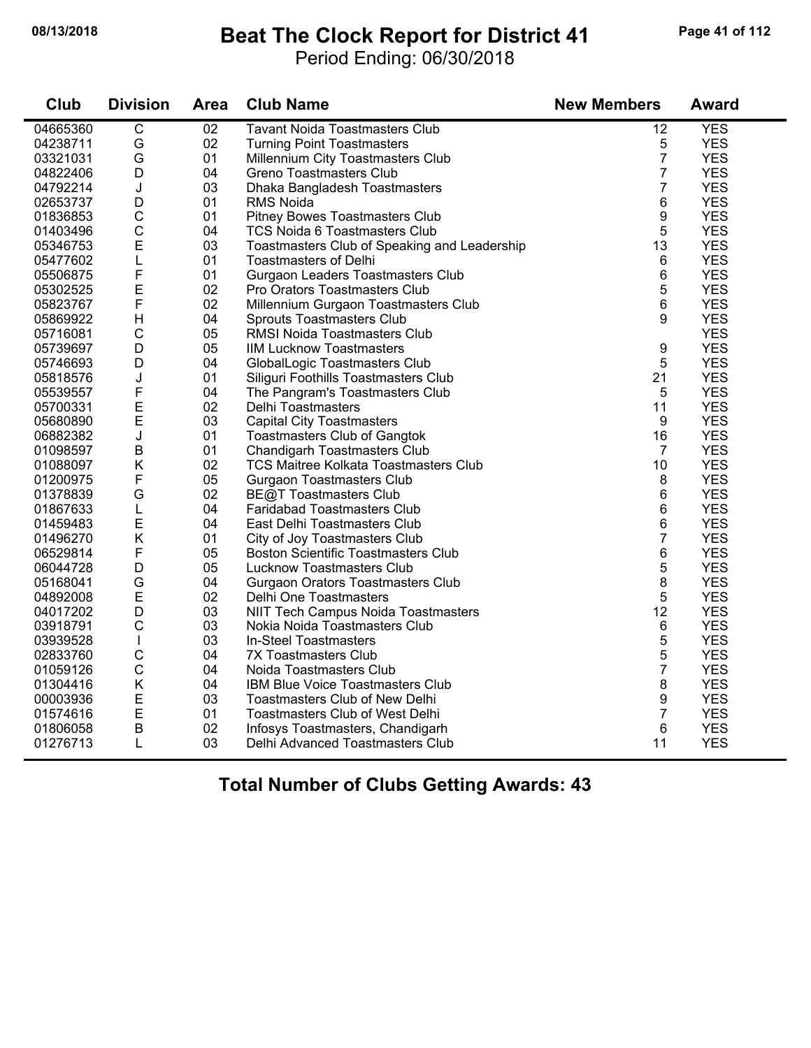# **08/13/2018 Beat The Clock Report for District 41 Page 41 of 112**

Period Ending: 06/30/2018

| Club     | <b>Division</b> | Area | <b>Club Name</b>                             | <b>New Members</b> | <b>Award</b> |
|----------|-----------------|------|----------------------------------------------|--------------------|--------------|
| 04665360 | $\overline{C}$  | 02   | <b>Tavant Noida Toastmasters Club</b>        | 12                 | <b>YES</b>   |
| 04238711 | G               | 02   | <b>Turning Point Toastmasters</b>            | 5                  | <b>YES</b>   |
| 03321031 | G               | 01   | Millennium City Toastmasters Club            | $\overline{7}$     | <b>YES</b>   |
| 04822406 | D               | 04   | <b>Greno Toastmasters Club</b>               | $\overline{7}$     | <b>YES</b>   |
| 04792214 | J               | 03   | Dhaka Bangladesh Toastmasters                | 7                  | <b>YES</b>   |
| 02653737 | D               | 01   | <b>RMS Noida</b>                             | 6                  | <b>YES</b>   |
| 01836853 | $\mathsf{C}$    | 01   | Pitney Bowes Toastmasters Club               | 9                  | <b>YES</b>   |
| 01403496 | C               | 04   | <b>TCS Noida 6 Toastmasters Club</b>         | 5                  | <b>YES</b>   |
| 05346753 | $\mathsf E$     | 03   | Toastmasters Club of Speaking and Leadership | 13                 | <b>YES</b>   |
| 05477602 | L               | 01   | <b>Toastmasters of Delhi</b>                 | 6                  | <b>YES</b>   |
| 05506875 | F               | 01   | Gurgaon Leaders Toastmasters Club            | 6                  | <b>YES</b>   |
| 05302525 | E               | 02   | Pro Orators Toastmasters Club                | 5                  | <b>YES</b>   |
| 05823767 | F               | 02   | Millennium Gurgaon Toastmasters Club         | 6                  | <b>YES</b>   |
| 05869922 | H               | 04   | <b>Sprouts Toastmasters Club</b>             | 9                  | <b>YES</b>   |
| 05716081 | $\mathsf{C}$    | 05   | <b>RMSI Noida Toastmasters Club</b>          |                    | <b>YES</b>   |
| 05739697 | D               | 05   | <b>IIM Lucknow Toastmasters</b>              | 9                  | <b>YES</b>   |
| 05746693 | D               | 04   | GlobalLogic Toastmasters Club                | 5                  | <b>YES</b>   |
| 05818576 | J               | 01   | Siliguri Foothills Toastmasters Club         | 21                 | <b>YES</b>   |
| 05539557 | F               | 04   | The Pangram's Toastmasters Club              | 5                  | <b>YES</b>   |
| 05700331 | $\mathsf E$     | 02   | Delhi Toastmasters                           | 11                 | <b>YES</b>   |
| 05680890 | $\mathsf E$     | 03   | <b>Capital City Toastmasters</b>             | 9                  | <b>YES</b>   |
| 06882382 | J               | 01   | <b>Toastmasters Club of Gangtok</b>          | 16                 | <b>YES</b>   |
| 01098597 | B               | 01   | <b>Chandigarh Toastmasters Club</b>          | $\overline{7}$     | <b>YES</b>   |
| 01088097 | K               | 02   | TCS Maitree Kolkata Toastmasters Club        | 10                 | <b>YES</b>   |
| 01200975 | F               | 05   | <b>Gurgaon Toastmasters Club</b>             | 8                  | <b>YES</b>   |
| 01378839 | G               | 02   | <b>BE@T Toastmasters Club</b>                | 6                  | <b>YES</b>   |
| 01867633 | L               | 04   | <b>Faridabad Toastmasters Club</b>           | 6                  | <b>YES</b>   |
| 01459483 | E               | 04   | East Delhi Toastmasters Club                 | 6                  | <b>YES</b>   |
| 01496270 | K               | 01   | City of Joy Toastmasters Club                | 7                  | <b>YES</b>   |
| 06529814 | F               | 05   | <b>Boston Scientific Toastmasters Club</b>   | 6                  | <b>YES</b>   |
| 06044728 | D               | 05   | Lucknow Toastmasters Club                    | 5                  | <b>YES</b>   |
| 05168041 | G               | 04   | Gurgaon Orators Toastmasters Club            | 8                  | <b>YES</b>   |
| 04892008 | $\mathsf E$     | 02   | Delhi One Toastmasters                       | 5                  | <b>YES</b>   |
| 04017202 | D               | 03   | <b>NIIT Tech Campus Noida Toastmasters</b>   | 12                 | <b>YES</b>   |
| 03918791 | $\mathsf{C}$    | 03   | Nokia Noida Toastmasters Club                | 6                  | <b>YES</b>   |
| 03939528 | T               | 03   | In-Steel Toastmasters                        | 5                  | <b>YES</b>   |
| 02833760 | $\mathsf C$     | 04   | <b>7X Toastmasters Club</b>                  | 5                  | <b>YES</b>   |
| 01059126 | $\mathsf C$     | 04   | Noida Toastmasters Club                      | $\overline{7}$     | <b>YES</b>   |
| 01304416 | Κ               | 04   | IBM Blue Voice Toastmasters Club             | 8                  | <b>YES</b>   |
| 00003936 | E               | 03   | Toastmasters Club of New Delhi               | 9                  | <b>YES</b>   |
| 01574616 | $\mathsf E$     | 01   | <b>Toastmasters Club of West Delhi</b>       | 7                  | <b>YES</b>   |
| 01806058 | $\mathsf B$     | 02   | Infosys Toastmasters, Chandigarh             | 6                  | <b>YES</b>   |
| 01276713 | L               | 03   | Delhi Advanced Toastmasters Club             | 11                 | <b>YES</b>   |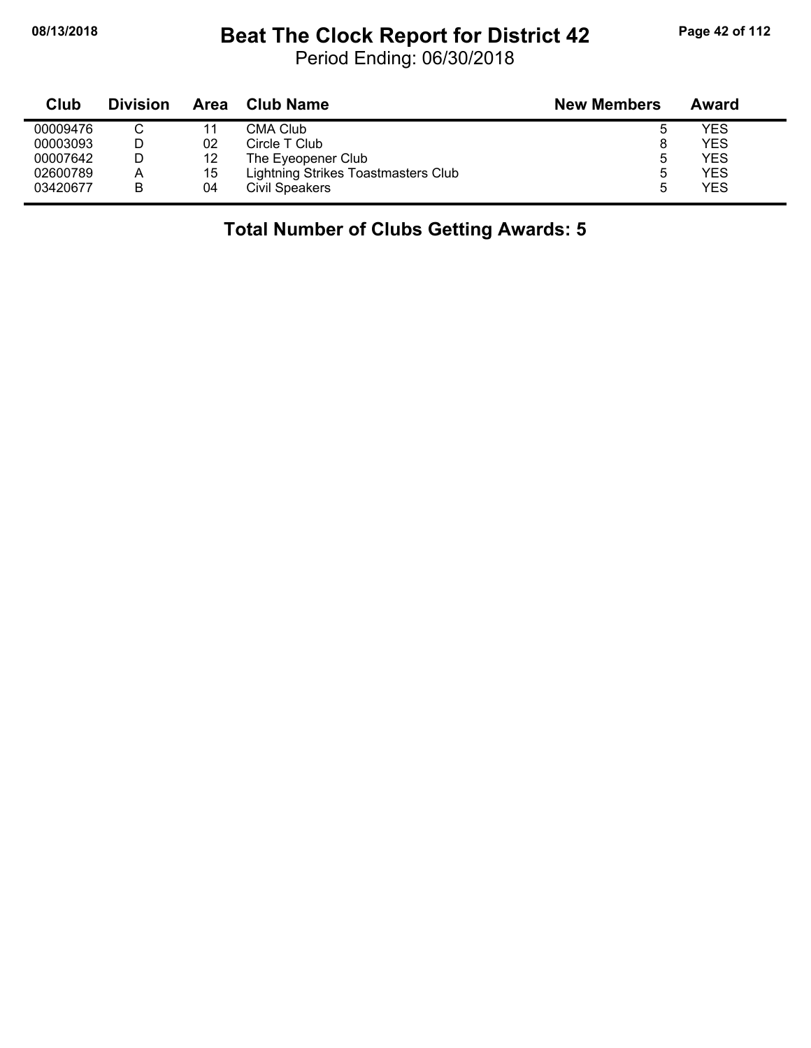#### **08/13/2018 Beat The Clock Report for District 42 Page 42 of 112**

Period Ending: 06/30/2018

| Club     | <b>Division</b> | Area | Club Name                           | <b>New Members</b> | Award |
|----------|-----------------|------|-------------------------------------|--------------------|-------|
| 00009476 |                 | 11   | CMA Club                            | O                  | YES   |
| 00003093 |                 | 02   | Circle T Club                       |                    | YES   |
| 00007642 |                 | 12   | The Eyeopener Club                  | 5                  | YES   |
| 02600789 | Α               | 15   | Lightning Strikes Toastmasters Club | b                  | YES   |
| 03420677 | B               | 04   | <b>Civil Speakers</b>               | 5                  | YES   |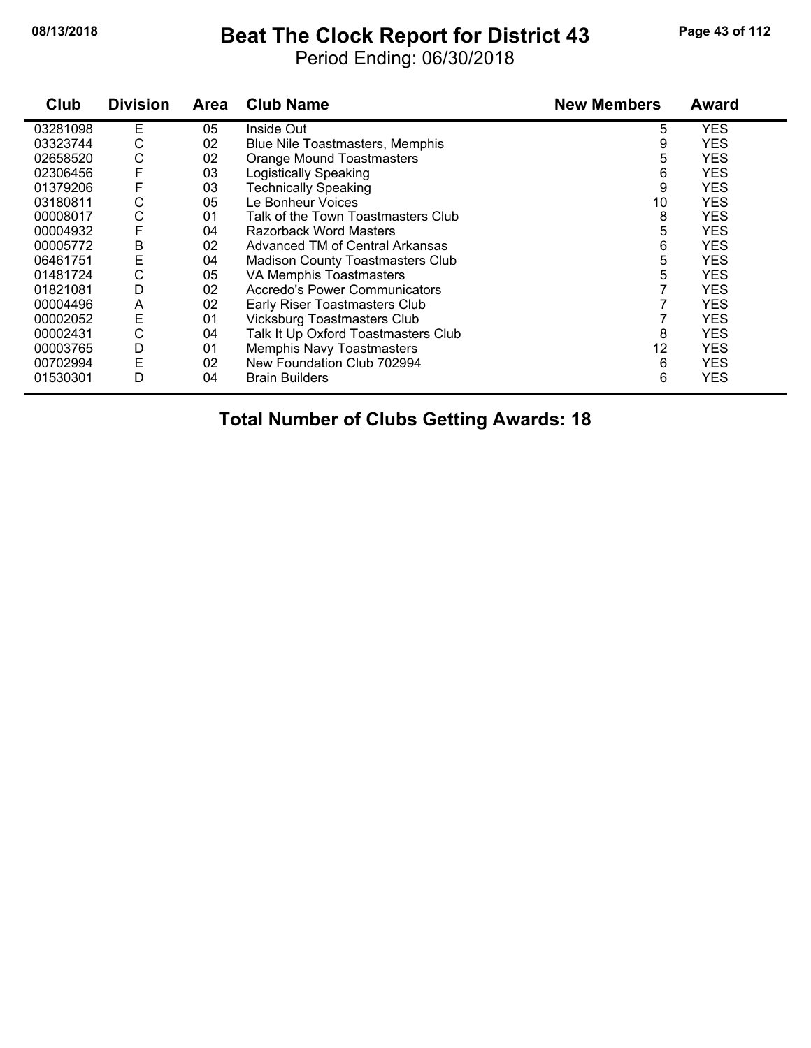#### **08/13/2018 Beat The Clock Report for District 43 Page 43 of 112**

Period Ending: 06/30/2018

| Club     | <b>Division</b> | Area | <b>Club Name</b>                        | <b>New Members</b> | <b>Award</b> |
|----------|-----------------|------|-----------------------------------------|--------------------|--------------|
| 03281098 | Е               | 05   | Inside Out                              | 5                  | <b>YES</b>   |
| 03323744 | С               | 02   | Blue Nile Toastmasters, Memphis         | 9                  | YES          |
| 02658520 | C               | 02   | <b>Orange Mound Toastmasters</b>        | 5                  | <b>YES</b>   |
| 02306456 | F               | 03   | <b>Logistically Speaking</b>            | 6                  | <b>YES</b>   |
| 01379206 | F               | 03   | <b>Technically Speaking</b>             | 9                  | <b>YES</b>   |
| 03180811 | С               | 05   | Le Bonheur Voices                       | 10                 | YES.         |
| 00008017 | C               | 01   | Talk of the Town Toastmasters Club      | 8                  | <b>YES</b>   |
| 00004932 | F               | 04   | Razorback Word Masters                  | 5                  | <b>YES</b>   |
| 00005772 | B               | 02   | Advanced TM of Central Arkansas         | 6                  | <b>YES</b>   |
| 06461751 | E               | 04   | <b>Madison County Toastmasters Club</b> | 5                  | <b>YES</b>   |
| 01481724 | C               | 05   | VA Memphis Toastmasters                 | 5                  | <b>YES</b>   |
| 01821081 | D               | 02   | Accredo's Power Communicators           |                    | YES.         |
| 00004496 | A               | 02   | Early Riser Toastmasters Club           |                    | <b>YES</b>   |
| 00002052 | E               | 01   | <b>Vicksburg Toastmasters Club</b>      |                    | <b>YES</b>   |
| 00002431 | C               | 04   | Talk It Up Oxford Toastmasters Club     | 8                  | <b>YES</b>   |
| 00003765 | D               | 01   | <b>Memphis Navy Toastmasters</b>        | 12                 | <b>YES</b>   |
| 00702994 | E               | 02   | New Foundation Club 702994              | 6                  | YES          |
| 01530301 | D               | 04   | <b>Brain Builders</b>                   | 6                  | <b>YES</b>   |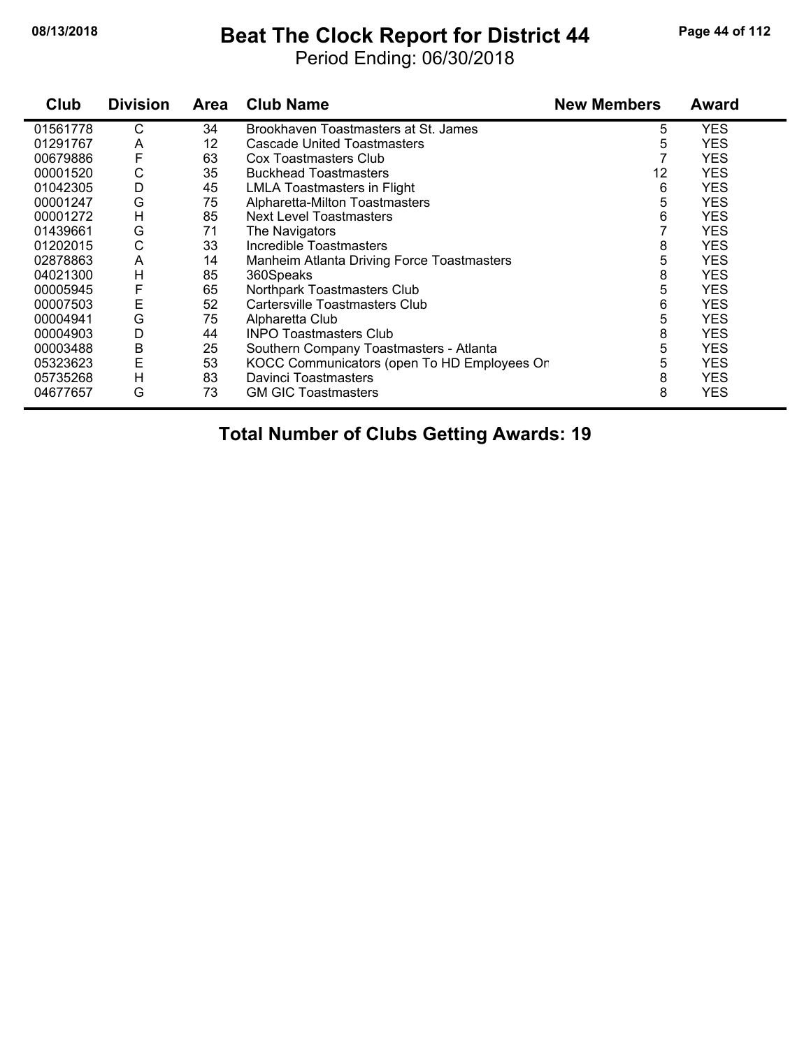#### **08/13/2018 Beat The Clock Report for District 44 Page 44 of 112**

Period Ending: 06/30/2018

| Club     | <b>Division</b> | Area | <b>Club Name</b>                            | <b>New Members</b> | <b>Award</b> |
|----------|-----------------|------|---------------------------------------------|--------------------|--------------|
| 01561778 | С               | 34   | Brookhaven Toastmasters at St. James        | 5                  | <b>YES</b>   |
| 01291767 | A               | 12   | Cascade United Toastmasters                 | 5                  | <b>YES</b>   |
| 00679886 | F               | 63   | Cox Toastmasters Club                       |                    | YES          |
| 00001520 | С               | 35   | <b>Buckhead Toastmasters</b>                | 12                 | YES          |
| 01042305 | D               | 45   | <b>LMLA Toastmasters in Flight</b>          | 6                  | <b>YES</b>   |
| 00001247 | G               | 75   | Alpharetta-Milton Toastmasters              | 5                  | <b>YES</b>   |
| 00001272 | н               | 85   | <b>Next Level Toastmasters</b>              | 6                  | YES          |
| 01439661 | G               | 71   | The Navigators                              |                    | YES          |
| 01202015 | С               | 33   | Incredible Toastmasters                     | 8                  | <b>YES</b>   |
| 02878863 | A               | 14   | Manheim Atlanta Driving Force Toastmasters  | 5                  | <b>YES</b>   |
| 04021300 | н               | 85   | 360Speaks                                   | 8                  | YES          |
| 00005945 | F               | 65   | Northpark Toastmasters Club                 | 5                  | <b>YES</b>   |
| 00007503 | Е               | 52   | Cartersville Toastmasters Club              | 6                  | <b>YES</b>   |
| 00004941 | G               | 75   | Alpharetta Club                             | 5                  | <b>YES</b>   |
| 00004903 | D               | 44   | <b>INPO Toastmasters Club</b>               | 8                  | YES          |
| 00003488 | B               | 25   | Southern Company Toastmasters - Atlanta     | 5                  | YES          |
| 05323623 | E               | 53   | KOCC Communicators (open To HD Employees Or | 5                  | <b>YES</b>   |
| 05735268 | н               | 83   | Davinci Toastmasters                        | 8                  | <b>YES</b>   |
| 04677657 | G               | 73   | <b>GM GIC Toastmasters</b>                  | 8                  | YES          |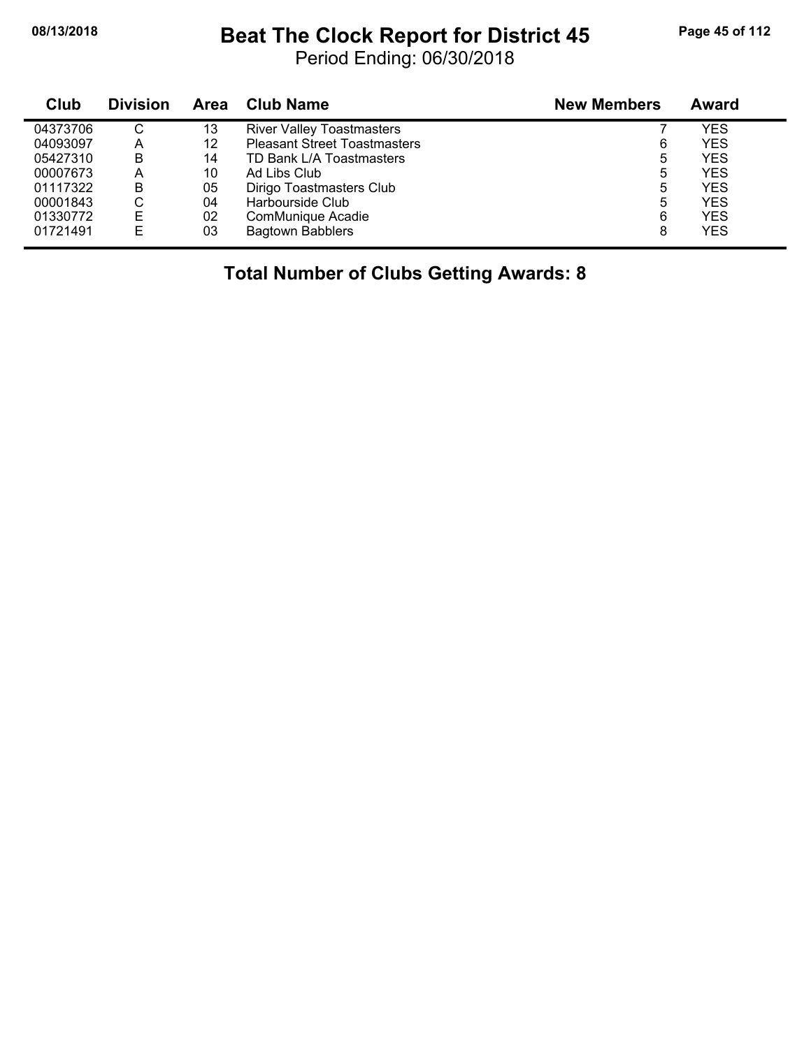#### **08/13/2018 Beat The Clock Report for District 45 Page 45 of 112**

Period Ending: 06/30/2018

| <b>Club</b> | <b>Division</b> | <b>Area</b> | <b>Club Name</b>                    | <b>New Members</b> | <b>Award</b> |
|-------------|-----------------|-------------|-------------------------------------|--------------------|--------------|
| 04373706    | C               | 13          | <b>River Valley Toastmasters</b>    |                    | YES          |
| 04093097    | Α               | 12          | <b>Pleasant Street Toastmasters</b> | 6                  | <b>YES</b>   |
| 05427310    | B               | 14          | TD Bank L/A Toastmasters            | 5                  | YES          |
| 00007673    | A               | 10          | Ad Libs Club                        | 5                  | YES          |
| 01117322    | B               | 05          | Dirigo Toastmasters Club            | 5                  | YES          |
| 00001843    | С               | 04          | Harbourside Club                    | 5                  | YES          |
| 01330772    | E               | 02          | ComMunique Acadie                   | 6                  | <b>YES</b>   |
| 01721491    | E               | 03          | <b>Bagtown Babblers</b>             | 8                  | <b>YES</b>   |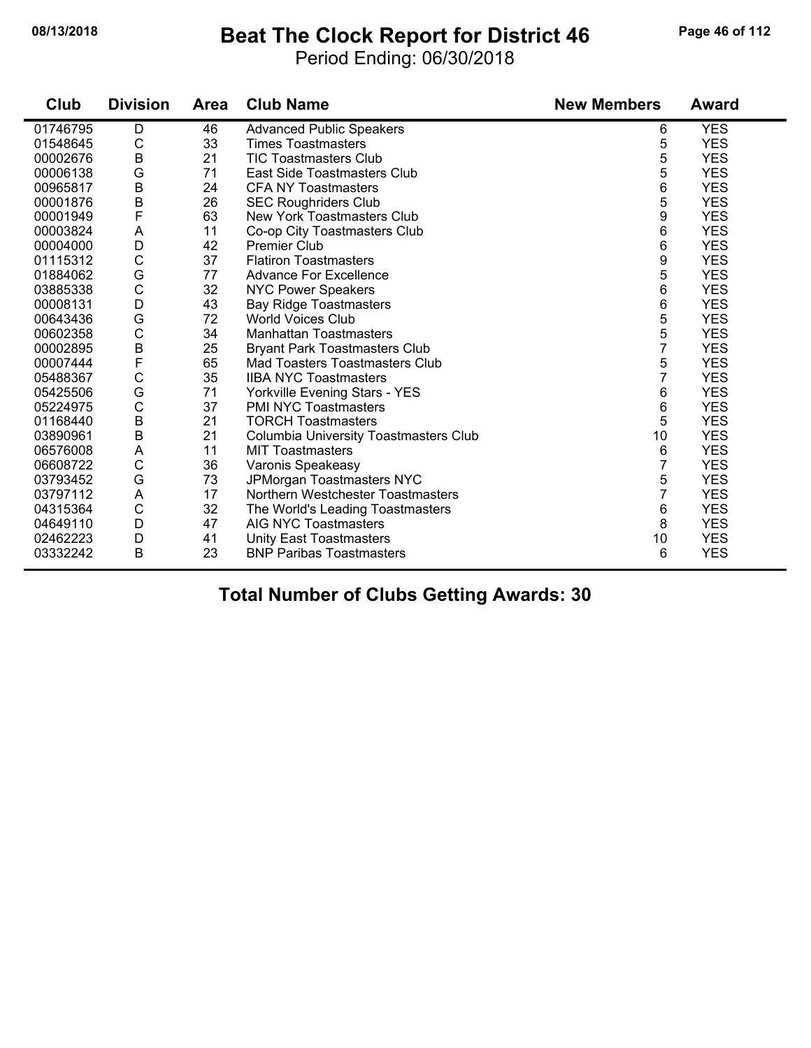#### **08/13/2018 Beat The Clock Report for District 46 Page 46 of 112**

Period Ending: 06/30/2018

| Club     | <b>Division</b> | <b>Area</b> | <b>Club Name</b>                             | <b>New Members</b> | <b>Award</b> |
|----------|-----------------|-------------|----------------------------------------------|--------------------|--------------|
| 01746795 | D               | 46          | <b>Advanced Public Speakers</b>              | 6                  | <b>YES</b>   |
| 01548645 | C               | 33          | <b>Times Toastmasters</b>                    | 5                  | <b>YES</b>   |
| 00002676 | B               | 21          | <b>TIC Toastmasters Club</b>                 | 5                  | <b>YES</b>   |
| 00006138 | G               | 71          | East Side Toastmasters Club                  | 5                  | <b>YES</b>   |
| 00965817 | $\sf B$         | 24          | <b>CFA NY Toastmasters</b>                   | 6                  | <b>YES</b>   |
| 00001876 | B               | 26          | <b>SEC Roughriders Club</b>                  | 5                  | <b>YES</b>   |
| 00001949 | F               | 63          | New York Toastmasters Club                   | 9                  | <b>YES</b>   |
| 00003824 | A               | 11          | Co-op City Toastmasters Club                 | 6                  | <b>YES</b>   |
| 00004000 | D               | 42          | <b>Premier Club</b>                          | 6                  | <b>YES</b>   |
| 01115312 | $\mathsf C$     | 37          | <b>Flatiron Toastmasters</b>                 | 9                  | <b>YES</b>   |
| 01884062 | G               | 77          | Advance For Excellence                       | 5                  | <b>YES</b>   |
| 03885338 | $\mathsf C$     | 32          | <b>NYC Power Speakers</b>                    | 6                  | <b>YES</b>   |
| 00008131 | D               | 43          | <b>Bay Ridge Toastmasters</b>                | 6                  | <b>YES</b>   |
| 00643436 | G               | 72          | <b>World Voices Club</b>                     | 5                  | <b>YES</b>   |
| 00602358 | $\mathsf C$     | 34          | <b>Manhattan Toastmasters</b>                | 5                  | <b>YES</b>   |
| 00002895 | $\sf B$         | 25          | <b>Bryant Park Toastmasters Club</b>         | 7                  | <b>YES</b>   |
| 00007444 | $\mathsf{F}$    | 65          | Mad Toasters Toastmasters Club               | 5                  | <b>YES</b>   |
| 05488367 | $\mathsf C$     | 35          | <b>IIBA NYC Toastmasters</b>                 | 7                  | <b>YES</b>   |
| 05425506 | G               | 71          | Yorkville Evening Stars - YES                | 6                  | <b>YES</b>   |
| 05224975 | $\mathsf C$     | 37          | <b>PMI NYC Toastmasters</b>                  | 6                  | <b>YES</b>   |
| 01168440 | B               | 21          | <b>TORCH Toastmasters</b>                    | 5                  | <b>YES</b>   |
| 03890961 | $\sf B$         | 21          | <b>Columbia University Toastmasters Club</b> | 10                 | <b>YES</b>   |
| 06576008 | A               | 11          | <b>MIT Toastmasters</b>                      | 6                  | <b>YES</b>   |
| 06608722 | $\mathsf{C}$    | 36          | Varonis Speakeasy                            | 7                  | <b>YES</b>   |
| 03793452 | G               | 73          | JPMorgan Toastmasters NYC                    | 5                  | <b>YES</b>   |
| 03797112 | Α               | 17          | Northern Westchester Toastmasters            | 7                  | <b>YES</b>   |
| 04315364 | $\mathsf{C}$    | 32          | The World's Leading Toastmasters             | 6                  | <b>YES</b>   |
| 04649110 | D               | 47          | <b>AIG NYC Toastmasters</b>                  | 8                  | <b>YES</b>   |
| 02462223 | D               | 41          | <b>Unity East Toastmasters</b>               | 10                 | <b>YES</b>   |
| 03332242 | B               | 23          | <b>BNP Paribas Toastmasters</b>              | 6                  | <b>YES</b>   |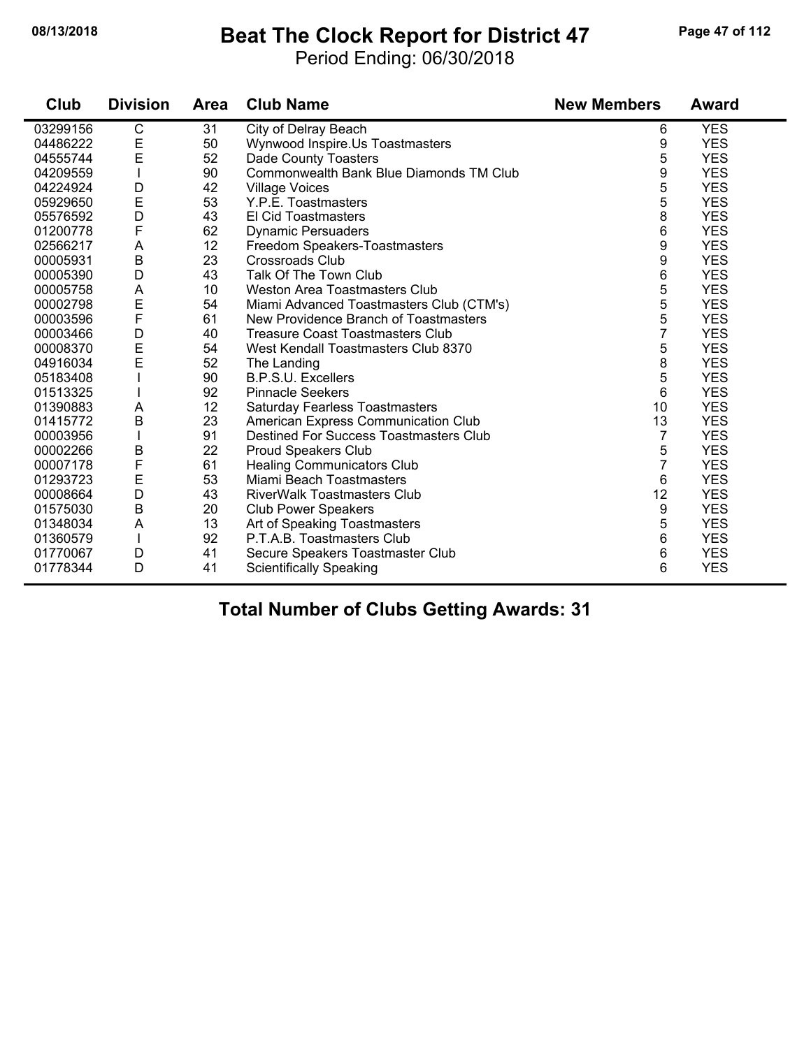#### **08/13/2018 Beat The Clock Report for District 47 Page 47 of 112**

Period Ending: 06/30/2018

| Club     | <b>Division</b> | <b>Area</b> | <b>Club Name</b>                         | <b>New Members</b> | <b>Award</b> |
|----------|-----------------|-------------|------------------------------------------|--------------------|--------------|
| 03299156 | $\overline{C}$  | 31          | City of Delray Beach                     | 6                  | <b>YES</b>   |
| 04486222 | E               | 50          | Wynwood Inspire.Us Toastmasters          | 9                  | <b>YES</b>   |
| 04555744 | $\mathsf E$     | 52          | Dade County Toasters                     | 5                  | <b>YES</b>   |
| 04209559 | T               | 90          | Commonwealth Bank Blue Diamonds TM Club  | 9                  | <b>YES</b>   |
| 04224924 | D               | 42          | <b>Village Voices</b>                    | 5                  | <b>YES</b>   |
| 05929650 | $\mathsf E$     | 53          | Y.P.E. Toastmasters                      | 5                  | <b>YES</b>   |
| 05576592 | D               | 43          | El Cid Toastmasters                      | 8                  | <b>YES</b>   |
| 01200778 | F               | 62          | <b>Dynamic Persuaders</b>                | 6                  | <b>YES</b>   |
| 02566217 | A               | 12          | Freedom Speakers-Toastmasters            | 9                  | <b>YES</b>   |
| 00005931 | $\sf B$         | 23          | <b>Crossroads Club</b>                   | 9                  | <b>YES</b>   |
| 00005390 | D               | 43          | Talk Of The Town Club                    | 6                  | <b>YES</b>   |
| 00005758 | A               | 10          | <b>Weston Area Toastmasters Club</b>     | 5                  | <b>YES</b>   |
| 00002798 | $\mathsf E$     | 54          | Miami Advanced Toastmasters Club (CTM's) | 5                  | <b>YES</b>   |
| 00003596 | F               | 61          | New Providence Branch of Toastmasters    | 5                  | <b>YES</b>   |
| 00003466 | D               | 40          | <b>Treasure Coast Toastmasters Club</b>  | $\overline{7}$     | <b>YES</b>   |
| 00008370 | $\mathsf E$     | 54          | West Kendall Toastmasters Club 8370      | 5                  | <b>YES</b>   |
| 04916034 | E               | 52          | The Landing                              | 8                  | <b>YES</b>   |
| 05183408 |                 | 90          | <b>B.P.S.U. Excellers</b>                | 5                  | <b>YES</b>   |
| 01513325 |                 | 92          | <b>Pinnacle Seekers</b>                  | 6                  | <b>YES</b>   |
| 01390883 | A               | 12          | <b>Saturday Fearless Toastmasters</b>    | 10                 | <b>YES</b>   |
| 01415772 | $\mathsf B$     | 23          | American Express Communication Club      | 13                 | <b>YES</b>   |
| 00003956 |                 | 91          | Destined For Success Toastmasters Club   | $\overline{7}$     | <b>YES</b>   |
| 00002266 | $\sf B$         | 22          | Proud Speakers Club                      | 5                  | <b>YES</b>   |
| 00007178 | F               | 61          | <b>Healing Communicators Club</b>        | $\overline{7}$     | <b>YES</b>   |
| 01293723 | $\mathsf E$     | 53          | Miami Beach Toastmasters                 | 6                  | <b>YES</b>   |
| 00008664 | D               | 43          | RiverWalk Toastmasters Club              | 12                 | <b>YES</b>   |
| 01575030 | $\sf B$         | 20          | <b>Club Power Speakers</b>               | 9                  | <b>YES</b>   |
| 01348034 | A               | 13          | Art of Speaking Toastmasters             | 5                  | <b>YES</b>   |
| 01360579 |                 | 92          | P.T.A.B. Toastmasters Club               | 6                  | <b>YES</b>   |
| 01770067 | D               | 41          | Secure Speakers Toastmaster Club         | 6                  | <b>YES</b>   |
| 01778344 | D               | 41          | <b>Scientifically Speaking</b>           | 6                  | <b>YES</b>   |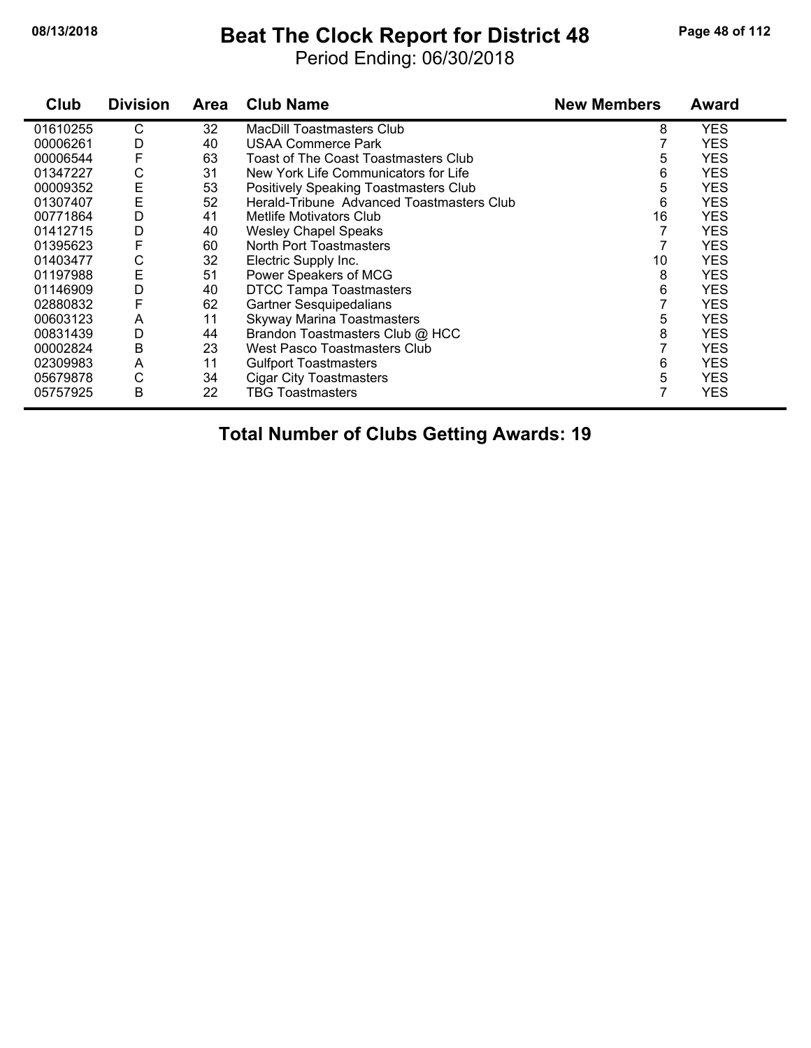#### **08/13/2018 Beat The Clock Report for District 48 Page 48 of 112**

Period Ending: 06/30/2018

| Club     | <b>Division</b> | <b>Area</b> | <b>Club Name</b>                          | <b>New Members</b> | <b>Award</b> |
|----------|-----------------|-------------|-------------------------------------------|--------------------|--------------|
| 01610255 | С               | 32          | <b>MacDill Toastmasters Club</b>          | 8                  | <b>YES</b>   |
| 00006261 | D               | 40          | <b>USAA Commerce Park</b>                 |                    | <b>YES</b>   |
| 00006544 | F               | 63          | Toast of The Coast Toastmasters Club      | 5                  | <b>YES</b>   |
| 01347227 | С               | 31          | New York Life Communicators for Life      | 6                  | <b>YES</b>   |
| 00009352 | E               | 53          | Positively Speaking Toastmasters Club     | 5                  | <b>YES</b>   |
| 01307407 | Ε               | 52          | Herald-Tribune Advanced Toastmasters Club | 6                  | <b>YES</b>   |
| 00771864 | D               | 41          | <b>Metlife Motivators Club</b>            | 16                 | <b>YES</b>   |
| 01412715 | D               | 40          | <b>Wesley Chapel Speaks</b>               |                    | <b>YES</b>   |
| 01395623 | F               | 60          | North Port Toastmasters                   |                    | <b>YES</b>   |
| 01403477 | С               | 32          | Electric Supply Inc.                      | 10                 | <b>YES</b>   |
| 01197988 | E               | 51          | Power Speakers of MCG                     | 8                  | <b>YES</b>   |
| 01146909 | D               | 40          | <b>DTCC Tampa Toastmasters</b>            | 6                  | <b>YES</b>   |
| 02880832 | F               | 62          | Gartner Sesquipedalians                   |                    | <b>YES</b>   |
| 00603123 | A               | 11          | Skyway Marina Toastmasters                | 5                  | <b>YES</b>   |
| 00831439 | D               | 44          | Brandon Toastmasters Club @ HCC           | 8                  | <b>YES</b>   |
| 00002824 | B               | 23          | West Pasco Toastmasters Club              |                    | <b>YES</b>   |
| 02309983 | A               | 11          | <b>Gulfport Toastmasters</b>              | 6                  | <b>YES</b>   |
| 05679878 | С               | 34          | <b>Cigar City Toastmasters</b>            | 5                  | <b>YES</b>   |
| 05757925 | Β               | 22          | TBG Toastmasters                          | 7                  | <b>YES</b>   |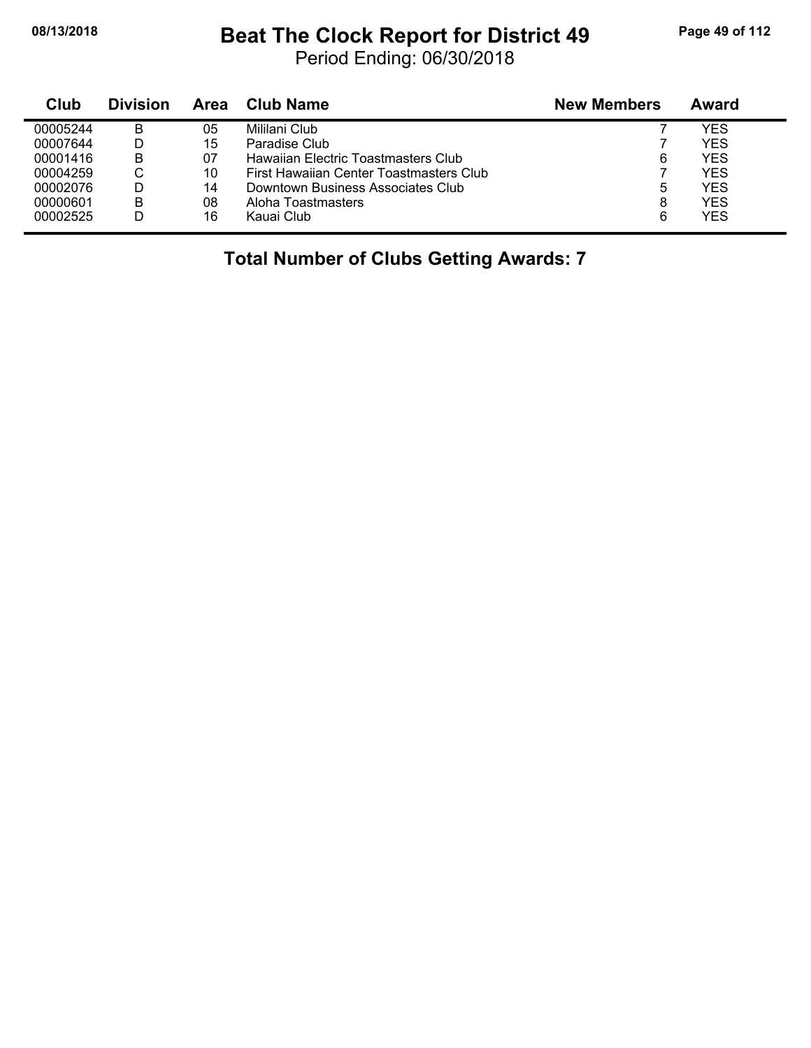#### **08/13/2018 Beat The Clock Report for District 49 Page 49 of 112**

Period Ending: 06/30/2018

| Club     | <b>Division</b> | Area | <b>Club Name</b>                        | <b>New Members</b> | Award      |
|----------|-----------------|------|-----------------------------------------|--------------------|------------|
| 00005244 | в               | 05   | Mililani Club                           |                    | YES        |
| 00007644 |                 | 15   | Paradise Club                           |                    | <b>YES</b> |
| 00001416 | В               | 07   | Hawaiian Electric Toastmasters Club     | 6                  | <b>YES</b> |
| 00004259 | U               | 10   | First Hawaiian Center Toastmasters Club |                    | <b>YES</b> |
| 00002076 |                 | 14   | Downtown Business Associates Club       | 5                  | <b>YES</b> |
| 00000601 | в               | 08   | Aloha Toastmasters                      | 8                  | <b>YES</b> |
| 00002525 |                 | 16   | Kauai Club                              | 6                  | <b>YES</b> |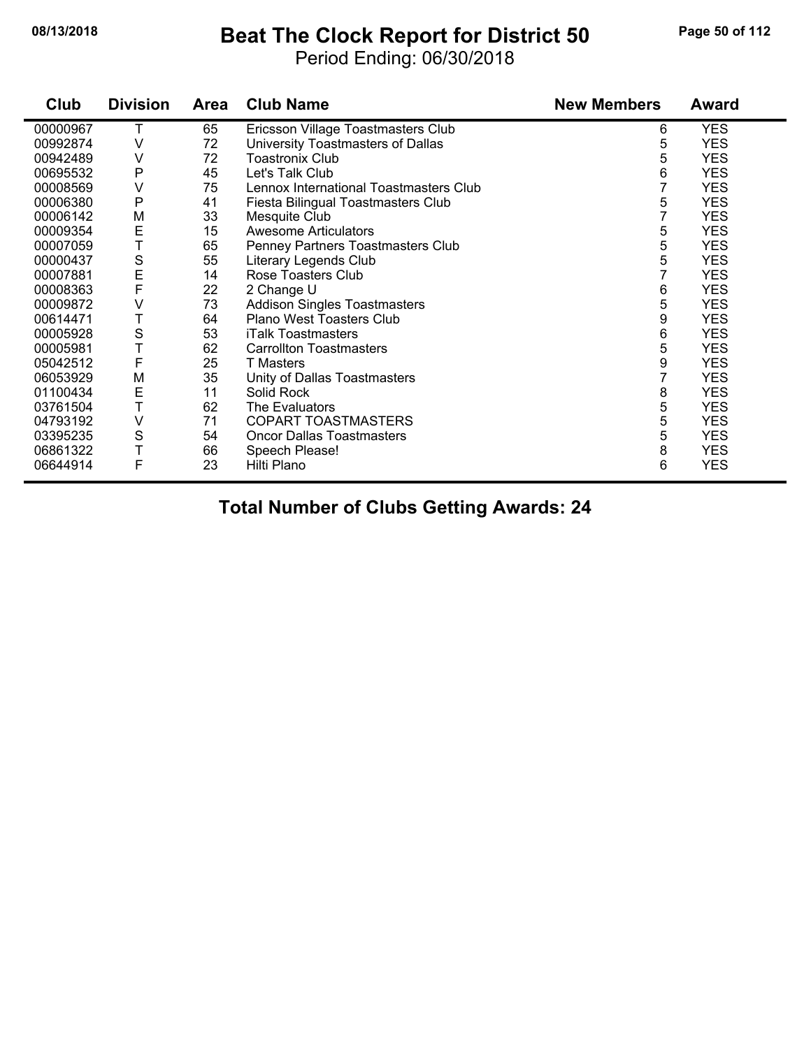#### **08/13/2018 Beat The Clock Report for District 50 Page 50 of 112**

Period Ending: 06/30/2018

| Club     | <b>Division</b> | <b>Area</b> | <b>Club Name</b>                       | <b>New Members</b> | <b>Award</b> |
|----------|-----------------|-------------|----------------------------------------|--------------------|--------------|
| 00000967 |                 | 65          | Ericsson Village Toastmasters Club     | 6                  | <b>YES</b>   |
| 00992874 | ٧               | 72          | University Toastmasters of Dallas      | 5                  | <b>YES</b>   |
| 00942489 | ٧               | 72          | <b>Toastronix Club</b>                 | 5                  | <b>YES</b>   |
| 00695532 | $\mathsf{P}$    | 45          | Let's Talk Club                        | 6                  | <b>YES</b>   |
| 00008569 | V               | 75          | Lennox International Toastmasters Club | 7                  | <b>YES</b>   |
| 00006380 | $\mathsf{P}$    | 41          | Fiesta Bilingual Toastmasters Club     | 5                  | <b>YES</b>   |
| 00006142 | M               | 33          | Mesquite Club                          | 7                  | <b>YES</b>   |
| 00009354 | E               | 15          | <b>Awesome Articulators</b>            | 5                  | <b>YES</b>   |
| 00007059 | T               | 65          | Penney Partners Toastmasters Club      | 5                  | <b>YES</b>   |
| 00000437 | $\mathbf S$     | 55          | Literary Legends Club                  | 5                  | <b>YES</b>   |
| 00007881 | E               | 14          | Rose Toasters Club                     | 7                  | <b>YES</b>   |
| 00008363 | F               | 22          | 2 Change U                             | 6                  | <b>YES</b>   |
| 00009872 | ٧               | 73          | <b>Addison Singles Toastmasters</b>    | 5                  | <b>YES</b>   |
| 00614471 |                 | 64          | <b>Plano West Toasters Club</b>        | 9                  | <b>YES</b>   |
| 00005928 | $\mathbf S$     | 53          | iTalk Toastmasters                     | 6                  | <b>YES</b>   |
| 00005981 |                 | 62          | <b>Carrollton Toastmasters</b>         | 5                  | <b>YES</b>   |
| 05042512 | F               | 25          | <b>T</b> Masters                       | 9                  | <b>YES</b>   |
| 06053929 | M               | 35          | Unity of Dallas Toastmasters           | 7                  | <b>YES</b>   |
| 01100434 | E               | 11          | Solid Rock                             | 8                  | <b>YES</b>   |
| 03761504 | T               | 62          | The Evaluators                         | 5                  | <b>YES</b>   |
| 04793192 | V               | 71          | <b>COPART TOASTMASTERS</b>             | 5                  | <b>YES</b>   |
| 03395235 | S               | 54          | <b>Oncor Dallas Toastmasters</b>       | 5                  | <b>YES</b>   |
| 06861322 | T               | 66          | Speech Please!                         | 8                  | <b>YES</b>   |
| 06644914 | F               | 23          | Hilti Plano                            | 6                  | <b>YES</b>   |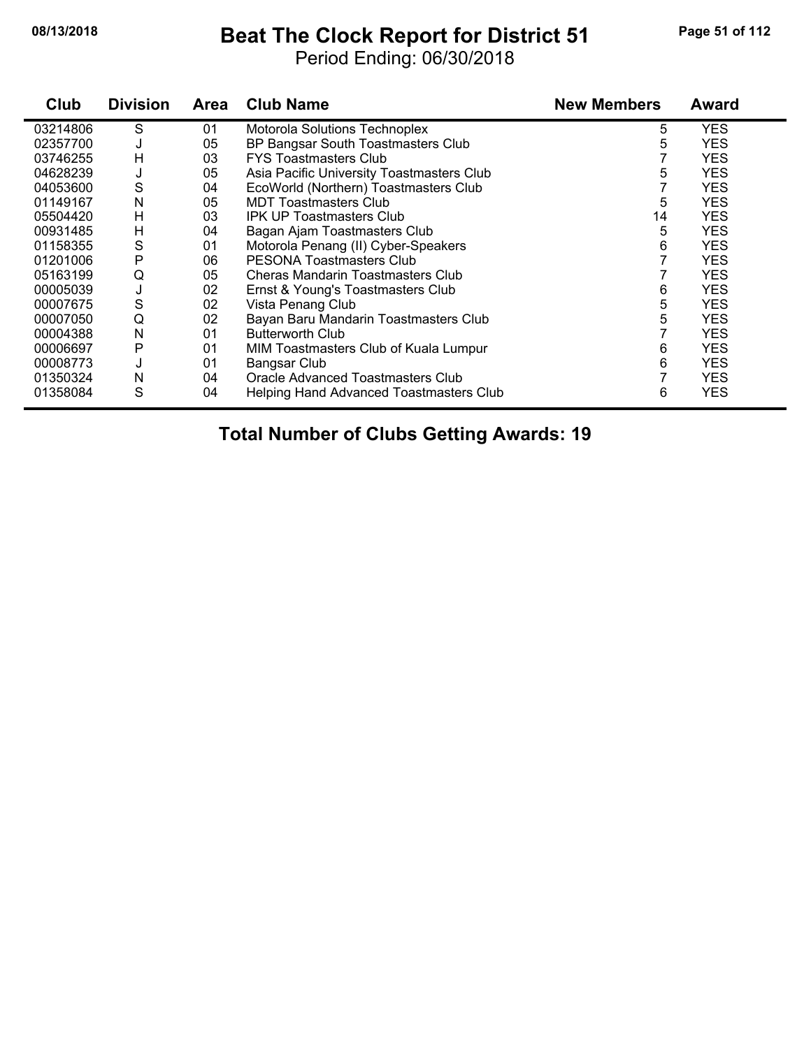#### **08/13/2018 Beat The Clock Report for District 51 Page 51 of 112**

Period Ending: 06/30/2018

| Club     | <b>Division</b> | <b>Area</b> | <b>Club Name</b>                          | <b>New Members</b> | <b>Award</b> |
|----------|-----------------|-------------|-------------------------------------------|--------------------|--------------|
| 03214806 | S               | 01          | Motorola Solutions Technoplex             | 5                  | <b>YES</b>   |
| 02357700 | J               | 05          | BP Bangsar South Toastmasters Club        | 5                  | <b>YES</b>   |
| 03746255 | H               | 03          | <b>FYS Toastmasters Club</b>              |                    | <b>YES</b>   |
| 04628239 | J               | 05          | Asia Pacific University Toastmasters Club | 5                  | YES          |
| 04053600 | S               | 04          | EcoWorld (Northern) Toastmasters Club     |                    | <b>YES</b>   |
| 01149167 | N               | 05          | <b>MDT Toastmasters Club</b>              | 5                  | <b>YES</b>   |
| 05504420 | н               | 03          | <b>IPK UP Toastmasters Club</b>           | 14                 | <b>YES</b>   |
| 00931485 | Н               | 04          | Bagan Ajam Toastmasters Club              | 5                  | <b>YES</b>   |
| 01158355 | S               | 01          | Motorola Penang (II) Cyber-Speakers       | 6                  | <b>YES</b>   |
| 01201006 | Ρ               | 06          | <b>PESONA Toastmasters Club</b>           |                    | <b>YES</b>   |
| 05163199 | Q               | 05          | Cheras Mandarin Toastmasters Club         |                    | YES          |
| 00005039 | J               | 02          | Ernst & Young's Toastmasters Club         | 6                  | <b>YES</b>   |
| 00007675 | S               | 02          | Vista Penang Club                         | 5                  | <b>YES</b>   |
| 00007050 | Q               | 02          | Bayan Baru Mandarin Toastmasters Club     | 5                  | <b>YES</b>   |
| 00004388 | Ν               | 01          | <b>Butterworth Club</b>                   |                    | <b>YES</b>   |
| 00006697 | P               | 01          | MIM Toastmasters Club of Kuala Lumpur     | 6                  | <b>YES</b>   |
| 00008773 | J               | 01          | Bangsar Club                              | 6                  | <b>YES</b>   |
| 01350324 | N               | 04          | Oracle Advanced Toastmasters Club         |                    | <b>YES</b>   |
| 01358084 | S               | 04          | Helping Hand Advanced Toastmasters Club   | 6                  | <b>YES</b>   |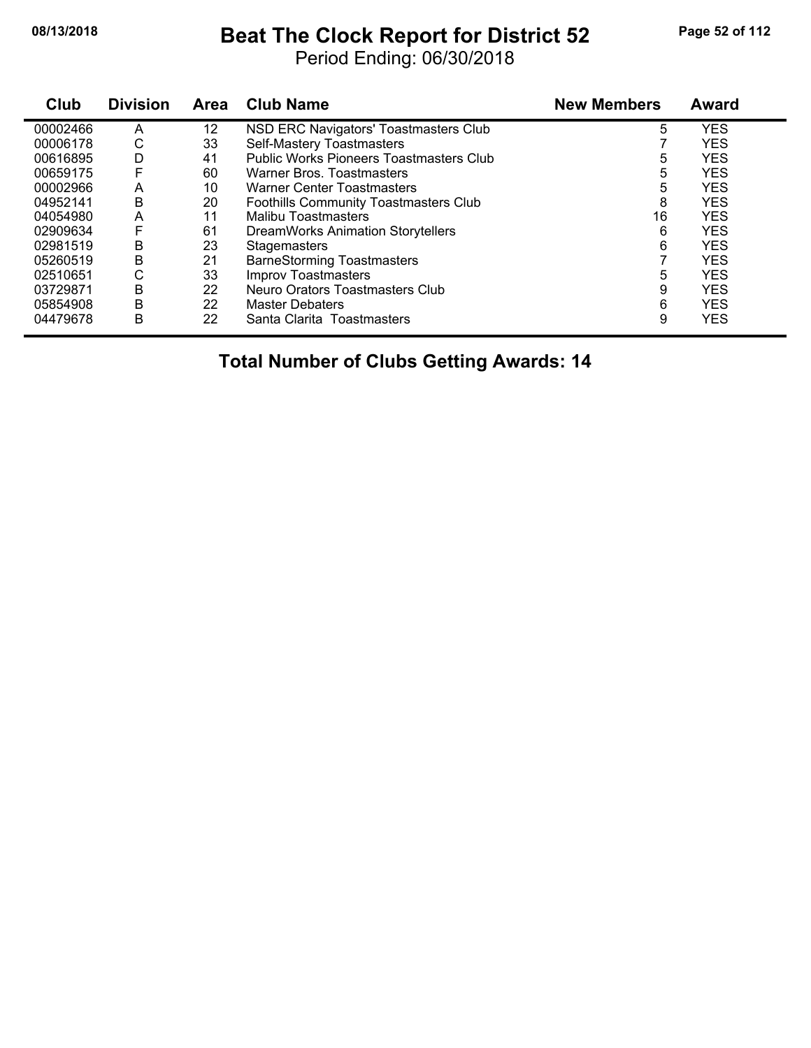#### **08/13/2018 Beat The Clock Report for District 52 Page 52 of 112**

Period Ending: 06/30/2018

| Club     | <b>Division</b> | Area | <b>Club Name</b>                               | <b>New Members</b> | <b>Award</b> |
|----------|-----------------|------|------------------------------------------------|--------------------|--------------|
| 00002466 | Α               | 12   | NSD ERC Navigators' Toastmasters Club          | 5                  | <b>YES</b>   |
| 00006178 | С               | 33   | Self-Mastery Toastmasters                      |                    | <b>YES</b>   |
| 00616895 | D               | 41   | <b>Public Works Pioneers Toastmasters Club</b> | 5                  | <b>YES</b>   |
| 00659175 | F               | 60   | Warner Bros. Toastmasters                      | 5                  | <b>YES</b>   |
| 00002966 | A               | 10   | <b>Warner Center Toastmasters</b>              | 5                  | <b>YES</b>   |
| 04952141 | B               | 20   | Foothills Community Toastmasters Club          | 8                  | <b>YES</b>   |
| 04054980 | A               | 11   | Malibu Toastmasters                            | 16                 | <b>YES</b>   |
| 02909634 | F               | 61   | <b>DreamWorks Animation Storytellers</b>       | 6                  | <b>YES</b>   |
| 02981519 | B               | 23   | <b>Stagemasters</b>                            | 6                  | <b>YES</b>   |
| 05260519 | B               | 21   | <b>BarneStorming Toastmasters</b>              |                    | <b>YES</b>   |
| 02510651 | С               | 33   | Improv Toastmasters                            | 5                  | <b>YES</b>   |
| 03729871 | B               | 22   | Neuro Orators Toastmasters Club                | 9                  | <b>YES</b>   |
| 05854908 | B               | 22   | <b>Master Debaters</b>                         | 6                  | <b>YES</b>   |
| 04479678 | B               | 22   | Santa Clarita Toastmasters                     | 9                  | <b>YES</b>   |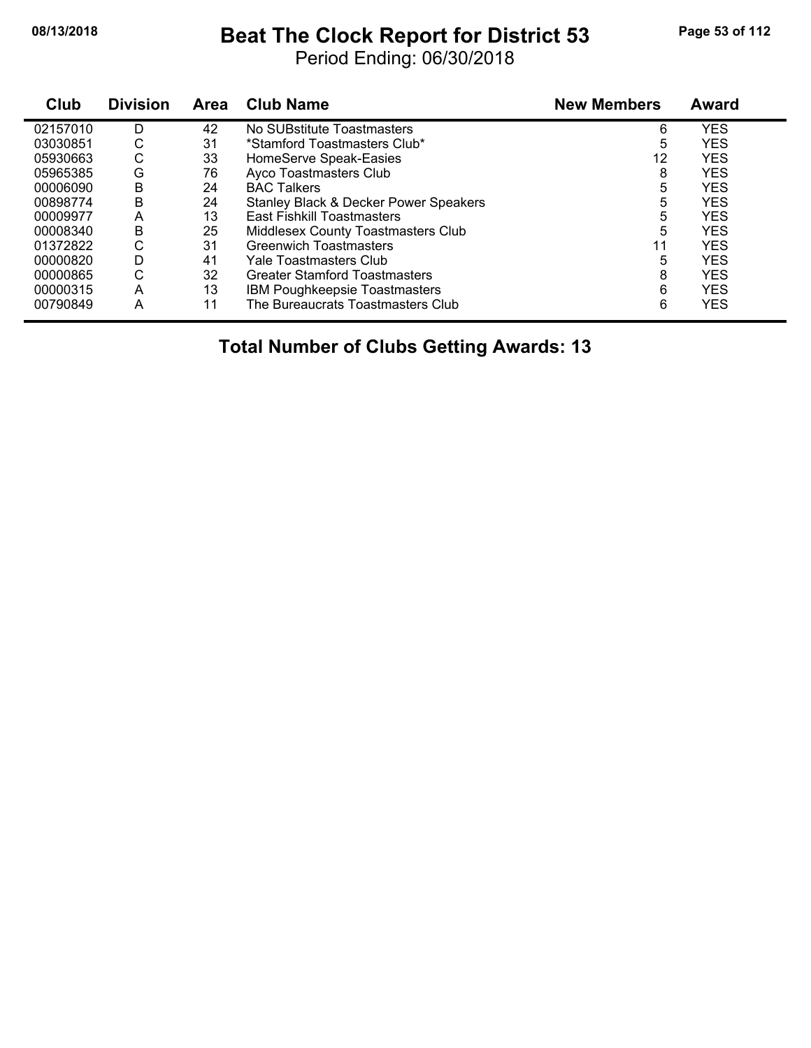## **08/13/2018 Beat The Clock Report for District 53 Page 53 of 112**

Period Ending: 06/30/2018

| Club     | <b>Division</b> | <b>Area</b> | <b>Club Name</b>                      | <b>New Members</b> | <b>Award</b> |
|----------|-----------------|-------------|---------------------------------------|--------------------|--------------|
| 02157010 | D               | 42          | No SUBstitute Toastmasters            | 6                  | <b>YES</b>   |
| 03030851 | С               | 31          | *Stamford Toastmasters Club*          | 5                  | <b>YES</b>   |
| 05930663 | С               | 33          | HomeServe Speak-Easies                | 12                 | <b>YES</b>   |
| 05965385 | G               | 76          | Ayco Toastmasters Club                | 8                  | <b>YES</b>   |
| 00006090 | B               | 24          | <b>BAC Talkers</b>                    | 5                  | <b>YES</b>   |
| 00898774 | B               | 24          | Stanley Black & Decker Power Speakers | 5                  | <b>YES</b>   |
| 00009977 | Α               | 13          | <b>East Fishkill Toastmasters</b>     | 5                  | <b>YES</b>   |
| 00008340 | Β               | 25          | Middlesex County Toastmasters Club    | 5                  | <b>YES</b>   |
| 01372822 | С               | 31          | <b>Greenwich Toastmasters</b>         | 11                 | <b>YES</b>   |
| 00000820 | D               | 41          | Yale Toastmasters Club                | 5                  | <b>YES</b>   |
| 00000865 | С               | 32          | Greater Stamford Toastmasters         | 8                  | <b>YES</b>   |
| 00000315 | A               | 13          | <b>IBM Poughkeepsie Toastmasters</b>  | 6                  | <b>YES</b>   |
| 00790849 | A               | 11          | The Bureaucrats Toastmasters Club     | 6                  | <b>YES</b>   |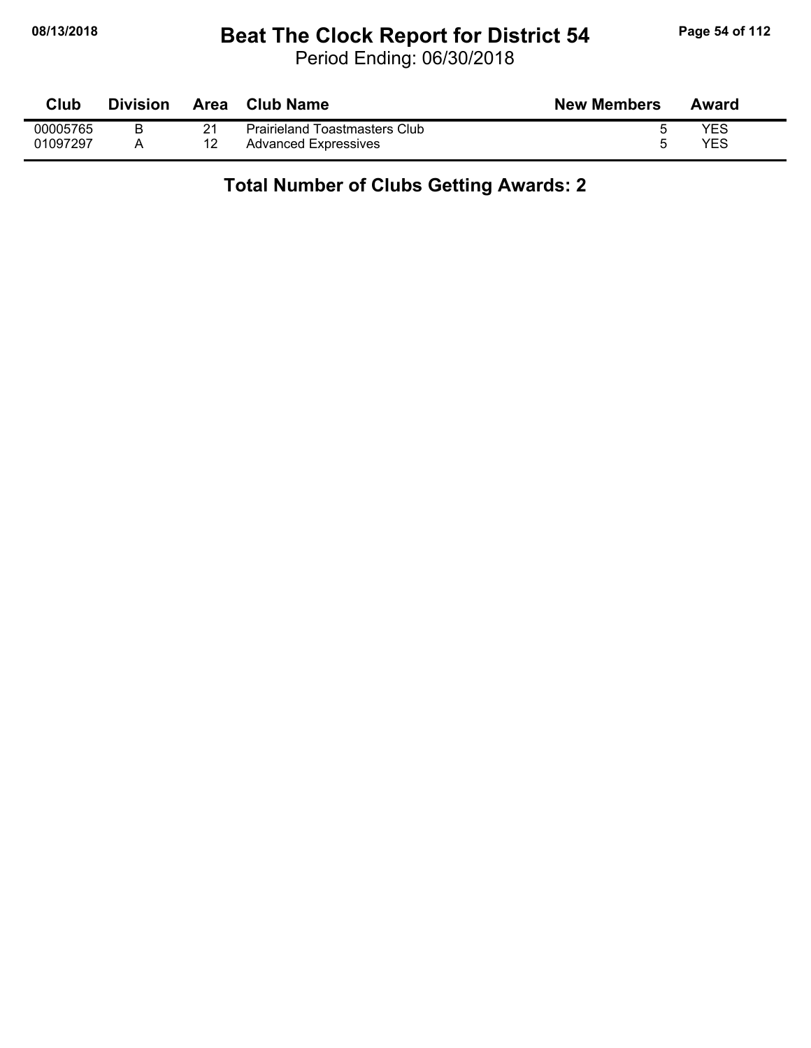#### **08/13/2018 Beat The Clock Report for District 54 Page 54 of 112**

Period Ending: 06/30/2018

| Club     | <b>Division</b> | Area | Club Name                            | <b>New Members</b> | Award |
|----------|-----------------|------|--------------------------------------|--------------------|-------|
| 00005765 |                 |      | <b>Prairieland Toastmasters Club</b> |                    | YES   |
| 01097297 |                 |      | <b>Advanced Expressives</b>          |                    | YES   |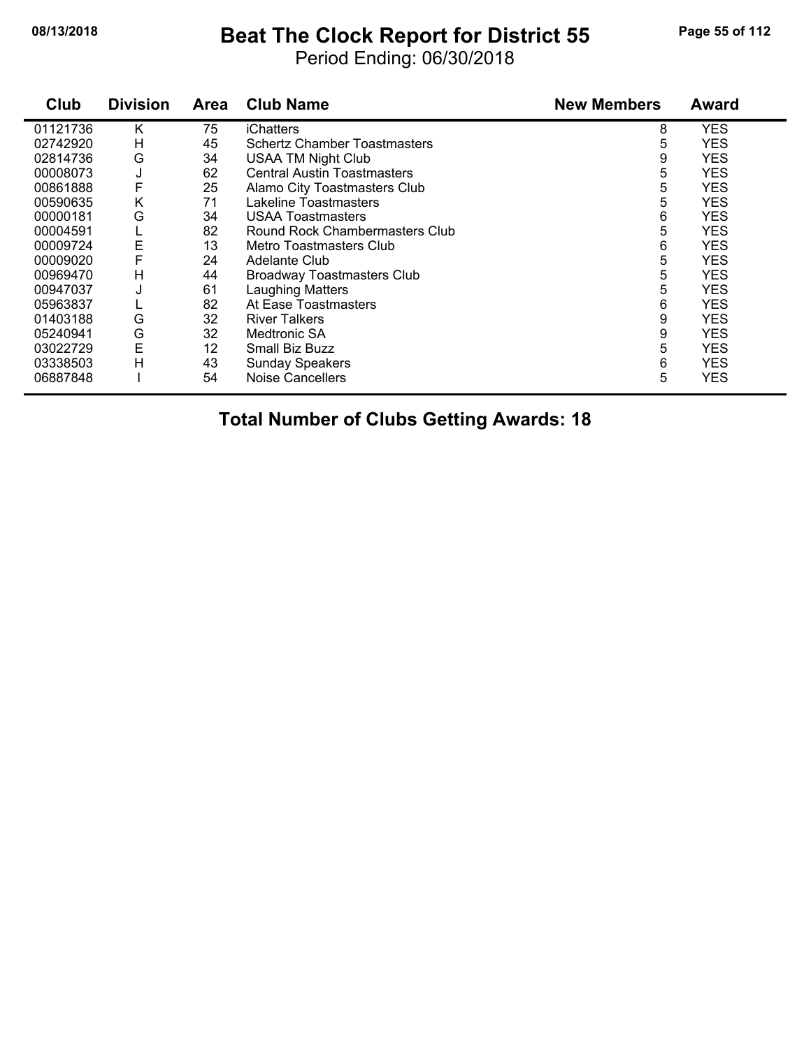#### **08/13/2018 Beat The Clock Report for District 55 Page 55 of 112**

Period Ending: 06/30/2018

| Club     | <b>Division</b> | Area | <b>Club Name</b>                    | <b>New Members</b> | <b>Award</b> |
|----------|-----------------|------|-------------------------------------|--------------------|--------------|
| 01121736 | K               | 75   | iChatters                           | 8                  | <b>YES</b>   |
| 02742920 | н               | 45   | <b>Schertz Chamber Toastmasters</b> | 5                  | <b>YES</b>   |
| 02814736 | G               | 34   | <b>USAA TM Night Club</b>           | 9                  | <b>YES</b>   |
| 00008073 |                 | 62   | <b>Central Austin Toastmasters</b>  | 5                  | <b>YES</b>   |
| 00861888 | F               | 25   | Alamo City Toastmasters Club        | 5                  | <b>YES</b>   |
| 00590635 | Κ               | 71   | <b>Lakeline Toastmasters</b>        | 5                  | <b>YES</b>   |
| 00000181 | G               | 34   | <b>USAA Toastmasters</b>            | 6                  | <b>YES</b>   |
| 00004591 |                 | 82   | Round Rock Chambermasters Club      | 5                  | <b>YES</b>   |
| 00009724 | E               | 13   | Metro Toastmasters Club             | 6                  | <b>YES</b>   |
| 00009020 | F               | 24   | Adelante Club                       | 5                  | <b>YES</b>   |
| 00969470 | H               | 44   | <b>Broadway Toastmasters Club</b>   | 5                  | <b>YES</b>   |
| 00947037 |                 | 61   | Laughing Matters                    | 5                  | YES          |
| 05963837 |                 | 82   | At Ease Toastmasters                | 6                  | <b>YES</b>   |
| 01403188 | G               | 32   | <b>River Talkers</b>                | 9                  | <b>YES</b>   |
| 05240941 | G               | 32   | <b>Medtronic SA</b>                 | 9                  | <b>YES</b>   |
| 03022729 | E               | 12   | <b>Small Biz Buzz</b>               | 5                  | <b>YES</b>   |
| 03338503 | H               | 43   | <b>Sunday Speakers</b>              | 6                  | <b>YES</b>   |
| 06887848 |                 | 54   | Noise Cancellers                    | 5                  | <b>YES</b>   |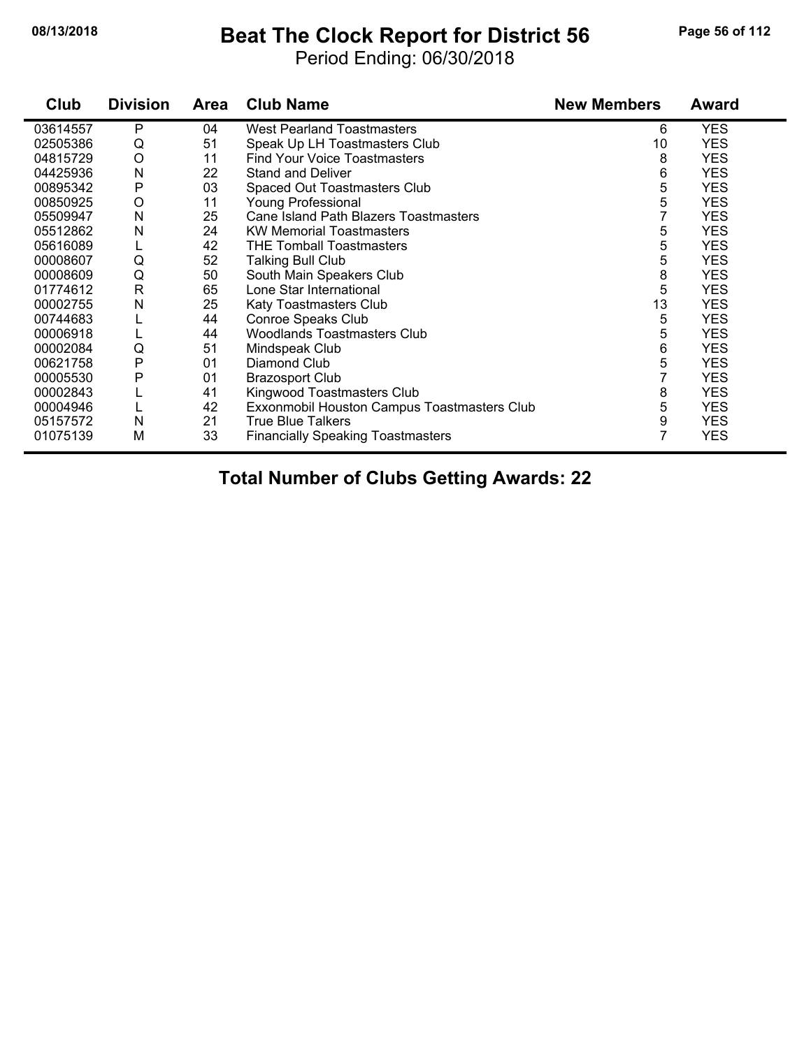#### **08/13/2018 Beat The Clock Report for District 56 Page 56 of 112**

Period Ending: 06/30/2018

| Club     | <b>Division</b> | Area | <b>Club Name</b>                            | <b>New Members</b> | <b>Award</b> |
|----------|-----------------|------|---------------------------------------------|--------------------|--------------|
| 03614557 | Р               | 04   | <b>West Pearland Toastmasters</b>           | 6                  | <b>YES</b>   |
| 02505386 | Q               | 51   | Speak Up LH Toastmasters Club               | 10                 | <b>YES</b>   |
| 04815729 | $\circ$         | 11   | Find Your Voice Toastmasters                | 8                  | <b>YES</b>   |
| 04425936 | N               | 22   | <b>Stand and Deliver</b>                    | 6                  | <b>YES</b>   |
| 00895342 | P               | 03   | Spaced Out Toastmasters Club                | 5                  | <b>YES</b>   |
| 00850925 | O               | 11   | <b>Young Professional</b>                   | 5                  | <b>YES</b>   |
| 05509947 | N               | 25   | Cane Island Path Blazers Toastmasters       | 7                  | YES          |
| 05512862 | Ν               | 24   | <b>KW Memorial Toastmasters</b>             | 5                  | <b>YES</b>   |
| 05616089 | L               | 42   | <b>THE Tomball Toastmasters</b>             | 5                  | <b>YES</b>   |
| 00008607 | Q               | 52   | <b>Talking Bull Club</b>                    | 5                  | <b>YES</b>   |
| 00008609 | Q               | 50   | South Main Speakers Club                    | 8                  | <b>YES</b>   |
| 01774612 | $\mathsf{R}$    | 65   | Lone Star International                     | 5                  | <b>YES</b>   |
| 00002755 | N               | 25   | Katy Toastmasters Club                      | 13                 | <b>YES</b>   |
| 00744683 |                 | 44   | Conroe Speaks Club                          | 5                  | <b>YES</b>   |
| 00006918 |                 | 44   | <b>Woodlands Toastmasters Club</b>          | 5                  | <b>YES</b>   |
| 00002084 | Q               | 51   | Mindspeak Club                              | 6                  | <b>YES</b>   |
| 00621758 | Ρ               | 01   | Diamond Club                                | 5                  | <b>YES</b>   |
| 00005530 | P               | 01   | <b>Brazosport Club</b>                      | 7                  | <b>YES</b>   |
| 00002843 |                 | 41   | Kingwood Toastmasters Club                  | 8                  | <b>YES</b>   |
| 00004946 |                 | 42   | Exxonmobil Houston Campus Toastmasters Club | 5                  | YES          |
| 05157572 | N               | 21   | <b>True Blue Talkers</b>                    | 9                  | <b>YES</b>   |
| 01075139 | M               | 33   | <b>Financially Speaking Toastmasters</b>    | 7                  | <b>YES</b>   |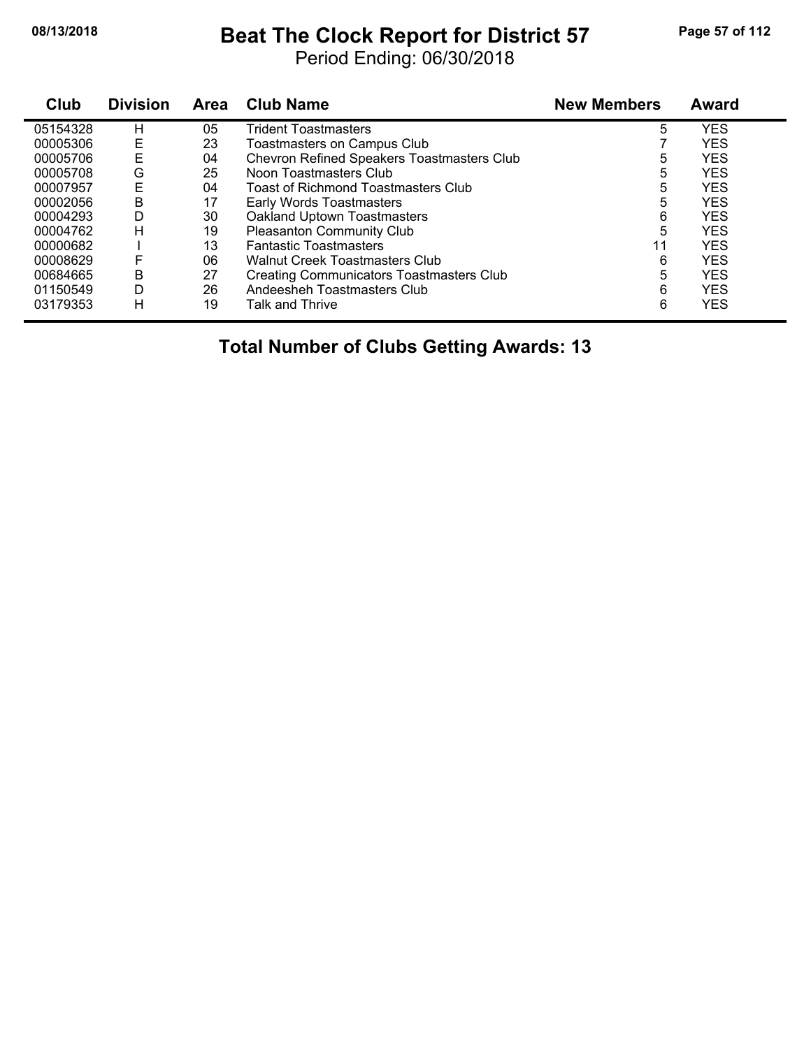## **08/13/2018 Beat The Clock Report for District 57 Page 57 of 112**

Period Ending: 06/30/2018

| Club     | <b>Division</b> | Area | <b>Club Name</b>                                | <b>New Members</b> | <b>Award</b> |
|----------|-----------------|------|-------------------------------------------------|--------------------|--------------|
| 05154328 | н               | 05   | Trident Toastmasters                            | 5                  | YES          |
| 00005306 | Е               | 23   | <b>Toastmasters on Campus Club</b>              |                    | <b>YES</b>   |
| 00005706 | Ε               | 04   | Chevron Refined Speakers Toastmasters Club      | 5                  | <b>YES</b>   |
| 00005708 | G               | 25   | Noon Toastmasters Club                          | 5                  | <b>YES</b>   |
| 00007957 | E               | 04   | Toast of Richmond Toastmasters Club             | 5                  | <b>YES</b>   |
| 00002056 | В               | 17   | Early Words Toastmasters                        | 5                  | <b>YES</b>   |
| 00004293 | D               | 30   | Oakland Uptown Toastmasters                     | 6                  | <b>YES</b>   |
| 00004762 | н               | 19   | Pleasanton Community Club                       | 5                  | <b>YES</b>   |
| 00000682 |                 | 13   | <b>Fantastic Toastmasters</b>                   | 11                 | <b>YES</b>   |
| 00008629 | F               | 06   | <b>Walnut Creek Toastmasters Club</b>           | 6                  | <b>YES</b>   |
| 00684665 | в               | 27   | <b>Creating Communicators Toastmasters Club</b> | 5                  | <b>YES</b>   |
| 01150549 | D               | 26   | Andeesheh Toastmasters Club                     | 6                  | <b>YES</b>   |
| 03179353 | н               | 19   | Talk and Thrive                                 | 6                  | <b>YES</b>   |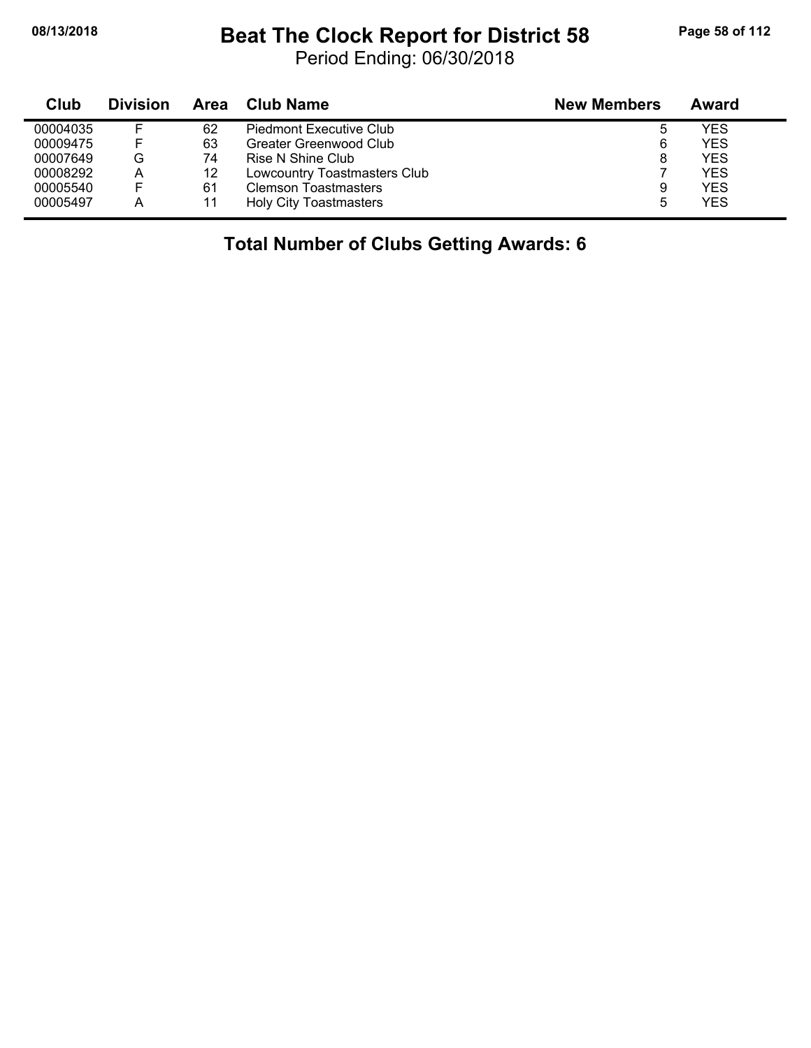#### **08/13/2018 Beat The Clock Report for District 58 Page 58 of 112**

Period Ending: 06/30/2018

| Club     | <b>Division</b> | Area | Club Name                     | <b>New Members</b> | Award      |
|----------|-----------------|------|-------------------------------|--------------------|------------|
| 00004035 |                 | 62   | Piedmont Executive Club       | 5                  | YES        |
| 00009475 |                 | 63   | Greater Greenwood Club        | 6                  | <b>YES</b> |
| 00007649 | G               | 74   | Rise N Shine Club             | 8                  | YES        |
| 00008292 | Α               | 12   | Lowcountry Toastmasters Club  |                    | YES        |
| 00005540 |                 | 61   | <b>Clemson Toastmasters</b>   | 9                  | YES        |
| 00005497 |                 | 11   | <b>Holy City Toastmasters</b> | 5                  | <b>YES</b> |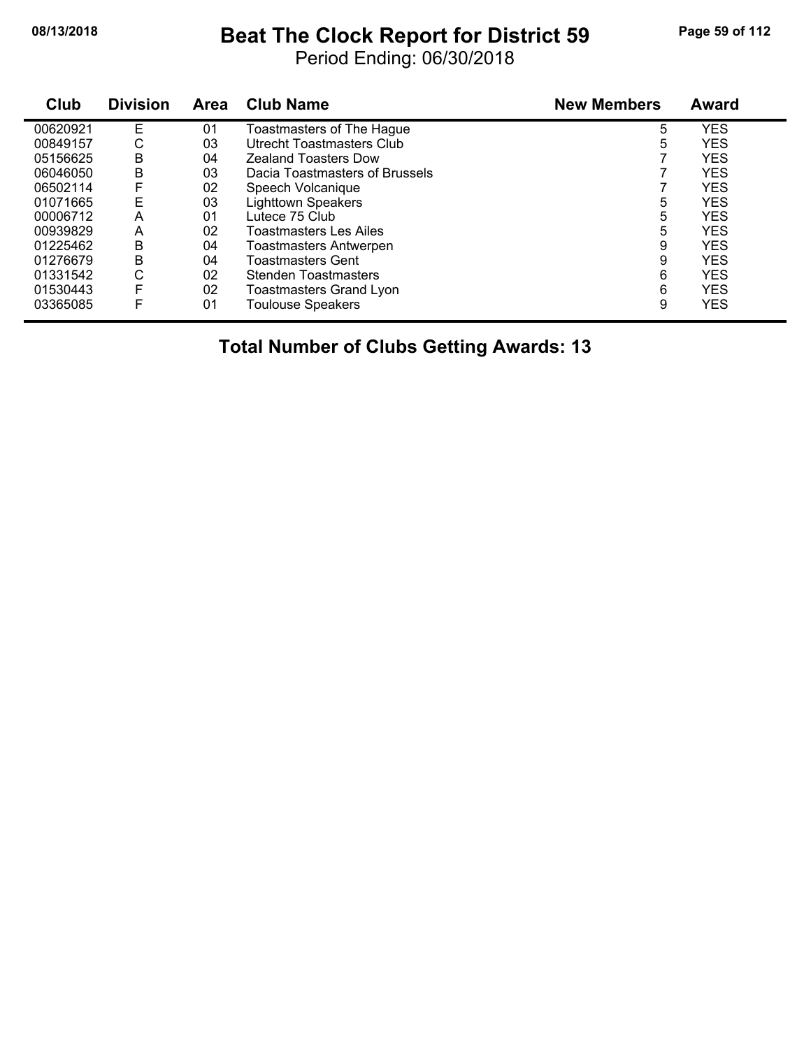#### **08/13/2018 Beat The Clock Report for District 59 Page 59 of 112**

Period Ending: 06/30/2018

| Club     | <b>Division</b> | <b>Area</b> | <b>Club Name</b>               | <b>New Members</b> | <b>Award</b> |
|----------|-----------------|-------------|--------------------------------|--------------------|--------------|
| 00620921 | Ε               | 01          | Toastmasters of The Hague      | 5                  | <b>YES</b>   |
| 00849157 | С               | 03          | Utrecht Toastmasters Club      | 5                  | <b>YES</b>   |
| 05156625 | В               | 04          | <b>Zealand Toasters Dow</b>    |                    | <b>YES</b>   |
| 06046050 | В               | 03          | Dacia Toastmasters of Brussels |                    | <b>YES</b>   |
| 06502114 | F               | 02          | Speech Volcanique              |                    | <b>YES</b>   |
| 01071665 | Е               | 03          | <b>Lighttown Speakers</b>      | 5                  | <b>YES</b>   |
| 00006712 | A               | 01          | Lutece 75 Club                 | 5                  | <b>YES</b>   |
| 00939829 | A               | 02          | Toastmasters Les Ailes         | 5                  | <b>YES</b>   |
| 01225462 | B               | 04          | Toastmasters Antwerpen         | 9                  | <b>YES</b>   |
| 01276679 | Β               | 04          | Toastmasters Gent              | 9                  | <b>YES</b>   |
| 01331542 | С               | 02          | <b>Stenden Toastmasters</b>    | 6                  | <b>YES</b>   |
| 01530443 |                 | 02          | Toastmasters Grand Lyon        | 6                  | <b>YES</b>   |
| 03365085 | F               | 01          | <b>Toulouse Speakers</b>       | 9                  | <b>YES</b>   |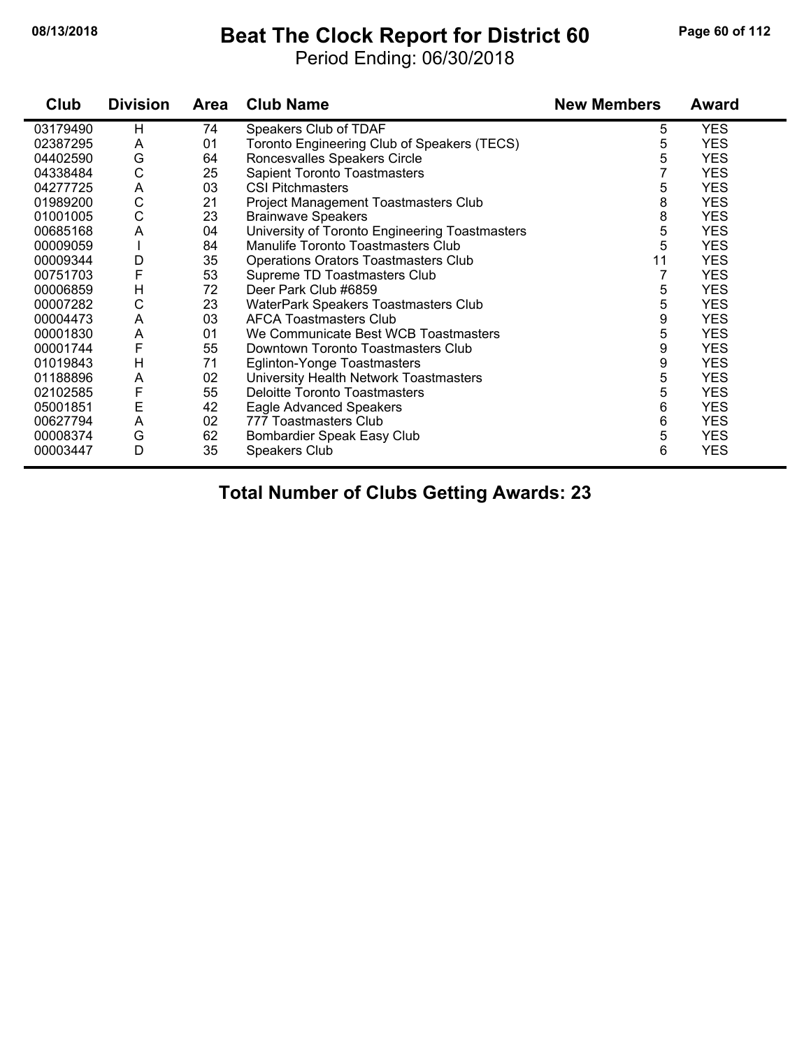#### **08/13/2018 Beat The Clock Report for District 60 Page 60 of 112**

Period Ending: 06/30/2018

| Club     | <b>Division</b> | <b>Area</b> | <b>Club Name</b>                               | <b>New Members</b> | <b>Award</b> |
|----------|-----------------|-------------|------------------------------------------------|--------------------|--------------|
| 03179490 | H               | 74          | Speakers Club of TDAF                          | 5                  | <b>YES</b>   |
| 02387295 | A               | 01          | Toronto Engineering Club of Speakers (TECS)    | 5                  | <b>YES</b>   |
| 04402590 | G               | 64          | Roncesvalles Speakers Circle                   | 5                  | <b>YES</b>   |
| 04338484 | $\mathsf{C}$    | 25          | Sapient Toronto Toastmasters                   |                    | <b>YES</b>   |
| 04277725 | A               | 03          | <b>CSI Pitchmasters</b>                        | 5                  | <b>YES</b>   |
| 01989200 | $\mathsf C$     | 21          | Project Management Toastmasters Club           | 8                  | <b>YES</b>   |
| 01001005 | C               | 23          | <b>Brainwave Speakers</b>                      | 8                  | <b>YES</b>   |
| 00685168 | Α               | 04          | University of Toronto Engineering Toastmasters | 5                  | <b>YES</b>   |
| 00009059 |                 | 84          | Manulife Toronto Toastmasters Club             | 5                  | <b>YES</b>   |
| 00009344 | D               | 35          | <b>Operations Orators Toastmasters Club</b>    | 11                 | <b>YES</b>   |
| 00751703 | F               | 53          | Supreme TD Toastmasters Club                   |                    | <b>YES</b>   |
| 00006859 | H               | 72          | Deer Park Club #6859                           | 5                  | <b>YES</b>   |
| 00007282 | C               | 23          | WaterPark Speakers Toastmasters Club           | 5                  | <b>YES</b>   |
| 00004473 | A               | 03          | <b>AFCA Toastmasters Club</b>                  | 9                  | <b>YES</b>   |
| 00001830 | A               | 01          | We Communicate Best WCB Toastmasters           | 5                  | <b>YES</b>   |
| 00001744 | F               | 55          | Downtown Toronto Toastmasters Club             | 9                  | <b>YES</b>   |
| 01019843 | Н               | 71          | <b>Eglinton-Yonge Toastmasters</b>             | 9                  | <b>YES</b>   |
| 01188896 | A               | 02          | University Health Network Toastmasters         | 5                  | <b>YES</b>   |
| 02102585 | F               | 55          | <b>Deloitte Toronto Toastmasters</b>           | 5                  | <b>YES</b>   |
| 05001851 | E               | 42          | <b>Eagle Advanced Speakers</b>                 | 6                  | <b>YES</b>   |
| 00627794 | A               | 02          | 777 Toastmasters Club                          | 6                  | <b>YES</b>   |
| 00008374 | G               | 62          | Bombardier Speak Easy Club                     | 5                  | <b>YES</b>   |
| 00003447 | D               | 35          | <b>Speakers Club</b>                           | 6                  | <b>YES</b>   |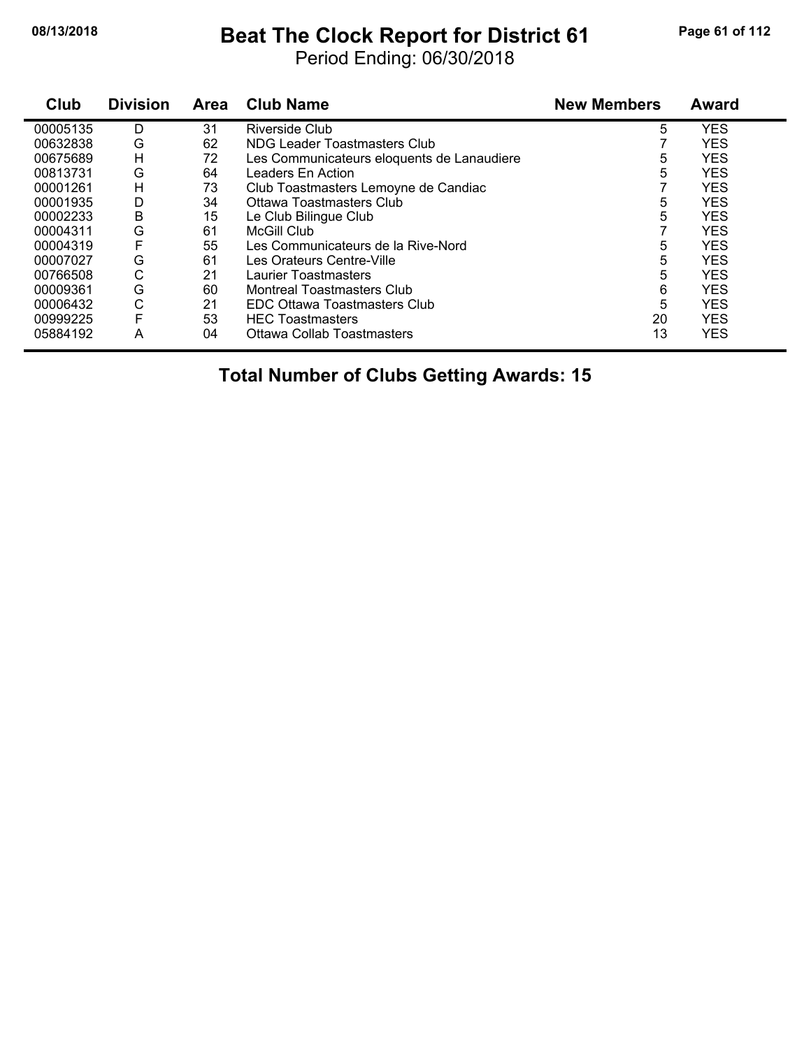#### **08/13/2018 Beat The Clock Report for District 61 Page 61 of 112**

Period Ending: 06/30/2018

| Club     | <b>Division</b> | <b>Area</b> | <b>Club Name</b>                           | <b>New Members</b> | Award      |
|----------|-----------------|-------------|--------------------------------------------|--------------------|------------|
| 00005135 | D               | 31          | Riverside Club                             | 5                  | <b>YES</b> |
| 00632838 | G               | 62          | NDG Leader Toastmasters Club               |                    | <b>YES</b> |
| 00675689 | Н               | 72          | Les Communicateurs eloquents de Lanaudiere | 5                  | <b>YES</b> |
| 00813731 | G               | 64          | Leaders En Action                          | 5                  | <b>YES</b> |
| 00001261 | Н               | 73          | Club Toastmasters Lemoyne de Candiac       |                    | <b>YES</b> |
| 00001935 | D               | 34          | Ottawa Toastmasters Club                   | 5                  | <b>YES</b> |
| 00002233 | В               | 15          | Le Club Bilingue Club                      | 5                  | <b>YES</b> |
| 00004311 | G               | 61          | McGill Club                                |                    | <b>YES</b> |
| 00004319 | F               | 55          | Les Communicateurs de la Rive-Nord         | 5                  | <b>YES</b> |
| 00007027 | G               | 61          | Les Orateurs Centre-Ville                  | 5                  | <b>YES</b> |
| 00766508 | C               | 21          | Laurier Toastmasters                       | 5                  | <b>YES</b> |
| 00009361 | G               | 60          | Montreal Toastmasters Club                 | 6                  | <b>YES</b> |
| 00006432 | С               | 21          | EDC Ottawa Toastmasters Club               | 5                  | <b>YES</b> |
| 00999225 | F               | 53          | <b>HEC Toastmasters</b>                    | 20                 | <b>YES</b> |
| 05884192 | A               | 04          | Ottawa Collab Toastmasters                 | 13                 | <b>YES</b> |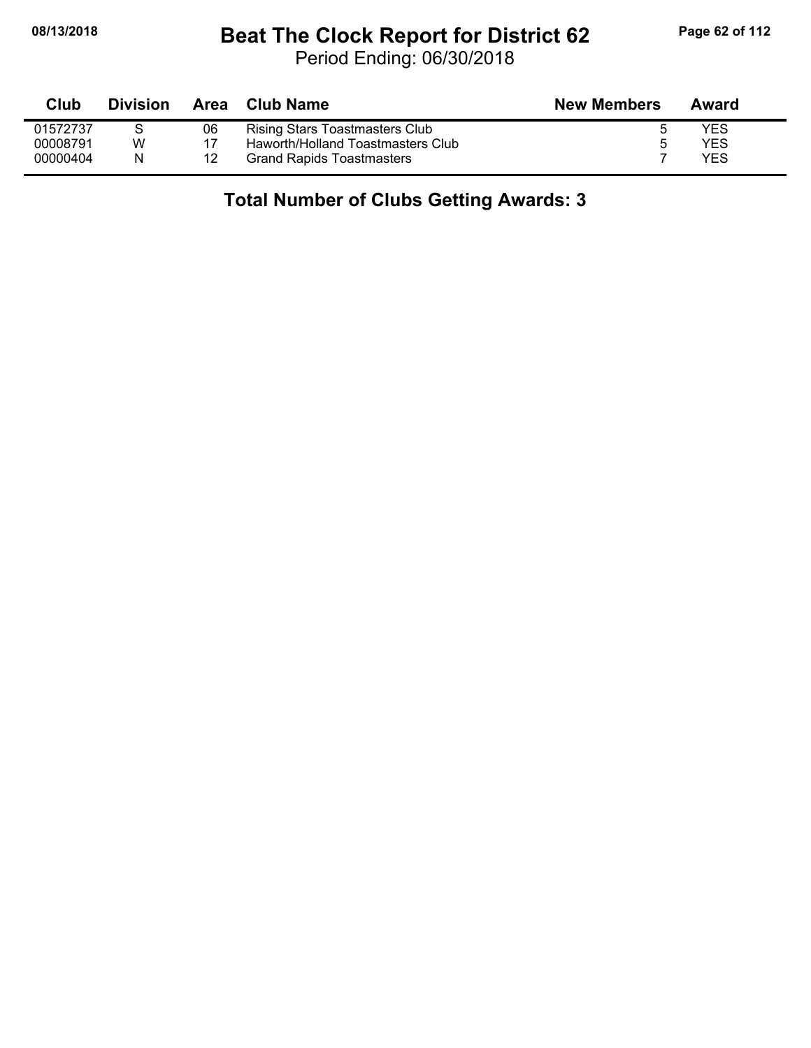#### **08/13/2018 Beat The Clock Report for District 62 Page 62 of 112**

Period Ending: 06/30/2018

| Club     | <b>Division</b> |    | Area Club Name                    | <b>New Members</b> | Award      |
|----------|-----------------|----|-----------------------------------|--------------------|------------|
| 01572737 |                 | 06 | Rising Stars Toastmasters Club    |                    | <b>YES</b> |
| 00008791 | W               |    | Haworth/Holland Toastmasters Club | ა                  | <b>YES</b> |
| 00000404 | N               | 12 | <b>Grand Rapids Toastmasters</b>  |                    | YES        |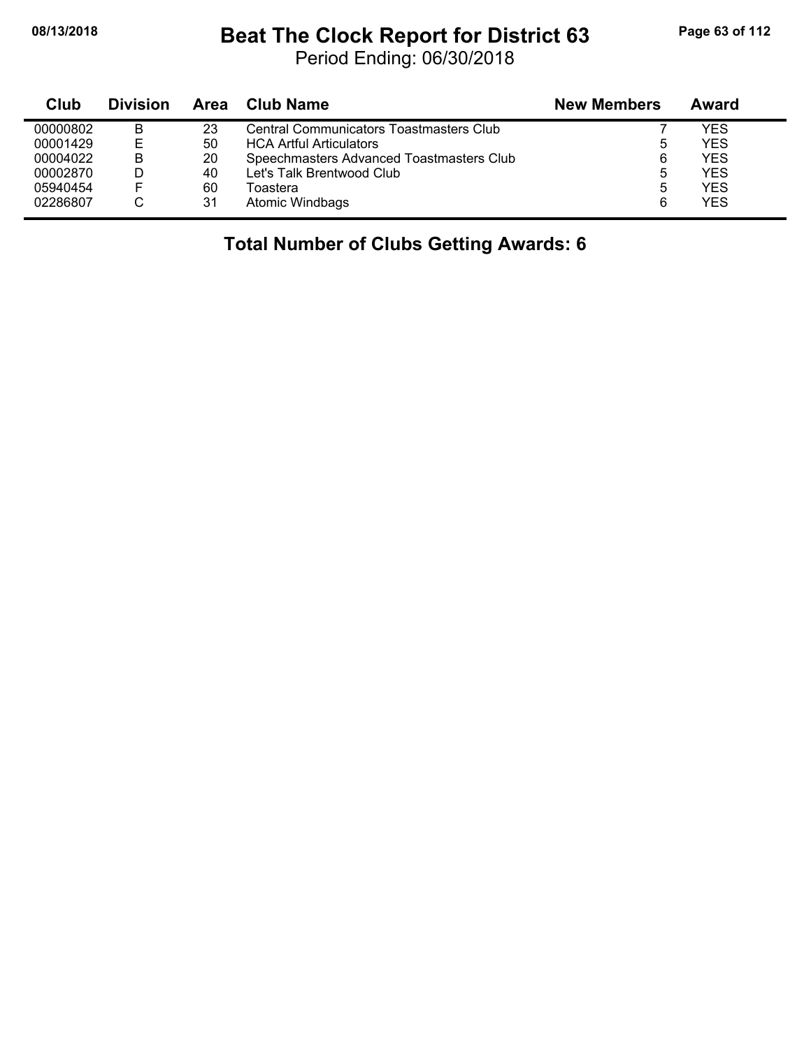$\blacksquare$ 

#### **08/13/2018 Beat The Clock Report for District 63 Page 63 of 112**

Period Ending: 06/30/2018

| Club     | <b>Division</b> | Area | <b>Club Name</b>                         | <b>New Members</b> | Award |
|----------|-----------------|------|------------------------------------------|--------------------|-------|
| 00000802 | B               | 23   | Central Communicators Toastmasters Club  |                    | YES   |
| 00001429 | Е               | 50   | <b>HCA Artful Articulators</b>           | 5                  | YES   |
| 00004022 | B               | 20   | Speechmasters Advanced Toastmasters Club | 6                  | YES   |
| 00002870 |                 | 40   | Let's Talk Brentwood Club                | ხ                  | YES   |
| 05940454 |                 | 60   | Toastera                                 | 5                  | YES   |
| 02286807 |                 | 31   | Atomic Windbags                          | 6                  | YES   |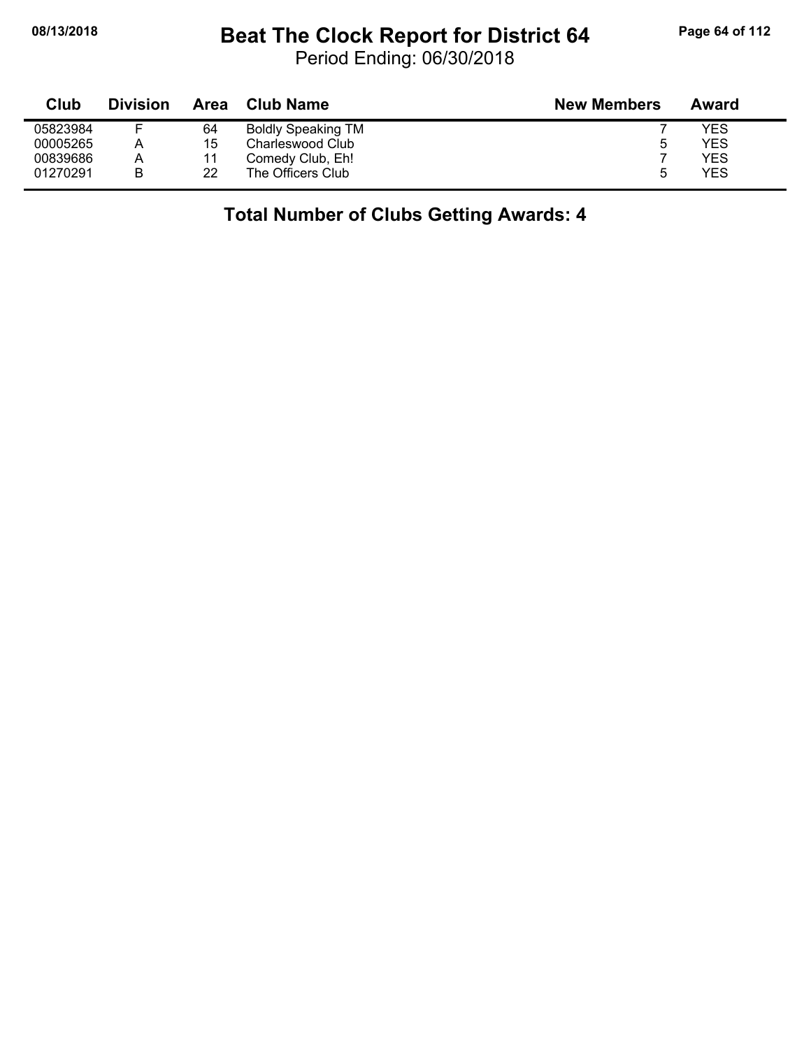#### **08/13/2018 Beat The Clock Report for District 64 Page 64 of 112**

Period Ending: 06/30/2018

| Club     | <b>Division</b> | Area | Club Name                 | <b>New Members</b> | Award      |
|----------|-----------------|------|---------------------------|--------------------|------------|
| 05823984 |                 | 64   | <b>Boldly Speaking TM</b> |                    | YES        |
| 00005265 |                 | 15   | Charleswood Club          | b                  | YES        |
| 00839686 | Α               | 11   | Comedy Club, Eh!          |                    | <b>YES</b> |
| 01270291 | B               | 22   | The Officers Club         |                    | YES        |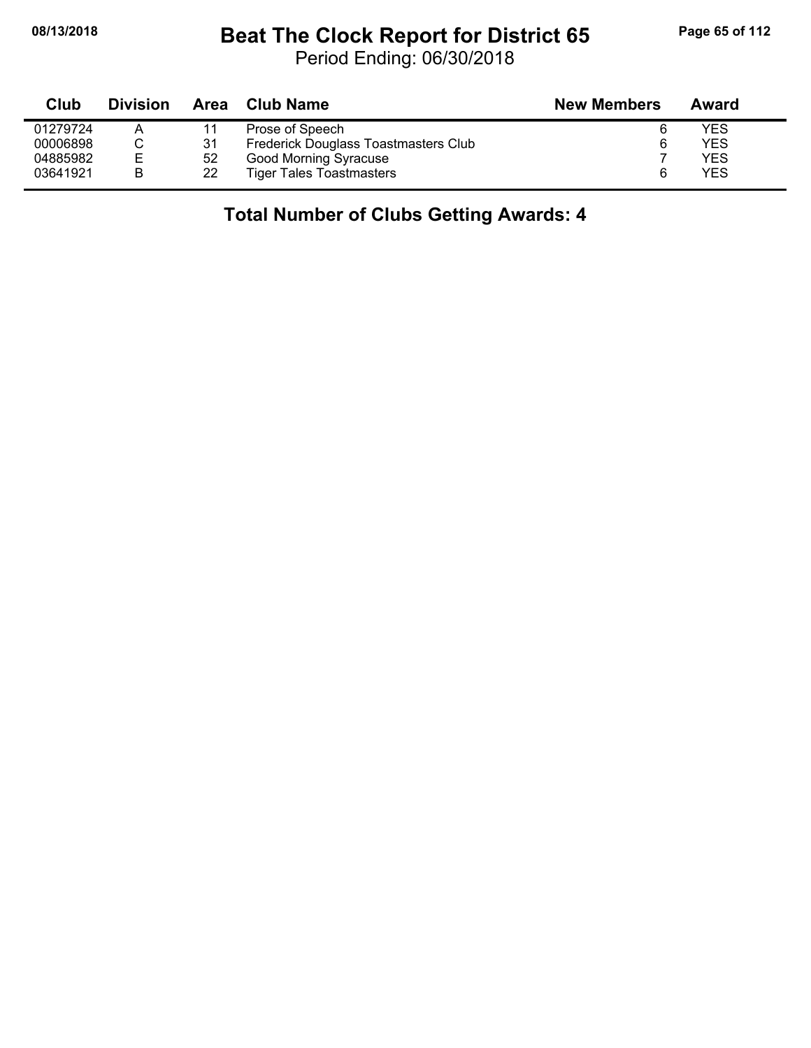#### **08/13/2018 Beat The Clock Report for District 65 Page 65 of 112**

Period Ending: 06/30/2018

| Club     | <b>Division</b> | Area | Club Name                            | <b>New Members</b> | Award |
|----------|-----------------|------|--------------------------------------|--------------------|-------|
| 01279724 |                 |      | Prose of Speech                      | 6                  | YES   |
| 00006898 |                 | 31   | Frederick Douglass Toastmasters Club | 6                  | YES   |
| 04885982 | Е               | 52   | <b>Good Morning Syracuse</b>         |                    | YES   |
| 03641921 | B               | 22   | <b>Tiger Tales Toastmasters</b>      | ิค                 | YES   |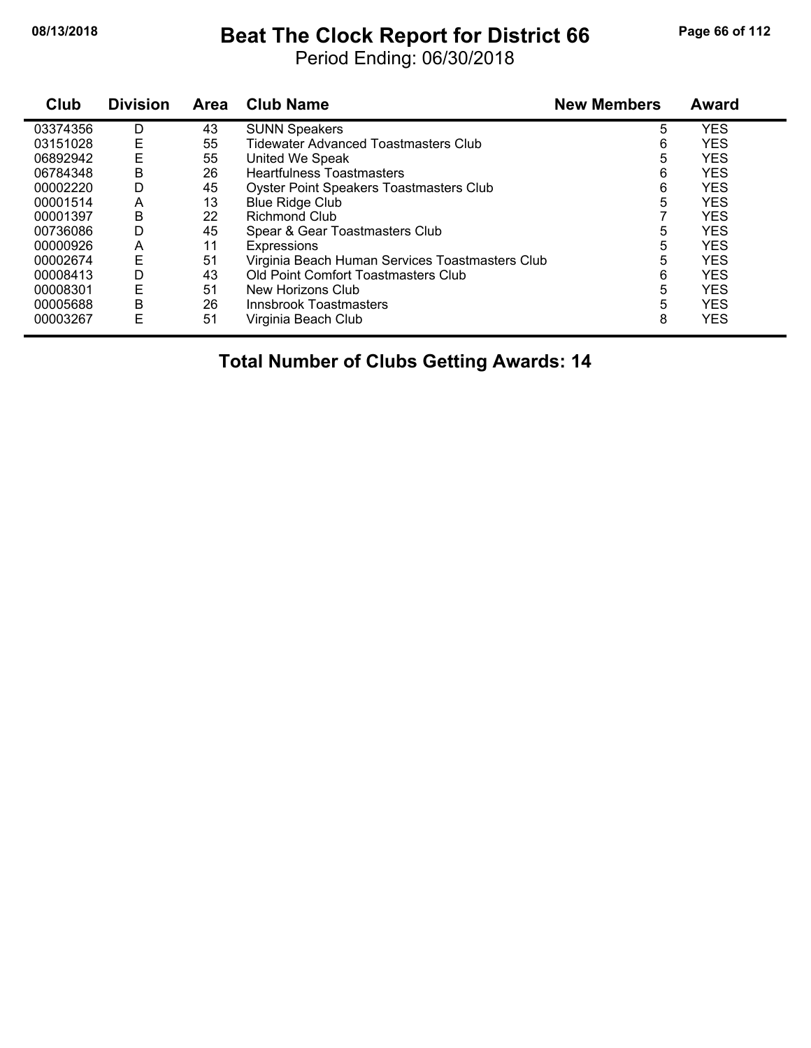#### **08/13/2018 Beat The Clock Report for District 66 Page 66 of 112**

Period Ending: 06/30/2018

| Club     | <b>Division</b> | Area | <b>Club Name</b>                                | <b>New Members</b> | <b>Award</b> |  |
|----------|-----------------|------|-------------------------------------------------|--------------------|--------------|--|
| 03374356 | D               | 43   | <b>SUNN Speakers</b>                            | 5                  | <b>YES</b>   |  |
| 03151028 | Ε               | 55   | <b>Tidewater Advanced Toastmasters Club</b>     | 6                  | <b>YES</b>   |  |
| 06892942 | Ε               | 55   | United We Speak                                 | 5                  | <b>YES</b>   |  |
| 06784348 | Β               | 26   | <b>Heartfulness Toastmasters</b>                | 6                  | <b>YES</b>   |  |
| 00002220 | D               | 45   | <b>Oyster Point Speakers Toastmasters Club</b>  | 6                  | <b>YES</b>   |  |
| 00001514 | A               | 13   | <b>Blue Ridge Club</b>                          | 5                  | <b>YES</b>   |  |
| 00001397 | В               | 22   | <b>Richmond Club</b>                            |                    | <b>YES</b>   |  |
| 00736086 | D               | 45   | Spear & Gear Toastmasters Club                  | 5                  | <b>YES</b>   |  |
| 00000926 | A               | 11   | Expressions                                     | 5                  | <b>YES</b>   |  |
| 00002674 | E               | 51   | Virginia Beach Human Services Toastmasters Club | 5                  | <b>YES</b>   |  |
| 00008413 | D               | 43   | Old Point Comfort Toastmasters Club             | 6                  | <b>YES</b>   |  |
| 00008301 | E               | 51   | New Horizons Club                               | 5                  | <b>YES</b>   |  |
| 00005688 | Β               | 26   | Innsbrook Toastmasters                          | 5                  | <b>YES</b>   |  |
| 00003267 | Ε               | 51   | Virginia Beach Club                             | 8                  | <b>YES</b>   |  |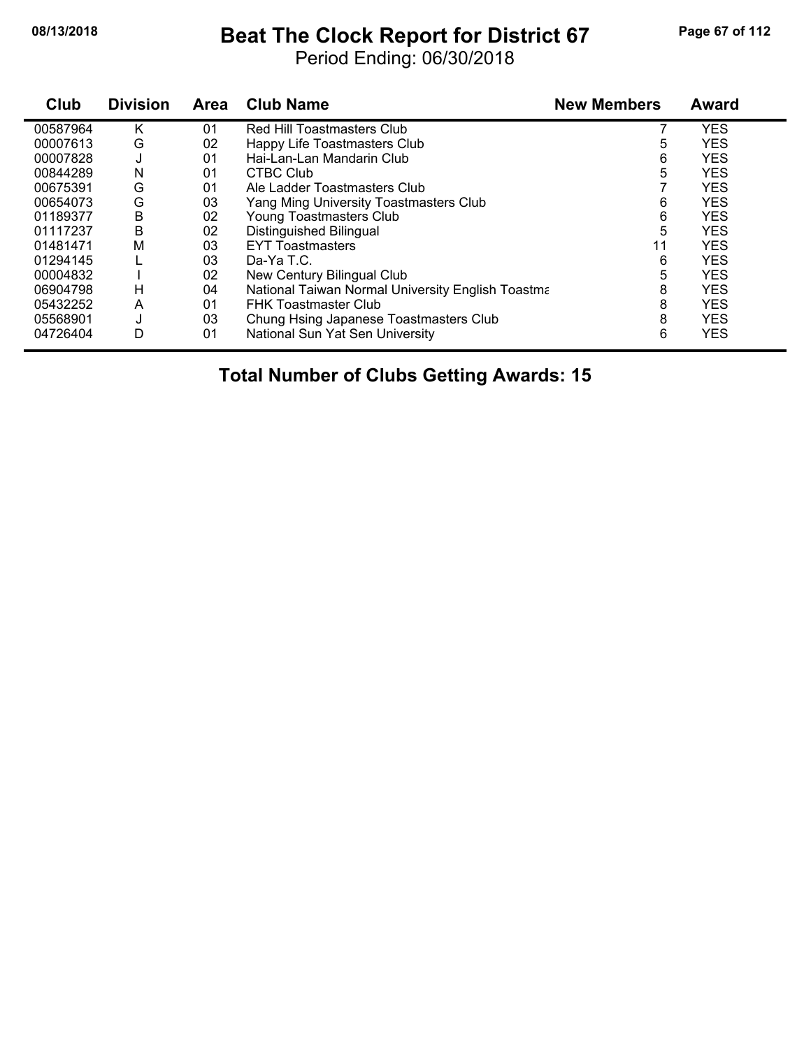#### **08/13/2018 Beat The Clock Report for District 67 Page 67 of 112**

Period Ending: 06/30/2018

| Club     | <b>Division</b> | <b>Area</b> | <b>Club Name</b>                                  | <b>New Members</b> | <b>Award</b> |
|----------|-----------------|-------------|---------------------------------------------------|--------------------|--------------|
| 00587964 | K               | 01          | Red Hill Toastmasters Club                        |                    | <b>YES</b>   |
| 00007613 | G               | 02          | Happy Life Toastmasters Club                      | 5                  | <b>YES</b>   |
| 00007828 | J               | 01          | Hai-Lan-Lan Mandarin Club                         | 6                  | <b>YES</b>   |
| 00844289 | N               | 01          | CTBC Club                                         | 5                  | <b>YES</b>   |
| 00675391 | G               | 01          | Ale Ladder Toastmasters Club                      |                    | <b>YES</b>   |
| 00654073 | G               | 03          | Yang Ming University Toastmasters Club            | 6                  | <b>YES</b>   |
| 01189377 | В               | 02          | Young Toastmasters Club                           | 6                  | <b>YES</b>   |
| 01117237 | B               | 02          | Distinguished Bilingual                           | 5                  | <b>YES</b>   |
| 01481471 | M               | 03          | <b>EYT Toastmasters</b>                           | 11                 | <b>YES</b>   |
| 01294145 |                 | 03          | Da-Ya T.C.                                        | 6                  | <b>YES</b>   |
| 00004832 |                 | 02          | New Century Bilingual Club                        | 5                  | <b>YES</b>   |
| 06904798 | н               | 04          | National Taiwan Normal University English Toastma | 8                  | <b>YES</b>   |
| 05432252 | A               | 01          | <b>FHK Toastmaster Club</b>                       | 8                  | <b>YES</b>   |
| 05568901 | J               | 03          | Chung Hsing Japanese Toastmasters Club            | 8                  | <b>YES</b>   |
| 04726404 | D               | 01          | National Sun Yat Sen University                   | 6                  | <b>YES</b>   |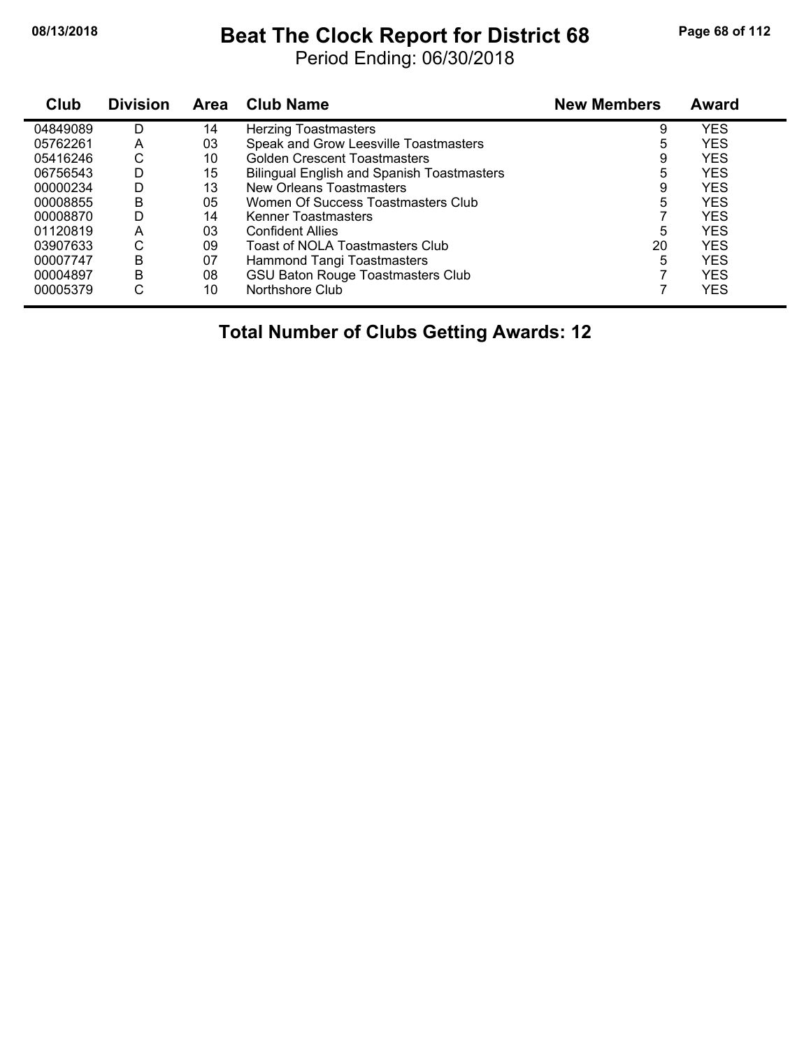#### **08/13/2018 Beat The Clock Report for District 68 Page 68 of 112**

Period Ending: 06/30/2018

| Club     | <b>Division</b> | Area | <b>Club Name</b>                                  | <b>New Members</b> | Award      |  |
|----------|-----------------|------|---------------------------------------------------|--------------------|------------|--|
| 04849089 | D               | 14   | <b>Herzing Toastmasters</b>                       | 9                  | <b>YES</b> |  |
| 05762261 | Α               | 03   | Speak and Grow Leesville Toastmasters             | 5                  | YES        |  |
| 05416246 | С               | 10   | Golden Crescent Toastmasters                      | 9                  | <b>YES</b> |  |
| 06756543 | D               | 15   | <b>Bilingual English and Spanish Toastmasters</b> | 5                  | <b>YES</b> |  |
| 00000234 | D               | 13   | New Orleans Toastmasters                          | 9                  | <b>YES</b> |  |
| 00008855 | B               | 05   | Women Of Success Toastmasters Club                | 5                  | <b>YES</b> |  |
| 00008870 | D               | 14   | Kenner Toastmasters                               |                    | <b>YES</b> |  |
| 01120819 | A               | 03   | <b>Confident Allies</b>                           | 5                  | <b>YES</b> |  |
| 03907633 | С               | 09   | Toast of NOLA Toastmasters Club                   | 20                 | <b>YES</b> |  |
| 00007747 | B               | 07   | <b>Hammond Tangi Toastmasters</b>                 | 5                  | <b>YES</b> |  |
| 00004897 | B               | 08   | <b>GSU Baton Rouge Toastmasters Club</b>          |                    | <b>YES</b> |  |
| 00005379 | С               | 10   | Northshore Club                                   |                    | <b>YES</b> |  |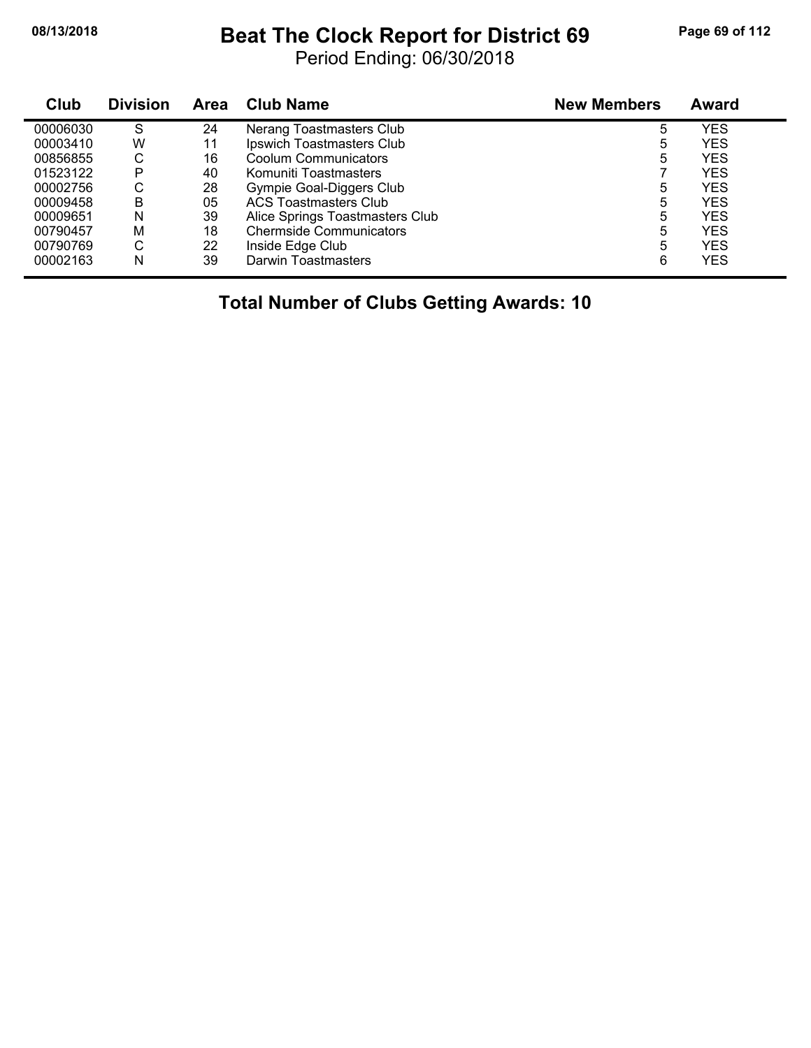#### **08/13/2018 Beat The Clock Report for District 69 Page 69 of 112**

Period Ending: 06/30/2018

| Club     | <b>Division</b> | <b>Area</b> | Club Name                       | <b>New Members</b> | <b>Award</b> |  |
|----------|-----------------|-------------|---------------------------------|--------------------|--------------|--|
| 00006030 | S               | 24          | Nerang Toastmasters Club        | 5                  | <b>YES</b>   |  |
| 00003410 | W               | 11          | Ipswich Toastmasters Club       | 5                  | <b>YES</b>   |  |
| 00856855 | С               | 16          | Coolum Communicators            | 5                  | <b>YES</b>   |  |
| 01523122 | P               | 40          | Komuniti Toastmasters           |                    | <b>YES</b>   |  |
| 00002756 | С               | 28          | Gympie Goal-Diggers Club        | 5                  | <b>YES</b>   |  |
| 00009458 | B               | 05          | <b>ACS Toastmasters Club</b>    | 5                  | <b>YES</b>   |  |
| 00009651 | N               | 39          | Alice Springs Toastmasters Club | 5                  | <b>YES</b>   |  |
| 00790457 | M               | 18          | <b>Chermside Communicators</b>  | 5                  | <b>YES</b>   |  |
| 00790769 | C               | 22          | Inside Edge Club                | 5                  | <b>YES</b>   |  |
| 00002163 | N               | 39          | Darwin Toastmasters             | 6                  | <b>YES</b>   |  |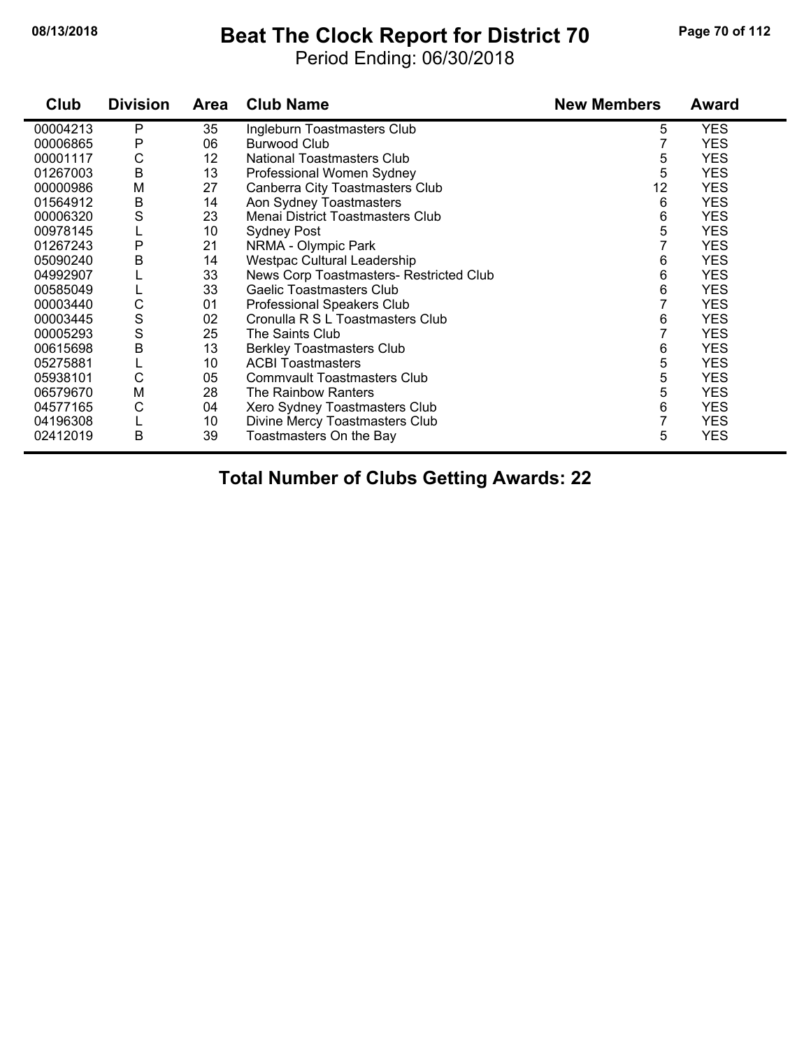#### **08/13/2018 Beat The Clock Report for District 70 Page 70 of 112**

Period Ending: 06/30/2018

| Club     | <b>Division</b> | Area | <b>Club Name</b>                        | <b>New Members</b> | <b>Award</b> |
|----------|-----------------|------|-----------------------------------------|--------------------|--------------|
| 00004213 | P               | 35   | Ingleburn Toastmasters Club             | 5                  | <b>YES</b>   |
| 00006865 | Ρ               | 06   | <b>Burwood Club</b>                     |                    | <b>YES</b>   |
| 00001117 | С               | 12   | National Toastmasters Club              | 5                  | <b>YES</b>   |
| 01267003 | B               | 13   | Professional Women Sydney               | 5                  | <b>YES</b>   |
| 00000986 | M               | 27   | Canberra City Toastmasters Club         | 12                 | <b>YES</b>   |
| 01564912 | B               | 14   | Aon Sydney Toastmasters                 | 6                  | <b>YES</b>   |
| 00006320 | S               | 23   | Menai District Toastmasters Club        | 6                  | <b>YES</b>   |
| 00978145 |                 | 10   | <b>Sydney Post</b>                      | 5                  | <b>YES</b>   |
| 01267243 | P               | 21   | NRMA - Olympic Park                     | 7                  | <b>YES</b>   |
| 05090240 | B               | 14   | <b>Westpac Cultural Leadership</b>      | 6                  | <b>YES</b>   |
| 04992907 |                 | 33   | News Corp Toastmasters- Restricted Club | 6                  | <b>YES</b>   |
| 00585049 | L               | 33   | Gaelic Toastmasters Club                | 6                  | <b>YES</b>   |
| 00003440 | C               | 01   | Professional Speakers Club              |                    | <b>YES</b>   |
| 00003445 | S               | 02   | Cronulla R S L Toastmasters Club        | 6                  | <b>YES</b>   |
| 00005293 | S               | 25   | The Saints Club                         |                    | <b>YES</b>   |
| 00615698 | B               | 13   | <b>Berkley Toastmasters Club</b>        | 6                  | <b>YES</b>   |
| 05275881 | L               | 10   | <b>ACBI Toastmasters</b>                | 5                  | <b>YES</b>   |
| 05938101 | $\mathsf C$     | 05   | <b>Commvault Toastmasters Club</b>      | 5                  | <b>YES</b>   |
| 06579670 | M               | 28   | The Rainbow Ranters                     | 5                  | <b>YES</b>   |
| 04577165 | С               | 04   | Xero Sydney Toastmasters Club           | 6                  | <b>YES</b>   |
| 04196308 |                 | 10   | Divine Mercy Toastmasters Club          | $\overline{7}$     | <b>YES</b>   |
| 02412019 | B               | 39   | Toastmasters On the Bay                 | 5                  | <b>YES</b>   |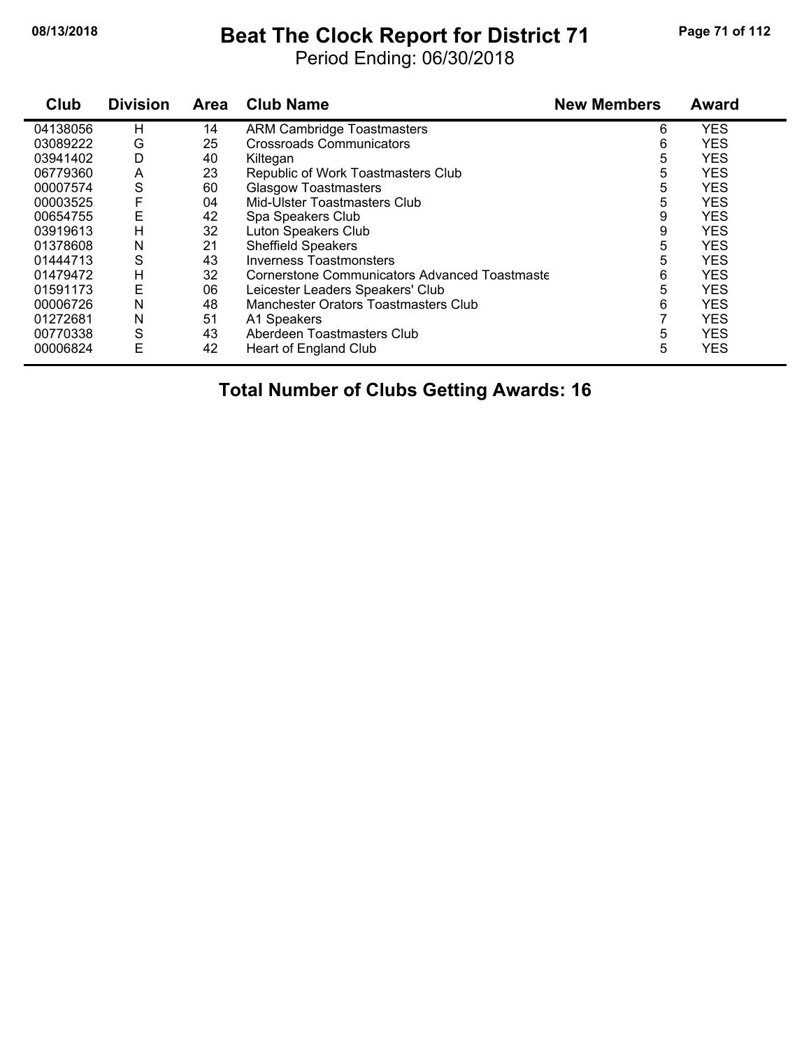#### **08/13/2018 Beat The Clock Report for District 71 Page 71 of 112**

Period Ending: 06/30/2018

| Club     | <b>Division</b> | <b>Area</b> | <b>Club Name</b>                              | <b>New Members</b> | <b>Award</b> |
|----------|-----------------|-------------|-----------------------------------------------|--------------------|--------------|
| 04138056 | н               | 14          | <b>ARM Cambridge Toastmasters</b>             | 6                  | <b>YES</b>   |
| 03089222 | G               | 25          | Crossroads Communicators                      | 6                  | <b>YES</b>   |
| 03941402 | D               | 40          | Kiltegan                                      | 5                  | <b>YES</b>   |
| 06779360 | A               | 23          | Republic of Work Toastmasters Club            | 5                  | <b>YES</b>   |
| 00007574 | S               | 60          | <b>Glasgow Toastmasters</b>                   | 5                  | <b>YES</b>   |
| 00003525 | F               | 04          | Mid-Ulster Toastmasters Club                  | 5                  | <b>YES</b>   |
| 00654755 | E               | 42          | Spa Speakers Club                             | 9                  | <b>YES</b>   |
| 03919613 | н               | 32          | Luton Speakers Club                           | 9                  | <b>YES</b>   |
| 01378608 | N               | 21          | Sheffield Speakers                            | 5                  | <b>YES</b>   |
| 01444713 | S               | 43          | <b>Inverness Toastmonsters</b>                | 5                  | <b>YES</b>   |
| 01479472 | н               | 32          | Cornerstone Communicators Advanced Toastmaste | 6                  | <b>YES</b>   |
| 01591173 | Ε               | 06          | Leicester Leaders Speakers' Club              | 5                  | <b>YES</b>   |
| 00006726 | N               | 48          | Manchester Orators Toastmasters Club          | 6                  | <b>YES</b>   |
| 01272681 | N               | 51          | A1 Speakers                                   |                    | <b>YES</b>   |
| 00770338 | S               | 43          | Aberdeen Toastmasters Club                    | 5                  | <b>YES</b>   |
| 00006824 | Ε               | 42          | Heart of England Club                         | 5                  | <b>YES</b>   |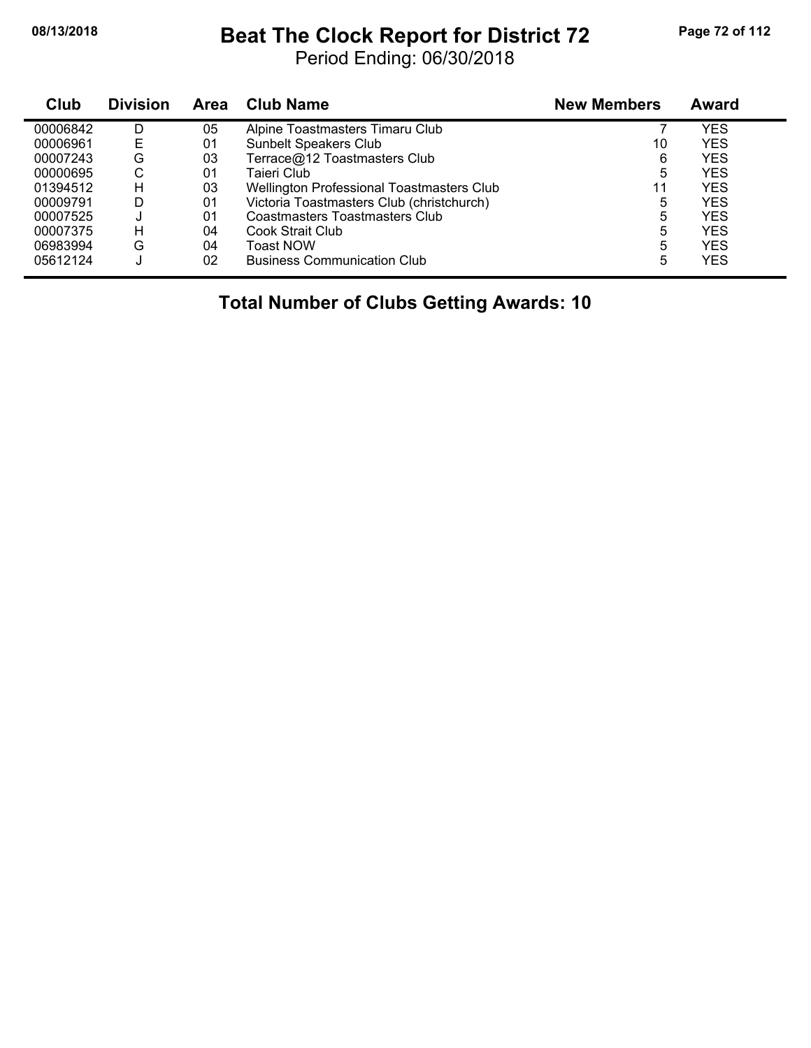#### **08/13/2018 Beat The Clock Report for District 72 Page 72 of 112**

Period Ending: 06/30/2018

| Club     | <b>Division</b> | <b>Area</b> | <b>Club Name</b>                                 | <b>New Members</b> | Award      |
|----------|-----------------|-------------|--------------------------------------------------|--------------------|------------|
| 00006842 | D               | 05          | Alpine Toastmasters Timaru Club                  |                    | YES        |
| 00006961 | E               | 01          | <b>Sunbelt Speakers Club</b>                     | 10                 | <b>YES</b> |
| 00007243 | G               | 03          | Terrace@12 Toastmasters Club                     | 6                  | YES        |
| 00000695 | С               | 01          | Taieri Club                                      | 5                  | YES        |
| 01394512 | н               | 03          | <b>Wellington Professional Toastmasters Club</b> | 11                 | YES        |
| 00009791 | D               | 01          | Victoria Toastmasters Club (christchurch)        | 5                  | YES        |
| 00007525 |                 | 01          | Coastmasters Toastmasters Club                   | 5                  | YES        |
| 00007375 | н               | 04          | Cook Strait Club                                 | 5                  | YES        |
| 06983994 | G               | 04          | Toast NOW                                        | 5                  | YES        |
| 05612124 | J               | 02          | <b>Business Communication Club</b>               | 5                  | <b>YES</b> |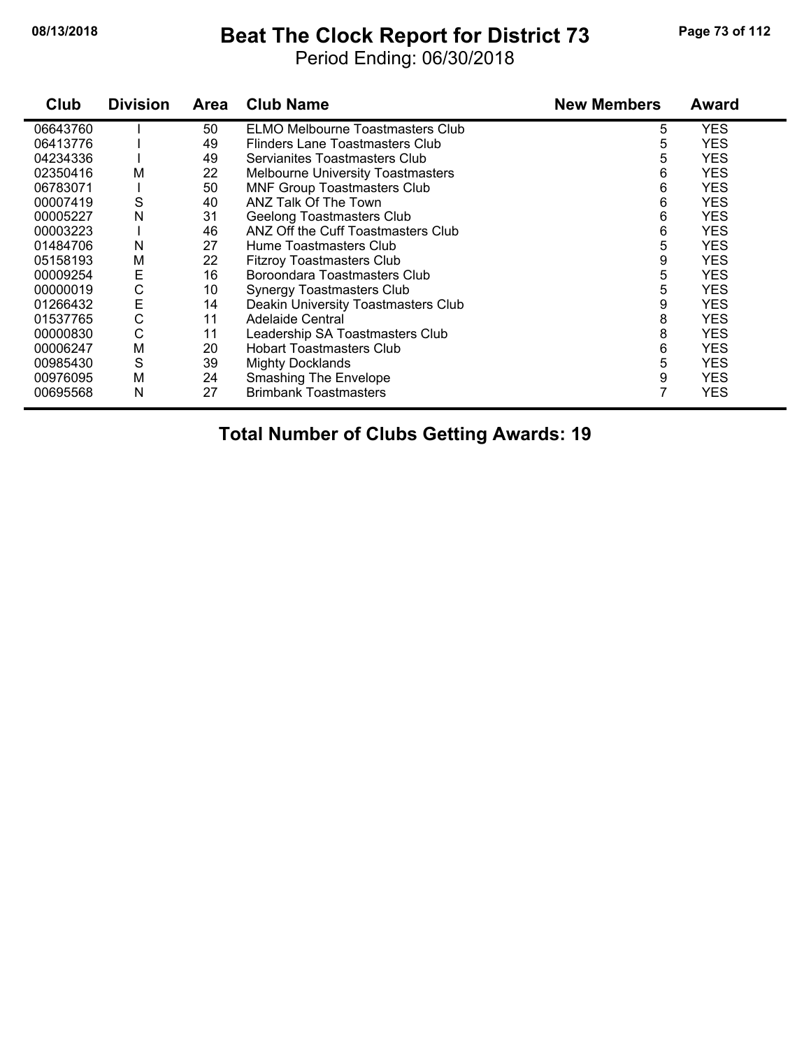## **08/13/2018 Beat The Clock Report for District 73 Page 73 of 112**

Period Ending: 06/30/2018

| Club     | <b>Division</b> | <b>Area</b> | <b>Club Name</b>                         | <b>New Members</b> | <b>Award</b> |
|----------|-----------------|-------------|------------------------------------------|--------------------|--------------|
| 06643760 |                 | 50          | ELMO Melbourne Toastmasters Club         | 5                  | <b>YES</b>   |
| 06413776 |                 | 49          | Flinders Lane Toastmasters Club          | 5                  | <b>YES</b>   |
| 04234336 |                 | 49          | Servianites Toastmasters Club            | 5                  | <b>YES</b>   |
| 02350416 | M               | 22          | <b>Melbourne University Toastmasters</b> | 6                  | <b>YES</b>   |
| 06783071 |                 | 50          | <b>MNF Group Toastmasters Club</b>       | 6                  | <b>YES</b>   |
| 00007419 | S               | 40          | ANZ Talk Of The Town                     | 6                  | <b>YES</b>   |
| 00005227 | N               | 31          | Geelong Toastmasters Club                | 6                  | <b>YES</b>   |
| 00003223 |                 | 46          | ANZ Off the Cuff Toastmasters Club       | 6                  | <b>YES</b>   |
| 01484706 | N               | 27          | Hume Toastmasters Club                   | 5                  | <b>YES</b>   |
| 05158193 | M               | 22          | <b>Fitzroy Toastmasters Club</b>         | 9                  | <b>YES</b>   |
| 00009254 | E               | 16          | Boroondara Toastmasters Club             | 5                  | <b>YES</b>   |
| 00000019 | $\mathsf C$     | 10          | <b>Synergy Toastmasters Club</b>         | 5                  | <b>YES</b>   |
| 01266432 | E               | 14          | Deakin University Toastmasters Club      | 9                  | <b>YES</b>   |
| 01537765 | $\mathsf C$     | 11          | <b>Adelaide Central</b>                  | 8                  | <b>YES</b>   |
| 00000830 | C               | 11          | Leadership SA Toastmasters Club          | 8                  | <b>YES</b>   |
| 00006247 | M               | 20          | <b>Hobart Toastmasters Club</b>          | 6                  | <b>YES</b>   |
| 00985430 | S               | 39          | <b>Mighty Docklands</b>                  | 5                  | <b>YES</b>   |
| 00976095 | M               | 24          | <b>Smashing The Envelope</b>             | 9                  | <b>YES</b>   |
| 00695568 | N               | 27          | <b>Brimbank Toastmasters</b>             | 7                  | <b>YES</b>   |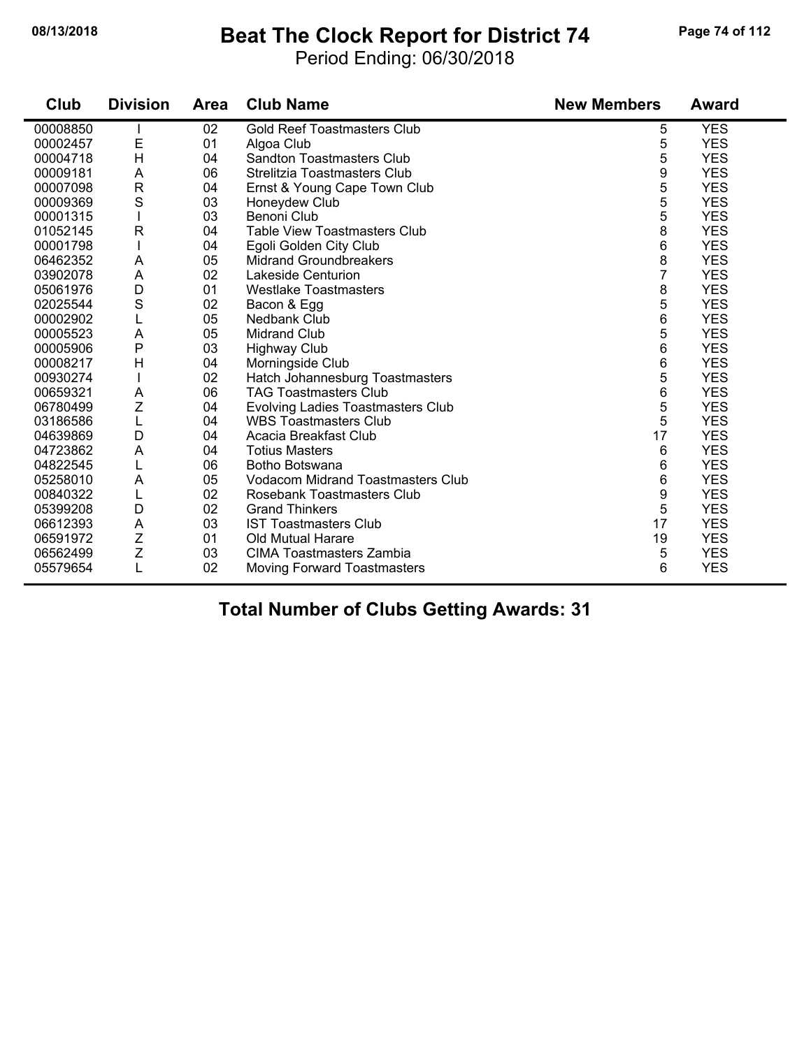#### **08/13/2018 Beat The Clock Report for District 74 Page 74 of 112**

Period Ending: 06/30/2018

| Club     | <b>Division</b> | <b>Area</b> | <b>Club Name</b>                         | <b>New Members</b> | <b>Award</b> |
|----------|-----------------|-------------|------------------------------------------|--------------------|--------------|
| 00008850 |                 | 02          | <b>Gold Reef Toastmasters Club</b>       | 5                  | <b>YES</b>   |
| 00002457 | Е               | 01          | Algoa Club                               | 5                  | <b>YES</b>   |
| 00004718 | H               | 04          | Sandton Toastmasters Club                | 5                  | <b>YES</b>   |
| 00009181 | Α               | 06          | Strelitzia Toastmasters Club             | 9                  | <b>YES</b>   |
| 00007098 | $\mathsf{R}$    | 04          | Ernst & Young Cape Town Club             | 5                  | <b>YES</b>   |
| 00009369 | S               | 03          | Honeydew Club                            | 5                  | <b>YES</b>   |
| 00001315 | T               | 03          | <b>Benoni Club</b>                       | 5                  | <b>YES</b>   |
| 01052145 | $\mathsf{R}$    | 04          | <b>Table View Toastmasters Club</b>      | 8                  | <b>YES</b>   |
| 00001798 |                 | 04          | Egoli Golden City Club                   | 6                  | <b>YES</b>   |
| 06462352 | A               | 05          | <b>Midrand Groundbreakers</b>            | 8                  | <b>YES</b>   |
| 03902078 | A               | 02          | <b>Lakeside Centurion</b>                | 7                  | <b>YES</b>   |
| 05061976 | D               | 01          | <b>Westlake Toastmasters</b>             | 8                  | <b>YES</b>   |
| 02025544 | $\mathbf S$     | 02          | Bacon & Egg                              | 5                  | <b>YES</b>   |
| 00002902 | L               | 05          | <b>Nedbank Club</b>                      | 6                  | <b>YES</b>   |
| 00005523 | A               | 05          | <b>Midrand Club</b>                      | 5                  | <b>YES</b>   |
| 00005906 | ${\sf P}$       | 03          | <b>Highway Club</b>                      | 6                  | <b>YES</b>   |
| 00008217 | H               | 04          | Morningside Club                         | 6                  | <b>YES</b>   |
| 00930274 |                 | 02          | Hatch Johannesburg Toastmasters          | 5                  | <b>YES</b>   |
| 00659321 | A               | 06          | <b>TAG Toastmasters Club</b>             | 6                  | <b>YES</b>   |
| 06780499 | Z               | 04          | <b>Evolving Ladies Toastmasters Club</b> | 5                  | <b>YES</b>   |
| 03186586 | L               | 04          | <b>WBS Toastmasters Club</b>             | 5                  | <b>YES</b>   |
| 04639869 | D               | 04          | Acacia Breakfast Club                    | 17                 | <b>YES</b>   |
| 04723862 | A               | 04          | <b>Totius Masters</b>                    | 6                  | <b>YES</b>   |
| 04822545 | L               | 06          | Botho Botswana                           | 6                  | <b>YES</b>   |
| 05258010 | A               | 05          | <b>Vodacom Midrand Toastmasters Club</b> | 6                  | <b>YES</b>   |
| 00840322 | L               | 02          | Rosebank Toastmasters Club               | 9                  | <b>YES</b>   |
| 05399208 | D               | 02          | <b>Grand Thinkers</b>                    | 5                  | <b>YES</b>   |
| 06612393 | A               | 03          | <b>IST Toastmasters Club</b>             | 17                 | <b>YES</b>   |
| 06591972 | Z               | 01          | <b>Old Mutual Harare</b>                 | 19                 | <b>YES</b>   |
| 06562499 | Z               | 03          | <b>CIMA Toastmasters Zambia</b>          | 5                  | <b>YES</b>   |
| 05579654 |                 | 02          | <b>Moving Forward Toastmasters</b>       | 6                  | <b>YES</b>   |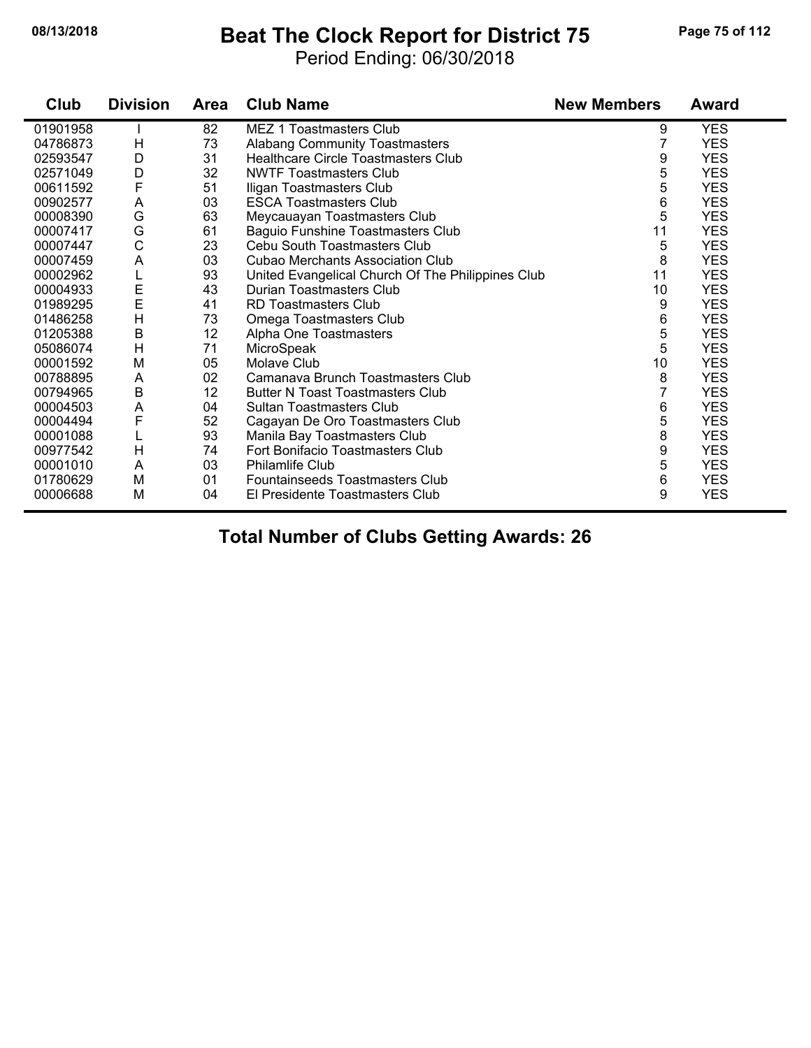## **08/13/2018 Beat The Clock Report for District 75 Page 75 of 112**

Period Ending: 06/30/2018

| Club     | <b>Division</b> | <b>Area</b> | <b>Club Name</b>                                  | <b>New Members</b> | <b>Award</b> |
|----------|-----------------|-------------|---------------------------------------------------|--------------------|--------------|
| 01901958 |                 | 82          | <b>MEZ 1 Toastmasters Club</b>                    | 9                  | <b>YES</b>   |
| 04786873 | H               | 73          | <b>Alabang Community Toastmasters</b>             | 7                  | <b>YES</b>   |
| 02593547 | D               | 31          | <b>Healthcare Circle Toastmasters Club</b>        | 9                  | <b>YES</b>   |
| 02571049 | D               | 32          | <b>NWTF Toastmasters Club</b>                     | 5                  | <b>YES</b>   |
| 00611592 | $\mathsf{F}$    | 51          | Iligan Toastmasters Club                          | 5                  | <b>YES</b>   |
| 00902577 | A               | 03          | <b>ESCA Toastmasters Club</b>                     | 6                  | <b>YES</b>   |
| 00008390 | G               | 63          | Meycauayan Toastmasters Club                      | 5                  | <b>YES</b>   |
| 00007417 | G               | 61          | Baguio Funshine Toastmasters Club                 | 11                 | <b>YES</b>   |
| 00007447 | C               | 23          | Cebu South Toastmasters Club                      | 5                  | <b>YES</b>   |
| 00007459 | A               | 03          | <b>Cubao Merchants Association Club</b>           | 8                  | <b>YES</b>   |
| 00002962 | L               | 93          | United Evangelical Church Of The Philippines Club | 11                 | <b>YES</b>   |
| 00004933 | E               | 43          | Durian Toastmasters Club                          | 10                 | <b>YES</b>   |
| 01989295 | E               | 41          | <b>RD Toastmasters Club</b>                       | 9                  | <b>YES</b>   |
| 01486258 | $\mathsf{H}$    | 73          | Omega Toastmasters Club                           | 6                  | <b>YES</b>   |
| 01205388 | $\sf B$         | 12          | Alpha One Toastmasters                            | 5                  | <b>YES</b>   |
| 05086074 | H               | 71          | MicroSpeak                                        | $\overline{5}$     | <b>YES</b>   |
| 00001592 | M               | 05          | Molave Club                                       | 10                 | <b>YES</b>   |
| 00788895 | A               | 02          | Camanava Brunch Toastmasters Club                 | 8                  | <b>YES</b>   |
| 00794965 | $\mathsf B$     | 12          | <b>Butter N Toast Toastmasters Club</b>           | $\overline{7}$     | <b>YES</b>   |
| 00004503 | A               | 04          | Sultan Toastmasters Club                          | 6                  | <b>YES</b>   |
| 00004494 | F               | 52          | Cagayan De Oro Toastmasters Club                  | 5                  | <b>YES</b>   |
| 00001088 | L               | 93          | Manila Bay Toastmasters Club                      | 8                  | <b>YES</b>   |
| 00977542 | H               | 74          | Fort Bonifacio Toastmasters Club                  | 9                  | <b>YES</b>   |
| 00001010 | A               | 03          | <b>Philamlife Club</b>                            | 5                  | <b>YES</b>   |
| 01780629 | M               | 01          | Fountainseeds Toastmasters Club                   | 6                  | <b>YES</b>   |
| 00006688 | M               | 04          | El Presidente Toastmasters Club                   | 9                  | <b>YES</b>   |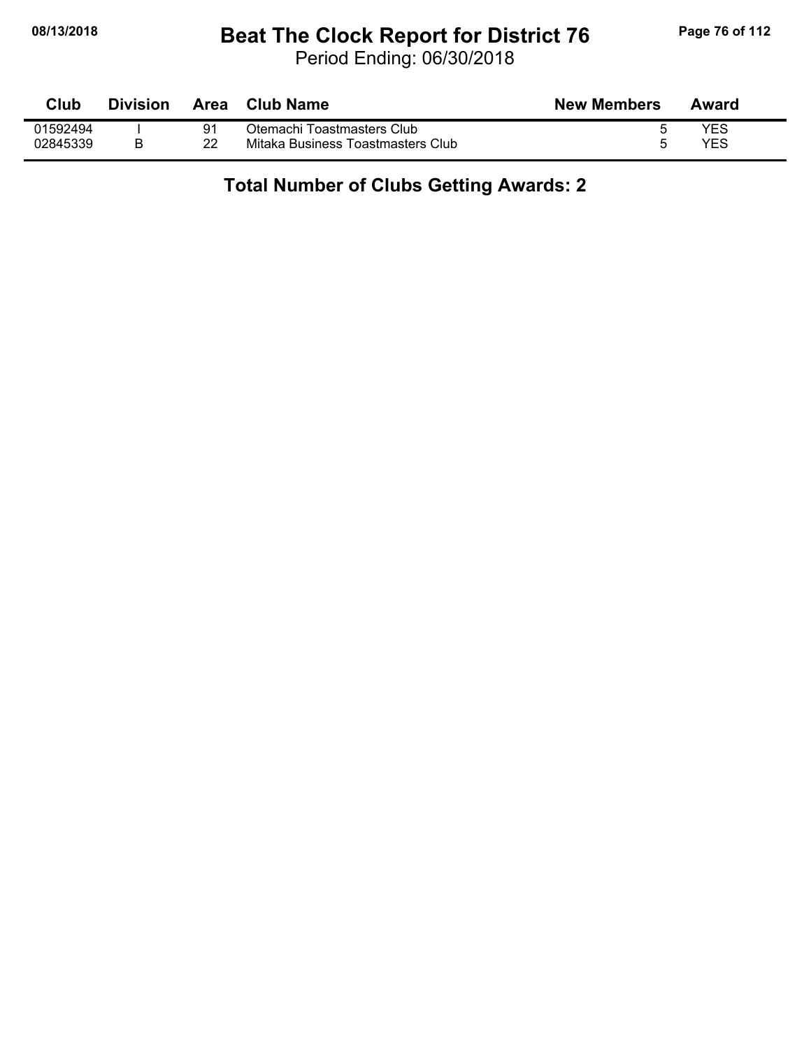## **08/13/2018 Beat The Clock Report for District 76 Page 76 of 112**

Period Ending: 06/30/2018

| Club     | <b>Division</b> | Area | <b>Club Name</b>                  | <b>New Members</b> | Award |
|----------|-----------------|------|-----------------------------------|--------------------|-------|
| 01592494 |                 |      | Otemachi Toastmasters Club        |                    | YES   |
| 02845339 |                 |      | Mitaka Business Toastmasters Club |                    | YES   |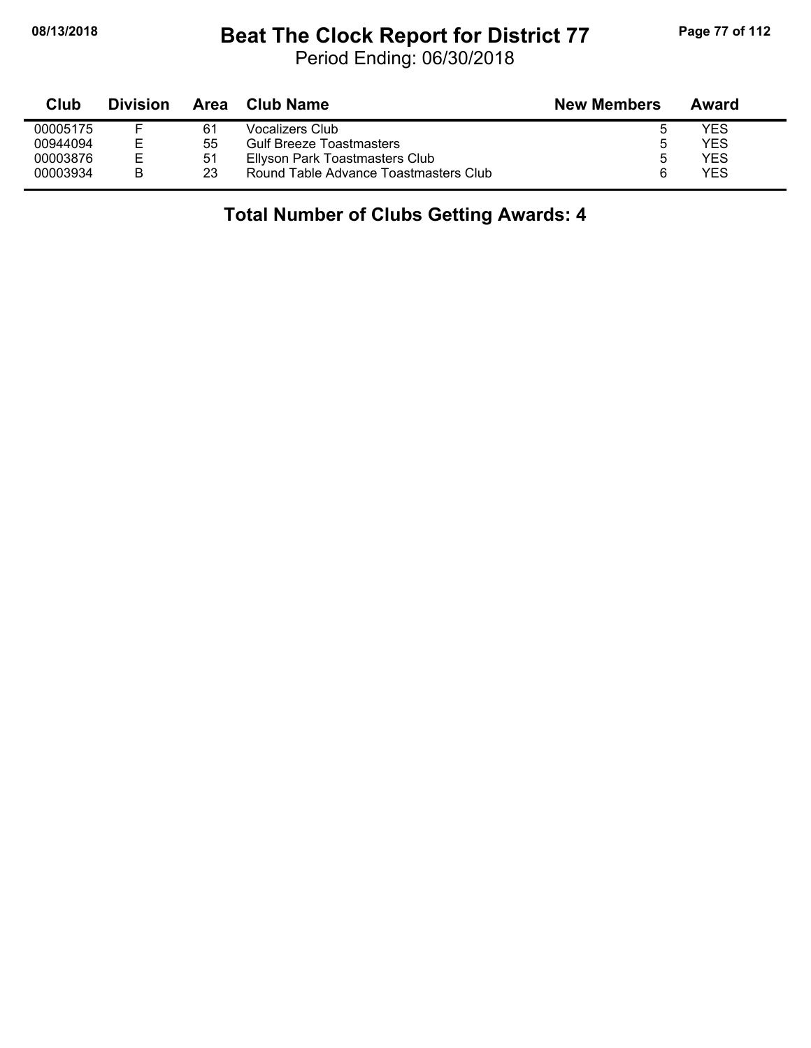## **08/13/2018 Beat The Clock Report for District 77 Page 77 of 112**

Period Ending: 06/30/2018

| Club     | <b>Division</b> | Area | Club Name                             | <b>New Members</b> | Award |  |
|----------|-----------------|------|---------------------------------------|--------------------|-------|--|
| 00005175 |                 | 61   | Vocalizers Club                       |                    | YES   |  |
| 00944094 | E               | 55   | <b>Gulf Breeze Toastmasters</b>       | ა                  | YES   |  |
| 00003876 | Е               | 51   | Ellyson Park Toastmasters Club        | b                  | YES   |  |
| 00003934 | В               | 23   | Round Table Advance Toastmasters Club |                    | YES   |  |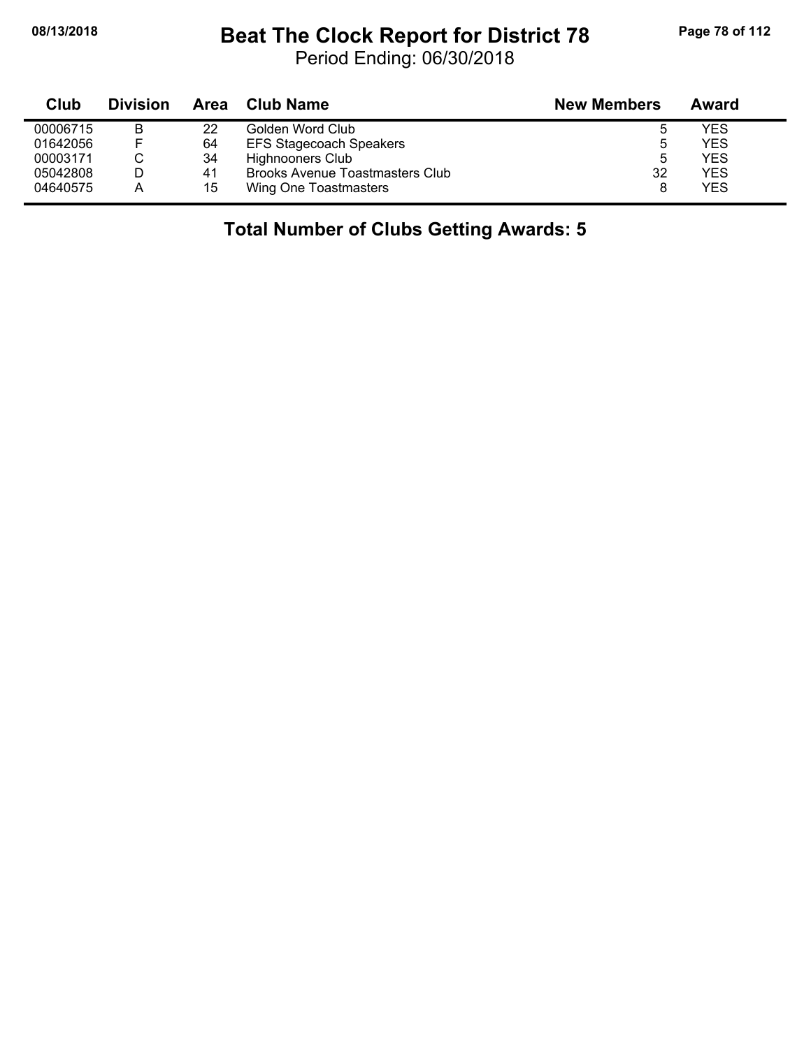## **08/13/2018 Beat The Clock Report for District 78 Page 78 of 112**

Period Ending: 06/30/2018

| Club     | <b>Division</b> | Area | Club Name                              | <b>New Members</b> | Award |
|----------|-----------------|------|----------------------------------------|--------------------|-------|
| 00006715 | в               | 22   | Golden Word Club                       |                    | YES   |
| 01642056 |                 | 64   | <b>EFS Stagecoach Speakers</b>         | 5                  | YES   |
| 00003171 |                 | 34   | <b>Highnooners Club</b>                | 5                  | YES   |
| 05042808 |                 | 41   | <b>Brooks Avenue Toastmasters Club</b> | 32                 | YES   |
| 04640575 | А               | 15   | Wing One Toastmasters                  |                    | YES   |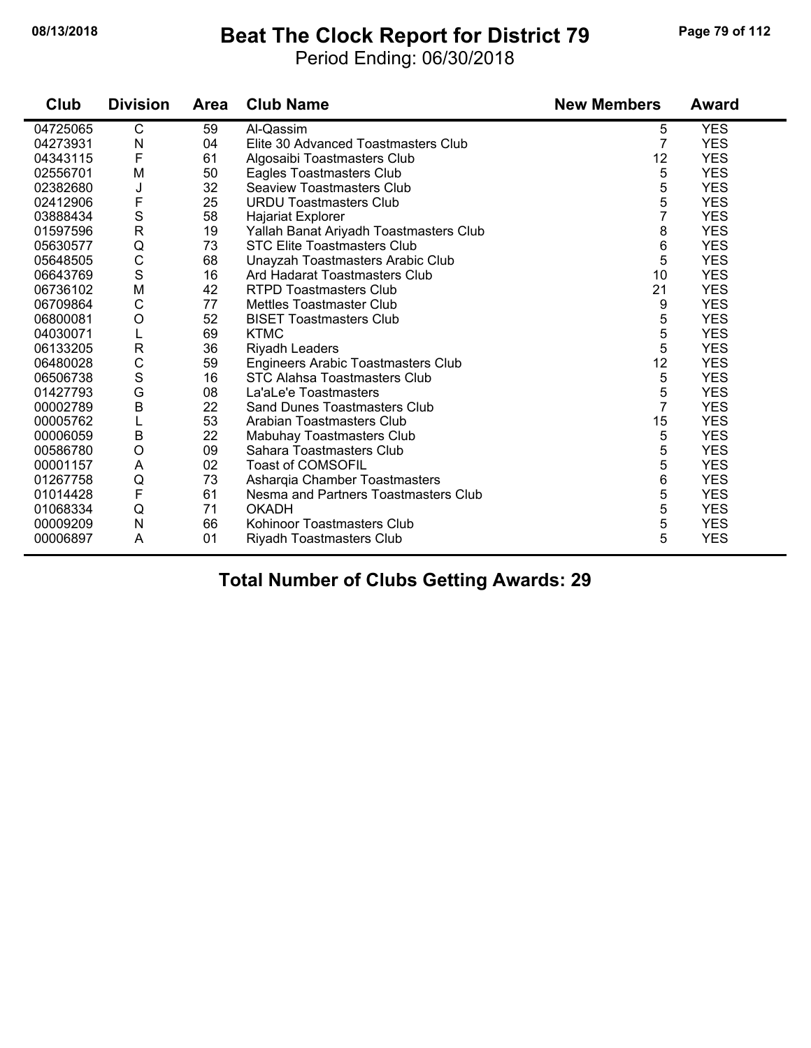#### **08/13/2018 Beat The Clock Report for District 79 Page 79 of 112**

Period Ending: 06/30/2018

| Club     | <b>Division</b> | <b>Area</b> | <b>Club Name</b>                       | <b>New Members</b> | <b>Award</b> |
|----------|-----------------|-------------|----------------------------------------|--------------------|--------------|
| 04725065 | $\mathsf{C}$    | 59          | Al-Qassim                              | 5                  | <b>YES</b>   |
| 04273931 | N               | 04          | Elite 30 Advanced Toastmasters Club    | $\overline{7}$     | <b>YES</b>   |
| 04343115 | F               | 61          | Algosaibi Toastmasters Club            | 12                 | <b>YES</b>   |
| 02556701 | M               | 50          | Eagles Toastmasters Club               | 5                  | <b>YES</b>   |
| 02382680 | J               | 32          | Seaview Toastmasters Club              | 5                  | <b>YES</b>   |
| 02412906 | F               | 25          | <b>URDU Toastmasters Club</b>          | 5                  | <b>YES</b>   |
| 03888434 | $\mathbf S$     | 58          | <b>Hajariat Explorer</b>               | 7                  | <b>YES</b>   |
| 01597596 | $\mathsf{R}$    | 19          | Yallah Banat Ariyadh Toastmasters Club | 8                  | <b>YES</b>   |
| 05630577 | Q               | 73          | <b>STC Elite Toastmasters Club</b>     | 6                  | <b>YES</b>   |
| 05648505 | $\mathsf C$     | 68          | Unayzah Toastmasters Arabic Club       | 5                  | <b>YES</b>   |
| 06643769 | $\mathbf S$     | 16          | Ard Hadarat Toastmasters Club          | 10                 | <b>YES</b>   |
| 06736102 | M               | 42          | <b>RTPD Toastmasters Club</b>          | 21                 | <b>YES</b>   |
| 06709864 | $\mathsf{C}$    | 77          | <b>Mettles Toastmaster Club</b>        | 9                  | <b>YES</b>   |
| 06800081 | $\circ$         | 52          | <b>BISET Toastmasters Club</b>         | 5                  | <b>YES</b>   |
| 04030071 | L               | 69          | <b>KTMC</b>                            | 5                  | <b>YES</b>   |
| 06133205 | $\mathsf{R}$    | 36          | Riyadh Leaders                         | 5                  | <b>YES</b>   |
| 06480028 | $\mathsf C$     | 59          | Engineers Arabic Toastmasters Club     | 12                 | <b>YES</b>   |
| 06506738 | $\mathbf S$     | 16          | <b>STC Alahsa Toastmasters Club</b>    | $\sqrt{5}$         | <b>YES</b>   |
| 01427793 | G               | 08          | La'aLe'e Toastmasters                  | 5                  | <b>YES</b>   |
| 00002789 | B               | 22          | Sand Dunes Toastmasters Club           | $\overline{7}$     | <b>YES</b>   |
| 00005762 | L               | 53          | Arabian Toastmasters Club              | 15                 | <b>YES</b>   |
| 00006059 | B               | 22          | Mabuhay Toastmasters Club              | 5                  | <b>YES</b>   |
| 00586780 | $\circ$         | 09          | Sahara Toastmasters Club               | 5                  | <b>YES</b>   |
| 00001157 | A               | 02          | <b>Toast of COMSOFIL</b>               | 5                  | <b>YES</b>   |
| 01267758 | $\mathsf Q$     | 73          | Asharqia Chamber Toastmasters          | 6                  | <b>YES</b>   |
| 01014428 | $\mathsf{F}$    | 61          | Nesma and Partners Toastmasters Club   | 5                  | <b>YES</b>   |
| 01068334 | $\mathsf Q$     | 71          | <b>OKADH</b>                           | 5                  | <b>YES</b>   |
| 00009209 | N               | 66          | Kohinoor Toastmasters Club             | 5                  | <b>YES</b>   |
| 00006897 | A               | 01          | Riyadh Toastmasters Club               | 5                  | <b>YES</b>   |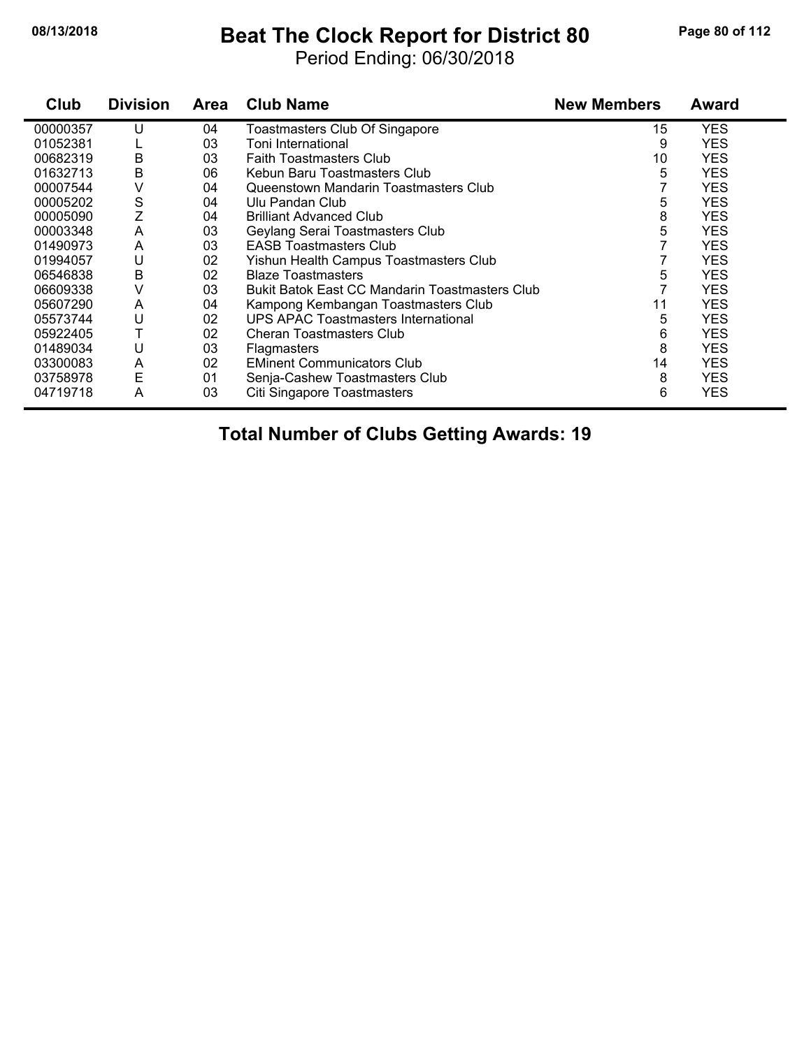## **08/13/2018 Beat The Clock Report for District 80 Page 80 of 112**

Period Ending: 06/30/2018

| Club     | <b>Division</b> | <b>Area</b> | <b>Club Name</b>                                      | <b>New Members</b> | Award      |
|----------|-----------------|-------------|-------------------------------------------------------|--------------------|------------|
| 00000357 | U               | 04          | Toastmasters Club Of Singapore                        | 15                 | <b>YES</b> |
| 01052381 |                 | 03          | Toni International                                    | 9                  | <b>YES</b> |
| 00682319 | B               | 03          | <b>Faith Toastmasters Club</b>                        | 10                 | <b>YES</b> |
| 01632713 | В               | 06          | Kebun Baru Toastmasters Club                          | 5                  | <b>YES</b> |
| 00007544 | V               | 04          | Queenstown Mandarin Toastmasters Club                 |                    | <b>YES</b> |
| 00005202 | S               | 04          | Ulu Pandan Club                                       | 5                  | <b>YES</b> |
| 00005090 | Z               | 04          | <b>Brilliant Advanced Club</b>                        | 8                  | <b>YES</b> |
| 00003348 | A               | 03          | Geylang Serai Toastmasters Club                       | 5                  | <b>YES</b> |
| 01490973 | A               | 03          | <b>EASB Toastmasters Club</b>                         |                    | <b>YES</b> |
| 01994057 | U               | 02          | Yishun Health Campus Toastmasters Club                |                    | <b>YES</b> |
| 06546838 | В               | 02          | <b>Blaze Toastmasters</b>                             | 5                  | <b>YES</b> |
| 06609338 | V               | 03          | <b>Bukit Batok East CC Mandarin Toastmasters Club</b> |                    | <b>YES</b> |
| 05607290 | A               | 04          | Kampong Kembangan Toastmasters Club                   | 11                 | <b>YES</b> |
| 05573744 |                 | 02          | <b>UPS APAC Toastmasters International</b>            | 5                  | <b>YES</b> |
| 05922405 |                 | 02          | <b>Cheran Toastmasters Club</b>                       | 6                  | <b>YES</b> |
| 01489034 | U               | 03          | <b>Flagmasters</b>                                    | 8                  | <b>YES</b> |
| 03300083 | A               | 02          | <b>EMinent Communicators Club</b>                     | 14                 | <b>YES</b> |
| 03758978 | E               | 01          | Senja-Cashew Toastmasters Club                        | 8                  | <b>YES</b> |
| 04719718 | A               | 03          | Citi Singapore Toastmasters                           | 6                  | <b>YES</b> |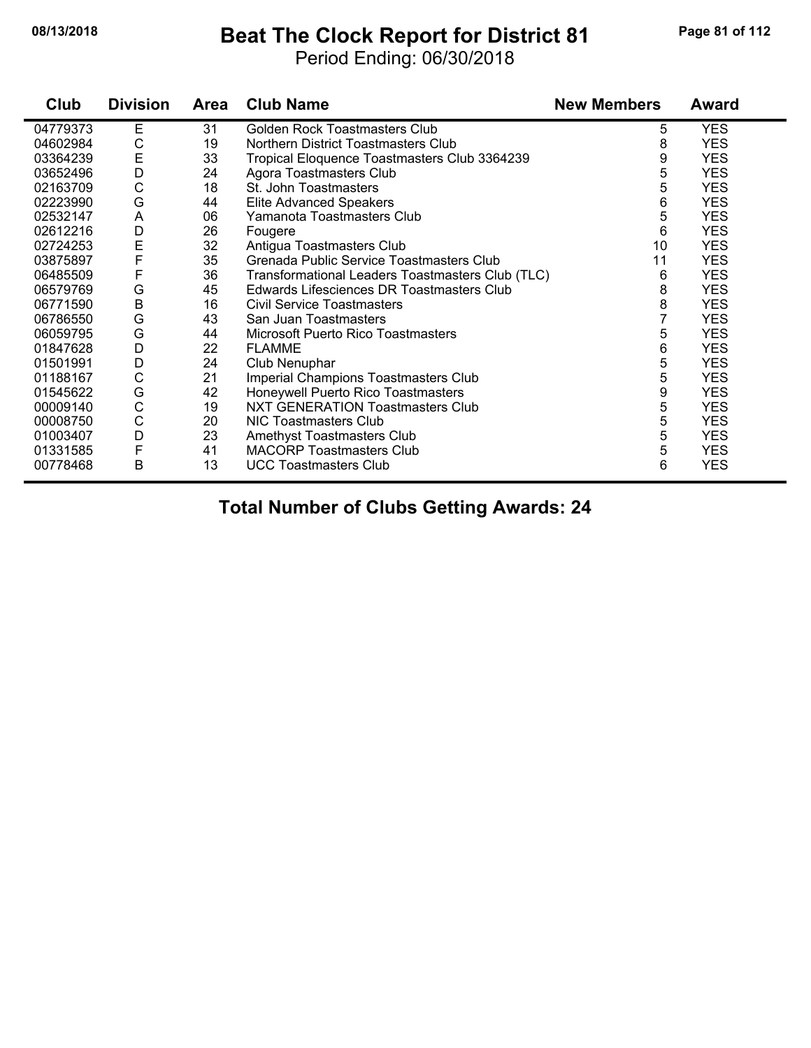## **08/13/2018 Beat The Clock Report for District 81 Page 81 of 112**

Period Ending: 06/30/2018

| Club     | <b>Division</b> | <b>Area</b> | <b>Club Name</b>                                 | <b>New Members</b> | <b>Award</b> |
|----------|-----------------|-------------|--------------------------------------------------|--------------------|--------------|
| 04779373 | Е               | 31          | Golden Rock Toastmasters Club                    | 5                  | <b>YES</b>   |
| 04602984 | С               | 19          | Northern District Toastmasters Club              | 8                  | <b>YES</b>   |
| 03364239 | E               | 33          | Tropical Eloquence Toastmasters Club 3364239     | 9                  | <b>YES</b>   |
| 03652496 | D               | 24          | Agora Toastmasters Club                          | 5                  | <b>YES</b>   |
| 02163709 | C               | 18          | St. John Toastmasters                            | 5                  | <b>YES</b>   |
| 02223990 | G               | 44          | <b>Elite Advanced Speakers</b>                   | 6                  | <b>YES</b>   |
| 02532147 | A               | 06          | Yamanota Toastmasters Club                       | 5                  | <b>YES</b>   |
| 02612216 | D               | 26          | Fougere                                          | 6                  | <b>YES</b>   |
| 02724253 | E               | 32          | Antigua Toastmasters Club                        | 10                 | <b>YES</b>   |
| 03875897 | F               | 35          | Grenada Public Service Toastmasters Club         | 11                 | <b>YES</b>   |
| 06485509 | F               | 36          | Transformational Leaders Toastmasters Club (TLC) | 6                  | <b>YES</b>   |
| 06579769 | G               | 45          | Edwards Lifesciences DR Toastmasters Club        | 8                  | <b>YES</b>   |
| 06771590 | $\mathsf B$     | 16          | Civil Service Toastmasters                       | 8                  | <b>YES</b>   |
| 06786550 | G               | 43          | San Juan Toastmasters                            | 7                  | <b>YES</b>   |
| 06059795 | G               | 44          | Microsoft Puerto Rico Toastmasters               | 5                  | <b>YES</b>   |
| 01847628 | D               | 22          | <b>FLAMME</b>                                    | 6                  | <b>YES</b>   |
| 01501991 | D               | 24          | Club Nenuphar                                    | 5                  | <b>YES</b>   |
| 01188167 | C               | 21          | Imperial Champions Toastmasters Club             | 5                  | <b>YES</b>   |
| 01545622 | G               | 42          | Honeywell Puerto Rico Toastmasters               | 9                  | <b>YES</b>   |
| 00009140 | C               | 19          | <b>NXT GENERATION Toastmasters Club</b>          | 5                  | <b>YES</b>   |
| 00008750 | $\mathsf C$     | 20          | NIC Toastmasters Club                            | 5                  | <b>YES</b>   |
| 01003407 | D               | 23          | Amethyst Toastmasters Club                       | 5                  | <b>YES</b>   |
| 01331585 | $\mathsf F$     | 41          | <b>MACORP Toastmasters Club</b>                  | 5                  | <b>YES</b>   |
| 00778468 | B               | 13          | <b>UCC Toastmasters Club</b>                     | 6                  | <b>YES</b>   |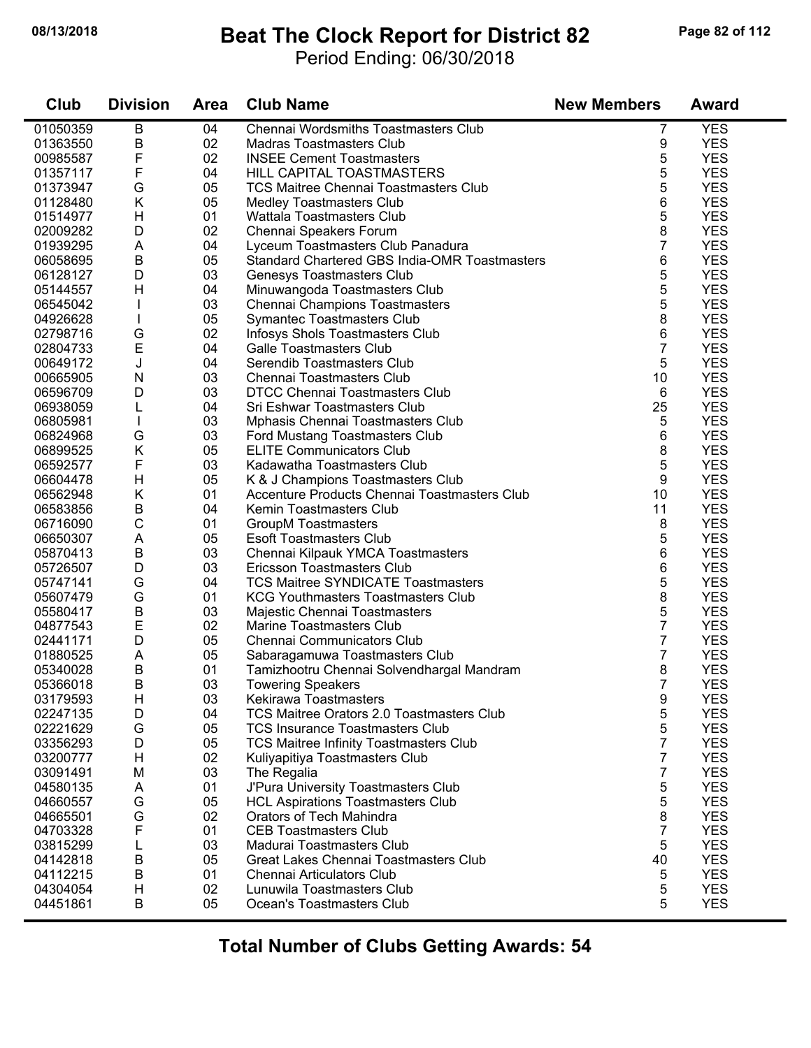## **08/13/2018 Beat The Clock Report for District 82 Page 82 of 112**

Period Ending: 06/30/2018

| Club     | <b>Division</b> | <b>Area</b> | <b>Club Name</b>                              | <b>New Members</b> | <b>Award</b> |
|----------|-----------------|-------------|-----------------------------------------------|--------------------|--------------|
| 01050359 | B               | 04          | Chennai Wordsmiths Toastmasters Club          | 7                  | <b>YES</b>   |
| 01363550 | B               | 02          | <b>Madras Toastmasters Club</b>               | 9                  | <b>YES</b>   |
| 00985587 | F               | 02          | <b>INSEE Cement Toastmasters</b>              | 5                  | <b>YES</b>   |
| 01357117 | F               | 04          | HILL CAPITAL TOASTMASTERS                     | 5                  | <b>YES</b>   |
| 01373947 | G               | 05          | <b>TCS Maitree Chennai Toastmasters Club</b>  | 5                  | <b>YES</b>   |
| 01128480 | Κ               | 05          | Medley Toastmasters Club                      | 6                  | <b>YES</b>   |
| 01514977 | н               | 01          | <b>Wattala Toastmasters Club</b>              | 5                  | <b>YES</b>   |
| 02009282 | D               | 02          | Chennai Speakers Forum                        | 8                  | <b>YES</b>   |
| 01939295 | A               | 04          | Lyceum Toastmasters Club Panadura             | 7                  | <b>YES</b>   |
| 06058695 | $\sf B$         | 05          | Standard Chartered GBS India-OMR Toastmasters | 6                  | <b>YES</b>   |
| 06128127 | D               | 03          | Genesys Toastmasters Club                     | 5                  | <b>YES</b>   |
| 05144557 | H               | 04          | Minuwangoda Toastmasters Club                 | 5                  | <b>YES</b>   |
| 06545042 |                 | 03          | Chennai Champions Toastmasters                | 5                  | <b>YES</b>   |
| 04926628 |                 | 05          | Symantec Toastmasters Club                    | 8                  | <b>YES</b>   |
| 02798716 | G               | 02          | Infosys Shols Toastmasters Club               | 6                  | <b>YES</b>   |
| 02804733 | E               | 04          | <b>Galle Toastmasters Club</b>                | 7                  | <b>YES</b>   |
| 00649172 | J               | 04          | Serendib Toastmasters Club                    | 5                  | <b>YES</b>   |
| 00665905 | N               | 03          | Chennai Toastmasters Club                     | 10                 | <b>YES</b>   |
| 06596709 | D               | 03          | <b>DTCC Chennai Toastmasters Club</b>         | 6                  | <b>YES</b>   |
| 06938059 | L               | 04          | Sri Eshwar Toastmasters Club                  | 25                 | <b>YES</b>   |
| 06805981 | T               | 03          | Mphasis Chennai Toastmasters Club             | 5                  | <b>YES</b>   |
| 06824968 | G               | 03          | Ford Mustang Toastmasters Club                | 6                  | <b>YES</b>   |
| 06899525 | Κ               | 05          | <b>ELITE Communicators Club</b>               | 8                  | <b>YES</b>   |
| 06592577 | F               | 03          | Kadawatha Toastmasters Club                   | 5                  | <b>YES</b>   |
| 06604478 | H               | 05          | K & J Champions Toastmasters Club             | 9                  | <b>YES</b>   |
| 06562948 | Κ               | 01          | Accenture Products Chennai Toastmasters Club  | 10                 | <b>YES</b>   |
| 06583856 | В               | 04          | Kemin Toastmasters Club                       | 11                 | <b>YES</b>   |
| 06716090 | $\mathbf C$     | 01          | <b>GroupM Toastmasters</b>                    | 8                  | <b>YES</b>   |
| 06650307 | A               | 05          | <b>Esoft Toastmasters Club</b>                | 5                  | <b>YES</b>   |
| 05870413 | В               | 03          | Chennai Kilpauk YMCA Toastmasters             | 6                  | <b>YES</b>   |
| 05726507 | D               | 03          | Ericsson Toastmasters Club                    | 6                  | <b>YES</b>   |
| 05747141 | G               | 04          | <b>TCS Maitree SYNDICATE Toastmasters</b>     | 5                  | <b>YES</b>   |
| 05607479 | G               | 01          | <b>KCG Youthmasters Toastmasters Club</b>     | 8                  | <b>YES</b>   |
| 05580417 | $\sf B$         | 03          | Majestic Chennai Toastmasters                 | 5                  | <b>YES</b>   |
| 04877543 | E               | 02          | Marine Toastmasters Club                      | 7                  | <b>YES</b>   |
| 02441171 | D               | 05          | Chennai Communicators Club                    | 7                  | <b>YES</b>   |
| 01880525 | Α               | 05          | Sabaragamuwa Toastmasters Club                | 7                  | <b>YES</b>   |
| 05340028 | $\sf B$         | 01          | Tamizhootru Chennai Solvendhargal Mandram     | 8                  | <b>YES</b>   |
| 05366018 | B               | 03          | <b>Towering Speakers</b>                      |                    | <b>YES</b>   |
| 03179593 | н               | 03          | Kekirawa Toastmasters                         | 9                  | <b>YES</b>   |
| 02247135 | D               | 04          | TCS Maitree Orators 2.0 Toastmasters Club     | 5                  | <b>YES</b>   |
| 02221629 | G               | 05          | <b>TCS Insurance Toastmasters Club</b>        | 5                  | <b>YES</b>   |
| 03356293 | D               | 05          | <b>TCS Maitree Infinity Toastmasters Club</b> | 7                  | <b>YES</b>   |
| 03200777 | H               | 02          | Kuliyapitiya Toastmasters Club                | 7                  | <b>YES</b>   |
| 03091491 | M               | 03          | The Regalia                                   | 7                  | <b>YES</b>   |
| 04580135 | A               | 01          | J'Pura University Toastmasters Club           | 5                  | <b>YES</b>   |
| 04660557 | G               | 05          | <b>HCL Aspirations Toastmasters Club</b>      | 5                  | <b>YES</b>   |
| 04665501 | G               | 02          | Orators of Tech Mahindra                      | 8                  | <b>YES</b>   |
| 04703328 | F               | 01          | <b>CEB Toastmasters Club</b>                  | 7                  | <b>YES</b>   |
| 03815299 | L               | 03          | Madurai Toastmasters Club                     | 5                  | <b>YES</b>   |
| 04142818 | B               | 05          | Great Lakes Chennai Toastmasters Club         | 40                 | <b>YES</b>   |
| 04112215 | В               | 01          | Chennai Articulators Club                     | 5                  | <b>YES</b>   |
| 04304054 | H               | 02          | Lunuwila Toastmasters Club                    | 5                  | <b>YES</b>   |
| 04451861 | B               | 05          | Ocean's Toastmasters Club                     | 5                  | <b>YES</b>   |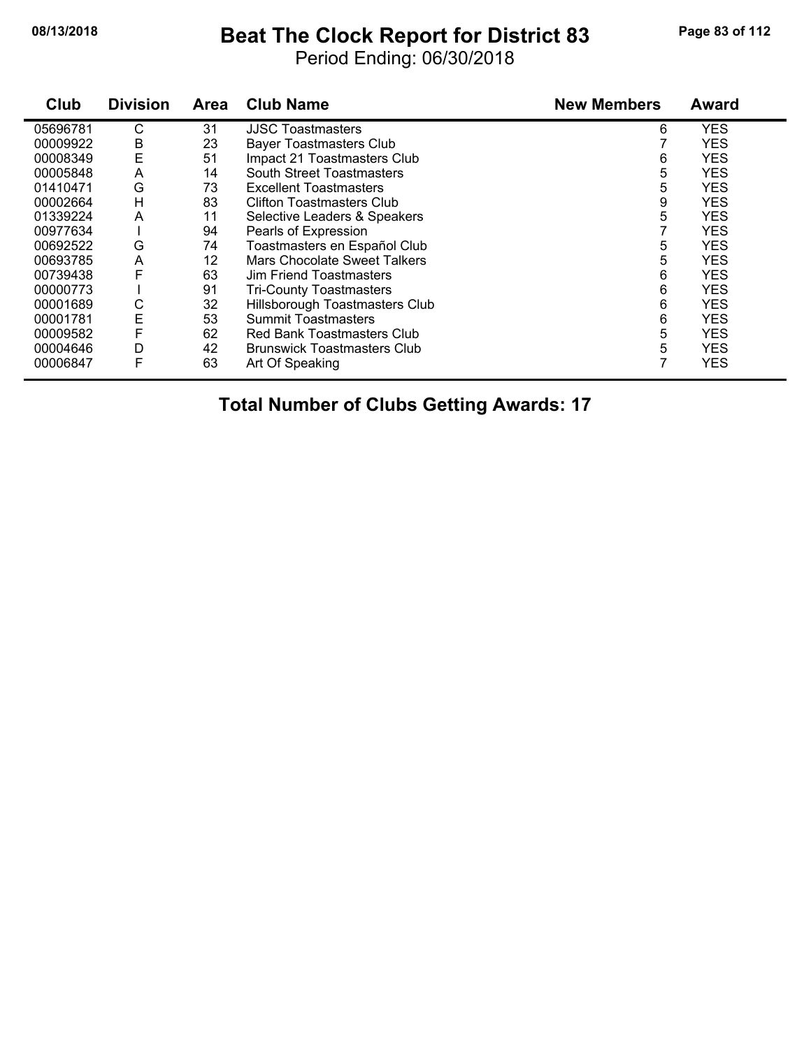## **08/13/2018 Beat The Clock Report for District 83 Page 83 of 112**

Period Ending: 06/30/2018

| Club     | <b>Division</b> | <b>Area</b> | <b>Club Name</b>                   | <b>New Members</b> | <b>Award</b> |
|----------|-----------------|-------------|------------------------------------|--------------------|--------------|
| 05696781 | С               | 31          | <b>JJSC Toastmasters</b>           | 6                  | <b>YES</b>   |
| 00009922 | В               | 23          | <b>Bayer Toastmasters Club</b>     |                    | <b>YES</b>   |
| 00008349 | E               | 51          | Impact 21 Toastmasters Club        | 6                  | <b>YES</b>   |
| 00005848 | Α               | 14          | <b>South Street Toastmasters</b>   | 5                  | <b>YES</b>   |
| 01410471 | G               | 73          | <b>Excellent Toastmasters</b>      | 5                  | <b>YES</b>   |
| 00002664 | н               | 83          | Clifton Toastmasters Club          | 9                  | <b>YES</b>   |
| 01339224 | Α               | 11          | Selective Leaders & Speakers       | 5                  | <b>YES</b>   |
| 00977634 |                 | 94          | Pearls of Expression               |                    | <b>YES</b>   |
| 00692522 | G               | 74          | Toastmasters en Español Club       | 5                  | <b>YES</b>   |
| 00693785 | Α               | 12          | Mars Chocolate Sweet Talkers       | 5                  | <b>YES</b>   |
| 00739438 |                 | 63          | Jim Friend Toastmasters            | 6                  | <b>YES</b>   |
| 00000773 |                 | 91          | <b>Tri-County Toastmasters</b>     | 6                  | <b>YES</b>   |
| 00001689 | С               | 32          | Hillsborough Toastmasters Club     | 6                  | <b>YES</b>   |
| 00001781 | E               | 53          | <b>Summit Toastmasters</b>         | 6                  | <b>YES</b>   |
| 00009582 | F               | 62          | <b>Red Bank Toastmasters Club</b>  | 5                  | <b>YES</b>   |
| 00004646 | D               | 42          | <b>Brunswick Toastmasters Club</b> | 5                  | <b>YES</b>   |
| 00006847 | F               | 63          | Art Of Speaking                    |                    | <b>YES</b>   |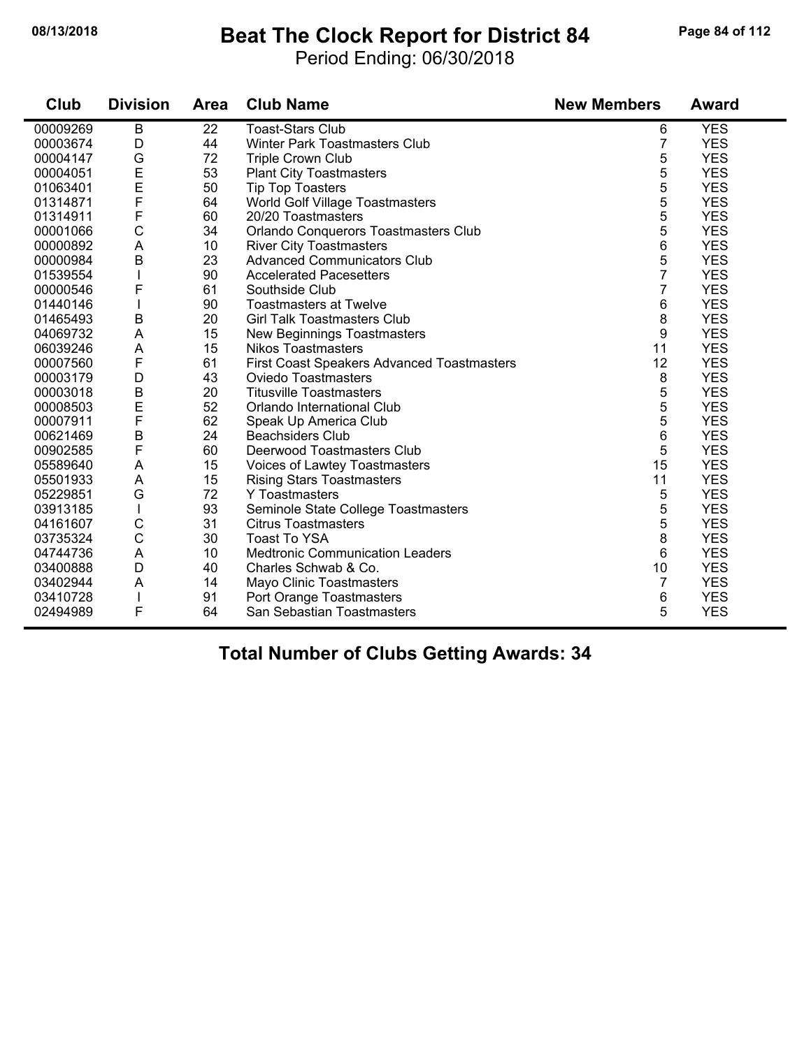#### **08/13/2018 Beat The Clock Report for District 84 Page 84 of 112**

Period Ending: 06/30/2018

| Club     | <b>Division</b> | Area | <b>Club Name</b>                                  | <b>New Members</b> | <b>Award</b> |
|----------|-----------------|------|---------------------------------------------------|--------------------|--------------|
| 00009269 | B               | 22   | <b>Toast-Stars Club</b>                           | 6                  | <b>YES</b>   |
| 00003674 | D               | 44   | Winter Park Toastmasters Club                     | 7                  | <b>YES</b>   |
| 00004147 | G               | 72   | <b>Triple Crown Club</b>                          | 5                  | <b>YES</b>   |
| 00004051 | $\mathsf E$     | 53   | <b>Plant City Toastmasters</b>                    | 5                  | <b>YES</b>   |
| 01063401 | $\mathsf E$     | 50   | <b>Tip Top Toasters</b>                           | 5                  | <b>YES</b>   |
| 01314871 | F               | 64   | World Golf Village Toastmasters                   | 5                  | <b>YES</b>   |
| 01314911 | F               | 60   | 20/20 Toastmasters                                | 5                  | <b>YES</b>   |
| 00001066 | $\mathsf C$     | 34   | Orlando Conquerors Toastmasters Club              | 5                  | <b>YES</b>   |
| 00000892 | A               | 10   | <b>River City Toastmasters</b>                    | 6                  | <b>YES</b>   |
| 00000984 | $\overline{B}$  | 23   | <b>Advanced Communicators Club</b>                | 5                  | <b>YES</b>   |
| 01539554 |                 | 90   | <b>Accelerated Pacesetters</b>                    | 7                  | <b>YES</b>   |
| 00000546 | F               | 61   | Southside Club                                    | 7                  | <b>YES</b>   |
| 01440146 |                 | 90   | <b>Toastmasters at Twelve</b>                     | 6                  | <b>YES</b>   |
| 01465493 | B               | 20   | <b>Girl Talk Toastmasters Club</b>                | 8                  | <b>YES</b>   |
| 04069732 | $\mathsf A$     | 15   | <b>New Beginnings Toastmasters</b>                | 9                  | <b>YES</b>   |
| 06039246 | A               | 15   | Nikos Toastmasters                                | 11                 | <b>YES</b>   |
| 00007560 | F               | 61   | <b>First Coast Speakers Advanced Toastmasters</b> | 12                 | <b>YES</b>   |
| 00003179 | D               | 43   | <b>Oviedo Toastmasters</b>                        | 8                  | <b>YES</b>   |
| 00003018 | $\sf B$         | 20   | <b>Titusville Toastmasters</b>                    | 5                  | <b>YES</b>   |
| 00008503 | E               | 52   | Orlando International Club                        | 5                  | <b>YES</b>   |
| 00007911 | F               | 62   | Speak Up America Club                             | 5                  | <b>YES</b>   |
| 00621469 | $\sf B$         | 24   | <b>Beachsiders Club</b>                           | 6                  | <b>YES</b>   |
| 00902585 | F               | 60   | Deerwood Toastmasters Club                        | 5                  | <b>YES</b>   |
| 05589640 | A               | 15   | Voices of Lawtey Toastmasters                     | 15                 | <b>YES</b>   |
| 05501933 | A               | 15   | <b>Rising Stars Toastmasters</b>                  | 11                 | <b>YES</b>   |
| 05229851 | G               | 72   | Y Toastmasters                                    | 5                  | <b>YES</b>   |
| 03913185 |                 | 93   | Seminole State College Toastmasters               | 5                  | <b>YES</b>   |
| 04161607 | $\mathsf C$     | 31   | <b>Citrus Toastmasters</b>                        | 5                  | <b>YES</b>   |
| 03735324 | $\mathsf C$     | 30   | <b>Toast To YSA</b>                               | 8                  | <b>YES</b>   |
| 04744736 | A               | 10   | <b>Medtronic Communication Leaders</b>            | 6                  | <b>YES</b>   |
| 03400888 | D               | 40   | Charles Schwab & Co.                              | 10                 | <b>YES</b>   |
| 03402944 | A               | 14   | Mayo Clinic Toastmasters                          | 7                  | <b>YES</b>   |
| 03410728 | $\mathbf{I}$    | 91   | Port Orange Toastmasters                          | 6                  | <b>YES</b>   |
| 02494989 | F               | 64   | San Sebastian Toastmasters                        | 5                  | <b>YES</b>   |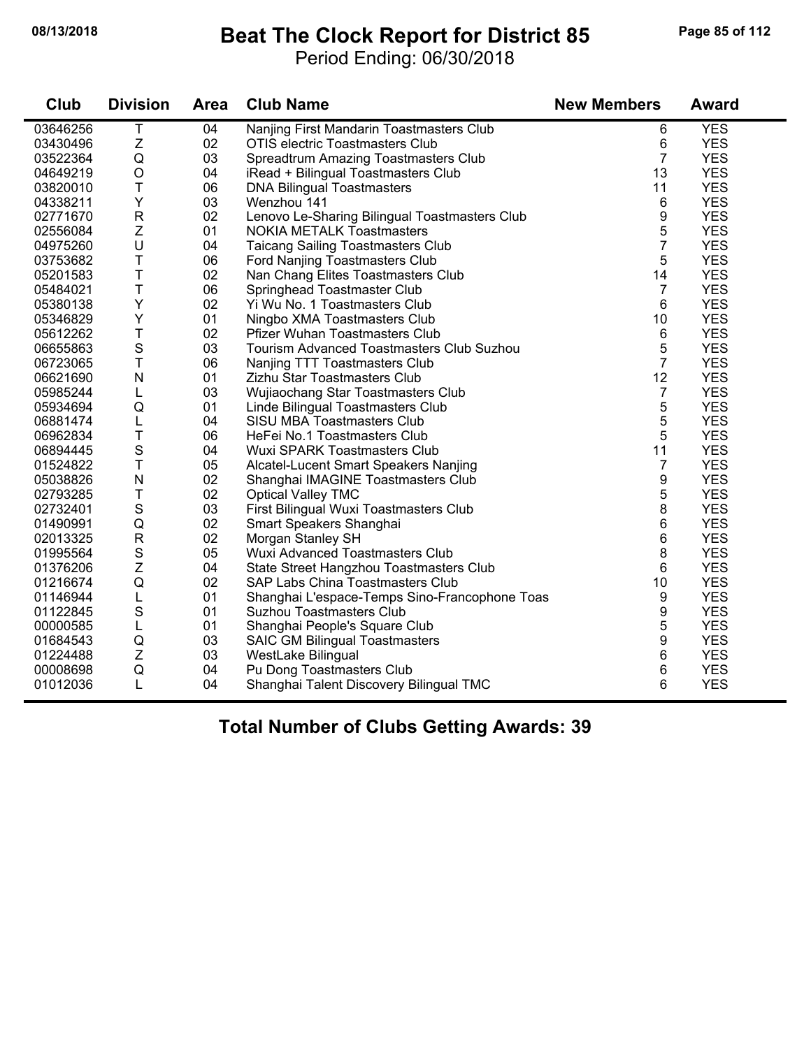## **08/13/2018 Beat The Clock Report for District 85 Page 85 of 112**

Period Ending: 06/30/2018

| Club     | <b>Division</b>           | <b>Area</b> | <b>Club Name</b>                                 | <b>New Members</b> | <b>Award</b> |
|----------|---------------------------|-------------|--------------------------------------------------|--------------------|--------------|
| 03646256 | Т                         | 04          | Nanjing First Mandarin Toastmasters Club         | 6                  | <b>YES</b>   |
| 03430496 | $\ensuremath{\mathsf{Z}}$ | 02          | <b>OTIS electric Toastmasters Club</b>           | 6                  | <b>YES</b>   |
| 03522364 | Q                         | 03          | Spreadtrum Amazing Toastmasters Club             | 7                  | <b>YES</b>   |
| 04649219 | $\bigcirc$                | 04          | iRead + Bilingual Toastmasters Club              | 13                 | <b>YES</b>   |
| 03820010 | T                         | 06          | <b>DNA Bilingual Toastmasters</b>                | 11                 | <b>YES</b>   |
| 04338211 | Y                         | 03          | Wenzhou 141                                      | 6                  | <b>YES</b>   |
| 02771670 | $\mathsf{R}$              | 02          | Lenovo Le-Sharing Bilingual Toastmasters Club    | 9                  | <b>YES</b>   |
| 02556084 | Z                         | 01          | <b>NOKIA METALK Toastmasters</b>                 | 5                  | <b>YES</b>   |
| 04975260 | $\cup$                    | 04          | <b>Taicang Sailing Toastmasters Club</b>         | 7                  | <b>YES</b>   |
| 03753682 | $\sf T$                   | 06          | Ford Nanjing Toastmasters Club                   | 5                  | <b>YES</b>   |
| 05201583 | T                         | 02          | Nan Chang Elites Toastmasters Club               | 14                 | <b>YES</b>   |
| 05484021 | $\top$                    | 06          | Springhead Toastmaster Club                      | 7                  | <b>YES</b>   |
| 05380138 | Υ                         | 02          | Yi Wu No. 1 Toastmasters Club                    | 6                  | <b>YES</b>   |
| 05346829 | Y                         | 01          | Ningbo XMA Toastmasters Club                     | 10                 | <b>YES</b>   |
| 05612262 | $\mathsf T$               | 02          | Pfizer Wuhan Toastmasters Club                   | 6                  | <b>YES</b>   |
| 06655863 | $\mathsf S$               | 03          | <b>Tourism Advanced Toastmasters Club Suzhou</b> | 5                  | <b>YES</b>   |
| 06723065 | T                         | 06          | Nanjing TTT Toastmasters Club                    | $\overline{7}$     | <b>YES</b>   |
| 06621690 | $\mathsf{N}$              | 01          | Zizhu Star Toastmasters Club                     | 12                 | <b>YES</b>   |
| 05985244 | L                         | 03          | Wujiaochang Star Toastmasters Club               | $\overline{7}$     | <b>YES</b>   |
| 05934694 | $\mathsf Q$               | 01          | Linde Bilingual Toastmasters Club                | 5                  | <b>YES</b>   |
| 06881474 | L                         | 04          | SISU MBA Toastmasters Club                       | 5                  | <b>YES</b>   |
| 06962834 | T                         | 06          | HeFei No.1 Toastmasters Club                     | 5                  | <b>YES</b>   |
| 06894445 | $\mathsf S$               | 04          | <b>Wuxi SPARK Toastmasters Club</b>              | 11                 | <b>YES</b>   |
| 01524822 | T                         | 05          | Alcatel-Lucent Smart Speakers Nanjing            | $\overline{7}$     | <b>YES</b>   |
| 05038826 | $\mathsf{N}$              | 02          | Shanghai IMAGINE Toastmasters Club               | 9                  | <b>YES</b>   |
| 02793285 | T                         | 02          | <b>Optical Valley TMC</b>                        | 5                  | <b>YES</b>   |
| 02732401 | S                         | 03          | First Bilingual Wuxi Toastmasters Club           | 8                  | <b>YES</b>   |
| 01490991 | Q                         | 02          | Smart Speakers Shanghai                          | 6                  | <b>YES</b>   |
| 02013325 | ${\sf R}$                 | 02          | Morgan Stanley SH                                | 6                  | <b>YES</b>   |
| 01995564 | $\mathbf S$               | 05          | Wuxi Advanced Toastmasters Club                  | 8                  | <b>YES</b>   |
| 01376206 | Z                         | 04          | State Street Hangzhou Toastmasters Club          | 6                  | <b>YES</b>   |
| 01216674 | Q                         | 02          | SAP Labs China Toastmasters Club                 | 10                 | <b>YES</b>   |
| 01146944 | L                         | 01          | Shanghai L'espace-Temps Sino-Francophone Toas    | 9                  | <b>YES</b>   |
| 01122845 | S                         | 01          | <b>Suzhou Toastmasters Club</b>                  | 9                  | <b>YES</b>   |
| 00000585 | L                         | 01          | Shanghai People's Square Club                    | 5                  | <b>YES</b>   |
| 01684543 | Q                         | 03          | <b>SAIC GM Bilingual Toastmasters</b>            | 9                  | <b>YES</b>   |
| 01224488 | $\mathsf Z$               | 03          | WestLake Bilingual                               | 6                  | <b>YES</b>   |
| 00008698 | $\mathsf Q$               | 04          | Pu Dong Toastmasters Club                        | 6                  | <b>YES</b>   |
| 01012036 | L                         | 04          | Shanghai Talent Discovery Bilingual TMC          | 6                  | <b>YES</b>   |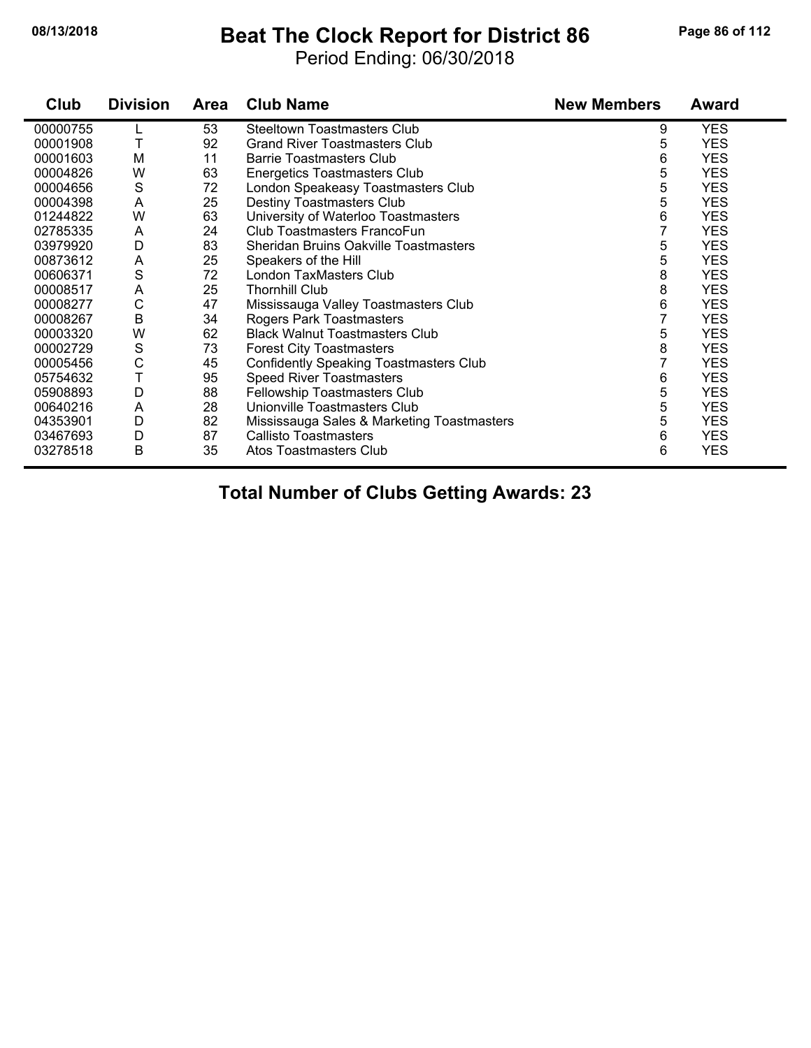## **08/13/2018 Beat The Clock Report for District 86 Page 86 of 112**

Period Ending: 06/30/2018

| Club     | <b>Division</b> | <b>Area</b> | <b>Club Name</b>                              | <b>New Members</b> | <b>Award</b> |
|----------|-----------------|-------------|-----------------------------------------------|--------------------|--------------|
| 00000755 |                 | 53          | <b>Steeltown Toastmasters Club</b>            | 9                  | <b>YES</b>   |
| 00001908 |                 | 92          | <b>Grand River Toastmasters Club</b>          | 5                  | <b>YES</b>   |
| 00001603 | M               | 11          | <b>Barrie Toastmasters Club</b>               | 6                  | <b>YES</b>   |
| 00004826 | W               | 63          | <b>Energetics Toastmasters Club</b>           | 5                  | <b>YES</b>   |
| 00004656 | S               | 72          | London Speakeasy Toastmasters Club            | 5                  | <b>YES</b>   |
| 00004398 | A               | 25          | <b>Destiny Toastmasters Club</b>              | 5                  | <b>YES</b>   |
| 01244822 | W               | 63          | University of Waterloo Toastmasters           | 6                  | <b>YES</b>   |
| 02785335 | A               | 24          | Club Toastmasters FrancoFun                   | 7                  | <b>YES</b>   |
| 03979920 | D               | 83          | <b>Sheridan Bruins Oakville Toastmasters</b>  | 5                  | <b>YES</b>   |
| 00873612 | A               | 25          | Speakers of the Hill                          | 5                  | <b>YES</b>   |
| 00606371 | S               | 72          | London TaxMasters Club                        | 8                  | <b>YES</b>   |
| 00008517 | A               | 25          | <b>Thornhill Club</b>                         | 8                  | <b>YES</b>   |
| 00008277 | C               | 47          | Mississauga Valley Toastmasters Club          | 6                  | <b>YES</b>   |
| 00008267 | В               | 34          | Rogers Park Toastmasters                      | 7                  | <b>YES</b>   |
| 00003320 | W               | 62          | <b>Black Walnut Toastmasters Club</b>         | 5                  | <b>YES</b>   |
| 00002729 | S               | 73          | <b>Forest City Toastmasters</b>               | 8                  | <b>YES</b>   |
| 00005456 | С               | 45          | <b>Confidently Speaking Toastmasters Club</b> |                    | <b>YES</b>   |
| 05754632 |                 | 95          | <b>Speed River Toastmasters</b>               | 6                  | <b>YES</b>   |
| 05908893 | D               | 88          | Fellowship Toastmasters Club                  | 5                  | <b>YES</b>   |
| 00640216 | A               | 28          | Unionville Toastmasters Club                  | 5                  | <b>YES</b>   |
| 04353901 | D               | 82          | Mississauga Sales & Marketing Toastmasters    | 5                  | <b>YES</b>   |
| 03467693 | D               | 87          | <b>Callisto Toastmasters</b>                  | 6                  | <b>YES</b>   |
| 03278518 | В               | 35          | Atos Toastmasters Club                        | 6                  | <b>YES</b>   |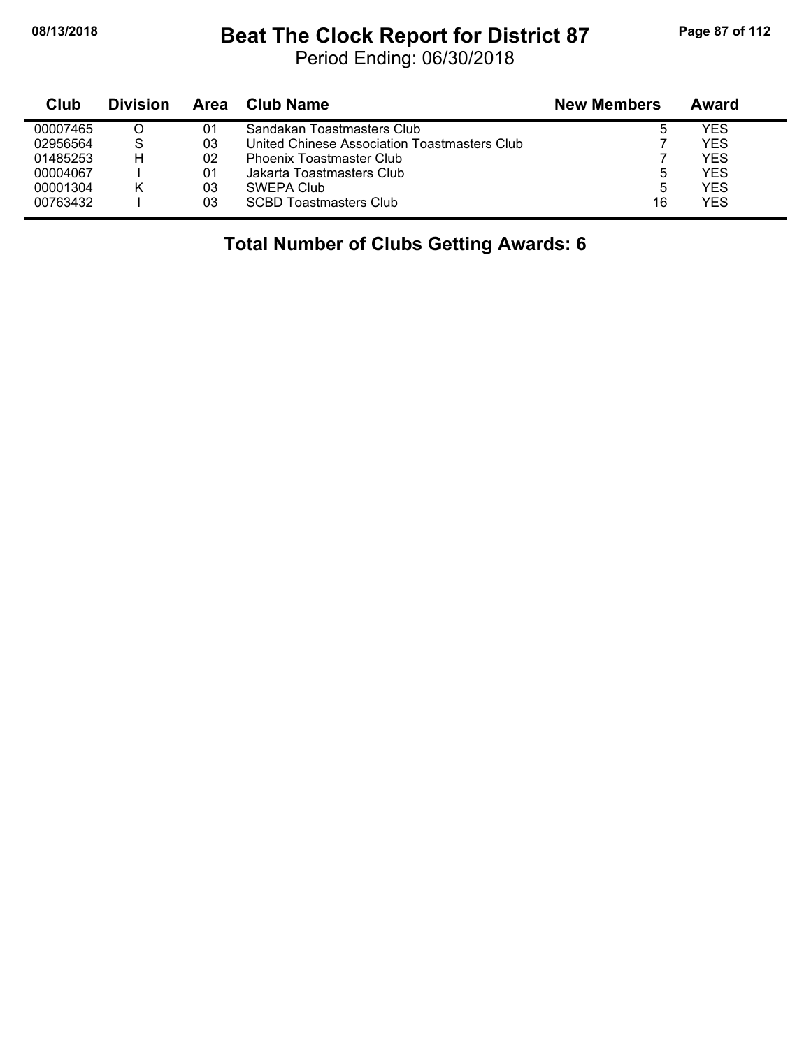$\blacksquare$ 

## **08/13/2018 Beat The Clock Report for District 87 Page 87 of 112**

Period Ending: 06/30/2018

| Club     | <b>Division</b> | Area | Club Name                                    | <b>New Members</b> | Award |
|----------|-----------------|------|----------------------------------------------|--------------------|-------|
| 00007465 |                 | 01   | Sandakan Toastmasters Club                   | b                  | YES   |
| 02956564 | S               | 03   | United Chinese Association Toastmasters Club |                    | YES   |
| 01485253 | н               | 02   | <b>Phoenix Toastmaster Club</b>              |                    | YES   |
| 00004067 |                 | 01   | Jakarta Toastmasters Club                    | 5                  | YES   |
| 00001304 |                 | 03   | SWEPA Club                                   | 5                  | YES   |
| 00763432 |                 | 03   | <b>SCBD Toastmasters Club</b>                | 16                 | YES   |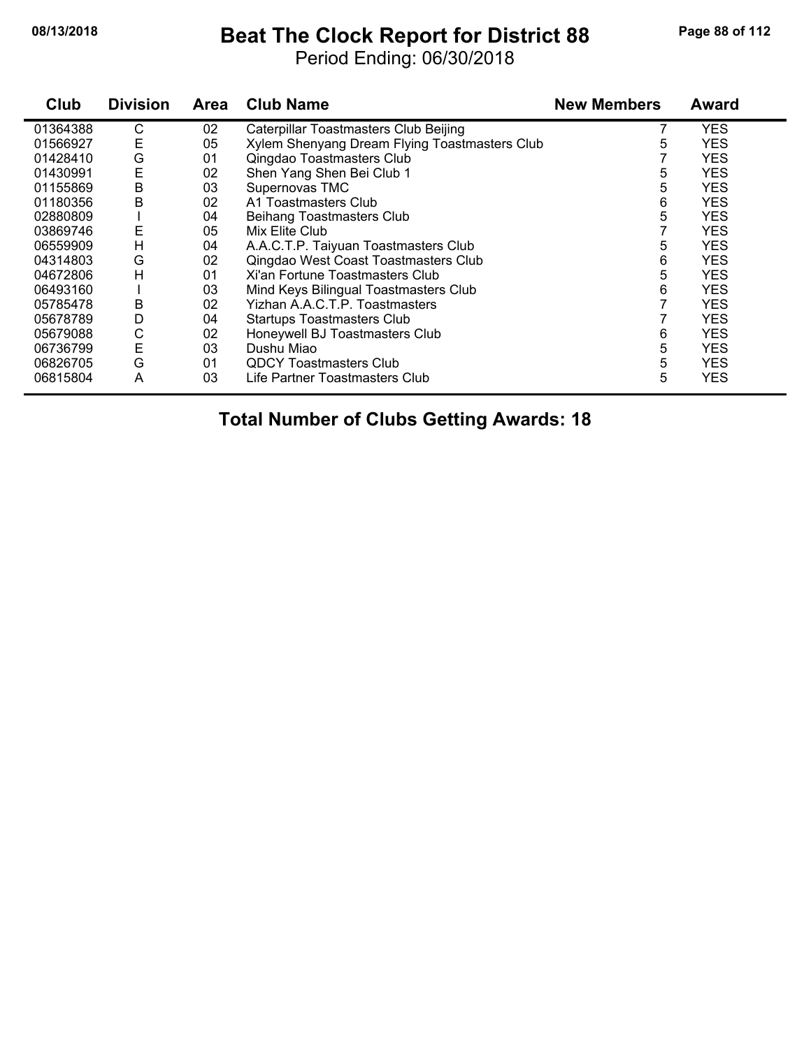## **08/13/2018 Beat The Clock Report for District 88 Page 88 of 112**

Period Ending: 06/30/2018

| Club     | <b>Division</b> | Area | <b>Club Name</b>                              | <b>New Members</b> | <b>Award</b> |
|----------|-----------------|------|-----------------------------------------------|--------------------|--------------|
| 01364388 | С               | 02   | Caterpillar Toastmasters Club Beijing         |                    | YES.         |
| 01566927 | Е               | 05   | Xylem Shenyang Dream Flying Toastmasters Club | 5                  | <b>YES</b>   |
| 01428410 | G               | 01   | Qingdao Toastmasters Club                     |                    | <b>YES</b>   |
| 01430991 | Е               | 02   | Shen Yang Shen Bei Club 1                     | 5                  | <b>YES</b>   |
| 01155869 | $\sf B$         | 03   | Supernovas TMC                                | 5                  | <b>YES</b>   |
| 01180356 | B               | 02   | A1 Toastmasters Club                          | 6                  | <b>YES</b>   |
| 02880809 |                 | 04   | <b>Beihang Toastmasters Club</b>              | 5                  | <b>YES</b>   |
| 03869746 | Е               | 05   | Mix Elite Club                                |                    | <b>YES</b>   |
| 06559909 | H               | 04   | A.A.C.T.P. Taiyuan Toastmasters Club          | 5                  | <b>YES</b>   |
| 04314803 | G               | 02   | Qingdao West Coast Toastmasters Club          | 6                  | <b>YES</b>   |
| 04672806 | Н               | 01   | Xi'an Fortune Toastmasters Club               | 5                  | <b>YES</b>   |
| 06493160 |                 | 03   | Mind Keys Bilingual Toastmasters Club         | 6                  | <b>YES</b>   |
| 05785478 | B               | 02   | Yizhan A.A.C.T.P. Toastmasters                |                    | <b>YES</b>   |
| 05678789 | D               | 04   | <b>Startups Toastmasters Club</b>             |                    | <b>YES</b>   |
| 05679088 | C               | 02   | Honeywell BJ Toastmasters Club                | 6                  | <b>YES</b>   |
| 06736799 | E               | 03   | Dushu Miao                                    | 5                  | <b>YES</b>   |
| 06826705 | G               | 01   | <b>QDCY Toastmasters Club</b>                 | 5                  | <b>YES</b>   |
| 06815804 | A               | 03   | Life Partner Toastmasters Club                | 5                  | <b>YES</b>   |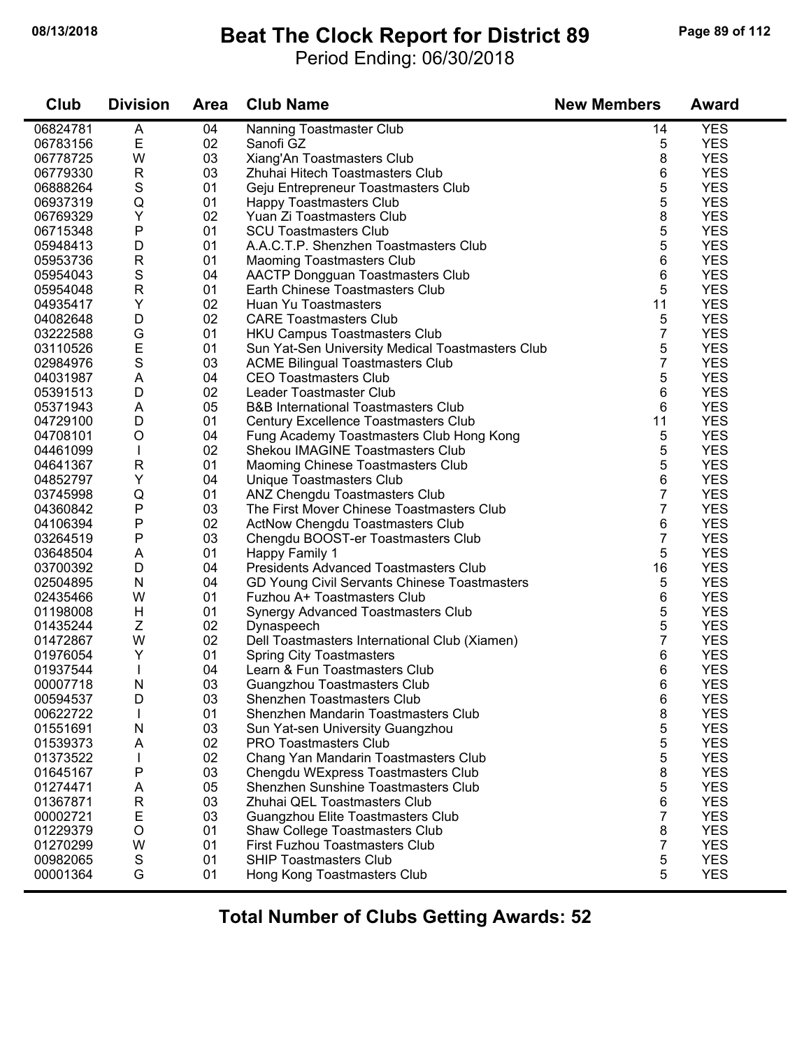## **08/13/2018 Beat The Clock Report for District 89 Page 89 of 112**

Period Ending: 06/30/2018

| Club                 | <b>Division</b> | <b>Area</b> | <b>Club Name</b>                                                            | <b>New Members</b> | <b>Award</b>             |  |
|----------------------|-----------------|-------------|-----------------------------------------------------------------------------|--------------------|--------------------------|--|
| 06824781             | A               | 04          | Nanning Toastmaster Club                                                    | 14                 | <b>YES</b>               |  |
| 06783156             | $\mathsf E$     | 02          | Sanofi GZ                                                                   | 5                  | <b>YES</b>               |  |
| 06778725             | W               | 03          | Xiang'An Toastmasters Club                                                  | 8                  | <b>YES</b>               |  |
| 06779330             | R               | 03          | Zhuhai Hitech Toastmasters Club                                             | 6                  | <b>YES</b>               |  |
| 06888264             | ${\mathsf S}$   | 01          | Geju Entrepreneur Toastmasters Club                                         | 5                  | <b>YES</b>               |  |
| 06937319             | Q               | 01          | Happy Toastmasters Club                                                     | 5                  | <b>YES</b>               |  |
| 06769329             | Υ               | 02          | Yuan Zi Toastmasters Club                                                   | 8                  | <b>YES</b>               |  |
| 06715348             | P               | 01          | <b>SCU Toastmasters Club</b>                                                | 5                  | <b>YES</b>               |  |
| 05948413             | D               | 01          | A.A.C.T.P. Shenzhen Toastmasters Club                                       | 5                  | <b>YES</b>               |  |
| 05953736             | $\mathsf{R}$    | 01          | <b>Maoming Toastmasters Club</b>                                            | 6                  | <b>YES</b>               |  |
| 05954043             | S               | 04          | AACTP Dongguan Toastmasters Club                                            | 6                  | <b>YES</b>               |  |
| 05954048             | ${\sf R}$       | 01          | Earth Chinese Toastmasters Club                                             | 5                  | <b>YES</b>               |  |
| 04935417             | Υ               | 02          | Huan Yu Toastmasters                                                        | 11                 | <b>YES</b>               |  |
| 04082648             | $\mathsf D$     | 02          | <b>CARE Toastmasters Club</b>                                               | 5                  | <b>YES</b>               |  |
| 03222588             | G               | 01          | <b>HKU Campus Toastmasters Club</b>                                         | $\overline{7}$     | <b>YES</b>               |  |
| 03110526             | E               | 01          | Sun Yat-Sen University Medical Toastmasters Club                            | 5                  | <b>YES</b>               |  |
| 02984976             | S               | 03          | <b>ACME Bilingual Toastmasters Club</b>                                     | $\overline{7}$     | <b>YES</b>               |  |
| 04031987             | A               | 04          | <b>CEO Toastmasters Club</b>                                                | 5                  | <b>YES</b>               |  |
| 05391513             | D               | 02          | Leader Toastmaster Club                                                     | 6                  | <b>YES</b>               |  |
| 05371943             | A               | 05          | <b>B&amp;B International Toastmasters Club</b>                              | 6                  | <b>YES</b>               |  |
| 04729100             | D               | 01          | Century Excellence Toastmasters Club                                        | 11                 | <b>YES</b>               |  |
| 04708101             | O               | 04          | Fung Academy Toastmasters Club Hong Kong                                    | 5                  | <b>YES</b>               |  |
| 04461099             |                 | 02          | Shekou IMAGINE Toastmasters Club                                            | 5                  | <b>YES</b>               |  |
| 04641367             | R               | 01          | Maoming Chinese Toastmasters Club                                           | 5                  | <b>YES</b>               |  |
| 04852797             | Y               | 04          | <b>Unique Toastmasters Club</b>                                             | 6                  | <b>YES</b>               |  |
| 03745998             | Q               | 01          | ANZ Chengdu Toastmasters Club                                               | $\overline{7}$     | <b>YES</b>               |  |
| 04360842             | P               | 03          | The First Mover Chinese Toastmasters Club                                   | $\overline{7}$     | <b>YES</b>               |  |
| 04106394             | Ρ               | 02          | ActNow Chengdu Toastmasters Club                                            | 6                  | <b>YES</b>               |  |
| 03264519             | Ρ               | 03          | Chengdu BOOST-er Toastmasters Club                                          | 7                  | <b>YES</b>               |  |
|                      |                 | 01          |                                                                             | 5                  | <b>YES</b>               |  |
| 03648504<br>03700392 | A<br>D          | 04          | Happy Family 1<br><b>Presidents Advanced Toastmasters Club</b>              | 16                 | <b>YES</b>               |  |
|                      | $\mathsf{N}$    | 04          |                                                                             | 5                  | <b>YES</b>               |  |
| 02504895             | W               | 01          | GD Young Civil Servants Chinese Toastmasters<br>Fuzhou A+ Toastmasters Club | 6                  | <b>YES</b>               |  |
| 02435466             | H               |             |                                                                             |                    | <b>YES</b>               |  |
| 01198008<br>01435244 | Ζ               | 01<br>02    | <b>Synergy Advanced Toastmasters Club</b>                                   | 5                  | <b>YES</b>               |  |
|                      | W               | 02          | Dynaspeech                                                                  | 5<br>7             |                          |  |
| 01472867             |                 |             | Dell Toastmasters International Club (Xiamen)                               |                    | <b>YES</b><br><b>YES</b> |  |
| 01976054             | Υ               | 01          | <b>Spring City Toastmasters</b>                                             | 6                  |                          |  |
| 01937544<br>00007718 | L               | 04<br>03    | Learn & Fun Toastmasters Club                                               | 6                  | <b>YES</b>               |  |
|                      | N               |             | Guangzhou Toastmasters Club                                                 | 6                  | <b>YES</b>               |  |
| 00594537             | D               | 03          | Shenzhen Toastmasters Club                                                  | 6                  | YES                      |  |
| 00622722             |                 | 01          | Shenzhen Mandarin Toastmasters Club                                         | 8                  | <b>YES</b>               |  |
| 01551691             | N               | 03          | Sun Yat-sen University Guangzhou                                            | 5                  | <b>YES</b>               |  |
| 01539373             | A               | 02          | <b>PRO Toastmasters Club</b>                                                | 5                  | <b>YES</b>               |  |
| 01373522             | L               | 02          | Chang Yan Mandarin Toastmasters Club                                        | 5                  | <b>YES</b>               |  |
| 01645167             | Ρ               | 03          | Chengdu WExpress Toastmasters Club                                          | 8                  | <b>YES</b>               |  |
| 01274471             | Α               | 05          | Shenzhen Sunshine Toastmasters Club                                         | 5                  | <b>YES</b>               |  |
| 01367871             | R               | 03          | Zhuhai QEL Toastmasters Club                                                | 6                  | <b>YES</b>               |  |
| 00002721             | E               | 03          | Guangzhou Elite Toastmasters Club                                           | 7                  | <b>YES</b>               |  |
| 01229379             | O               | 01          | Shaw College Toastmasters Club                                              | 8                  | <b>YES</b>               |  |
| 01270299             | W               | 01          | <b>First Fuzhou Toastmasters Club</b>                                       | $\overline{7}$     | <b>YES</b>               |  |
| 00982065             | ${\mathsf S}$   | 01          | <b>SHIP Toastmasters Club</b>                                               | 5                  | <b>YES</b>               |  |
| 00001364             | G               | 01          | Hong Kong Toastmasters Club                                                 | 5                  | <b>YES</b>               |  |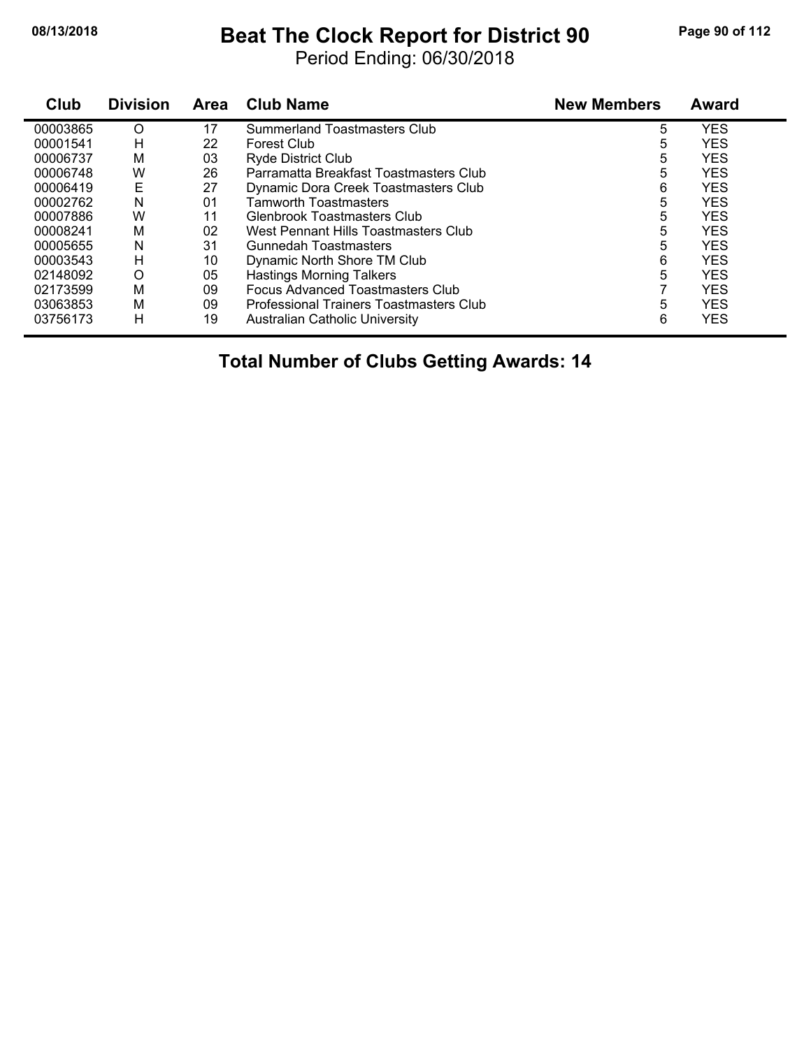#### **08/13/2018 Beat The Clock Report for District 90 Page 90 of 112**

Period Ending: 06/30/2018

| Club     | <b>Division</b> | Area | <b>Club Name</b>                        | <b>New Members</b> | Award      |
|----------|-----------------|------|-----------------------------------------|--------------------|------------|
| 00003865 | O               | 17   | <b>Summerland Toastmasters Club</b>     | 5                  | <b>YES</b> |
| 00001541 | н               | 22   | Forest Club                             | 5                  | <b>YES</b> |
| 00006737 | М               | 03   | <b>Ryde District Club</b>               | 5                  | <b>YES</b> |
| 00006748 | W               | 26   | Parramatta Breakfast Toastmasters Club  | 5                  | <b>YES</b> |
| 00006419 | Ε               | 27   | Dynamic Dora Creek Toastmasters Club    | 6                  | YES        |
| 00002762 | N               | 01   | <b>Tamworth Toastmasters</b>            | 5                  | <b>YES</b> |
| 00007886 | W               | 11   | <b>Glenbrook Toastmasters Club</b>      | 5                  | <b>YES</b> |
| 00008241 | М               | 02   | West Pennant Hills Toastmasters Club    | 5                  | <b>YES</b> |
| 00005655 | N               | 31   | Gunnedah Toastmasters                   | 5                  | <b>YES</b> |
| 00003543 | H               | 10   | Dynamic North Shore TM Club             | 6                  | <b>YES</b> |
| 02148092 | O               | 05   | <b>Hastings Morning Talkers</b>         | 5                  | <b>YES</b> |
| 02173599 | М               | 09   | Focus Advanced Toastmasters Club        |                    | YES        |
| 03063853 | м               | 09   | Professional Trainers Toastmasters Club | 5                  | <b>YES</b> |
| 03756173 | н               | 19   | Australian Catholic University          | 6                  | <b>YES</b> |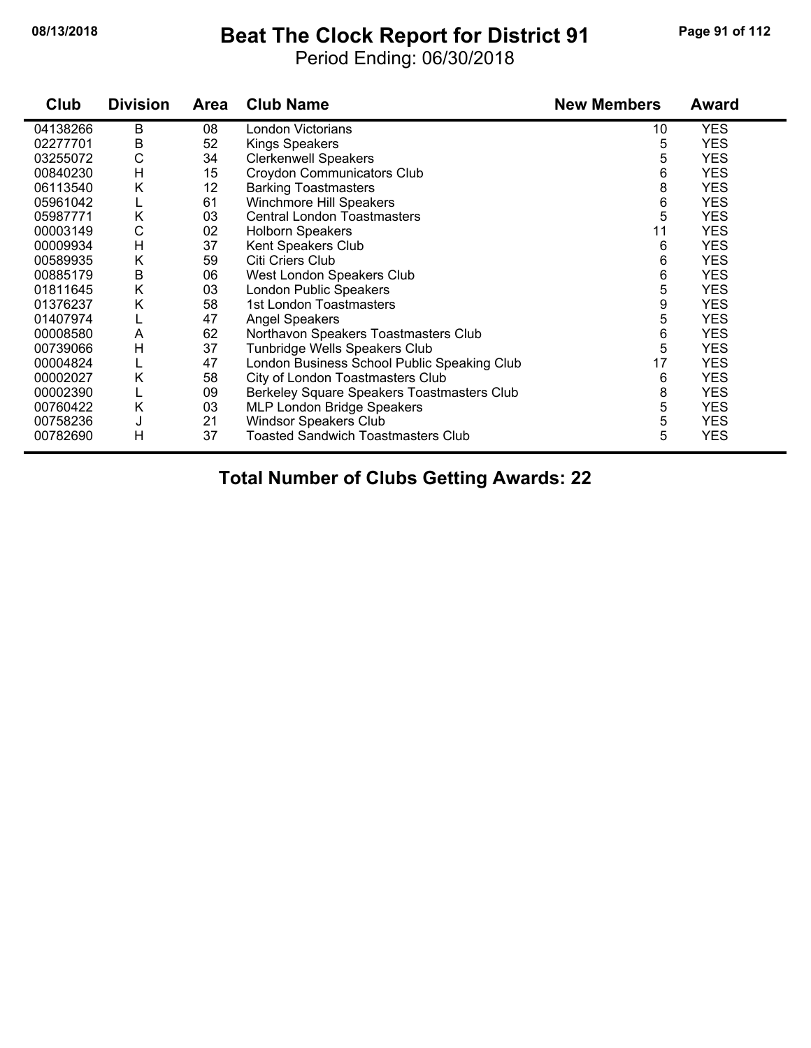## **08/13/2018 Beat The Clock Report for District 91 Page 91 of 112**

Period Ending: 06/30/2018

| Club     | <b>Division</b> | Area | <b>Club Name</b>                            | <b>New Members</b> | <b>Award</b> |
|----------|-----------------|------|---------------------------------------------|--------------------|--------------|
| 04138266 | B               | 08   | London Victorians                           | 10                 | <b>YES</b>   |
| 02277701 | В               | 52   | <b>Kings Speakers</b>                       | 5                  | <b>YES</b>   |
| 03255072 | С               | 34   | <b>Clerkenwell Speakers</b>                 | 5                  | <b>YES</b>   |
| 00840230 | Н               | 15   | Croydon Communicators Club                  | 6                  | <b>YES</b>   |
| 06113540 | Κ               | 12   | <b>Barking Toastmasters</b>                 | 8                  | <b>YES</b>   |
| 05961042 | L               | 61   | <b>Winchmore Hill Speakers</b>              | 6                  | <b>YES</b>   |
| 05987771 | Κ               | 03   | <b>Central London Toastmasters</b>          | 5                  | <b>YES</b>   |
| 00003149 | C               | 02   | <b>Holborn Speakers</b>                     | 11                 | <b>YES</b>   |
| 00009934 | H               | 37   | Kent Speakers Club                          | 6                  | <b>YES</b>   |
| 00589935 | K               | 59   | Citi Criers Club                            | 6                  | <b>YES</b>   |
| 00885179 | $\sf B$         | 06   | West London Speakers Club                   | 6                  | <b>YES</b>   |
| 01811645 | Κ               | 03   | London Public Speakers                      | 5                  | <b>YES</b>   |
| 01376237 | Κ               | 58   | 1st London Toastmasters                     | 9                  | <b>YES</b>   |
| 01407974 |                 | 47   | <b>Angel Speakers</b>                       | 5                  | YES.         |
| 00008580 | A               | 62   | Northavon Speakers Toastmasters Club        | 6                  | <b>YES</b>   |
| 00739066 | H               | 37   | Tunbridge Wells Speakers Club               | 5                  | <b>YES</b>   |
| 00004824 | L               | 47   | London Business School Public Speaking Club | 17                 | <b>YES</b>   |
| 00002027 | Κ               | 58   | City of London Toastmasters Club            | 6                  | <b>YES</b>   |
| 00002390 |                 | 09   | Berkeley Square Speakers Toastmasters Club  | 8                  | <b>YES</b>   |
| 00760422 | Κ               | 03   | <b>MLP London Bridge Speakers</b>           | 5                  | <b>YES</b>   |
| 00758236 | J               | 21   | <b>Windsor Speakers Club</b>                | $\mathbf 5$        | <b>YES</b>   |
| 00782690 | H               | 37   | <b>Toasted Sandwich Toastmasters Club</b>   | 5                  | <b>YES</b>   |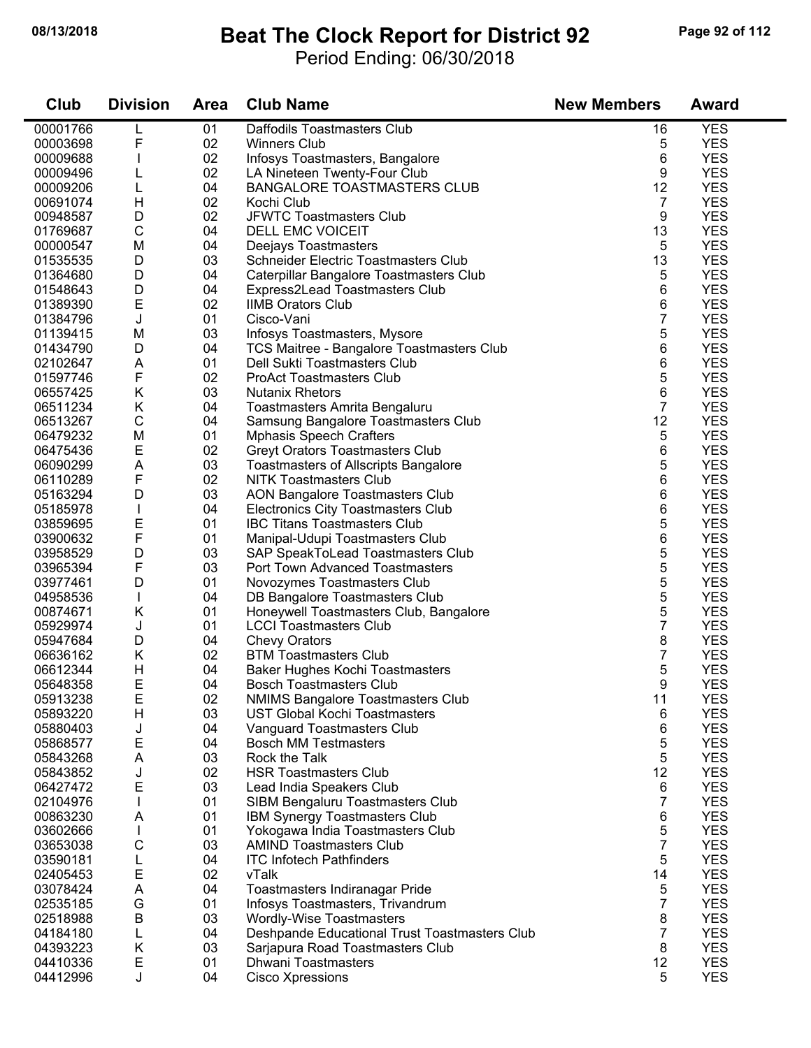$\blacksquare$ 

### **08/13/2018 Beat The Clock Report for District 92 Page 92 of 112**

Period Ending: 06/30/2018

| Club     | <b>Division</b> | <b>Area</b> | <b>Club Name</b>                              | <b>New Members</b> | <b>Award</b> |
|----------|-----------------|-------------|-----------------------------------------------|--------------------|--------------|
| 00001766 | L               | 01          | Daffodils Toastmasters Club                   | 16                 | <b>YES</b>   |
| 00003698 | $\mathsf{F}$    | 02          | <b>Winners Club</b>                           | 5                  | <b>YES</b>   |
| 00009688 | $\mathbf{I}$    | 02          | Infosys Toastmasters, Bangalore               | 6                  | <b>YES</b>   |
| 00009496 | L               | 02          | LA Nineteen Twenty-Four Club                  | 9                  | <b>YES</b>   |
| 00009206 | L               | 04          | <b>BANGALORE TOASTMASTERS CLUB</b>            | 12                 | <b>YES</b>   |
| 00691074 | H               | 02          | Kochi Club                                    | 7                  | <b>YES</b>   |
| 00948587 | D               | 02          | <b>JFWTC Toastmasters Club</b>                | 9                  | <b>YES</b>   |
| 01769687 | $\mathsf C$     | 04          | DELL EMC VOICEIT                              | 13                 | <b>YES</b>   |
| 00000547 | M               | 04          | Deejays Toastmasters                          | 5                  | <b>YES</b>   |
| 01535535 | D               | 03          | <b>Schneider Electric Toastmasters Club</b>   | 13                 | <b>YES</b>   |
| 01364680 | D               | 04          | Caterpillar Bangalore Toastmasters Club       | 5                  | <b>YES</b>   |
| 01548643 | D               | 04          | Express2Lead Toastmasters Club                | 6                  | <b>YES</b>   |
| 01389390 | E               | 02          | <b>IIMB Orators Club</b>                      | 6                  | <b>YES</b>   |
| 01384796 | J               | 01          | Cisco-Vani                                    | $\overline{7}$     | <b>YES</b>   |
| 01139415 | M               | 03          | Infosys Toastmasters, Mysore                  | 5                  | <b>YES</b>   |
| 01434790 | D               | 04          | TCS Maitree - Bangalore Toastmasters Club     | 6                  | <b>YES</b>   |
| 02102647 | A               | 01          | Dell Sukti Toastmasters Club                  | 6                  | <b>YES</b>   |
| 01597746 | F               | 02          | <b>ProAct Toastmasters Club</b>               | 5                  | <b>YES</b>   |
| 06557425 | Κ               | 03          | <b>Nutanix Rhetors</b>                        | 6                  | <b>YES</b>   |
| 06511234 | Κ               | 04          | Toastmasters Amrita Bengaluru                 | $\overline{7}$     | <b>YES</b>   |
| 06513267 | $\mathsf C$     | 04          | Samsung Bangalore Toastmasters Club           | 12                 | <b>YES</b>   |
| 06479232 | M               | 01          | <b>Mphasis Speech Crafters</b>                | 5                  | <b>YES</b>   |
| 06475436 | E               | 02          | <b>Greyt Orators Toastmasters Club</b>        | 6                  | <b>YES</b>   |
| 06090299 | A               | 03          | <b>Toastmasters of Allscripts Bangalore</b>   | 5                  | <b>YES</b>   |
| 06110289 | F               | 02          | <b>NITK Toastmasters Club</b>                 | 6                  | <b>YES</b>   |
| 05163294 | D               | 03          | <b>AON Bangalore Toastmasters Club</b>        | 6                  | <b>YES</b>   |
| 05185978 | T               | 04          | <b>Electronics City Toastmasters Club</b>     | 6                  | <b>YES</b>   |
| 03859695 | E               | 01          | <b>IBC Titans Toastmasters Club</b>           | 5                  | <b>YES</b>   |
| 03900632 | F               | 01          | Manipal-Udupi Toastmasters Club               | 6                  | <b>YES</b>   |
| 03958529 | D               | 03          | SAP SpeakToLead Toastmasters Club             | 5                  | <b>YES</b>   |
| 03965394 | F               | 03          | <b>Port Town Advanced Toastmasters</b>        | 5                  | <b>YES</b>   |
| 03977461 | D               | 01          | Novozymes Toastmasters Club                   | 5                  | <b>YES</b>   |
| 04958536 | $\mathbf{I}$    | 04          | DB Bangalore Toastmasters Club                | 5                  | <b>YES</b>   |
| 00874671 | Κ               | 01          | Honeywell Toastmasters Club, Bangalore        | 5                  | <b>YES</b>   |
| 05929974 | J               | 01          | <b>LCCI Toastmasters Club</b>                 | $\overline{7}$     | <b>YES</b>   |
| 05947684 | D               | 04          | <b>Chevy Orators</b>                          | 8                  | <b>YES</b>   |
| 06636162 | Κ               | 02          | <b>BTM Toastmasters Club</b>                  | 7                  | <b>YES</b>   |
| 06612344 | H               | 04          | Baker Hughes Kochi Toastmasters               | 5                  | <b>YES</b>   |
| 05648358 | E               | 04          | <b>Bosch Toastmasters Club</b>                | 9                  | <b>YES</b>   |
| 05913238 | Е               | 02          | <b>NMIMS Bangalore Toastmasters Club</b>      | 11                 | <b>YES</b>   |
| 05893220 | H               | 03          | <b>UST Global Kochi Toastmasters</b>          | 6                  | <b>YES</b>   |
| 05880403 | J               | 04          | <b>Vanguard Toastmasters Club</b>             | 6                  | <b>YES</b>   |
| 05868577 | Е               | 04          | <b>Bosch MM Testmasters</b>                   | 5                  | <b>YES</b>   |
| 05843268 | A               | 03          | Rock the Talk                                 | 5                  | <b>YES</b>   |
| 05843852 | J               | 02          | <b>HSR Toastmasters Club</b>                  | 12                 | <b>YES</b>   |
| 06427472 | E               | 03          | Lead India Speakers Club                      | 6                  | <b>YES</b>   |
| 02104976 | T               | 01          | SIBM Bengaluru Toastmasters Club              | $\overline{7}$     | <b>YES</b>   |
| 00863230 | A               | 01          | <b>IBM Synergy Toastmasters Club</b>          | 6                  | <b>YES</b>   |
| 03602666 | T               | 01          | Yokogawa India Toastmasters Club              | 5                  | <b>YES</b>   |
| 03653038 | $\mathsf{C}$    | 03          | <b>AMIND Toastmasters Club</b>                | $\overline{7}$     | <b>YES</b>   |
| 03590181 | L               | 04          | <b>ITC Infotech Pathfinders</b>               | 5                  | <b>YES</b>   |
| 02405453 | $\mathsf E$     | 02          | vTalk                                         | 14                 | <b>YES</b>   |
| 03078424 | $\mathsf A$     | 04          | Toastmasters Indiranagar Pride                | 5                  | <b>YES</b>   |
| 02535185 | G               | 01          | Infosys Toastmasters, Trivandrum              | $\overline{7}$     | <b>YES</b>   |
| 02518988 | $\sf B$         | 03          | Wordly-Wise Toastmasters                      | 8                  | <b>YES</b>   |
| 04184180 | L               | 04          | Deshpande Educational Trust Toastmasters Club | 7                  | <b>YES</b>   |
| 04393223 | Κ               | 03          | Sarjapura Road Toastmasters Club              | 8                  | <b>YES</b>   |
| 04410336 | $\mathsf E$     | 01          | <b>Dhwani Toastmasters</b>                    | 12                 | <b>YES</b>   |
| 04412996 | J               | 04          | <b>Cisco Xpressions</b>                       | 5                  | <b>YES</b>   |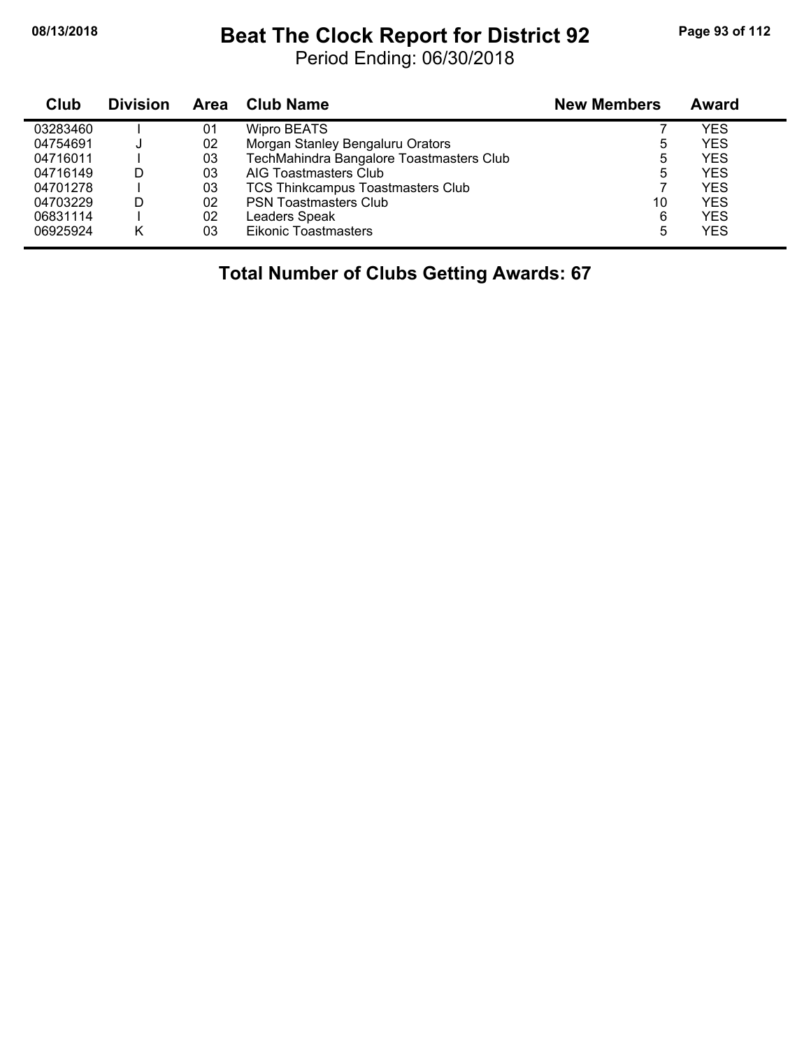## **08/13/2018 Beat The Clock Report for District 92 Page 93 of 112**

Period Ending: 06/30/2018

| Club     | <b>Division</b> | Area | <b>Club Name</b>                         | <b>New Members</b> | Award      |
|----------|-----------------|------|------------------------------------------|--------------------|------------|
| 03283460 |                 | 01   | <b>Wipro BEATS</b>                       |                    | YES        |
| 04754691 |                 | 02   | Morgan Stanley Bengaluru Orators         | 5                  | YES        |
| 04716011 |                 | 03   | TechMahindra Bangalore Toastmasters Club | 5                  | YES        |
| 04716149 | D               | 03   | AIG Toastmasters Club                    | 5                  | <b>YES</b> |
| 04701278 |                 | 03   | <b>TCS Thinkcampus Toastmasters Club</b> |                    | YES        |
| 04703229 | D               | 02   | <b>PSN Toastmasters Club</b>             | 10                 | YES        |
| 06831114 |                 | 02   | Leaders Speak                            | 6                  | YES        |
| 06925924 |                 | 03   | Eikonic Toastmasters                     | 5                  | YES        |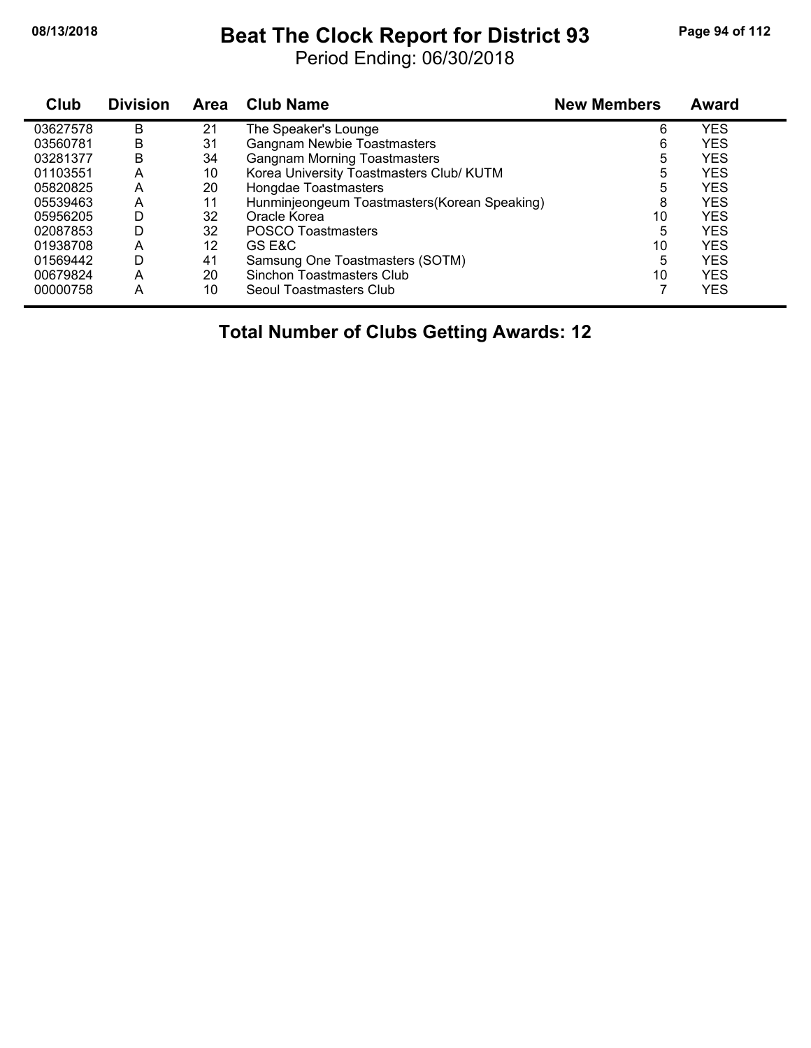#### **08/13/2018 Beat The Clock Report for District 93 Page 94 of 112**

Period Ending: 06/30/2018

| Club     | <b>Division</b> | <b>Area</b> | <b>Club Name</b>                              | <b>New Members</b> | Award      |
|----------|-----------------|-------------|-----------------------------------------------|--------------------|------------|
| 03627578 | B               | 21          | The Speaker's Lounge                          | 6                  | <b>YES</b> |
| 03560781 | В               | 31          | Gangnam Newbie Toastmasters                   | 6                  | <b>YES</b> |
| 03281377 | B               | 34          | <b>Gangnam Morning Toastmasters</b>           | 5                  | <b>YES</b> |
| 01103551 | A               | 10          | Korea University Toastmasters Club/ KUTM      | 5                  | <b>YES</b> |
| 05820825 | A               | 20          | Hongdae Toastmasters                          | 5                  | <b>YES</b> |
| 05539463 | A               | 11          | Hunminjeongeum Toastmasters (Korean Speaking) | 8                  | <b>YES</b> |
| 05956205 | D               | 32          | Oracle Korea                                  | 10                 | <b>YES</b> |
| 02087853 | D               | 32          | <b>POSCO Toastmasters</b>                     | 5                  | <b>YES</b> |
| 01938708 | A               | 12          | GS E&C                                        | 10                 | <b>YES</b> |
| 01569442 | D               | 41          | Samsung One Toastmasters (SOTM)               | 5                  | <b>YES</b> |
| 00679824 | A               | 20          | Sinchon Toastmasters Club                     | 10                 | <b>YES</b> |
| 00000758 | A               | 10          | Seoul Toastmasters Club                       |                    | <b>YES</b> |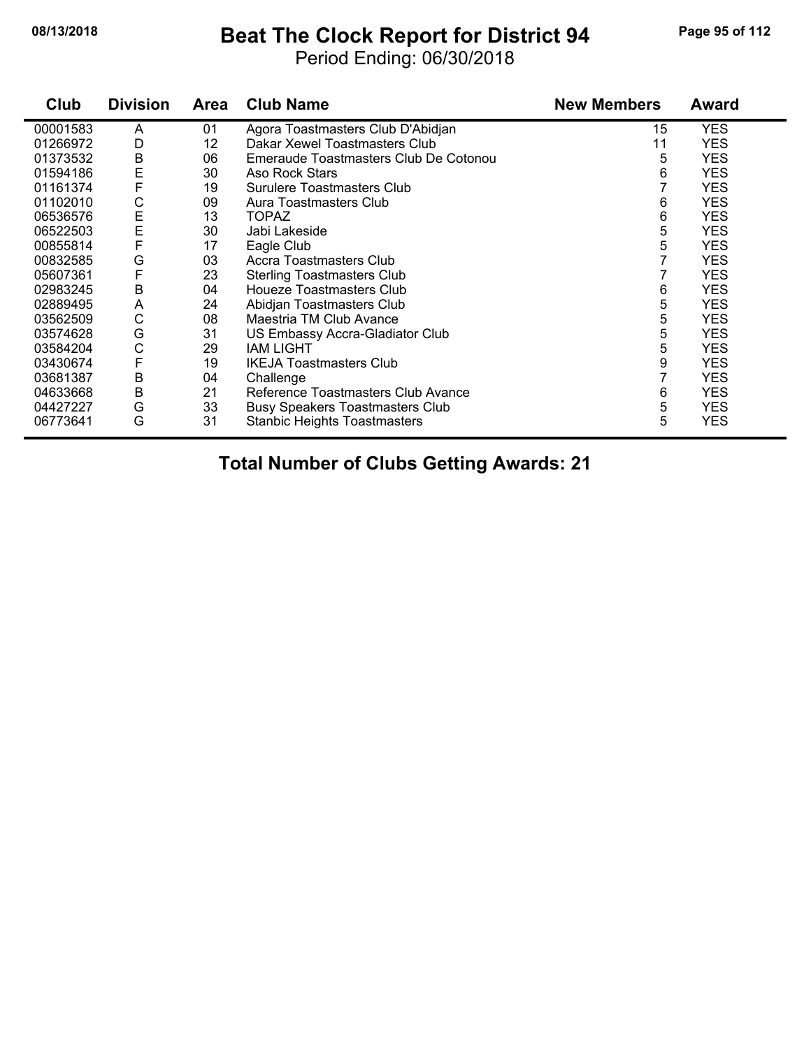## **08/13/2018 Beat The Clock Report for District 94 Page 95 of 112**

Period Ending: 06/30/2018

| Club     | <b>Division</b> | <b>Area</b> | <b>Club Name</b>                       | <b>New Members</b> | <b>Award</b> |
|----------|-----------------|-------------|----------------------------------------|--------------------|--------------|
| 00001583 | A               | 01          | Agora Toastmasters Club D'Abidjan      | 15                 | <b>YES</b>   |
| 01266972 | D               | 12          | Dakar Xewel Toastmasters Club          | 11                 | YES          |
| 01373532 | B               | 06          | Emeraude Toastmasters Club De Cotonou  | 5                  | <b>YES</b>   |
| 01594186 | E               | 30          | Aso Rock Stars                         | 6                  | <b>YES</b>   |
| 01161374 | F               | 19          | <b>Surulere Toastmasters Club</b>      |                    | <b>YES</b>   |
| 01102010 | С               | 09          | Aura Toastmasters Club                 | 6                  | <b>YES</b>   |
| 06536576 | E               | 13          | <b>TOPAZ</b>                           | 6                  | <b>YES</b>   |
| 06522503 | E               | 30          | Jabi Lakeside                          | 5                  | <b>YES</b>   |
| 00855814 | F               | 17          | Eagle Club                             | 5                  | <b>YES</b>   |
| 00832585 | G               | 03          | Accra Toastmasters Club                | 7                  | YES          |
| 05607361 | F               | 23          | <b>Sterling Toastmasters Club</b>      |                    | <b>YES</b>   |
| 02983245 | B               | 04          | Houeze Toastmasters Club               | 6                  | YES          |
| 02889495 | A               | 24          | Abidjan Toastmasters Club              | 5                  | <b>YES</b>   |
| 03562509 | C               | 08          | Maestria TM Club Avance                | 5                  | <b>YES</b>   |
| 03574628 | G               | 31          | US Embassy Accra-Gladiator Club        | 5                  | YES          |
| 03584204 | С               | 29          | IAM LIGHT                              | 5                  | <b>YES</b>   |
| 03430674 | F               | 19          | <b>IKEJA Toastmasters Club</b>         | 9                  | <b>YES</b>   |
| 03681387 | B               | 04          | Challenge                              |                    | <b>YES</b>   |
| 04633668 | B               | 21          | Reference Toastmasters Club Avance     | 6                  | YES          |
| 04427227 | G               | 33          | <b>Busy Speakers Toastmasters Club</b> | 5                  | <b>YES</b>   |
| 06773641 | G               | 31          | <b>Stanbic Heights Toastmasters</b>    | 5                  | <b>YES</b>   |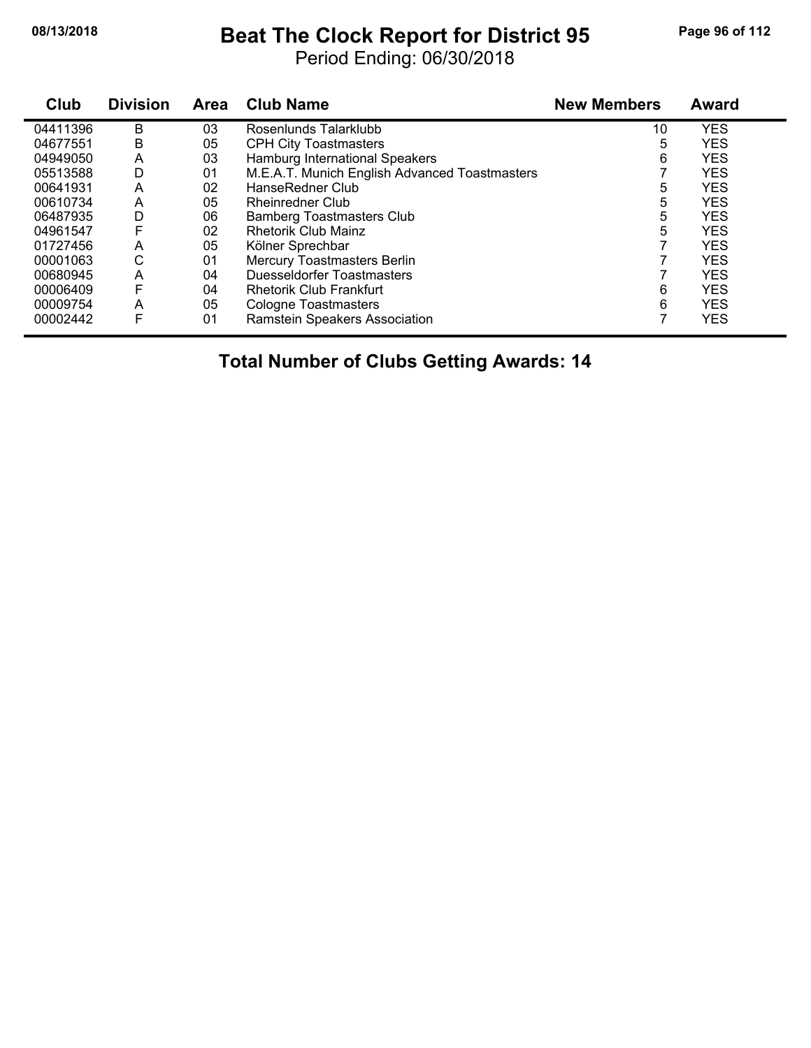## **08/13/2018 Beat The Clock Report for District 95 Page 96 of 112**

Period Ending: 06/30/2018

| Club     | <b>Division</b> | Area | <b>Club Name</b>                              | <b>New Members</b> | <b>Award</b> |
|----------|-----------------|------|-----------------------------------------------|--------------------|--------------|
| 04411396 | В               | 03   | Rosenlunds Talarklubb                         | 10                 | <b>YES</b>   |
| 04677551 | B               | 05   | <b>CPH City Toastmasters</b>                  | 5                  | <b>YES</b>   |
| 04949050 | A               | 03   | Hamburg International Speakers                | 6                  | <b>YES</b>   |
| 05513588 | D               | 01   | M.E.A.T. Munich English Advanced Toastmasters |                    | <b>YES</b>   |
| 00641931 | A               | 02   | HanseRedner Club                              | 5                  | <b>YES</b>   |
| 00610734 | A               | 05   | Rheinredner Club                              | 5                  | <b>YES</b>   |
| 06487935 | D               | 06   | <b>Bamberg Toastmasters Club</b>              | 5                  | <b>YES</b>   |
| 04961547 | F               | 02   | <b>Rhetorik Club Mainz</b>                    | 5                  | <b>YES</b>   |
| 01727456 | A               | 05   | Kölner Sprechbar                              |                    | <b>YES</b>   |
| 00001063 | С               | 01   | <b>Mercury Toastmasters Berlin</b>            |                    | <b>YES</b>   |
| 00680945 | A               | 04   | Duesseldorfer Toastmasters                    |                    | <b>YES</b>   |
| 00006409 | F               | 04   | <b>Rhetorik Club Frankfurt</b>                | 6                  | <b>YES</b>   |
| 00009754 | A               | 05   | Cologne Toastmasters                          | 6                  | <b>YES</b>   |
| 00002442 | F               | 01   | Ramstein Speakers Association                 | 7                  | <b>YES</b>   |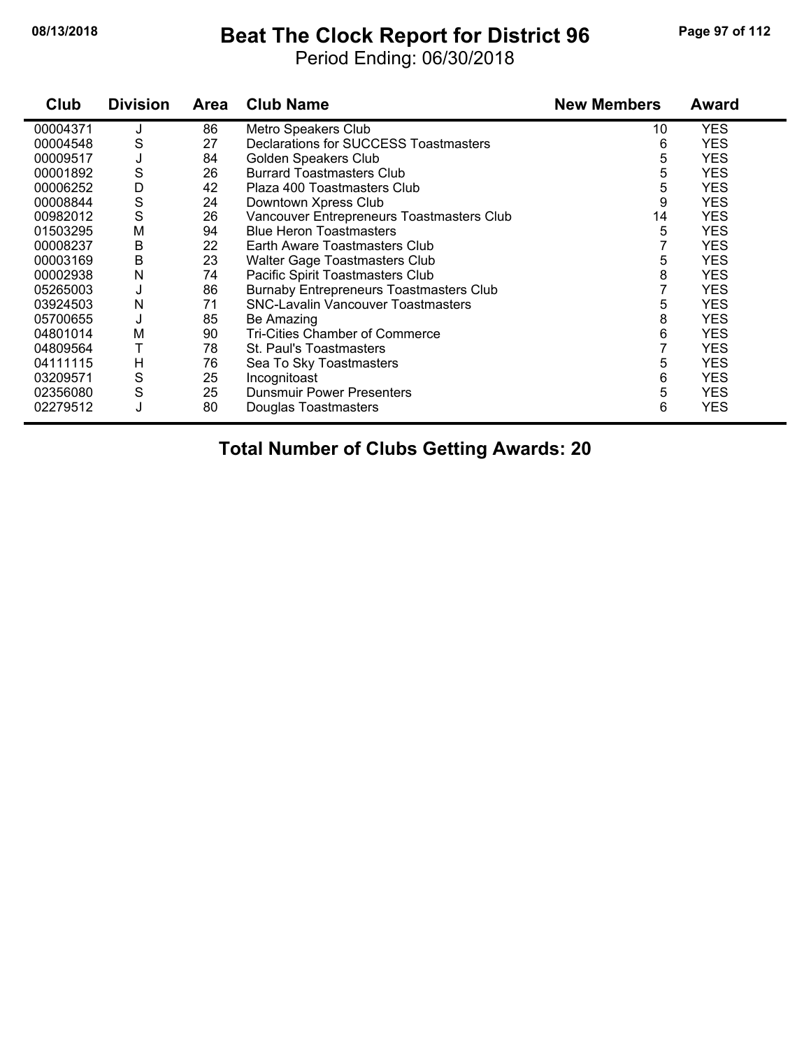#### **08/13/2018 Beat The Clock Report for District 96 Page 97 of 112**

Period Ending: 06/30/2018

| Club     | <b>Division</b> | <b>Area</b> | <b>Club Name</b>                               | <b>New Members</b> | Award      |
|----------|-----------------|-------------|------------------------------------------------|--------------------|------------|
| 00004371 | J               | 86          | Metro Speakers Club                            | 10                 | <b>YES</b> |
| 00004548 | S               | 27          | Declarations for SUCCESS Toastmasters          | 6                  | <b>YES</b> |
| 00009517 | J               | 84          | Golden Speakers Club                           | 5                  | <b>YES</b> |
| 00001892 | S               | 26          | <b>Burrard Toastmasters Club</b>               | 5                  | <b>YES</b> |
| 00006252 | D               | 42          | Plaza 400 Toastmasters Club                    | 5                  | <b>YES</b> |
| 00008844 | S               | 24          | Downtown Xpress Club                           | 9                  | <b>YES</b> |
| 00982012 | S               | 26          | Vancouver Entrepreneurs Toastmasters Club      | 14                 | <b>YES</b> |
| 01503295 | M               | 94          | <b>Blue Heron Toastmasters</b>                 | 5                  | <b>YES</b> |
| 00008237 | В               | 22          | Earth Aware Toastmasters Club                  |                    | <b>YES</b> |
| 00003169 | B               | 23          | <b>Walter Gage Toastmasters Club</b>           | 5                  | <b>YES</b> |
| 00002938 | Ν               | 74          | Pacific Spirit Toastmasters Club               | 8                  | <b>YES</b> |
| 05265003 | J               | 86          | <b>Burnaby Entrepreneurs Toastmasters Club</b> |                    | <b>YES</b> |
| 03924503 | N               | 71          | <b>SNC-Lavalin Vancouver Toastmasters</b>      | 5                  | <b>YES</b> |
| 05700655 |                 | 85          | Be Amazing                                     | 8                  | <b>YES</b> |
| 04801014 | M               | 90          | Tri-Cities Chamber of Commerce                 | 6                  | <b>YES</b> |
| 04809564 |                 | 78          | St. Paul's Toastmasters                        |                    | <b>YES</b> |
| 04111115 | H               | 76          | Sea To Sky Toastmasters                        | 5                  | <b>YES</b> |
| 03209571 | S               | 25          | Incognitoast                                   | 6                  |            |
| 02356080 | S               | 25          | <b>Dunsmuir Power Presenters</b>               | 5                  | <b>YES</b> |
| 02279512 | J               | 80          | Douglas Toastmasters                           | 6                  | <b>YES</b> |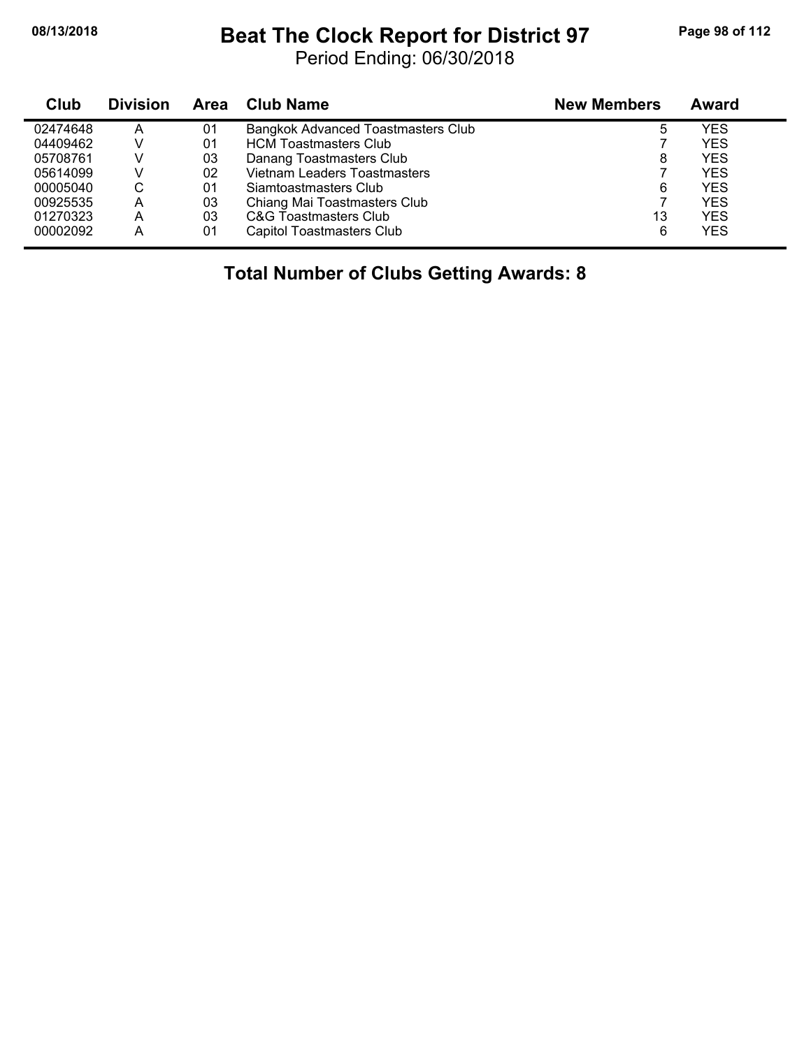## **08/13/2018 Beat The Clock Report for District 97 Page 98 of 112**

Period Ending: 06/30/2018

| Club     | <b>Division</b> | Area | Club Name<br><b>New Members</b>           |    | Award      |
|----------|-----------------|------|-------------------------------------------|----|------------|
| 02474648 | А               | 01   | <b>Bangkok Advanced Toastmasters Club</b> | 5  | YES        |
| 04409462 |                 | 01   | <b>HCM Toastmasters Club</b>              |    | <b>YES</b> |
| 05708761 |                 | 03   | Danang Toastmasters Club                  | 8  | <b>YES</b> |
| 05614099 |                 | 02   | Vietnam Leaders Toastmasters              |    | <b>YES</b> |
| 00005040 | С               | 01   | Siamtoastmasters Club                     | 6  | <b>YES</b> |
| 00925535 | А               | 03   | Chiang Mai Toastmasters Club              |    | <b>YES</b> |
| 01270323 | А               | 03   | <b>C&amp;G Toastmasters Club</b>          | 13 | YES        |
| 00002092 | А               | 01   | Capitol Toastmasters Club                 | 6  | <b>YES</b> |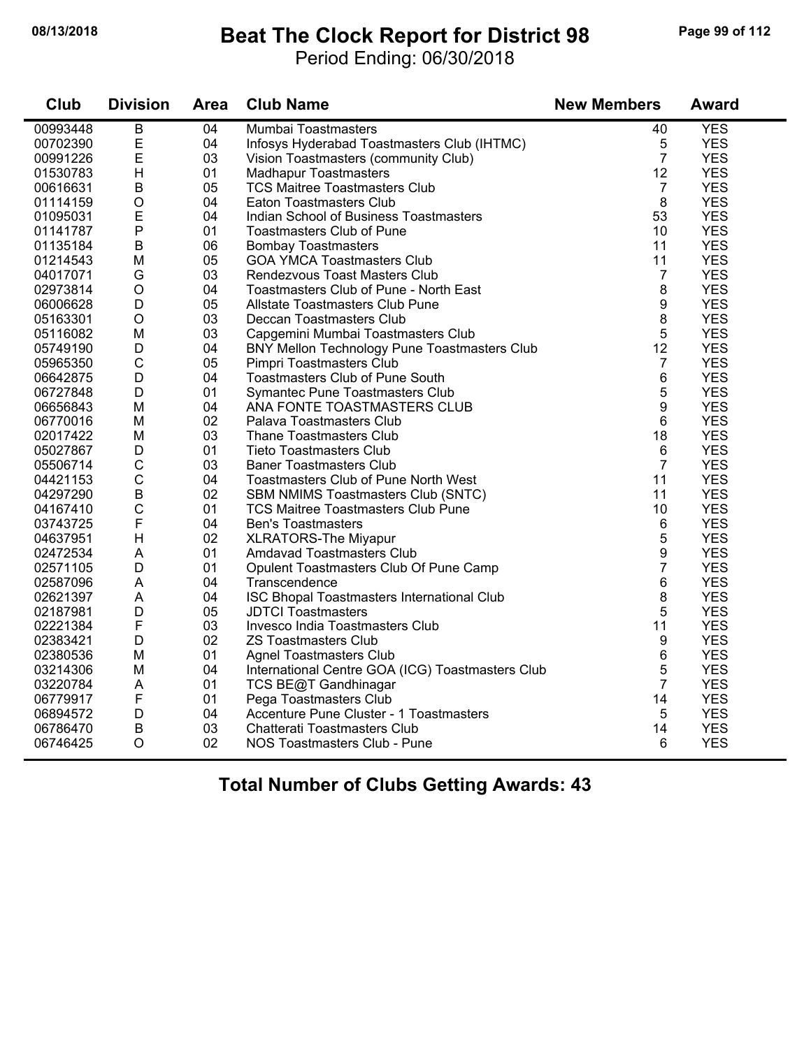## **08/13/2018 Beat The Clock Report for District 98 Page 99 of 112**

Period Ending: 06/30/2018

| Club     | <b>Division</b> | Area | <b>Club Name</b>                                 | <b>New Members</b> | <b>Award</b> |
|----------|-----------------|------|--------------------------------------------------|--------------------|--------------|
| 00993448 | $\overline{B}$  | 04   | Mumbai Toastmasters                              | 40                 | <b>YES</b>   |
| 00702390 | E               | 04   | Infosys Hyderabad Toastmasters Club (IHTMC)      | 5                  | <b>YES</b>   |
| 00991226 | E               | 03   | Vision Toastmasters (community Club)             | $\overline{7}$     | <b>YES</b>   |
| 01530783 | H               | 01   | <b>Madhapur Toastmasters</b>                     | 12                 | <b>YES</b>   |
| 00616631 | $\overline{B}$  | 05   | <b>TCS Maitree Toastmasters Club</b>             | $\overline{7}$     | <b>YES</b>   |
| 01114159 | $\circ$         | 04   | Eaton Toastmasters Club                          | 8                  | <b>YES</b>   |
| 01095031 | E               | 04   | Indian School of Business Toastmasters           | 53                 | <b>YES</b>   |
| 01141787 | $\mathsf{P}$    | 01   | <b>Toastmasters Club of Pune</b>                 | 10                 | <b>YES</b>   |
| 01135184 | $\sf B$         | 06   | <b>Bombay Toastmasters</b>                       | 11                 | <b>YES</b>   |
| 01214543 | M               | 05   | <b>GOA YMCA Toastmasters Club</b>                | 11                 | <b>YES</b>   |
| 04017071 | G               | 03   | Rendezvous Toast Masters Club                    | $\overline{7}$     | <b>YES</b>   |
| 02973814 | $\circ$         | 04   | Toastmasters Club of Pune - North East           | 8                  | <b>YES</b>   |
| 06006628 | D               | 05   | Allstate Toastmasters Club Pune                  | 9                  | <b>YES</b>   |
| 05163301 | $\bigcirc$      | 03   | Deccan Toastmasters Club                         | 8                  | <b>YES</b>   |
| 05116082 | M               | 03   | Capgemini Mumbai Toastmasters Club               | 5                  | <b>YES</b>   |
| 05749190 | D               | 04   | BNY Mellon Technology Pune Toastmasters Club     | 12                 | <b>YES</b>   |
| 05965350 | $\mathsf{C}$    | 05   | Pimpri Toastmasters Club                         | $\overline{7}$     | <b>YES</b>   |
| 06642875 | D               | 04   | <b>Toastmasters Club of Pune South</b>           | 6                  | <b>YES</b>   |
| 06727848 | D               | 01   | Symantec Pune Toastmasters Club                  | 5                  | <b>YES</b>   |
| 06656843 | M               | 04   | ANA FONTE TOASTMASTERS CLUB                      | 9                  | <b>YES</b>   |
| 06770016 | M               | 02   | Palava Toastmasters Club                         | 6                  | <b>YES</b>   |
| 02017422 | M               | 03   | <b>Thane Toastmasters Club</b>                   | 18                 | <b>YES</b>   |
| 05027867 | D               | 01   | <b>Tieto Toastmasters Club</b>                   | 6                  | <b>YES</b>   |
| 05506714 | $\mathsf C$     | 03   | <b>Baner Toastmasters Club</b>                   | $\overline{7}$     | <b>YES</b>   |
| 04421153 | $\mathbf C$     | 04   | Toastmasters Club of Pune North West             | 11                 | <b>YES</b>   |
| 04297290 | $\mathsf B$     | 02   | SBM NMIMS Toastmasters Club (SNTC)               | 11                 | <b>YES</b>   |
| 04167410 | $\mathsf C$     | 01   | <b>TCS Maitree Toastmasters Club Pune</b>        | 10                 | <b>YES</b>   |
| 03743725 | F               | 04   | <b>Ben's Toastmasters</b>                        | 6                  | <b>YES</b>   |
| 04637951 | H               | 02   | <b>XLRATORS-The Miyapur</b>                      | 5                  | <b>YES</b>   |
| 02472534 | A               | 01   | Amdavad Toastmasters Club                        | 9                  | <b>YES</b>   |
| 02571105 | D               | 01   | Opulent Toastmasters Club Of Pune Camp           | $\overline{7}$     | <b>YES</b>   |
| 02587096 | A               | 04   | Transcendence                                    | 6                  | <b>YES</b>   |
| 02621397 | A               | 04   | ISC Bhopal Toastmasters International Club       | 8                  | <b>YES</b>   |
| 02187981 | D               | 05   | <b>JDTCI Toastmasters</b>                        | 5                  | <b>YES</b>   |
| 02221384 | F               | 03   | Invesco India Toastmasters Club                  | 11                 | <b>YES</b>   |
| 02383421 | D               | 02   | <b>ZS Toastmasters Club</b>                      | 9                  | <b>YES</b>   |
| 02380536 | M               | 01   | <b>Agnel Toastmasters Club</b>                   | 6                  | <b>YES</b>   |
| 03214306 | M               | 04   | International Centre GOA (ICG) Toastmasters Club | 5                  | <b>YES</b>   |
| 03220784 | A               | 01   | TCS BE@T Gandhinagar                             | $\overline{7}$     | <b>YES</b>   |
| 06779917 | F               | 01   | Pega Toastmasters Club                           | 14                 | <b>YES</b>   |
| 06894572 | D               | 04   | Accenture Pune Cluster - 1 Toastmasters          | 5                  | <b>YES</b>   |
| 06786470 | $\sf B$         | 03   | <b>Chatterati Toastmasters Club</b>              | 14                 | <b>YES</b>   |
| 06746425 | $\circ$         | 02   | NOS Toastmasters Club - Pune                     | 6                  | <b>YES</b>   |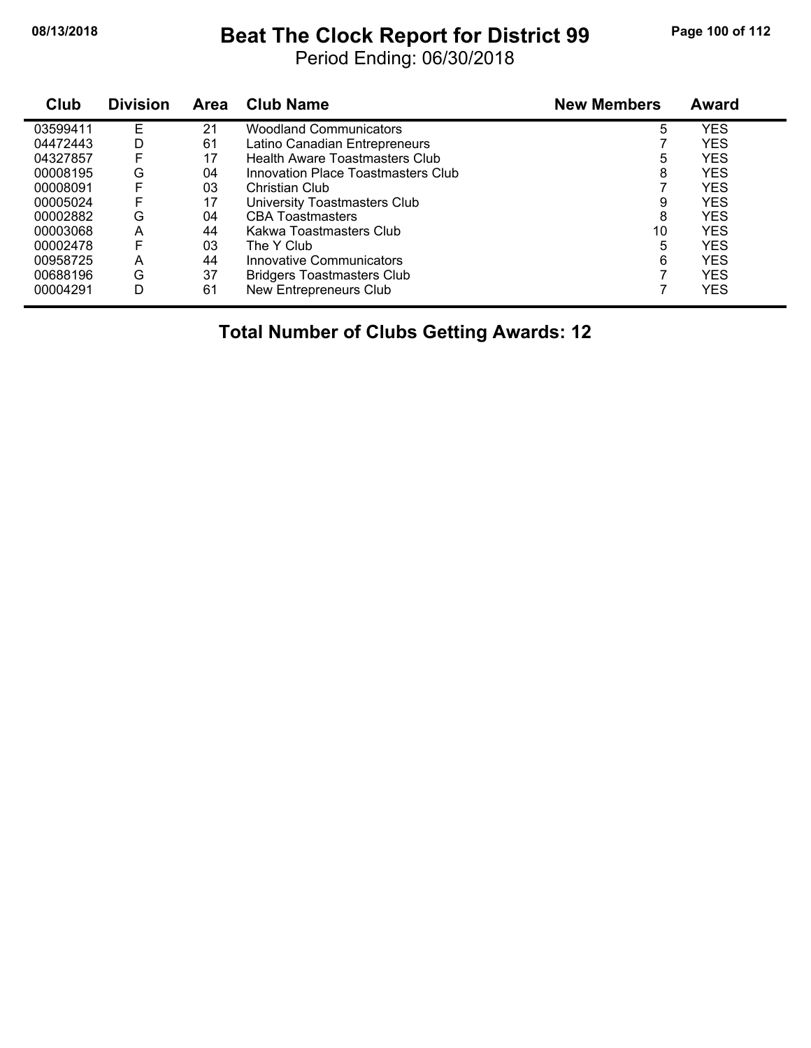## **08/13/2018 Beat The Clock Report for District 99 Page 100 of 112**

Period Ending: 06/30/2018

| Club     | <b>Division</b> | <b>Area</b> | <b>Club Name</b>                   | <b>New Members</b><br><b>Award</b> |            |  |  |  |
|----------|-----------------|-------------|------------------------------------|------------------------------------|------------|--|--|--|
| 03599411 | Е               | 21          | <b>Woodland Communicators</b>      | 5                                  | <b>YES</b> |  |  |  |
| 04472443 | D               | 61          | Latino Canadian Entrepreneurs      |                                    |            |  |  |  |
| 04327857 | F               | 17          | Health Aware Toastmasters Club     | 5                                  |            |  |  |  |
| 00008195 | G               | 04          | Innovation Place Toastmasters Club | 8                                  | <b>YES</b> |  |  |  |
| 00008091 | F               | 03          | Christian Club                     |                                    | <b>YES</b> |  |  |  |
| 00005024 | F               | 17          | University Toastmasters Club       | 9                                  | <b>YES</b> |  |  |  |
| 00002882 | G               | 04          | <b>CBA Toastmasters</b>            | 8                                  | <b>YES</b> |  |  |  |
| 00003068 | A               | 44          | Kakwa Toastmasters Club            | 10                                 | <b>YES</b> |  |  |  |
| 00002478 | F               | 03          | The Y Club                         | 5                                  | <b>YES</b> |  |  |  |
| 00958725 | A               | 44          | <b>Innovative Communicators</b>    | 6                                  | <b>YES</b> |  |  |  |
| 00688196 | G               | 37          | <b>Bridgers Toastmasters Club</b>  |                                    | <b>YES</b> |  |  |  |
| 00004291 | D               | 61          | New Entrepreneurs Club             |                                    | <b>YES</b> |  |  |  |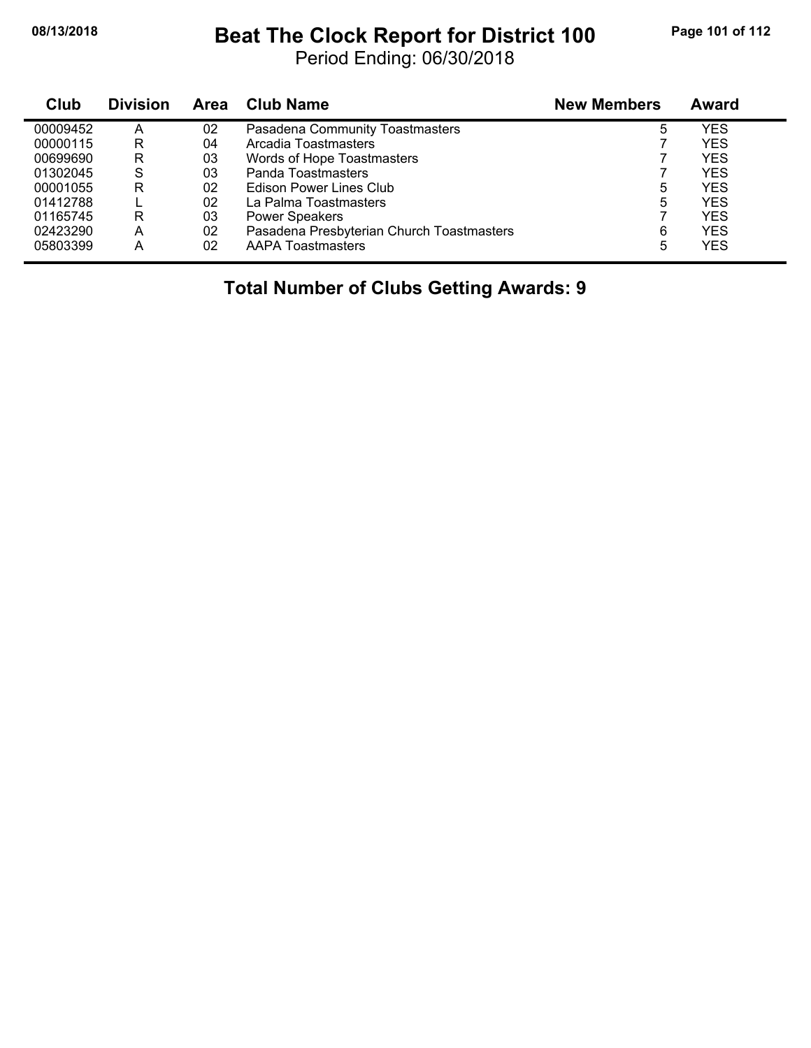## **08/13/2018 Beat The Clock Report for District 100 Page 101 of 112**

Period Ending: 06/30/2018

| Club     | <b>Division</b> | <b>Area</b> | <b>Club Name</b>                          | <b>New Members</b> | <b>Award</b> |  |
|----------|-----------------|-------------|-------------------------------------------|--------------------|--------------|--|
| 00009452 | Α               | 02          | Pasadena Community Toastmasters           | 5                  | YES          |  |
| 00000115 | R               | 04          | Arcadia Toastmasters                      |                    | <b>YES</b>   |  |
| 00699690 | R               | 03          | Words of Hope Toastmasters                |                    | <b>YES</b>   |  |
| 01302045 | S               | 03          | Panda Toastmasters                        |                    | YES          |  |
| 00001055 | R               | 02          | Edison Power Lines Club                   | 5                  | YES          |  |
| 01412788 |                 | 02          | La Palma Toastmasters                     | 5                  | <b>YES</b>   |  |
| 01165745 | R               | 03          | <b>Power Speakers</b>                     |                    | <b>YES</b>   |  |
| 02423290 | A               | 02          | Pasadena Presbyterian Church Toastmasters | 6                  | <b>YES</b>   |  |
| 05803399 | А               | 02          | <b>AAPA Toastmasters</b>                  | 5                  | YES          |  |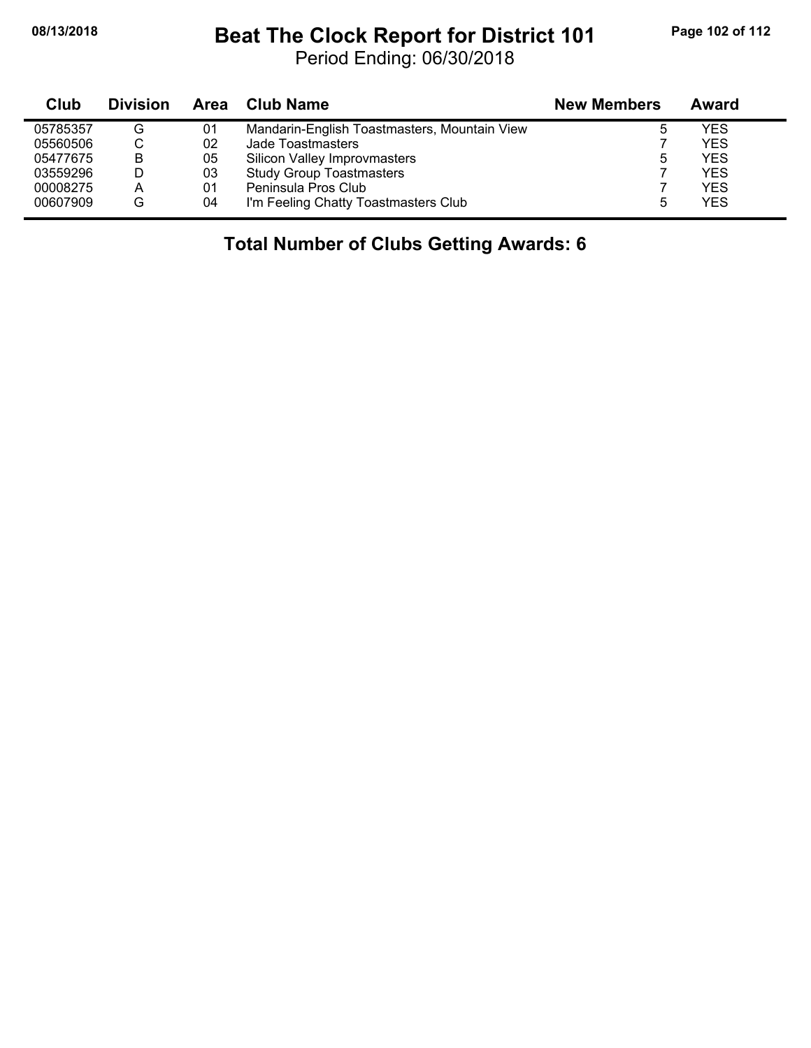j,

## **08/13/2018 Beat The Clock Report for District 101 Page 102 of 112**

Period Ending: 06/30/2018

| Club     | <b>Division</b> | Area | <b>Club Name</b>                             | <b>New Members</b> | Award      |
|----------|-----------------|------|----------------------------------------------|--------------------|------------|
| 05785357 | G               | 01   | Mandarin-English Toastmasters, Mountain View | b                  | <b>YES</b> |
| 05560506 | ◡               | 02   | Jade Toastmasters                            |                    | <b>YES</b> |
| 05477675 | B               | 05   | Silicon Valley Improvmasters                 | 5                  | <b>YES</b> |
| 03559296 |                 | 03   | <b>Study Group Toastmasters</b>              |                    | <b>YES</b> |
| 00008275 |                 | 01   | Peninsula Pros Club                          |                    | <b>YES</b> |
| 00607909 | G               | 04   | I'm Feeling Chatty Toastmasters Club         | ხ                  | <b>YES</b> |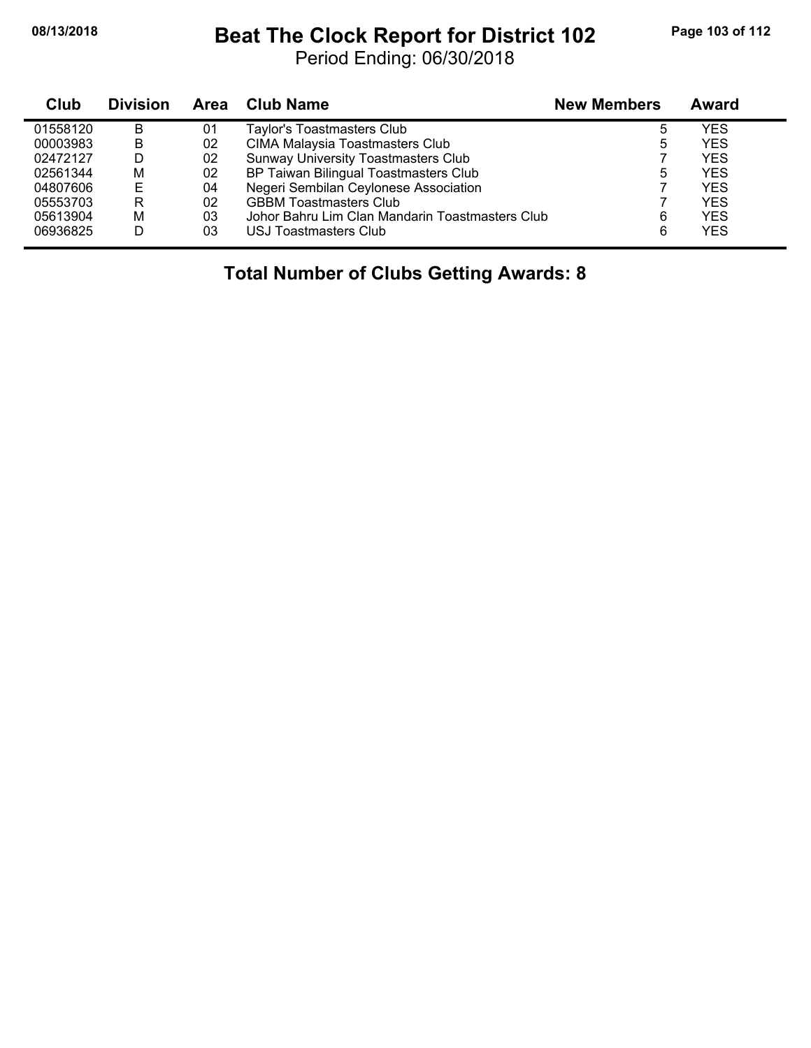## **08/13/2018 Beat The Clock Report for District 102 Page 103 of 112**

Period Ending: 06/30/2018

| <b>Club</b> | <b>Division</b> | Area | Club Name                                       | <b>New Members</b> | Award |
|-------------|-----------------|------|-------------------------------------------------|--------------------|-------|
| 01558120    | B               | 01   | Taylor's Toastmasters Club                      | 5                  | YES   |
| 00003983    | B               | 02   | <b>CIMA Malaysia Toastmasters Club</b>          | 5                  | YES   |
| 02472127    | D               | 02   | <b>Sunway University Toastmasters Club</b>      |                    | YES   |
| 02561344    | M               | 02   | BP Taiwan Bilingual Toastmasters Club           | 5                  | YES   |
| 04807606    | Е               | 04   | Negeri Sembilan Ceylonese Association           |                    | YES   |
| 05553703    | R               | 02   | <b>GBBM Toastmasters Club</b>                   |                    | YES   |
| 05613904    | M               | 03   | Johor Bahru Lim Clan Mandarin Toastmasters Club | 6                  | YES   |
| 06936825    | D               | 03   | USJ Toastmasters Club                           | 6                  | YES   |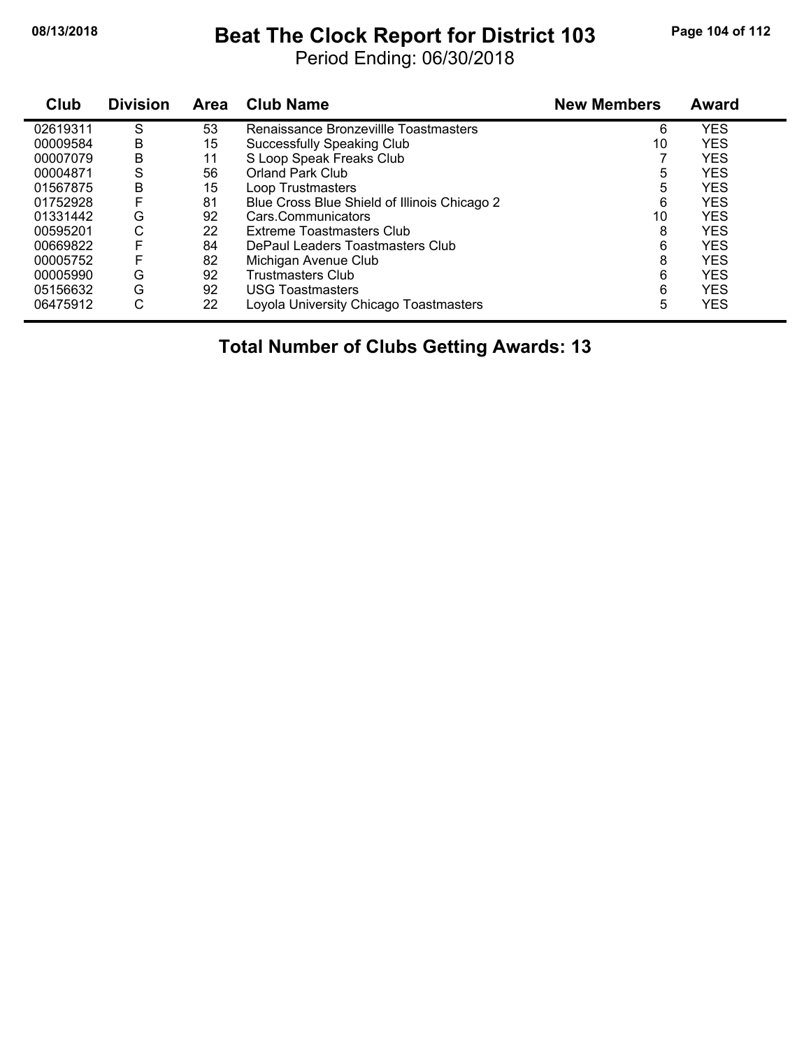### **08/13/2018 Beat The Clock Report for District 103 Page 104 of 112**

Period Ending: 06/30/2018

| Club     | <b>Division</b> | Area | <b>Club Name</b>                             | <b>New Members</b> | Award      |  |  |  |
|----------|-----------------|------|----------------------------------------------|--------------------|------------|--|--|--|
| 02619311 | S               | 53   | Renaissance Bronzevillle Toastmasters        | 6                  | <b>YES</b> |  |  |  |
| 00009584 | B               | 15   | <b>Successfully Speaking Club</b>            | 10                 |            |  |  |  |
| 00007079 | B               | 11   | S Loop Speak Freaks Club                     |                    | <b>YES</b> |  |  |  |
| 00004871 | S               | 56   | Orland Park Club                             | 5                  | <b>YES</b> |  |  |  |
| 01567875 | B               | 15   | Loop Trustmasters                            | 5                  | <b>YES</b> |  |  |  |
| 01752928 | F               | 81   | Blue Cross Blue Shield of Illinois Chicago 2 | 6                  | <b>YES</b> |  |  |  |
| 01331442 | G               | 92   | Cars.Communicators                           | 10                 | YES        |  |  |  |
| 00595201 | С               | 22   | Extreme Toastmasters Club                    | 8                  | <b>YES</b> |  |  |  |
| 00669822 | F               | 84   | DePaul Leaders Toastmasters Club             | 6                  | <b>YES</b> |  |  |  |
| 00005752 | F               | 82   | Michigan Avenue Club                         | 8                  | <b>YES</b> |  |  |  |
| 00005990 | G               | 92   | Trustmasters Club                            | 6                  | <b>YES</b> |  |  |  |
| 05156632 | G               | 92   | <b>USG Toastmasters</b>                      | 6                  | <b>YES</b> |  |  |  |
| 06475912 | С               | 22   | Loyola University Chicago Toastmasters       | 5                  | YES        |  |  |  |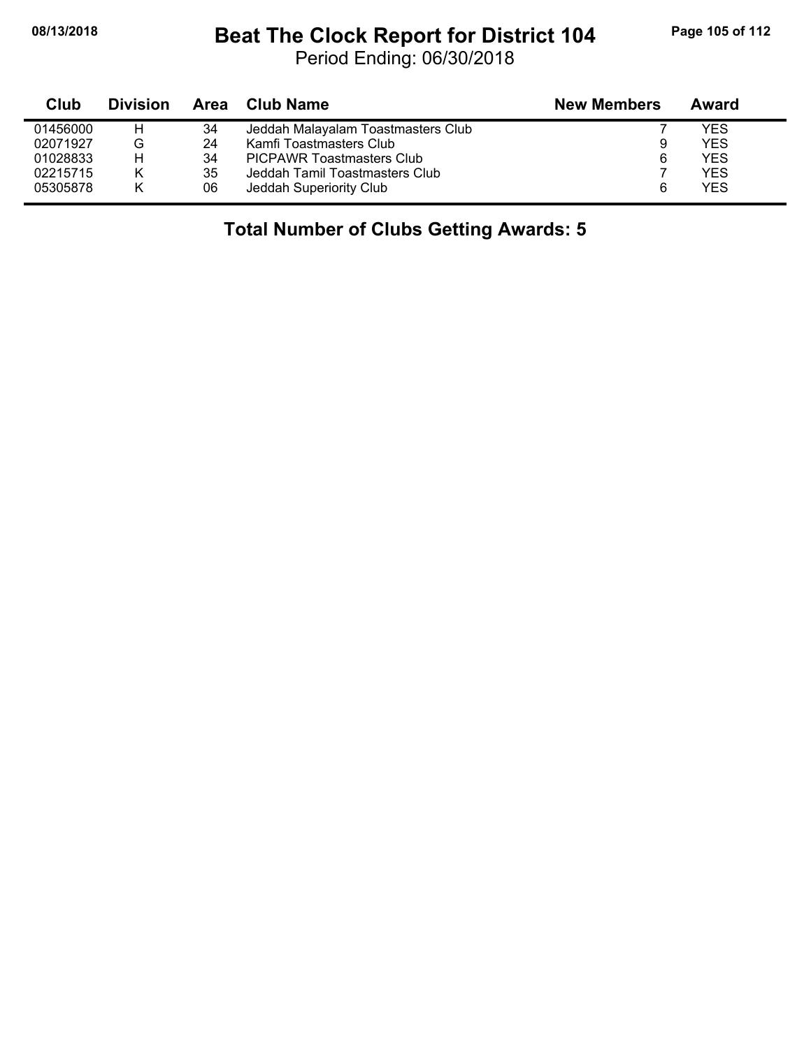## **08/13/2018 Beat The Clock Report for District 104 Page 105 of 112**

Period Ending: 06/30/2018

| Club     | <b>Division</b> | Area | <b>Club Name</b>                   | <b>New Members</b> | Award      |
|----------|-----------------|------|------------------------------------|--------------------|------------|
| 01456000 | н               | 34   | Jeddah Malayalam Toastmasters Club |                    | YES        |
| 02071927 | G               | 24   | Kamfi Toastmasters Club            | 9                  | <b>YES</b> |
| 01028833 | Н               | 34   | PICPAWR Toastmasters Club          | 6                  | <b>YES</b> |
| 02215715 | Κ               | 35   | Jeddah Tamil Toastmasters Club     |                    | <b>YES</b> |
| 05305878 |                 | 06   | Jeddah Superiority Club            | 6                  | <b>YES</b> |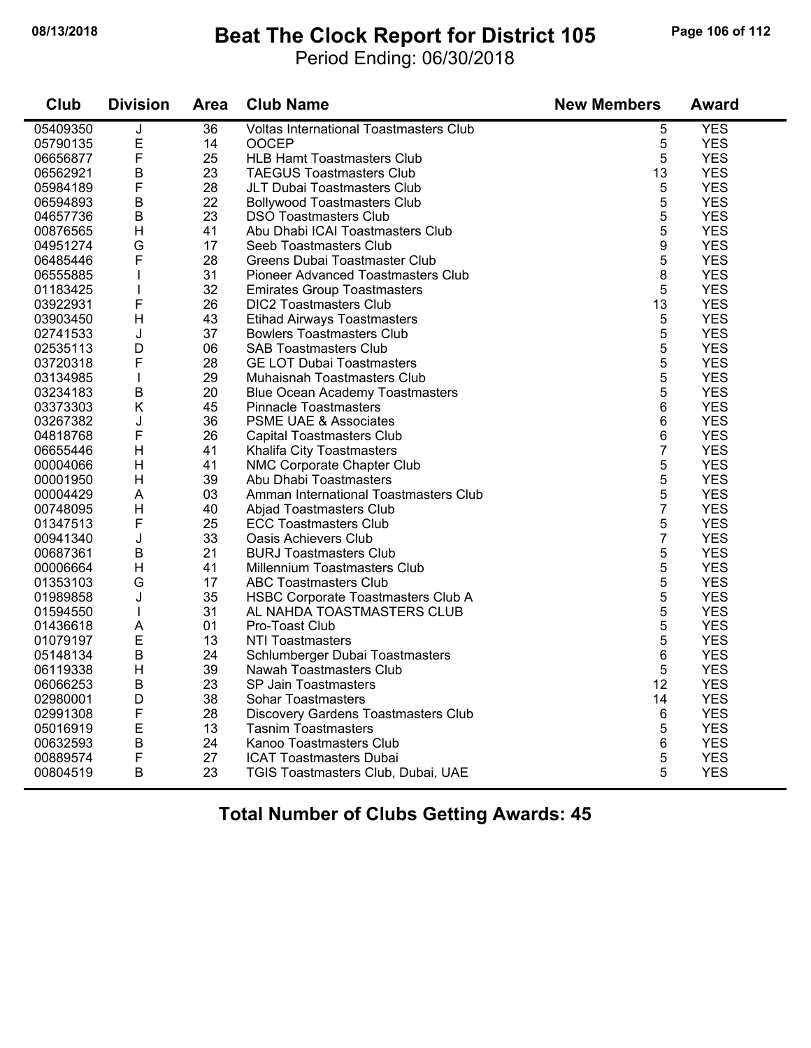#### **08/13/2018 Beat The Clock Report for District 105 Page 106 of 112**

Period Ending: 06/30/2018

| Club     | <b>Division</b> | <b>Club Name</b><br><b>New Members</b><br>Area |                                               |                | <b>Award</b> |
|----------|-----------------|------------------------------------------------|-----------------------------------------------|----------------|--------------|
| 05409350 | J               | 36                                             | <b>Voltas International Toastmasters Club</b> | 5              | <b>YES</b>   |
| 05790135 | Ε               | 14                                             | <b>OOCEP</b>                                  | 5              | <b>YES</b>   |
| 06656877 | $\overline{F}$  | 25                                             | <b>HLB Hamt Toastmasters Club</b>             | 5              | <b>YES</b>   |
| 06562921 | $\mathsf B$     | 23                                             | <b>TAEGUS Toastmasters Club</b>               | 13             | <b>YES</b>   |
| 05984189 | F               | 28                                             | JLT Dubai Toastmasters Club                   | 5              |              |
| 06594893 | B               | 22                                             | <b>Bollywood Toastmasters Club</b>            | 5              | <b>YES</b>   |
| 04657736 | $\sf B$         | 23                                             | <b>DSO Toastmasters Club</b>                  | 5              | <b>YES</b>   |
| 00876565 | H               | 41                                             | Abu Dhabi ICAI Toastmasters Club              | 5              | <b>YES</b>   |
| 04951274 | G               | 17                                             | Seeb Toastmasters Club                        | 9              | <b>YES</b>   |
| 06485446 | F               | 28                                             | Greens Dubai Toastmaster Club                 | 5              | <b>YES</b>   |
| 06555885 | T               | 31                                             | Pioneer Advanced Toastmasters Club            | 8              | <b>YES</b>   |
| 01183425 | L               | 32                                             | <b>Emirates Group Toastmasters</b>            | 5              | <b>YES</b>   |
| 03922931 | F               | 26                                             | <b>DIC2 Toastmasters Club</b>                 | 13             | <b>YES</b>   |
| 03903450 | H               | 43                                             | <b>Etihad Airways Toastmasters</b>            | 5              | <b>YES</b>   |
| 02741533 | J               | 37                                             | <b>Bowlers Toastmasters Club</b>              | 5              | <b>YES</b>   |
| 02535113 | D               | 06                                             | <b>SAB Toastmasters Club</b>                  | 5              | <b>YES</b>   |
| 03720318 | F               | 28                                             | <b>GE LOT Dubai Toastmasters</b>              | 5              | <b>YES</b>   |
| 03134985 | $\mathbf{I}$    | 29                                             | Muhaisnah Toastmasters Club                   | 5              | <b>YES</b>   |
| 03234183 | $\mathsf B$     | 20                                             | <b>Blue Ocean Academy Toastmasters</b>        | 5              | <b>YES</b>   |
| 03373303 | K               | 45                                             | <b>Pinnacle Toastmasters</b>                  | 6              | <b>YES</b>   |
| 03267382 | J               | 36                                             | <b>PSME UAE &amp; Associates</b>              | 6              | <b>YES</b>   |
| 04818768 | F               | 26                                             | <b>Capital Toastmasters Club</b>              | 6              | <b>YES</b>   |
| 06655446 | H               | 41                                             | Khalifa City Toastmasters                     | $\overline{7}$ | <b>YES</b>   |
| 00004066 | H               | 41                                             | NMC Corporate Chapter Club                    | 5              | <b>YES</b>   |
| 00001950 | H               | 39                                             | Abu Dhabi Toastmasters                        | 5              | <b>YES</b>   |
| 00004429 | A               | 03                                             | Amman International Toastmasters Club         | 5              | <b>YES</b>   |
| 00748095 | H               | 40                                             | <b>Abjad Toastmasters Club</b>                | $\overline{7}$ | <b>YES</b>   |
| 01347513 | F               | 25                                             | <b>ECC Toastmasters Club</b>                  | 5              | <b>YES</b>   |
| 00941340 | J               | 33                                             | <b>Oasis Achievers Club</b>                   | 7              | <b>YES</b>   |
| 00687361 | B               | 21                                             | <b>BURJ Toastmasters Club</b>                 | 5              | <b>YES</b>   |
| 00006664 | H               | 41                                             | Millennium Toastmasters Club                  | 5              | <b>YES</b>   |
| 01353103 | G               | 17                                             | <b>ABC Toastmasters Club</b>                  | 5              | <b>YES</b>   |
| 01989858 | J               | 35                                             | HSBC Corporate Toastmasters Club A            | 5              | <b>YES</b>   |
| 01594550 | $\mathbf{I}$    | 31                                             | AL NAHDA TOASTMASTERS CLUB                    | 5              | <b>YES</b>   |
| 01436618 | A               | 01                                             | Pro-Toast Club                                | 5              | <b>YES</b>   |
| 01079197 | E               | 13                                             | <b>NTI Toastmasters</b>                       | 5              | <b>YES</b>   |
| 05148134 | $\sf B$         | 24                                             | Schlumberger Dubai Toastmasters               | $\,6$          | <b>YES</b>   |
| 06119338 | H               | 39                                             | Nawah Toastmasters Club                       | 5              | <b>YES</b>   |
| 06066253 | $\sf B$         | 23                                             | <b>SP Jain Toastmasters</b>                   | 12             | <b>YES</b>   |
| 02980001 | D               | 38                                             | <b>Sohar Toastmasters</b>                     | 14             | <b>YES</b>   |
| 02991308 | $\mathsf F$     | 28                                             | Discovery Gardens Toastmasters Club           | 6              | <b>YES</b>   |
| 05016919 | E               | 13                                             | <b>Tasnim Toastmasters</b>                    | 5              | <b>YES</b>   |
| 00632593 | B               | 24                                             | Kanoo Toastmasters Club                       | 6              | <b>YES</b>   |
| 00889574 | F               | 27                                             | <b>ICAT Toastmasters Dubai</b>                | 5              | <b>YES</b>   |
| 00804519 | B               | 23                                             | TGIS Toastmasters Club, Dubai, UAE            | 5              | <b>YES</b>   |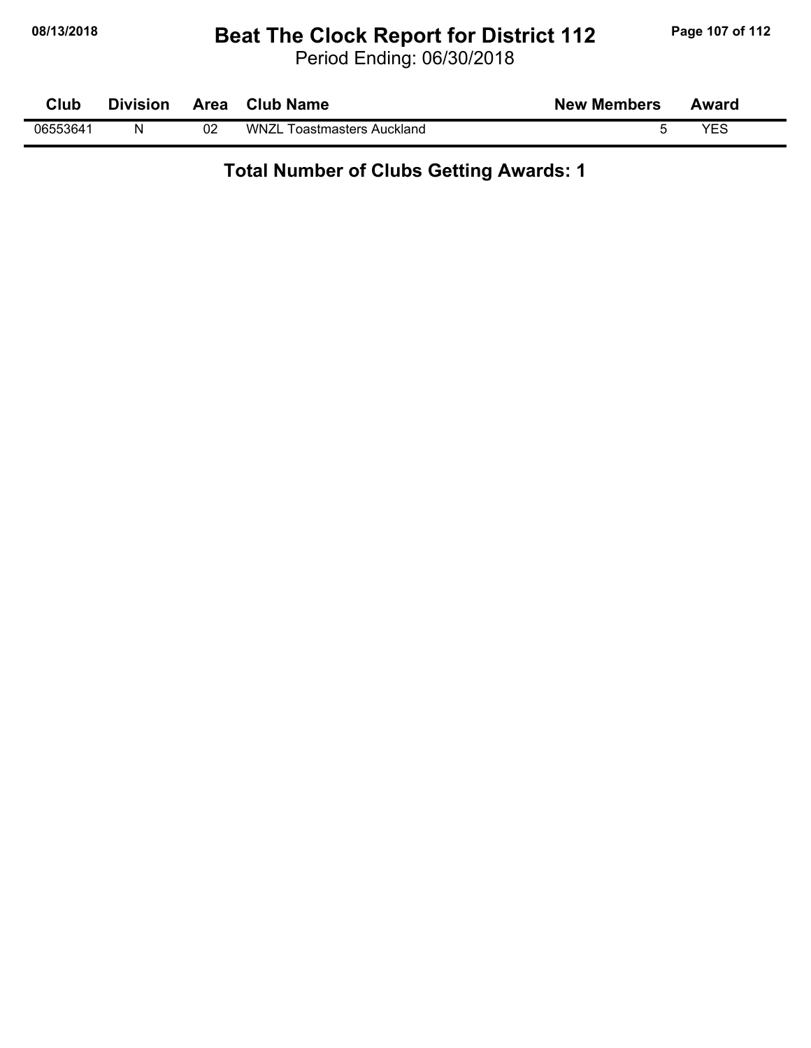## **08/13/2018 Beat The Clock Report for District 112 Page 107 of 112**

Period Ending: 06/30/2018

| Club     | <b>Division</b> | Area | <b>Club Name</b>                | <b>New Members</b> | Award |
|----------|-----------------|------|---------------------------------|--------------------|-------|
| 06553641 | N               | 02   | WNZL<br>. Toastmasters Auckland |                    | VES   |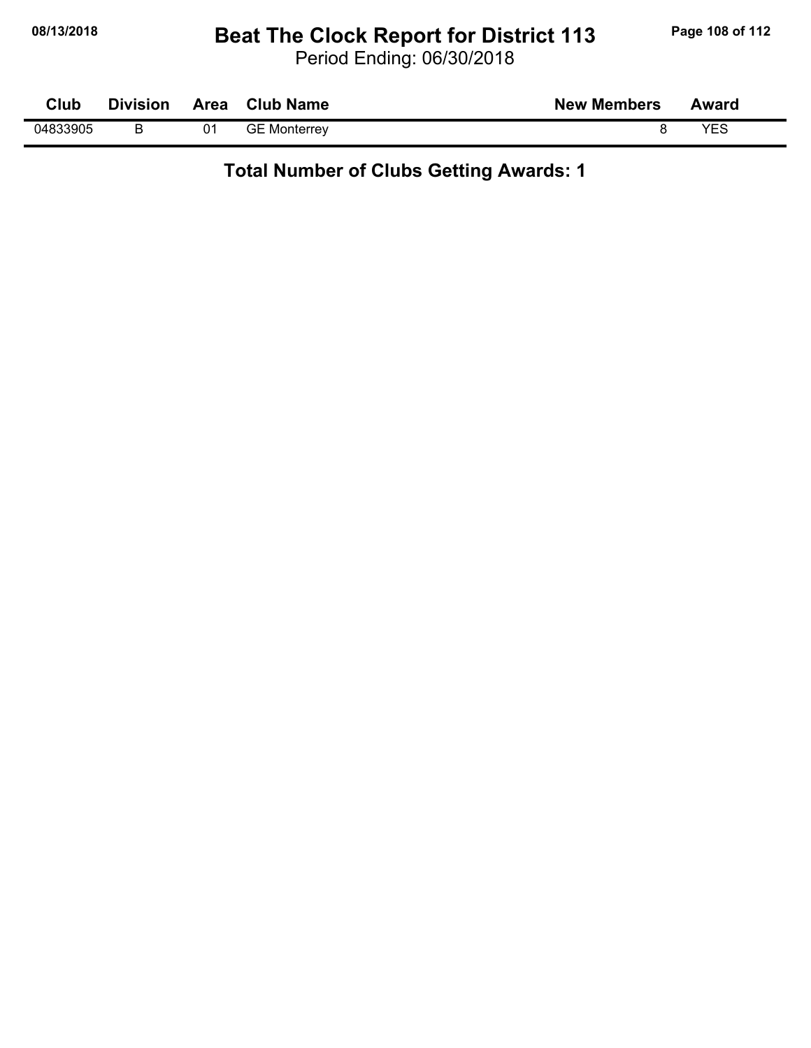## **08/13/2018 Beat The Clock Report for District 113 Page 108 of 112**

Period Ending: 06/30/2018

| Club     | <b>Division</b> | Area | <b>Club Name</b>    | <b>New Members</b> | Award |
|----------|-----------------|------|---------------------|--------------------|-------|
| 04833905 |                 | 01   | <b>GE Monterrey</b> |                    | マロイ   |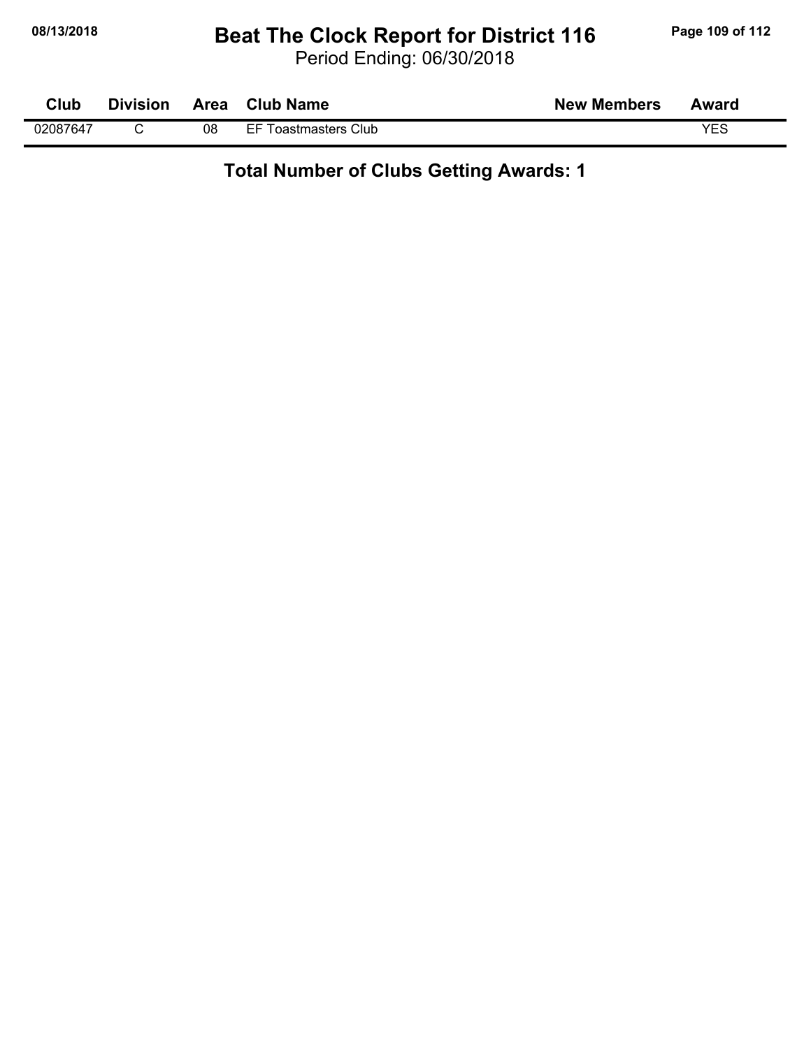### **08/13/2018 Beat The Clock Report for District 116 Page 109 of 112**

Period Ending: 06/30/2018

| Club     | <b>Division</b> | Area | <b>Club Name</b>                | <b>New Members</b> | Award |
|----------|-----------------|------|---------------------------------|--------------------|-------|
| 02087647 |                 | 08   | <b>Toastmasters Club</b><br>FF. |                    | VEC.  |

## **Total Number of Clubs Getting Awards: 1**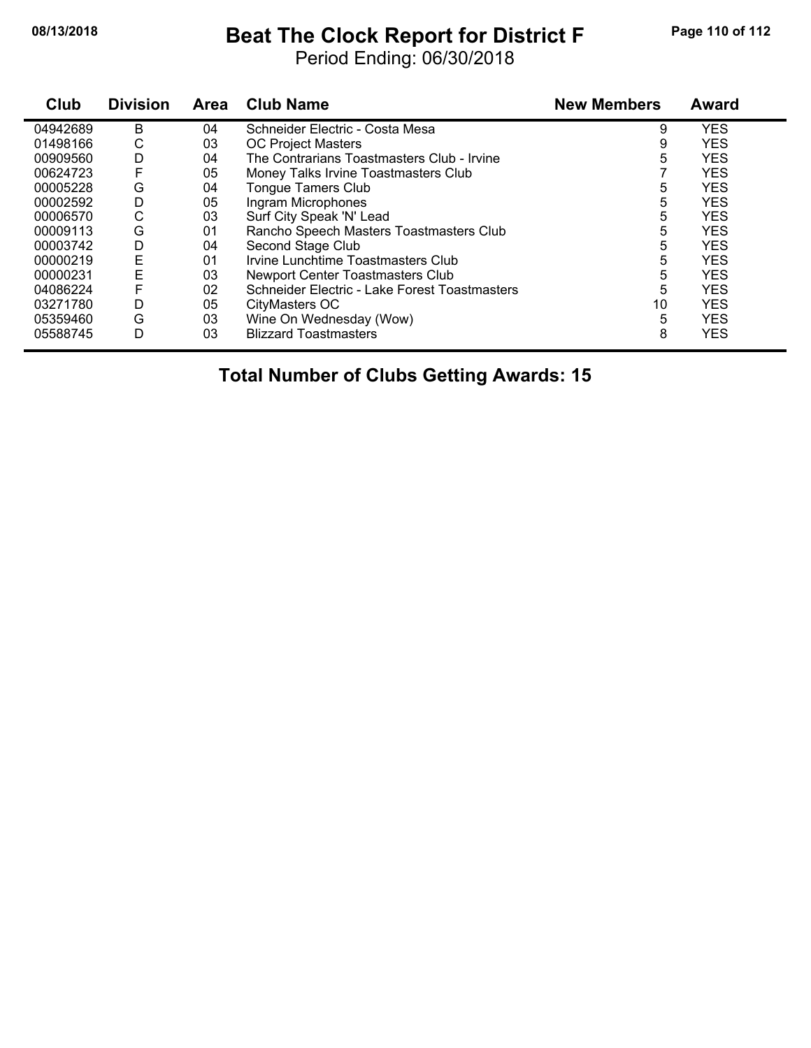### **08/13/2018 Beat The Clock Report for District F Page 110 of 112**

Period Ending: 06/30/2018

| Club     | <b>Division</b> | <b>Area</b> | <b>Club Name</b>                              | <b>New Members</b> | <b>Award</b> |
|----------|-----------------|-------------|-----------------------------------------------|--------------------|--------------|
| 04942689 | B               | 04          | Schneider Electric - Costa Mesa               | 9                  | <b>YES</b>   |
| 01498166 | С               | 03          | <b>OC Project Masters</b>                     | 9                  | <b>YES</b>   |
| 00909560 | D               | 04          | The Contrarians Toastmasters Club - Irvine    | 5                  | <b>YES</b>   |
| 00624723 | F               | 05          | Money Talks Irvine Toastmasters Club          |                    | <b>YES</b>   |
| 00005228 | G               | 04          | Tongue Tamers Club                            | 5                  | <b>YES</b>   |
| 00002592 | D               | 05          | Ingram Microphones                            | 5                  | <b>YES</b>   |
| 00006570 | С               | 03          | Surf City Speak 'N' Lead                      | 5                  | <b>YES</b>   |
| 00009113 | G               | 01          | Rancho Speech Masters Toastmasters Club       | 5                  | <b>YES</b>   |
| 00003742 | D               | 04          | Second Stage Club                             | 5                  | <b>YES</b>   |
| 00000219 | E               | 01          | Irvine Lunchtime Toastmasters Club            | 5                  | <b>YES</b>   |
| 00000231 | E               | 03          | Newport Center Toastmasters Club              | 5                  | <b>YES</b>   |
| 04086224 | F               | 02          | Schneider Electric - Lake Forest Toastmasters | 5                  | <b>YES</b>   |
| 03271780 | D               | 05          | CityMasters OC                                | 10 <sup>°</sup>    | <b>YES</b>   |
| 05359460 | G               | 03          | Wine On Wednesday (Wow)                       | 5                  | <b>YES</b>   |
| 05588745 | D               | 03          | <b>Blizzard Toastmasters</b>                  | 8                  | <b>YES</b>   |

# **Total Number of Clubs Getting Awards: 15**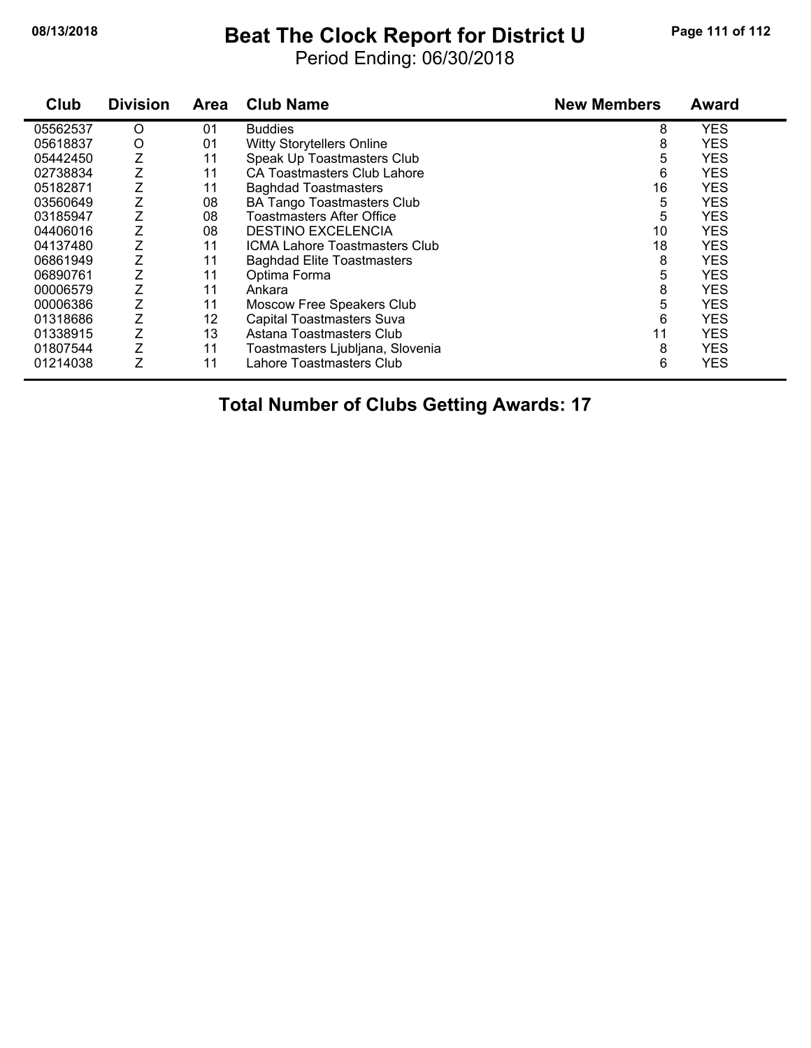### **08/13/2018 Beat The Clock Report for District U Page 111 of 112**

Period Ending: 06/30/2018

| Club     | <b>Division</b> | <b>Area</b> | <b>Club Name</b>                     | <b>New Members</b> | <b>Award</b> |
|----------|-----------------|-------------|--------------------------------------|--------------------|--------------|
| 05562537 | O               | 01          | <b>Buddies</b>                       | 8                  | <b>YES</b>   |
| 05618837 | O               | 01          | <b>Witty Storytellers Online</b>     | 8                  | <b>YES</b>   |
| 05442450 |                 | 11          | Speak Up Toastmasters Club           | 5                  | <b>YES</b>   |
| 02738834 |                 | 11          | CA Toastmasters Club Lahore          | 6                  | <b>YES</b>   |
| 05182871 |                 | 11          | <b>Baghdad Toastmasters</b>          | 16                 | <b>YES</b>   |
| 03560649 |                 | 08          | <b>BA Tango Toastmasters Club</b>    | 5                  | <b>YES</b>   |
| 03185947 |                 | 08          | Toastmasters After Office            | 5                  | <b>YES</b>   |
| 04406016 |                 | 08          | <b>DESTINO EXCELENCIA</b>            | 10                 | <b>YES</b>   |
| 04137480 | Ζ               | 11          | <b>ICMA Lahore Toastmasters Club</b> | 18                 | <b>YES</b>   |
| 06861949 | Z               | 11          | <b>Baghdad Elite Toastmasters</b>    | 8                  | <b>YES</b>   |
| 06890761 | Z               | 11          | Optima Forma                         | 5                  | <b>YES</b>   |
| 00006579 | Ζ               | 11          | Ankara                               | 8                  | <b>YES</b>   |
| 00006386 | Z               | 11          | Moscow Free Speakers Club            | 5                  | <b>YES</b>   |
| 01318686 | Z               | 12          | Capital Toastmasters Suva            | 6                  | <b>YES</b>   |
| 01338915 | Z               | 13          | Astana Toastmasters Club             | 11                 | <b>YES</b>   |
| 01807544 | Ζ               | 11          | Toastmasters Ljubljana, Slovenia     | 8                  | <b>YES</b>   |
| 01214038 | Z               | 11          | Lahore Toastmasters Club             | 6                  | <b>YES</b>   |

## **Total Number of Clubs Getting Awards: 17**